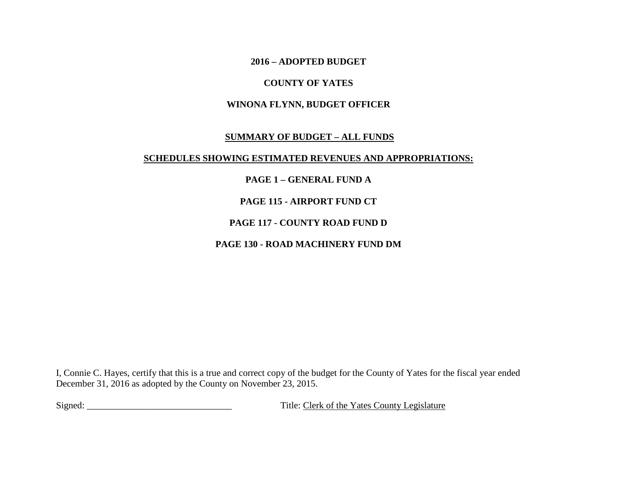**2016 – ADOPTED BUDGET** 

### **COUNTY OF YATES**

### **WINONA FLYNN, BUDGET OFFICER**

### **SUMMARY OF BUDGET – ALL FUNDS**

### **SCHEDULES SHOWING ESTIMATED REVENUES AND APPROPRIATIONS:**

### **PAGE 1 – GENERAL FUND A**

### **PAGE 115 - AIRPORT FUND CT**

### **PAGE 117 - COUNTY ROAD FUND D**

### **PAGE 130 - ROAD MACHINERY FUND DM**

I, Connie C. Hayes, certify that this is a true and correct copy of the budget for the County of Yates for the fiscal year ended December 31, 2016 as adopted by the County on November 23, 2015.

Signed: \_\_\_\_\_\_\_\_\_\_\_\_\_\_\_\_\_\_\_\_\_\_\_\_\_\_\_\_\_\_\_ Title: Clerk of the Yates County Legislature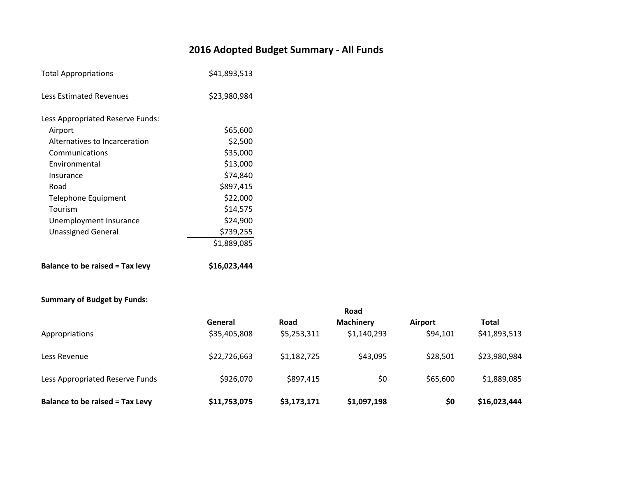# **2016 Adopted Budget Summary - All Funds**

| <b>Total Appropriations</b>            | \$41,893,513 |
|----------------------------------------|--------------|
| <b>Less Estimated Revenues</b>         | \$23,980,984 |
| Less Appropriated Reserve Funds:       |              |
| Airport                                | \$65,600     |
| Alternatives to Incarceration          | \$2,500      |
| Communications                         | \$35,000     |
| Environmental                          | \$13,000     |
| Insurance                              | \$74,840     |
| Road                                   | \$897,415    |
| Telephone Equipment                    | \$22,000     |
| Tourism                                | \$14,575     |
| Unemployment Insurance                 | \$24,900     |
| <b>Unassigned General</b>              | \$739,255    |
|                                        | \$1,889,085  |
| <b>Balance to be raised = Tax levy</b> | \$16,023,444 |

### **Summary of Budget by Funds:**

|                                        |              |             | Road             |                |              |
|----------------------------------------|--------------|-------------|------------------|----------------|--------------|
|                                        | General      | Road        | <b>Machinery</b> | <b>Airport</b> | <b>Total</b> |
| Appropriations                         | \$35,405,808 | \$5,253,311 | \$1,140,293      | \$94,101       | \$41,893,513 |
| Less Revenue                           | \$22,726,663 | \$1,182,725 | \$43,095         | \$28,501       | \$23,980,984 |
| Less Appropriated Reserve Funds        | \$926,070    | \$897,415   | \$0              | \$65,600       | \$1,889,085  |
| <b>Balance to be raised = Tax Levy</b> | \$11,753,075 | \$3,173,171 | \$1,097,198      | \$0            | \$16,023,444 |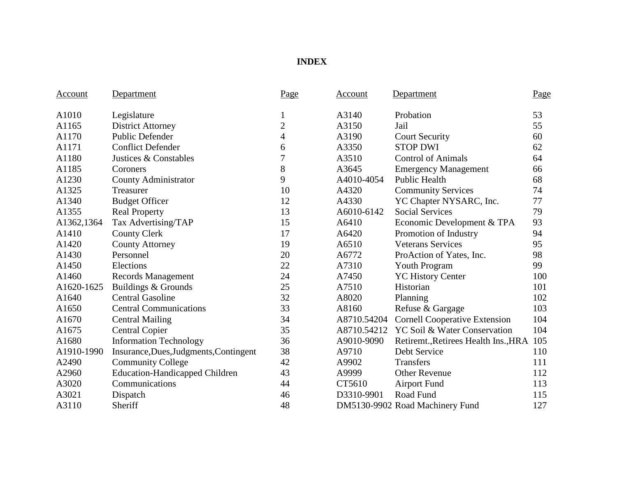## **INDEX**

| Account    | Department                             | Page           | Account     | Department                           | Page |
|------------|----------------------------------------|----------------|-------------|--------------------------------------|------|
| A1010      | Legislature                            | 1              | A3140       | Probation                            | 53   |
| A1165      | <b>District Attorney</b>               | $\overline{c}$ | A3150       | Jail                                 | 55   |
| A1170      | <b>Public Defender</b>                 | 4              | A3190       | <b>Court Security</b>                | 60   |
| A1171      | <b>Conflict Defender</b>               | 6              | A3350       | <b>STOP DWI</b>                      | 62   |
| A1180      | Justices & Constables                  | 7              | A3510       | <b>Control of Animals</b>            | 64   |
| A1185      | Coroners                               | 8              | A3645       | <b>Emergency Management</b>          | 66   |
| A1230      | County Administrator                   | 9              | A4010-4054  | <b>Public Health</b>                 | 68   |
| A1325      | Treasurer                              | 10             | A4320       | <b>Community Services</b>            | 74   |
| A1340      | <b>Budget Officer</b>                  | 12             | A4330       | YC Chapter NYSARC, Inc.              | 77   |
| A1355      | <b>Real Property</b>                   | 13             | A6010-6142  | <b>Social Services</b>               | 79   |
| A1362,1364 | Tax Advertising/TAP                    | 15             | A6410       | Economic Development & TPA           | 93   |
| A1410      | <b>County Clerk</b>                    | 17             | A6420       | Promotion of Industry                | 94   |
| A1420      | <b>County Attorney</b>                 | 19             | A6510       | <b>Veterans Services</b>             | 95   |
| A1430      | Personnel                              | 20             | A6772       | ProAction of Yates, Inc.             | 98   |
| A1450      | Elections                              | 22             | A7310       | <b>Youth Program</b>                 | 99   |
| A1460      | <b>Records Management</b>              | 24             | A7450       | <b>YC History Center</b>             | 100  |
| A1620-1625 | Buildings & Grounds                    | 25             | A7510       | Historian                            | 101  |
| A1640      | <b>Central Gasoline</b>                | 32             | A8020       | Planning                             | 102  |
| A1650      | <b>Central Communications</b>          | 33             | A8160       | Refuse & Gargage                     | 103  |
| A1670      | <b>Central Mailing</b>                 | 34             | A8710.54204 | <b>Cornell Cooperative Extension</b> | 104  |
| A1675      | <b>Central Copier</b>                  | 35             | A8710.54212 | YC Soil & Water Conservation         | 104  |
| A1680      | <b>Information Technology</b>          | 36             | A9010-9090  | Retiremt., Retirees Health Ins., HRA | 105  |
| A1910-1990 | Insurance, Dues, Judgments, Contingent | 38             | A9710       | Debt Service                         | 110  |
| A2490      | <b>Community College</b>               | 42             | A9902       | Transfers                            | 111  |
| A2960      | <b>Education-Handicapped Children</b>  | 43             | A9999       | <b>Other Revenue</b>                 | 112  |
| A3020      | Communications                         | 44             | CT5610      | <b>Airport Fund</b>                  | 113  |
| A3021      | Dispatch                               | 46             | D3310-9901  | Road Fund                            | 115  |
| A3110      | Sheriff                                | 48             |             | DM5130-9902 Road Machinery Fund      | 127  |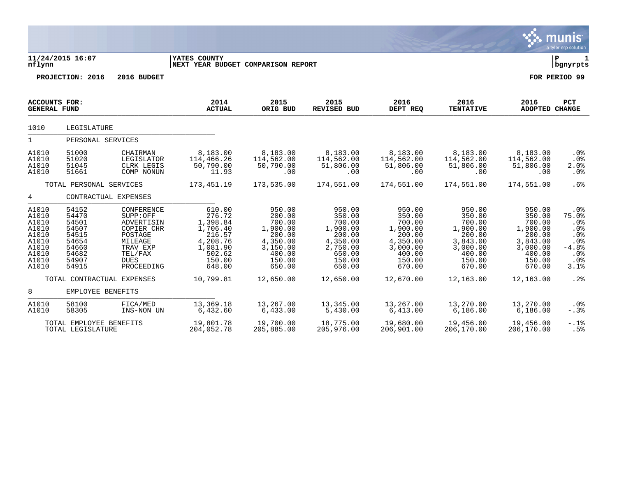|                                                                                        |                                                                                        |                                                                                                                              |                                                                                                          |                                                                                                        |                                                                                                        |                                                                                                        |                                                                                                        |                                                                                                        | munis<br>a tyler erp solution                                                   |
|----------------------------------------------------------------------------------------|----------------------------------------------------------------------------------------|------------------------------------------------------------------------------------------------------------------------------|----------------------------------------------------------------------------------------------------------|--------------------------------------------------------------------------------------------------------|--------------------------------------------------------------------------------------------------------|--------------------------------------------------------------------------------------------------------|--------------------------------------------------------------------------------------------------------|--------------------------------------------------------------------------------------------------------|---------------------------------------------------------------------------------|
| nflynn                                                                                 | 11/24/2015 16:07                                                                       |                                                                                                                              | YATES COUNTY<br>NEXT YEAR BUDGET COMPARISON REPORT                                                       |                                                                                                        |                                                                                                        |                                                                                                        |                                                                                                        |                                                                                                        | l P<br>  bgnyrpts                                                               |
|                                                                                        | PROJECTION: 2016                                                                       | 2016 BUDGET                                                                                                                  |                                                                                                          |                                                                                                        |                                                                                                        |                                                                                                        |                                                                                                        |                                                                                                        | FOR PERIOD 99                                                                   |
| <b>ACCOUNTS FOR:</b><br><b>GENERAL FUND</b>                                            |                                                                                        |                                                                                                                              | 2014<br><b>ACTUAL</b>                                                                                    | 2015<br>ORIG BUD                                                                                       | 2015<br><b>REVISED BUD</b>                                                                             | 2016<br>DEPT REQ                                                                                       | 2016<br><b>TENTATIVE</b>                                                                               | 2016<br>ADOPTED CHANGE                                                                                 | PCT                                                                             |
| 1010                                                                                   | LEGISLATURE                                                                            |                                                                                                                              |                                                                                                          |                                                                                                        |                                                                                                        |                                                                                                        |                                                                                                        |                                                                                                        |                                                                                 |
| 1                                                                                      | PERSONAL SERVICES                                                                      |                                                                                                                              |                                                                                                          |                                                                                                        |                                                                                                        |                                                                                                        |                                                                                                        |                                                                                                        |                                                                                 |
| A1010<br>A1010<br>A1010<br>A1010                                                       | 51000<br>51020<br>51045<br>51661                                                       | CHAIRMAN<br>LEGISLATOR<br>CLRK LEGIS<br>COMP NONUN                                                                           | 8,183.00<br>114,466.26<br>50,790.00<br>11.93                                                             | 8,183.00<br>114,562.00<br>50,790.00<br>.00                                                             | 8,183.00<br>114,562.00<br>51,806.00<br>.00                                                             | 8,183.00<br>114,562.00<br>51,806.00<br>.00                                                             | 8,183.00<br>114,562.00<br>51,806.00<br>.00                                                             | 8,183.00<br>114,562.00<br>51,806.00<br>.00                                                             | .0 <sub>8</sub><br>$.0\%$<br>2.0%<br>.0%                                        |
|                                                                                        | TOTAL PERSONAL SERVICES                                                                |                                                                                                                              | 173, 451.19                                                                                              | 173,535.00                                                                                             | 174,551.00                                                                                             | 174,551.00                                                                                             | 174,551.00                                                                                             | 174,551.00                                                                                             | .6%                                                                             |
| 4                                                                                      |                                                                                        | CONTRACTUAL EXPENSES                                                                                                         |                                                                                                          |                                                                                                        |                                                                                                        |                                                                                                        |                                                                                                        |                                                                                                        |                                                                                 |
| A1010<br>A1010<br>A1010<br>A1010<br>A1010<br>A1010<br>A1010<br>A1010<br>A1010<br>A1010 | 54152<br>54470<br>54501<br>54507<br>54515<br>54654<br>54660<br>54682<br>54907<br>54915 | CONFERENCE<br>SUPP:OFF<br>ADVERTISIN<br>COPIER CHR<br>POSTAGE<br>MILEAGE<br>TRAV EXP<br>TEL/FAX<br><b>DUES</b><br>PROCEEDING | 610.00<br>276.72<br>1,398.84<br>1,706.40<br>216.57<br>4,208.76<br>1,081.90<br>502.62<br>150.00<br>648.00 | 950.00<br>200.00<br>700.00<br>1,900.00<br>200.00<br>4,350.00<br>3,150.00<br>400.00<br>150.00<br>650.00 | 950.00<br>350.00<br>700.00<br>1,900.00<br>200.00<br>4,350.00<br>2,750.00<br>650.00<br>150.00<br>650.00 | 950.00<br>350.00<br>700.00<br>1,900.00<br>200.00<br>4,350.00<br>3,000.00<br>400.00<br>150.00<br>670.00 | 950.00<br>350.00<br>700.00<br>1,900.00<br>200.00<br>3,843.00<br>3,000.00<br>400.00<br>150.00<br>670.00 | 950.00<br>350.00<br>700.00<br>1,900.00<br>200.00<br>3,843.00<br>3,000.00<br>400.00<br>150.00<br>670.00 | .0%<br>75.0%<br>.0%<br>$.0\%$<br>.0%<br>$.0\%$<br>$-4.8%$<br>.0%<br>.0%<br>3.1% |
|                                                                                        |                                                                                        | TOTAL CONTRACTUAL EXPENSES                                                                                                   | 10,799.81                                                                                                | 12,650.00                                                                                              | 12,650.00                                                                                              | 12,670.00                                                                                              | 12,163.00                                                                                              | 12,163.00                                                                                              | .2%                                                                             |
| 8                                                                                      | EMPLOYEE BENEFITS                                                                      |                                                                                                                              |                                                                                                          |                                                                                                        |                                                                                                        |                                                                                                        |                                                                                                        |                                                                                                        |                                                                                 |
| A1010<br>A1010                                                                         | 58100<br>58305                                                                         | FICA/MED<br>INS-NON UN                                                                                                       | 13,369.18<br>6,432.60                                                                                    | 13,267.00<br>6,433.00                                                                                  | 13,345.00<br>5,430.00                                                                                  | 13,267.00<br>6,413.00                                                                                  | 13,270.00<br>6,186.00                                                                                  | 13,270.00<br>6,186.00                                                                                  | $.0\%$<br>$-.3%$                                                                |
|                                                                                        | TOTAL EMPLOYEE BENEFITS<br>TOTAL LEGISLATURE                                           |                                                                                                                              | 19,801.78<br>204,052.78                                                                                  | 19,700.00<br>205,885.00                                                                                | 18,775.00<br>205,976.00                                                                                | 19,680.00<br>206,901.00                                                                                | 19,456.00<br>206,170.00                                                                                | 19,456.00<br>206,170.00                                                                                | $-.1$ $%$<br>.5%                                                                |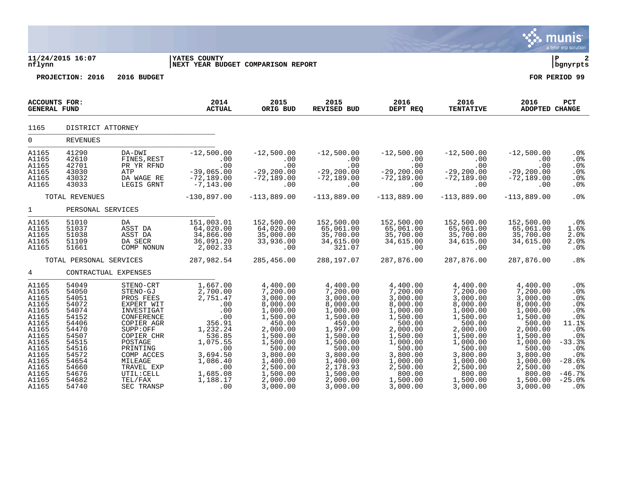| nflynn                                                                                                                                                | 11/24/2015 16:07                                                                                                                                      |                                                                                                                                                                                                                           | YATES COUNTY<br>NEXT YEAR BUDGET COMPARISON REPORT                                                                                                                     |                                                                                                                                                                                                      |                                                                                                                                                                                                      |                                                                                                                                                                                                    |                                                                                                                                                                                                    |                                                                                                                                                                                                    | ∣P<br>  bgnyrpts                                                                                                                                         |
|-------------------------------------------------------------------------------------------------------------------------------------------------------|-------------------------------------------------------------------------------------------------------------------------------------------------------|---------------------------------------------------------------------------------------------------------------------------------------------------------------------------------------------------------------------------|------------------------------------------------------------------------------------------------------------------------------------------------------------------------|------------------------------------------------------------------------------------------------------------------------------------------------------------------------------------------------------|------------------------------------------------------------------------------------------------------------------------------------------------------------------------------------------------------|----------------------------------------------------------------------------------------------------------------------------------------------------------------------------------------------------|----------------------------------------------------------------------------------------------------------------------------------------------------------------------------------------------------|----------------------------------------------------------------------------------------------------------------------------------------------------------------------------------------------------|----------------------------------------------------------------------------------------------------------------------------------------------------------|
|                                                                                                                                                       | PROJECTION: 2016                                                                                                                                      | 2016 BUDGET                                                                                                                                                                                                               |                                                                                                                                                                        |                                                                                                                                                                                                      |                                                                                                                                                                                                      |                                                                                                                                                                                                    |                                                                                                                                                                                                    |                                                                                                                                                                                                    | FOR PERIOD 99                                                                                                                                            |
| <b>ACCOUNTS FOR:</b><br><b>GENERAL FUND</b>                                                                                                           |                                                                                                                                                       |                                                                                                                                                                                                                           | 2014<br><b>ACTUAL</b>                                                                                                                                                  | 2015<br>ORIG BUD                                                                                                                                                                                     | 2015<br><b>REVISED BUD</b>                                                                                                                                                                           | 2016<br>DEPT REQ                                                                                                                                                                                   | 2016<br><b>TENTATIVE</b>                                                                                                                                                                           | 2016<br><b>ADOPTED CHANGE</b>                                                                                                                                                                      | PCT                                                                                                                                                      |
| 1165                                                                                                                                                  | DISTRICT ATTORNEY                                                                                                                                     |                                                                                                                                                                                                                           |                                                                                                                                                                        |                                                                                                                                                                                                      |                                                                                                                                                                                                      |                                                                                                                                                                                                    |                                                                                                                                                                                                    |                                                                                                                                                                                                    |                                                                                                                                                          |
| 0                                                                                                                                                     | <b>REVENUES</b>                                                                                                                                       |                                                                                                                                                                                                                           |                                                                                                                                                                        |                                                                                                                                                                                                      |                                                                                                                                                                                                      |                                                                                                                                                                                                    |                                                                                                                                                                                                    |                                                                                                                                                                                                    |                                                                                                                                                          |
| A1165<br>A1165<br>A1165<br>A1165<br>A1165<br>A1165                                                                                                    | 41290<br>42610<br>42701<br>43030<br>43032<br>43033                                                                                                    | DA-DWI<br>FINES, REST<br>PR YR RFND<br>ATP<br>DA WAGE RE<br>LEGIS GRNT                                                                                                                                                    | $-12,500.00$<br>.00<br>.00<br>$-39,065.00$<br>$-72,189.00$<br>$-7, 143.00$                                                                                             | $-12,500.00$<br>.00<br>.00<br>$-29, 200.00$<br>$-72,189.00$<br>.00                                                                                                                                   | $-12,500.00$<br>.00<br>.00<br>$-29, 200.00$<br>$-72, 189.00$<br>.00                                                                                                                                  | $-12,500.00$<br>.00<br>.00<br>$-29, 200.00$<br>$-72, 189.00$<br>.00                                                                                                                                | $-12,500.00$<br>$.00 \,$<br>$.00 \,$<br>$-29, 200.00$<br>$-72, 189.00$<br>$.00 \,$                                                                                                                 | $-12,500.00$<br>.00<br>.00<br>$-29, 200.00$<br>$-72,189.00$<br>.00                                                                                                                                 | $.0\%$<br>.0 <sub>8</sub><br>.0%<br>.0%<br>$.0\%$<br>.0 <sub>8</sub>                                                                                     |
|                                                                                                                                                       | TOTAL REVENUES                                                                                                                                        |                                                                                                                                                                                                                           | $-130,897.00$                                                                                                                                                          | $-113,889.00$                                                                                                                                                                                        | $-113,889.00$                                                                                                                                                                                        | $-113,889.00$                                                                                                                                                                                      | $-113,889.00$                                                                                                                                                                                      | $-113,889.00$                                                                                                                                                                                      | .0%                                                                                                                                                      |
| $\mathbf{1}$                                                                                                                                          | PERSONAL SERVICES                                                                                                                                     |                                                                                                                                                                                                                           |                                                                                                                                                                        |                                                                                                                                                                                                      |                                                                                                                                                                                                      |                                                                                                                                                                                                    |                                                                                                                                                                                                    |                                                                                                                                                                                                    |                                                                                                                                                          |
| A1165<br>A1165<br>A1165<br>A1165<br>A1165                                                                                                             | 51010<br>51037<br>51038<br>51109<br>51661                                                                                                             | DA<br>ASST DA<br>ASST DA<br>DA SECR<br>COMP NONUN                                                                                                                                                                         | 151,003.01<br>64,020.00<br>34,866.00<br>36,091.20<br>2,002.33                                                                                                          | 152,500.00<br>64,020.00<br>35,000.00<br>33,936.00<br>.00                                                                                                                                             | 152,500.00<br>65,061.00<br>35,700.00<br>34,615.00<br>321.07                                                                                                                                          | 152,500.00<br>65,061.00<br>35,700.00<br>34,615.00<br>.00                                                                                                                                           | 152,500.00<br>65,061.00<br>35,700.00<br>34,615.00<br>.00                                                                                                                                           | 152,500.00<br>65,061.00<br>35,700.00<br>34,615.00<br>.00                                                                                                                                           | .0%<br>1.6%<br>2.0%<br>2.0%<br>.0%                                                                                                                       |
|                                                                                                                                                       | TOTAL PERSONAL SERVICES                                                                                                                               |                                                                                                                                                                                                                           | 287,982.54                                                                                                                                                             | 285,456.00                                                                                                                                                                                           | 288,197.07                                                                                                                                                                                           | 287,876.00                                                                                                                                                                                         | 287,876.00                                                                                                                                                                                         | 287,876.00                                                                                                                                                                                         | .8 <sup>°</sup>                                                                                                                                          |
| 4                                                                                                                                                     | CONTRACTUAL EXPENSES                                                                                                                                  |                                                                                                                                                                                                                           |                                                                                                                                                                        |                                                                                                                                                                                                      |                                                                                                                                                                                                      |                                                                                                                                                                                                    |                                                                                                                                                                                                    |                                                                                                                                                                                                    |                                                                                                                                                          |
| A1165<br>A1165<br>A1165<br>A1165<br>A1165<br>A1165<br>A1165<br>A1165<br>A1165<br>A1165<br>A1165<br>A1165<br>A1165<br>A1165<br>A1165<br>A1165<br>A1165 | 54049<br>54050<br>54051<br>54072<br>54074<br>54152<br>54406<br>54470<br>54507<br>54515<br>54516<br>54572<br>54654<br>54660<br>54676<br>54682<br>54740 | STENO-CRT<br>STENO-GJ<br>PROS FEES<br>EXPERT WIT<br>INVESTIGAT<br>CONFERENCE<br>COPIER AGR<br>SUPP:OFF<br>COPIER CHR<br>POSTAGE<br>PRINTING<br>COMP ACCES<br>MILEAGE<br>TRAVEL EXP<br>UTIL: CELL<br>TEL/FAX<br>SEC TRANSP | 1,667.00<br>2,700.00<br>2,751.47<br>.00<br>.00<br>.00<br>356.91<br>1,232.24<br>536.85<br>1,075.55<br>.00<br>3,694.50<br>1,086.40<br>.00<br>1,685.08<br>1,188.17<br>.00 | 4,400.00<br>7,200.00<br>3,000.00<br>8,000.00<br>1,000.00<br>1,500.00<br>450.00<br>2,000.00<br>1,500.00<br>1,500.00<br>500.00<br>3,800.00<br>1,400.00<br>2,500.00<br>1,500.00<br>2,000.00<br>3,000.00 | 4,400.00<br>7,200.00<br>3,000.00<br>8,000.00<br>1,000.00<br>1,500.00<br>450.00<br>1,997.00<br>1,500.00<br>1,500.00<br>500.00<br>3,800.00<br>1,400.00<br>2,178.93<br>1,500.00<br>2,000.00<br>3,000.00 | 4,400.00<br>7,200.00<br>3,000.00<br>8,000.00<br>1,000.00<br>1,500.00<br>500.00<br>2,000.00<br>1,500.00<br>1,000.00<br>500.00<br>3,800.00<br>1,000.00<br>2,500.00<br>800.00<br>1,500.00<br>3,000.00 | 4,400.00<br>7,200.00<br>3,000.00<br>8,000.00<br>1,000.00<br>1,500.00<br>500.00<br>2,000.00<br>1,500.00<br>1,000.00<br>500.00<br>3,800.00<br>1,000.00<br>2,500.00<br>800.00<br>1,500.00<br>3,000.00 | 4,400.00<br>7,200.00<br>3,000.00<br>8,000.00<br>1,000.00<br>1,500.00<br>500.00<br>2,000.00<br>1,500.00<br>1,000.00<br>500.00<br>3,800.00<br>1,000.00<br>2,500.00<br>800.00<br>1,500.00<br>3,000.00 | $.0\%$<br>.0%<br>.0%<br>.0%<br>.0%<br>.0%<br>11.1%<br>.0%<br>.0%<br>$-33.3%$<br>.0%<br>.0%<br>$-28.6%$<br>.0%<br>$-46.7%$<br>$-25.0%$<br>.0 <sub>8</sub> |

**SA munis**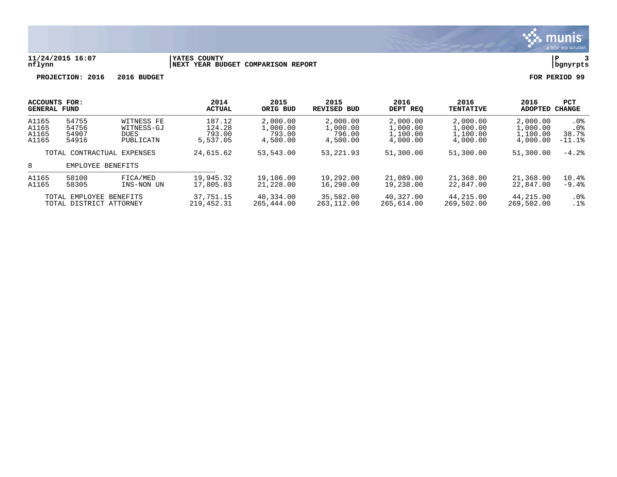

#### **11/24/2015 16:07 |YATES COUNTY |P 3 nflynn |NEXT YEAR BUDGET COMPARISON REPORT |bgnyrpts**

| <b>ACCOUNTS FOR:</b><br><b>GENERAL FUND</b> |                                                    |                                                      | 2014<br><b>ACTUAL</b>                  | 2015<br>ORIG BUD                           | 2015<br><b>REVISED BUD</b>                 | 2016<br>DEPT REO                             | 2016<br><b>TENTATIVE</b>                     | 2016<br><b>ADOPTED</b>                       | <b>PCT</b><br><b>CHANGE</b>                             |
|---------------------------------------------|----------------------------------------------------|------------------------------------------------------|----------------------------------------|--------------------------------------------|--------------------------------------------|----------------------------------------------|----------------------------------------------|----------------------------------------------|---------------------------------------------------------|
| A1165<br>A1165<br>A1165<br>A1165            | 54755<br>54756<br>54907<br>54916                   | WITNESS FE<br>WITNESS-GJ<br><b>DUES</b><br>PUBLICATN | 187.12<br>124.28<br>793.00<br>5,537.05 | 2,000.00<br>1,000.00<br>793.00<br>4,500.00 | 2,000.00<br>1,000.00<br>796.00<br>4,500.00 | 2,000.00<br>1,000.00<br>1,100.00<br>4,000.00 | 2,000.00<br>1,000.00<br>1,100.00<br>4,000.00 | 2,000.00<br>1,000.00<br>1,100.00<br>4,000.00 | .0%<br>.0 <sub>8</sub><br>38.7%<br>$-11.1$ <sup>2</sup> |
|                                             |                                                    | TOTAL CONTRACTUAL EXPENSES                           | 24,615.62                              | 53,543.00                                  | 53, 221, 93                                | 51,300.00                                    | 51,300.00                                    | 51,300.00                                    | $-4.2%$                                                 |
| 8                                           | EMPLOYEE BENEFITS                                  |                                                      |                                        |                                            |                                            |                                              |                                              |                                              |                                                         |
| A1165<br>A1165                              | 58100<br>58305                                     | FICA/MED<br>INS-NON UN                               | 19,945.32<br>17,805.83                 | 19,106.00<br>21,228.00                     | 19,292.00<br>16,290.00                     | 21,089.00<br>19,238.00                       | 21,368.00<br>22,847.00                       | 21,368.00<br>22,847.00                       | 10.4%<br>$-9.4%$                                        |
|                                             | TOTAL EMPLOYEE BENEFITS<br>TOTAL DISTRICT ATTORNEY |                                                      | 37,751.15<br>219, 452.31               | 40,334.00<br>265,444.00                    | 35,582.00<br>263,112.00                    | 40,327.00<br>265,614.00                      | 44,215.00<br>269,502.00                      | 44,215.00<br>269,502.00                      | $.0\%$<br>.1%                                           |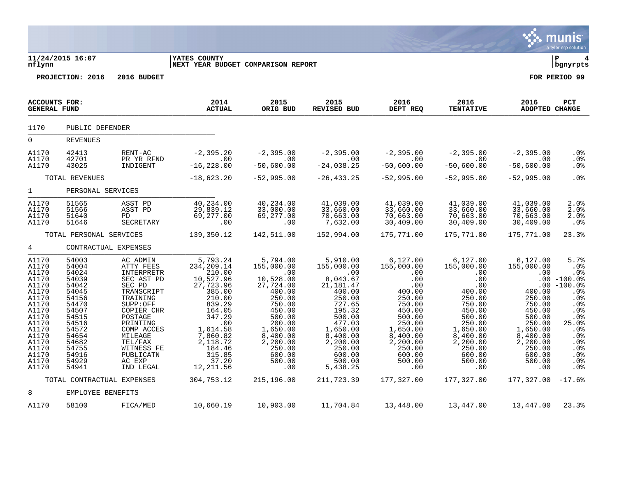|                                                                                                                                                                |                                                                                                                                                                |                                                                                                                                                                                                                              |                                                                                                                                                                                                   |                                                                                                                                                                                                      |                                                                                                                                                                                                        |                                                                                                                                                                                  |                                                                                                                                                                                  |                                                                                                                                                                    | munis<br>a tyler erp solution                                                                                                                       |
|----------------------------------------------------------------------------------------------------------------------------------------------------------------|----------------------------------------------------------------------------------------------------------------------------------------------------------------|------------------------------------------------------------------------------------------------------------------------------------------------------------------------------------------------------------------------------|---------------------------------------------------------------------------------------------------------------------------------------------------------------------------------------------------|------------------------------------------------------------------------------------------------------------------------------------------------------------------------------------------------------|--------------------------------------------------------------------------------------------------------------------------------------------------------------------------------------------------------|----------------------------------------------------------------------------------------------------------------------------------------------------------------------------------|----------------------------------------------------------------------------------------------------------------------------------------------------------------------------------|--------------------------------------------------------------------------------------------------------------------------------------------------------------------|-----------------------------------------------------------------------------------------------------------------------------------------------------|
| nflynn                                                                                                                                                         | 11/24/2015 16:07<br>PROJECTION: 2016                                                                                                                           | 2016 BUDGET                                                                                                                                                                                                                  | <b>YATES COUNTY</b><br>NEXT YEAR BUDGET COMPARISON REPORT                                                                                                                                         |                                                                                                                                                                                                      |                                                                                                                                                                                                        |                                                                                                                                                                                  |                                                                                                                                                                                  |                                                                                                                                                                    | l P<br>  bgnyrpts<br>FOR PERIOD 99                                                                                                                  |
|                                                                                                                                                                |                                                                                                                                                                |                                                                                                                                                                                                                              |                                                                                                                                                                                                   |                                                                                                                                                                                                      |                                                                                                                                                                                                        |                                                                                                                                                                                  |                                                                                                                                                                                  |                                                                                                                                                                    |                                                                                                                                                     |
| <b>ACCOUNTS FOR:</b><br><b>GENERAL FUND</b>                                                                                                                    |                                                                                                                                                                |                                                                                                                                                                                                                              | 2014<br><b>ACTUAL</b>                                                                                                                                                                             | 2015<br>ORIG BUD                                                                                                                                                                                     | 2015<br>REVISED BUD                                                                                                                                                                                    | 2016<br>DEPT REQ                                                                                                                                                                 | 2016<br><b>TENTATIVE</b>                                                                                                                                                         | 2016<br>ADOPTED CHANGE                                                                                                                                             | PCT                                                                                                                                                 |
| 1170                                                                                                                                                           | PUBLIC DEFENDER                                                                                                                                                |                                                                                                                                                                                                                              |                                                                                                                                                                                                   |                                                                                                                                                                                                      |                                                                                                                                                                                                        |                                                                                                                                                                                  |                                                                                                                                                                                  |                                                                                                                                                                    |                                                                                                                                                     |
| $\Omega$                                                                                                                                                       | <b>REVENUES</b>                                                                                                                                                |                                                                                                                                                                                                                              |                                                                                                                                                                                                   |                                                                                                                                                                                                      |                                                                                                                                                                                                        |                                                                                                                                                                                  |                                                                                                                                                                                  |                                                                                                                                                                    |                                                                                                                                                     |
| A1170<br>A1170<br>A1170                                                                                                                                        | 42413<br>42701<br>43025                                                                                                                                        | RENT-AC<br>PR YR RFND<br>INDIGENT                                                                                                                                                                                            | $-2, 395.20$<br>$\overline{00}$<br>$-16, 228.00$                                                                                                                                                  | $-2,395.00$<br>$\overline{00}$<br>$-50,600.00$                                                                                                                                                       | $-2,395.00$<br>.00<br>$-24,038.25$                                                                                                                                                                     | $-2,395.00$<br>.00<br>$-50,600.00$                                                                                                                                               | $-2,395.00$<br>$\sim 00$<br>$-50,600.00$                                                                                                                                         | $-2,395.00$<br>.00<br>$-50,600.00$                                                                                                                                 | .0%<br>$.0\%$<br>.0%                                                                                                                                |
|                                                                                                                                                                | TOTAL REVENUES                                                                                                                                                 |                                                                                                                                                                                                                              | $-18,623.20$                                                                                                                                                                                      | $-52,995.00$                                                                                                                                                                                         | $-26, 433.25$                                                                                                                                                                                          | $-52,995.00$                                                                                                                                                                     | $-52,995.00$                                                                                                                                                                     | $-52,995.00$                                                                                                                                                       | .0 <sup>8</sup>                                                                                                                                     |
| $1 \quad \blacksquare$                                                                                                                                         | PERSONAL SERVICES                                                                                                                                              |                                                                                                                                                                                                                              |                                                                                                                                                                                                   |                                                                                                                                                                                                      |                                                                                                                                                                                                        |                                                                                                                                                                                  |                                                                                                                                                                                  |                                                                                                                                                                    |                                                                                                                                                     |
| A1170<br>A1170<br>A1170<br>A1170                                                                                                                               | 51565<br>51566<br>51640<br>51646                                                                                                                               | ASST PD<br>ASST PD<br>PD<br>SECRETARY                                                                                                                                                                                        | 40,234.00<br>29,839.12<br>69,277.00<br>.00                                                                                                                                                        | 40,234.00<br>33,000.00<br>69,277.00<br>.00                                                                                                                                                           | 41,039.00<br>33,660.00<br>70,663.00<br>7,632.00                                                                                                                                                        | 41,039.00<br>33,660.00<br>70,663.00<br>30,409.00                                                                                                                                 | 41,039.00<br>33,660.00<br>70,663.00<br>30,409.00                                                                                                                                 | 41,039.00<br>33,660.00<br>70,663.00<br>30,409.00                                                                                                                   | 2.0%<br>2.0%<br>2.0%<br>.0%                                                                                                                         |
|                                                                                                                                                                | TOTAL PERSONAL SERVICES                                                                                                                                        |                                                                                                                                                                                                                              | 139,350.12                                                                                                                                                                                        | 142,511.00                                                                                                                                                                                           | 152,994.00                                                                                                                                                                                             | 175,771.00                                                                                                                                                                       | 175,771.00                                                                                                                                                                       | 175,771.00                                                                                                                                                         | 23.3%                                                                                                                                               |
| $4\overline{ }$                                                                                                                                                | CONTRACTUAL EXPENSES                                                                                                                                           |                                                                                                                                                                                                                              |                                                                                                                                                                                                   |                                                                                                                                                                                                      |                                                                                                                                                                                                        |                                                                                                                                                                                  |                                                                                                                                                                                  |                                                                                                                                                                    |                                                                                                                                                     |
| A1170<br>A1170<br>A1170<br>A1170<br>A1170<br>A1170<br>A1170<br>A1170<br>A1170<br>A1170<br>A1170<br>A1170<br>A1170<br>A1170<br>A1170<br>A1170<br>A1170<br>A1170 | 54003<br>54004<br>54024<br>54039<br>54042<br>54045<br>54156<br>54470<br>54507<br>54515<br>54516<br>54572<br>54654<br>54682<br>54755<br>54916<br>54929<br>54941 | AC ADMIN<br>ATTY FEES<br>INTERPRETR<br>SEC AST PD<br>SEC PD<br>TRANSCRIPT<br>TRAINING<br>SUPP:OFF<br>COPIER CHR<br>POSTAGE<br>PRINTING<br>COMP ACCES<br>MILEAGE<br>TEL/FAX<br>WITNESS FE<br>PUBLICATN<br>AC EXP<br>IND LEGAL | 5,793.24<br>234,209.14<br>210.00<br>10,527.96<br>27,723.96<br>385.00<br>210.00<br>839.29<br>164.05<br>347.29<br>.00<br>1,614.58<br>7,860.82<br>2,118.72<br>184.46<br>315.85<br>37.20<br>12,211.56 | 5,794.00<br>155,000.00<br>$\sim 00$<br>10,528.00<br>27,724.00<br>400.00<br>250.00<br>750.00<br>450.00<br>500.00<br>200.00<br>1,650.00<br>$8,400.00$<br>2,200.00<br>250.00<br>600.00<br>500.00<br>.00 | 5,910.00<br>155,000.00<br>8.012.00<br>8,043.67<br>21, 181.47<br>400.00<br>250.00<br>727.65<br>195.32<br>500.00<br>477.03<br>1,650.00<br>8,400.00<br>2,200.00<br>250.00<br>600.00<br>500.00<br>5,438.25 | 6,127.00<br>155,000.00<br>.00<br>.00<br>.00<br>400.00<br>250.00<br>750.00<br>450.00<br>500.00<br>250.00<br>1,650.00<br>8,400.00<br>2,200.00<br>250.00<br>600.00<br>500.00<br>.00 | 6,127.00<br>155,000.00<br>.00<br>.00<br>.00<br>400.00<br>250.00<br>750.00<br>450.00<br>500.00<br>250.00<br>1,650.00<br>8,400.00<br>2,200.00<br>250.00<br>600.00<br>500.00<br>.00 | 6,127.00<br>155,000.00<br>.00<br>400.00<br>250.00<br>750.00<br>450.00<br>500.00<br>250.00<br>1,650.00<br>8,400.00<br>2,200.00<br>250.00<br>600.00<br>500.00<br>.00 | 5.7%<br>.0%<br>.0%<br>$.00 - 100.08$<br>$.00 - 100.0%$<br>.0%<br>.0%<br>.0%<br>.0%<br>.0%<br>25.0%<br>.0%<br>.0%<br>.0%<br>.0%<br>.0%<br>.0%<br>.0% |
|                                                                                                                                                                | TOTAL CONTRACTUAL EXPENSES                                                                                                                                     |                                                                                                                                                                                                                              | 304,753.12                                                                                                                                                                                        | 215,196.00                                                                                                                                                                                           | 211,723.39                                                                                                                                                                                             | 177,327.00                                                                                                                                                                       | 177,327.00                                                                                                                                                                       | 177,327.00                                                                                                                                                         | $-17.6%$                                                                                                                                            |
| 8                                                                                                                                                              | EMPLOYEE BENEFITS                                                                                                                                              |                                                                                                                                                                                                                              |                                                                                                                                                                                                   |                                                                                                                                                                                                      |                                                                                                                                                                                                        |                                                                                                                                                                                  |                                                                                                                                                                                  |                                                                                                                                                                    |                                                                                                                                                     |
| A1170                                                                                                                                                          | 58100                                                                                                                                                          | FICA/MED                                                                                                                                                                                                                     | 10,660.19                                                                                                                                                                                         | 10,903.00                                                                                                                                                                                            | 11,704.84                                                                                                                                                                                              | 13,448.00                                                                                                                                                                        | 13,447.00                                                                                                                                                                        | 13,447.00                                                                                                                                                          | 23.3%                                                                                                                                               |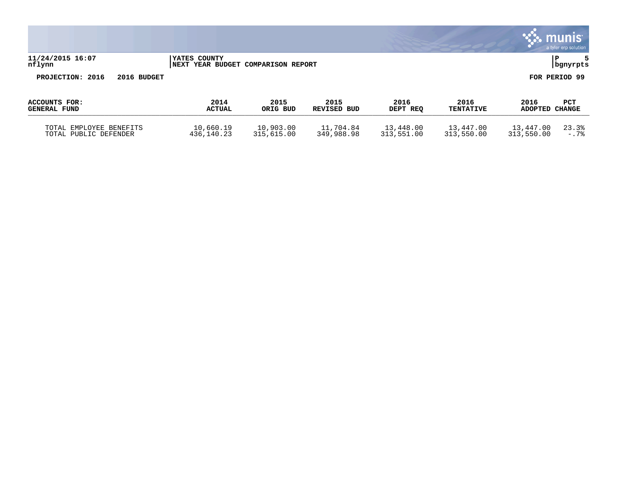|                                                  |                                                            |                         |                            |                         |                          |                         | munis<br>a tyler erp solution |
|--------------------------------------------------|------------------------------------------------------------|-------------------------|----------------------------|-------------------------|--------------------------|-------------------------|-------------------------------|
| 11/24/2015 16:07<br>nflynn                       | <b>IYATES COUNTY</b><br>NEXT YEAR BUDGET COMPARISON REPORT |                         |                            |                         |                          |                         | P<br>5<br>bgnyrpts            |
| PROJECTION: 2016<br>2016 BUDGET                  |                                                            |                         |                            |                         |                          |                         | FOR PERIOD 99                 |
| ACCOUNTS FOR:<br><b>GENERAL FUND</b>             | 2014<br><b>ACTUAL</b>                                      | 2015<br>ORIG BUD        | 2015<br><b>REVISED BUD</b> | 2016<br>DEPT REQ        | 2016<br><b>TENTATIVE</b> | 2016<br>ADOPTED CHANGE  | <b>PCT</b>                    |
| TOTAL EMPLOYEE BENEFITS<br>TOTAL PUBLIC DEFENDER | 10,660.19<br>436,140.23                                    | 10,903.00<br>315,615.00 | 11,704.84<br>349,988.98    | 13,448.00<br>313,551.00 | 13,447.00<br>313,550.00  | 13,447.00<br>313,550.00 | 23.3%<br>$-0.7%$              |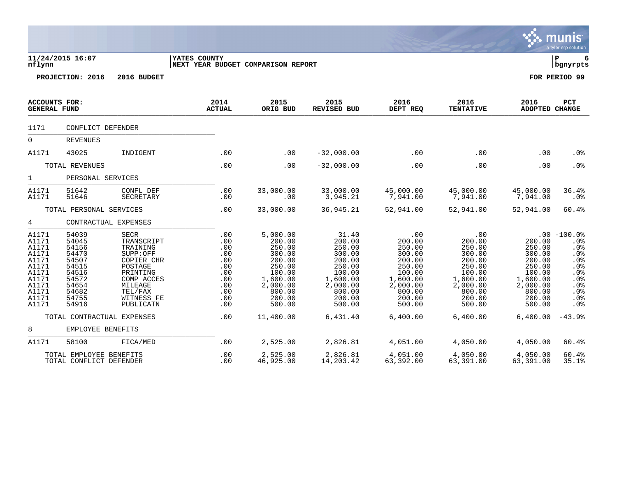|                                                                                                          |                                                                                                          |                                                                                                                                                |                                                                                  |                                                                                                                            |                                                                                                                         |                                                                                                                       |                                                                                                                       |                                                                                                                | <b>munis</b><br>a tyler erp solution                                                           |
|----------------------------------------------------------------------------------------------------------|----------------------------------------------------------------------------------------------------------|------------------------------------------------------------------------------------------------------------------------------------------------|----------------------------------------------------------------------------------|----------------------------------------------------------------------------------------------------------------------------|-------------------------------------------------------------------------------------------------------------------------|-----------------------------------------------------------------------------------------------------------------------|-----------------------------------------------------------------------------------------------------------------------|----------------------------------------------------------------------------------------------------------------|------------------------------------------------------------------------------------------------|
| nflynn                                                                                                   | 11/24/2015 16:07                                                                                         |                                                                                                                                                | YATES COUNTY<br>NEXT YEAR BUDGET COMPARISON REPORT                               |                                                                                                                            |                                                                                                                         |                                                                                                                       |                                                                                                                       |                                                                                                                | ΙP<br>  bgnyrpts                                                                               |
|                                                                                                          | PROJECTION: 2016                                                                                         | 2016 BUDGET                                                                                                                                    |                                                                                  |                                                                                                                            |                                                                                                                         |                                                                                                                       |                                                                                                                       |                                                                                                                | FOR PERIOD 99                                                                                  |
| ACCOUNTS FOR:<br><b>GENERAL FUND</b>                                                                     |                                                                                                          |                                                                                                                                                | 2014<br><b>ACTUAL</b>                                                            | 2015<br>ORIG BUD                                                                                                           | 2015<br><b>REVISED BUD</b>                                                                                              | 2016<br>DEPT REQ                                                                                                      | 2016<br><b>TENTATIVE</b>                                                                                              | 2016<br>ADOPTED CHANGE                                                                                         | PCT                                                                                            |
| 1171                                                                                                     | CONFLICT DEFENDER                                                                                        |                                                                                                                                                |                                                                                  |                                                                                                                            |                                                                                                                         |                                                                                                                       |                                                                                                                       |                                                                                                                |                                                                                                |
| $\overline{0}$                                                                                           | <b>REVENUES</b>                                                                                          |                                                                                                                                                |                                                                                  |                                                                                                                            |                                                                                                                         |                                                                                                                       |                                                                                                                       |                                                                                                                |                                                                                                |
| A1171                                                                                                    | 43025                                                                                                    | INDIGENT                                                                                                                                       | .00                                                                              | .00                                                                                                                        | $-32,000.00$                                                                                                            | .00                                                                                                                   | .00                                                                                                                   | .00                                                                                                            | .0%                                                                                            |
|                                                                                                          | TOTAL REVENUES                                                                                           |                                                                                                                                                | .00                                                                              | .00                                                                                                                        | $-32,000.00$                                                                                                            | .00                                                                                                                   | .00                                                                                                                   | .00                                                                                                            | .0%                                                                                            |
| 1                                                                                                        | PERSONAL SERVICES                                                                                        |                                                                                                                                                |                                                                                  |                                                                                                                            |                                                                                                                         |                                                                                                                       |                                                                                                                       |                                                                                                                |                                                                                                |
| A1171<br>A1171                                                                                           | 51642<br>51646                                                                                           | CONFL DEF<br>SECRETARY                                                                                                                         | .00<br>.00                                                                       | 33,000.00<br>.00                                                                                                           | 33,000.00<br>3,945.21                                                                                                   | 45,000.00<br>7,941.00                                                                                                 | 45,000.00<br>7,941.00                                                                                                 | 45,000.00<br>7,941.00                                                                                          | 36.4%<br>$.0\%$                                                                                |
|                                                                                                          | TOTAL PERSONAL SERVICES                                                                                  |                                                                                                                                                | .00                                                                              | 33,000.00                                                                                                                  | 36,945.21                                                                                                               | 52,941.00                                                                                                             | 52,941.00                                                                                                             | 52,941.00                                                                                                      | 60.4%                                                                                          |
| 4                                                                                                        |                                                                                                          | CONTRACTUAL EXPENSES                                                                                                                           |                                                                                  |                                                                                                                            |                                                                                                                         |                                                                                                                       |                                                                                                                       |                                                                                                                |                                                                                                |
| A1171<br>A1171<br>A1171<br>A1171<br>A1171<br>A1171<br>A1171<br>A1171<br>A1171<br>A1171<br>A1171<br>A1171 | 54039<br>54045<br>54156<br>54470<br>54507<br>54515<br>54516<br>54572<br>54654<br>54682<br>54755<br>54916 | SECR<br>TRANSCRIPT<br>TRAINING<br>SUPP:OFF<br>COPIER CHR<br>POSTAGE<br>PRINTING<br>COMP ACCES<br>MILEAGE<br>TEL/FAX<br>WITNESS FE<br>PUBLICATN | .00<br>.00<br>.00<br>.00<br>.00<br>.00<br>.00<br>.00<br>.00<br>.00<br>.00<br>.00 | 5,000.00<br>200.00<br>250.00<br>300.00<br>200.00<br>250.00<br>100.00<br>1,600.00<br>2,000.00<br>800.00<br>200.00<br>500.00 | 31.40<br>200.00<br>250.00<br>300.00<br>200.00<br>250.00<br>100.00<br>1,600.00<br>2,000.00<br>800.00<br>200.00<br>500.00 | .00<br>200.00<br>250.00<br>300.00<br>200.00<br>250.00<br>100.00<br>1,600.00<br>2,000.00<br>800.00<br>200.00<br>500.00 | .00<br>200.00<br>250.00<br>300.00<br>200.00<br>250.00<br>100.00<br>1,600.00<br>2,000.00<br>800.00<br>200.00<br>500.00 | 200.00<br>250.00<br>300.00<br>200.00<br>250.00<br>100.00<br>1,600.00<br>2,000.00<br>800.00<br>200.00<br>500.00 | $.00 - 100.0%$<br>.0%<br>.0%<br>.0%<br>.0%<br>.0%<br>.0%<br>.0%<br>.0%<br>.0%<br>$.0\%$<br>.0% |
|                                                                                                          |                                                                                                          | TOTAL CONTRACTUAL EXPENSES                                                                                                                     | .00                                                                              | 11,400.00                                                                                                                  | 6,431.40                                                                                                                | 6,400.00                                                                                                              | 6,400.00                                                                                                              | 6,400.00                                                                                                       | $-43.9%$                                                                                       |
| 8                                                                                                        | EMPLOYEE BENEFITS                                                                                        |                                                                                                                                                |                                                                                  |                                                                                                                            |                                                                                                                         |                                                                                                                       |                                                                                                                       |                                                                                                                |                                                                                                |
| A1171                                                                                                    | 58100                                                                                                    | FICA/MED                                                                                                                                       | .00                                                                              | 2,525.00                                                                                                                   | 2,826.81                                                                                                                | 4,051.00                                                                                                              | 4,050.00                                                                                                              | 4,050.00                                                                                                       | 60.4%                                                                                          |
|                                                                                                          | TOTAL EMPLOYEE BENEFITS<br>TOTAL CONFLICT DEFENDER                                                       |                                                                                                                                                | .00<br>.00                                                                       | 2,525.00<br>46,925.00                                                                                                      | 2,826.81<br>14,203.42                                                                                                   | 4,051.00<br>63,392.00                                                                                                 | 4,050.00<br>63,391.00                                                                                                 | 4,050.00<br>63,391.00                                                                                          | 60.4%<br>35.1%                                                                                 |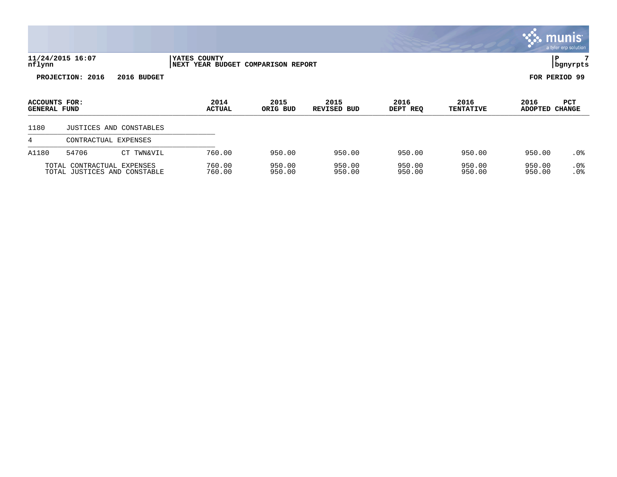|                                      |                                                            |                         |                       |                               |                     |                  |                          |                        | munis l<br>a tyler erp solution |
|--------------------------------------|------------------------------------------------------------|-------------------------|-----------------------|-------------------------------|---------------------|------------------|--------------------------|------------------------|---------------------------------|
| nflynn                               | 11/24/2015 16:07                                           |                         | YATES COUNTY<br>NEXT  | YEAR BUDGET COMPARISON REPORT |                     |                  |                          | l P                    | 7<br>  bgnyrpts                 |
|                                      | PROJECTION: 2016                                           | 2016 BUDGET             |                       |                               |                     |                  |                          | FOR PERIOD 99          |                                 |
| ACCOUNTS FOR:<br><b>GENERAL FUND</b> |                                                            |                         | 2014<br><b>ACTUAL</b> | 2015<br>ORIG BUD              | 2015<br>REVISED BUD | 2016<br>DEPT REQ | 2016<br><b>TENTATIVE</b> | 2016<br>ADOPTED CHANGE | <b>PCT</b>                      |
| 1180                                 |                                                            | JUSTICES AND CONSTABLES |                       |                               |                     |                  |                          |                        |                                 |
| 4                                    | CONTRACTUAL EXPENSES                                       |                         |                       |                               |                     |                  |                          |                        |                                 |
| A1180                                | 54706                                                      | CT TWN&VIL              | 760.00                | 950.00                        | 950.00              | 950.00           | 950.00                   | 950.00                 | $.0\%$                          |
|                                      | TOTAL CONTRACTUAL EXPENSES<br>TOTAL JUSTICES AND CONSTABLE |                         | 760.00<br>760.00      | 950.00<br>950.00              | 950.00<br>950.00    | 950.00<br>950.00 | 950.00<br>950.00         | 950.00<br>950.00       | .0%<br>.0 <sub>8</sub>          |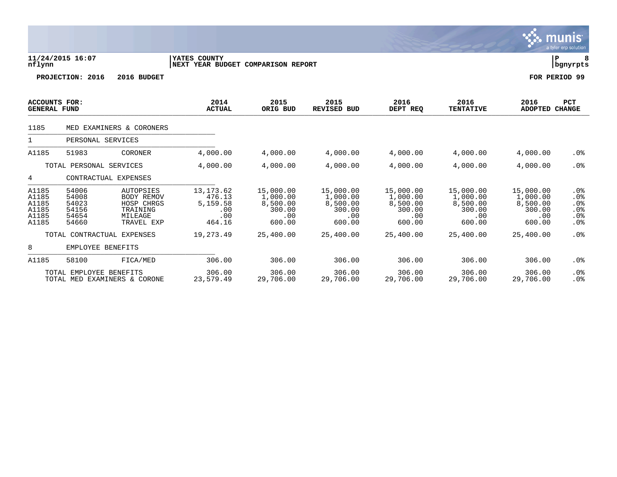|                                                    |                                                    |                                                                                   |                                                          |                                                              |                                                              |                                                              |                                                              |                                                              | a tyler erp solution                                     |
|----------------------------------------------------|----------------------------------------------------|-----------------------------------------------------------------------------------|----------------------------------------------------------|--------------------------------------------------------------|--------------------------------------------------------------|--------------------------------------------------------------|--------------------------------------------------------------|--------------------------------------------------------------|----------------------------------------------------------|
| nflynn                                             | 11/24/2015 16:07                                   |                                                                                   | YATES COUNTY<br>NEXT YEAR BUDGET COMPARISON REPORT       |                                                              |                                                              |                                                              |                                                              |                                                              | ΙP<br>  bgnyrpts                                         |
|                                                    | PROJECTION: 2016                                   | 2016 BUDGET                                                                       |                                                          |                                                              |                                                              |                                                              |                                                              |                                                              | FOR PERIOD 99                                            |
| ACCOUNTS FOR:<br><b>GENERAL FUND</b>               |                                                    |                                                                                   | 2014<br><b>ACTUAL</b>                                    | 2015<br>ORIG BUD                                             | 2015<br><b>REVISED BUD</b>                                   | 2016<br>DEPT REQ                                             | 2016<br><b>TENTATIVE</b>                                     | 2016<br>ADOPTED                                              | <b>PCT</b><br><b>CHANGE</b>                              |
| 1185                                               |                                                    | MED EXAMINERS & CORONERS                                                          |                                                          |                                                              |                                                              |                                                              |                                                              |                                                              |                                                          |
|                                                    | PERSONAL SERVICES                                  |                                                                                   |                                                          |                                                              |                                                              |                                                              |                                                              |                                                              |                                                          |
| A1185                                              | 51983                                              | CORONER                                                                           | 4,000.00                                                 | 4,000.00                                                     | 4,000.00                                                     | 4,000.00                                                     | 4,000.00                                                     | 4,000.00                                                     | .0%                                                      |
|                                                    | TOTAL PERSONAL SERVICES                            |                                                                                   | 4,000.00                                                 | 4,000.00                                                     | 4,000.00                                                     | 4,000.00                                                     | 4,000.00                                                     | 4,000.00                                                     | .0%                                                      |
| 4                                                  |                                                    | CONTRACTUAL EXPENSES                                                              |                                                          |                                                              |                                                              |                                                              |                                                              |                                                              |                                                          |
| A1185<br>A1185<br>A1185<br>A1185<br>A1185<br>A1185 | 54006<br>54008<br>54023<br>54156<br>54654<br>54660 | AUTOPSIES<br><b>BODY REMOV</b><br>HOSP CHRGS<br>TRAINING<br>MILEAGE<br>TRAVEL EXP | 13, 173.62<br>476.13<br>5,159.58<br>.00<br>.00<br>464.16 | 15,000.00<br>1,000.00<br>8,500.00<br>300.00<br>.00<br>600.00 | 15,000.00<br>1,000.00<br>8,500.00<br>300.00<br>.00<br>600.00 | 15,000.00<br>1,000.00<br>8,500.00<br>300.00<br>.00<br>600.00 | 15,000.00<br>1,000.00<br>8,500.00<br>300.00<br>.00<br>600.00 | 15,000.00<br>1,000.00<br>8,500.00<br>300.00<br>.00<br>600.00 | $.0\%$<br>$.0\%$<br>.0%<br>.0%<br>.0%<br>.0 <sub>8</sub> |
|                                                    |                                                    | TOTAL CONTRACTUAL EXPENSES                                                        | 19,273.49                                                | 25,400.00                                                    | 25,400.00                                                    | 25,400.00                                                    | 25,400.00                                                    | 25,400.00                                                    | $.0\%$                                                   |
| 8                                                  | EMPLOYEE BENEFITS                                  |                                                                                   |                                                          |                                                              |                                                              |                                                              |                                                              |                                                              |                                                          |
| A1185                                              | 58100                                              | FICA/MED                                                                          | 306.00                                                   | 306.00                                                       | 306.00                                                       | 306.00                                                       | 306.00                                                       | 306.00                                                       | .0 <sub>8</sub>                                          |
|                                                    | TOTAL EMPLOYEE BENEFITS                            | TOTAL MED EXAMINERS & CORONE                                                      | 306.00<br>23,579.49                                      | 306.00<br>29,706.00                                          | 306.00<br>29,706.00                                          | 306.00<br>29,706.00                                          | 306.00<br>29,706.00                                          | 306.00<br>29,706.00                                          | $.0\%$<br>.0%                                            |

 $\ddot{\mathbf{w}}$  munis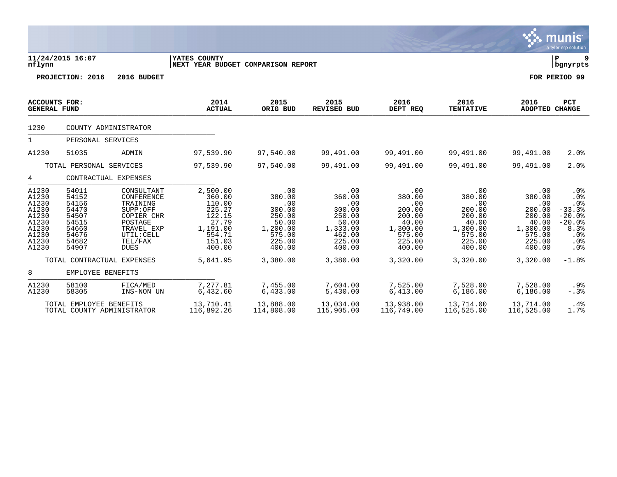|                                                                                        |                                                                                        |                                                                                                                                 |                                                                                                     |                                                                                             |                                                                                             |                                                                                             |                                                                                             |                                                                                             | <b>munis</b><br>a tyler erp solution                                                           |
|----------------------------------------------------------------------------------------|----------------------------------------------------------------------------------------|---------------------------------------------------------------------------------------------------------------------------------|-----------------------------------------------------------------------------------------------------|---------------------------------------------------------------------------------------------|---------------------------------------------------------------------------------------------|---------------------------------------------------------------------------------------------|---------------------------------------------------------------------------------------------|---------------------------------------------------------------------------------------------|------------------------------------------------------------------------------------------------|
| nflynn                                                                                 | 11/24/2015 16:07                                                                       |                                                                                                                                 | YATES COUNTY<br>NEXT YEAR BUDGET COMPARISON REPORT                                                  |                                                                                             |                                                                                             |                                                                                             |                                                                                             |                                                                                             | l P<br>9<br>  bgnyrpts                                                                         |
|                                                                                        | PROJECTION: 2016                                                                       | 2016 BUDGET                                                                                                                     |                                                                                                     |                                                                                             |                                                                                             |                                                                                             |                                                                                             |                                                                                             | FOR PERIOD 99                                                                                  |
| <b>ACCOUNTS FOR:</b><br><b>GENERAL FUND</b>                                            |                                                                                        |                                                                                                                                 | 2014<br><b>ACTUAL</b>                                                                               | 2015<br>ORIG BUD                                                                            | 2015<br>REVISED BUD                                                                         | 2016<br>DEPT REQ                                                                            | 2016<br><b>TENTATIVE</b>                                                                    | 2016<br><b>ADOPTED CHANGE</b>                                                               | <b>PCT</b>                                                                                     |
| 1230                                                                                   |                                                                                        | COUNTY ADMINISTRATOR                                                                                                            |                                                                                                     |                                                                                             |                                                                                             |                                                                                             |                                                                                             |                                                                                             |                                                                                                |
| $\mathbf{1}$                                                                           | PERSONAL SERVICES                                                                      |                                                                                                                                 |                                                                                                     |                                                                                             |                                                                                             |                                                                                             |                                                                                             |                                                                                             |                                                                                                |
| A1230                                                                                  | 51035                                                                                  | ADMIN                                                                                                                           | 97,539.90                                                                                           | 97,540.00                                                                                   | 99,491.00                                                                                   | 99,491.00                                                                                   | 99,491.00                                                                                   | 99,491.00                                                                                   | 2.0%                                                                                           |
|                                                                                        | TOTAL PERSONAL SERVICES                                                                |                                                                                                                                 | 97,539.90                                                                                           | 97,540.00                                                                                   | 99,491.00                                                                                   | 99,491.00                                                                                   | 99,491.00                                                                                   | 99,491.00                                                                                   | 2.0%                                                                                           |
| 4                                                                                      |                                                                                        | CONTRACTUAL EXPENSES                                                                                                            |                                                                                                     |                                                                                             |                                                                                             |                                                                                             |                                                                                             |                                                                                             |                                                                                                |
| A1230<br>A1230<br>A1230<br>A1230<br>A1230<br>A1230<br>A1230<br>A1230<br>A1230<br>A1230 | 54011<br>54152<br>54156<br>54470<br>54507<br>54515<br>54660<br>54676<br>54682<br>54907 | CONSULTANT<br>CONFERENCE<br>TRAINING<br>SUPP:OFF<br>COPIER CHR<br>POSTAGE<br>TRAVEL EXP<br>UTIL: CELL<br>TEL/FAX<br><b>DUES</b> | 2,500.00<br>360.00<br>110.00<br>225.27<br>122.15<br>27.79<br>1,191.00<br>554.71<br>151.03<br>400.00 | .00<br>380.00<br>.00<br>300.00<br>250.00<br>50.00<br>1,200.00<br>575.00<br>225.00<br>400.00 | .00<br>360.00<br>.00<br>300.00<br>250.00<br>50.00<br>1,333.00<br>462.00<br>225.00<br>400.00 | .00<br>380.00<br>.00<br>200.00<br>200.00<br>40.00<br>1,300.00<br>575.00<br>225.00<br>400.00 | .00<br>380.00<br>.00<br>200.00<br>200.00<br>40.00<br>1,300.00<br>575.00<br>225.00<br>400.00 | .00<br>380.00<br>.00<br>200.00<br>200.00<br>40.00<br>1,300.00<br>575.00<br>225.00<br>400.00 | .0%<br>.0%<br>.0%<br>$-33.3%$<br>$-20.0%$<br>$-20.0%$<br>8.3%<br>.0%<br>.0%<br>.0 <sub>8</sub> |
|                                                                                        |                                                                                        | TOTAL CONTRACTUAL EXPENSES                                                                                                      | 5,641.95                                                                                            | 3,380.00                                                                                    | 3,380.00                                                                                    | 3,320.00                                                                                    | 3,320.00                                                                                    | 3,320.00                                                                                    | $-1.8%$                                                                                        |
| 8                                                                                      | EMPLOYEE BENEFITS                                                                      |                                                                                                                                 |                                                                                                     |                                                                                             |                                                                                             |                                                                                             |                                                                                             |                                                                                             |                                                                                                |
| A1230<br>A1230                                                                         | 58100<br>58305                                                                         | FICA/MED<br>INS-NON UN                                                                                                          | 7,277.81<br>6,432.60                                                                                | 7,455.00<br>6,433.00                                                                        | 7,604.00<br>5,430.00                                                                        | 7,525.00<br>6,413.00                                                                        | 7,528.00<br>6, 186.00                                                                       | 7,528.00<br>6.186.00                                                                        | .9%<br>$-.3%$                                                                                  |
|                                                                                        | TOTAL EMPLOYEE BENEFITS                                                                | TOTAL COUNTY ADMINISTRATOR                                                                                                      | 13,710.41<br>116,892.26                                                                             | 13,888.00<br>114,808.00                                                                     | 13,034.00<br>115,905.00                                                                     | 13,938.00<br>116,749.00                                                                     | 13,714.00<br>116,525.00                                                                     | 13,714.00<br>116,525.00                                                                     | $.4\%$<br>1.7%                                                                                 |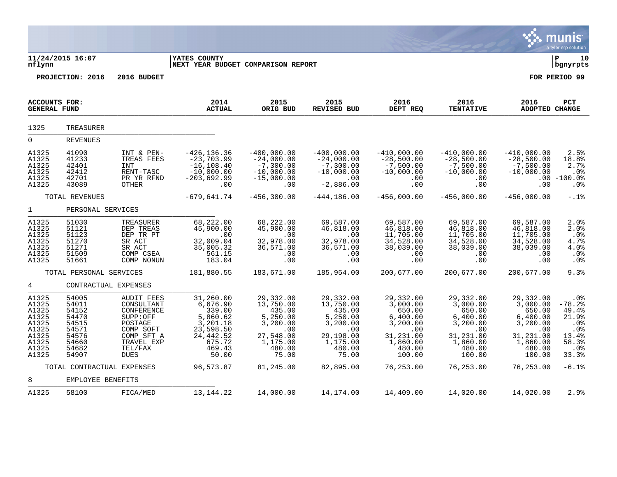|                                                                                        |                                                                                        |                                                                                                                                         |                                                                                                                |                                                                                                             |                                                                                                             |                                                                                                             |                                                                                                             |                                                                                                             | munis<br>a tyler erp solution                                                                 |
|----------------------------------------------------------------------------------------|----------------------------------------------------------------------------------------|-----------------------------------------------------------------------------------------------------------------------------------------|----------------------------------------------------------------------------------------------------------------|-------------------------------------------------------------------------------------------------------------|-------------------------------------------------------------------------------------------------------------|-------------------------------------------------------------------------------------------------------------|-------------------------------------------------------------------------------------------------------------|-------------------------------------------------------------------------------------------------------------|-----------------------------------------------------------------------------------------------|
| nflynn                                                                                 | 11/24/2015 16:07                                                                       |                                                                                                                                         | YATES COUNTY<br>NEXT YEAR BUDGET COMPARISON REPORT                                                             |                                                                                                             |                                                                                                             |                                                                                                             |                                                                                                             |                                                                                                             | ΙP<br>10<br>bgnyrpts                                                                          |
|                                                                                        | PROJECTION: 2016                                                                       | 2016 BUDGET                                                                                                                             |                                                                                                                |                                                                                                             |                                                                                                             |                                                                                                             |                                                                                                             |                                                                                                             | FOR PERIOD 99                                                                                 |
| <b>ACCOUNTS FOR:</b><br><b>GENERAL FUND</b>                                            |                                                                                        |                                                                                                                                         | 2014<br><b>ACTUAL</b>                                                                                          | 2015<br>ORIG BUD                                                                                            | 2015<br><b>REVISED BUD</b>                                                                                  | 2016<br>DEPT REQ                                                                                            | 2016<br><b>TENTATIVE</b>                                                                                    | 2016<br>ADOPTED CHANGE                                                                                      | PCT                                                                                           |
| 1325                                                                                   | <b>TREASURER</b>                                                                       |                                                                                                                                         |                                                                                                                |                                                                                                             |                                                                                                             |                                                                                                             |                                                                                                             |                                                                                                             |                                                                                               |
| $\overline{0}$                                                                         | <b>REVENUES</b>                                                                        |                                                                                                                                         |                                                                                                                |                                                                                                             |                                                                                                             |                                                                                                             |                                                                                                             |                                                                                                             |                                                                                               |
| A1325<br>A1325<br>A1325<br>A1325<br>A1325<br>A1325                                     | 41090<br>41233<br>42401<br>42412<br>42701<br>43089                                     | INT & PEN-<br>TREAS FEES<br>INT<br>RENT-TASC<br>PR YR RFND<br>OTHER                                                                     | $-426, 136.36$<br>$-23,703.99$<br>$-16, 108.40$<br>$-10,000.00$<br>-203,692.99<br>.00                          | $-400,000.00$<br>$-24,000.00$<br>$-7,300.00$<br>$-10,000.00$<br>$-15,000.00$<br>.00                         | $-400,000.00$<br>$-24,000.00$<br>$-7,300.00$<br>$-10,000.00$<br>.00<br>$-2,886.00$                          | $-410,000.00$<br>$-28,500.00$<br>$-7,500.00$<br>$-10,000.00$<br>.00<br>.00                                  | $-410,000.00$<br>$-28,500.00$<br>$-7,500.00$<br>$-10,000.00$<br>.00<br>.00                                  | $-410,000.00$<br>$-28,500.00$<br>$-7,500.00$<br>$-10,000.00$<br>$.00 \,$<br>.00                             | 2.5%<br>18.8%<br>2.7%<br>.0 <sub>8</sub><br>$-100.0$ %<br>.0%                                 |
|                                                                                        | TOTAL REVENUES                                                                         |                                                                                                                                         | $-679,641.74$                                                                                                  | $-456, 300.00$                                                                                              | $-444, 186.00$                                                                                              | $-456,000.00$                                                                                               | $-456,000.00$                                                                                               | $-456,000.00$                                                                                               | $-.1$ <sup>8</sup>                                                                            |
| $\mathbf{1}$                                                                           | PERSONAL SERVICES                                                                      |                                                                                                                                         |                                                                                                                |                                                                                                             |                                                                                                             |                                                                                                             |                                                                                                             |                                                                                                             |                                                                                               |
| A1325<br>A1325<br>A1325<br>A1325<br>A1325<br>A1325<br>A1325                            | 51030<br>51121<br>51123<br>51270<br>51271<br>51509<br>51661                            | TREASURER<br>DEP TREAS<br>DEP TR PT<br>SR ACT<br>SR ACT<br>COMP CSEA<br>COMP NONUN                                                      | 68,222.00<br>45,900.00<br>.00<br>32,009.04<br>35,005.32<br>561.15<br>183.04                                    | 68,222.00<br>45,900.00<br>.00<br>32,978.00<br>36,571.00<br>.00<br>.00                                       | 69,587.00<br>46,818.00<br>.00<br>32,978.00<br>36,571.00<br>.00<br>.00                                       | 69,587.00<br>46,818.00<br>11,705.00<br>34,528.00<br>38,039.00<br>.00<br>.00                                 | 69,587.00<br>46,818.00<br>11,705.00<br>34,528.00<br>38,039.00<br>.00<br>.00                                 | 69,587.00<br>46,818.00<br>11,705.00<br>34,528.00<br>38,039.00<br>.00<br>.00                                 | 2.0%<br>2.0%<br>.0%<br>4.7%<br>4.0%<br>.0%<br>.0%                                             |
|                                                                                        | TOTAL PERSONAL SERVICES                                                                |                                                                                                                                         | 181,880.55                                                                                                     | 183,671.00                                                                                                  | 185,954.00                                                                                                  | 200,677.00                                                                                                  | 200,677.00                                                                                                  | 200,677.00                                                                                                  | 9.3%                                                                                          |
| 4                                                                                      | CONTRACTUAL EXPENSES                                                                   |                                                                                                                                         |                                                                                                                |                                                                                                             |                                                                                                             |                                                                                                             |                                                                                                             |                                                                                                             |                                                                                               |
| A1325<br>A1325<br>A1325<br>A1325<br>A1325<br>A1325<br>A1325<br>A1325<br>A1325<br>A1325 | 54005<br>54011<br>54152<br>54470<br>54515<br>54571<br>54576<br>54660<br>54682<br>54907 | <b>AUDIT FEES</b><br>CONSULTANT<br>CONFERENCE<br>SUPP:OFF<br>POSTAGE<br>COMP SOFT<br>COMP SFT A<br>TRAVEL EXP<br>TEL/FAX<br><b>DUES</b> | 31,260.00<br>6,676.90<br>339.00<br>5,860.62<br>3,201.18<br>23,598.50<br>24,442.52<br>675.72<br>469.43<br>50.00 | 29,332.00<br>13,750.00<br>435.00<br>5,250.00<br>3,200.00<br>.00<br>27,548.00<br>1,175.00<br>480.00<br>75.00 | 29,332.00<br>13,750.00<br>435.00<br>5,250.00<br>3,200.00<br>.00<br>29,198.00<br>1,175.00<br>480.00<br>75.00 | 29,332.00<br>3,000.00<br>650.00<br>6,400.00<br>3,200.00<br>.00<br>31,231.00<br>1,860.00<br>480.00<br>100.00 | 29,332.00<br>3,000.00<br>650.00<br>6,400.00<br>3,200.00<br>.00<br>31,231.00<br>1,860.00<br>480.00<br>100.00 | 29,332.00<br>3,000.00<br>650.00<br>6,400.00<br>3,200.00<br>.00<br>31,231.00<br>1,860.00<br>480.00<br>100.00 | .0%<br>$-78.2%$<br>49.4%<br>21.9%<br>.0%<br>.0%<br>13.4%<br>58.3%<br>.0 <sub>8</sub><br>33.3% |
|                                                                                        | TOTAL CONTRACTUAL EXPENSES                                                             |                                                                                                                                         | 96,573.87                                                                                                      | 81,245.00                                                                                                   | 82,895.00                                                                                                   | 76,253.00                                                                                                   | 76,253.00                                                                                                   | 76,253.00                                                                                                   | $-6.1%$                                                                                       |
| 8                                                                                      | EMPLOYEE BENEFITS                                                                      |                                                                                                                                         |                                                                                                                |                                                                                                             |                                                                                                             |                                                                                                             |                                                                                                             |                                                                                                             |                                                                                               |
| A1325                                                                                  | 58100                                                                                  | FICA/MED                                                                                                                                | 13, 144. 22                                                                                                    | 14,000.00                                                                                                   | 14,174.00                                                                                                   | 14,409.00                                                                                                   | 14,020.00                                                                                                   | 14,020.00                                                                                                   | 2.9%                                                                                          |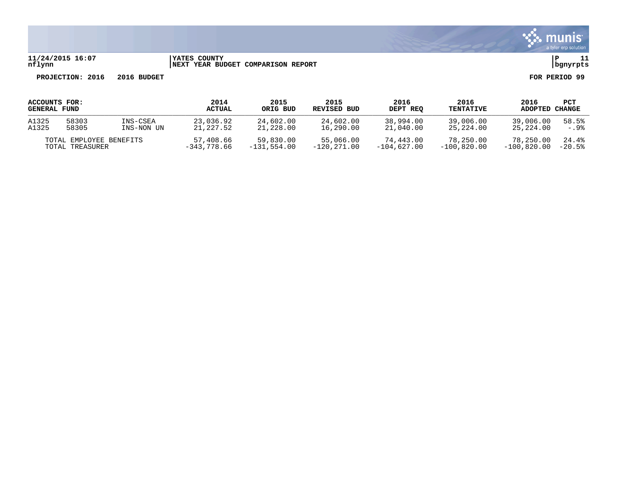

### **11/24/2015 16:07 |YATES COUNTY |P 11 nflynn |NEXT YEAR BUDGET COMPARISON REPORT |bgnyrpts**

| ACCOUNTS FOR:<br><b>GENERAL FUND</b> |       |               | 2014<br><b>ACTUAL</b> | 2015<br>ORIG BUD | 2015<br>REVISED BUD | 2016<br>DEPT REO | 2016<br><b>TENTATIVE</b> | 2016<br><b>ADOPTED</b> | PCT<br>CHANGE |
|--------------------------------------|-------|---------------|-----------------------|------------------|---------------------|------------------|--------------------------|------------------------|---------------|
| A1325                                | 58303 | INS-CSEA      | 23,036.92             | 24,602.00        | 24,602.00           | 38,994.00        | 39,006.00                | 39,006.00              | 58.5%         |
| A1325                                | 58305 | INS-NON UN    | 21,227.52             | 21,228.00        | 16,290.00           | 21,040.00        | 25,224.00                | 25,224.00              | $-.9%$        |
| TOTAL EMPLOYEE BENEFITS              |       | 57,408.66     | 59,830.00             | 55,066.00        | 74,443.00           | 78,250.00        | 78,250.00                | 24.4%                  |               |
| TOTAL TREASURER                      |       | $-343.778.66$ | $-131.554.00$         | -120,271.00      | $-104.627.00$       | $-100.820.00$    | $-100.820.00$            | $-20.5%$               |               |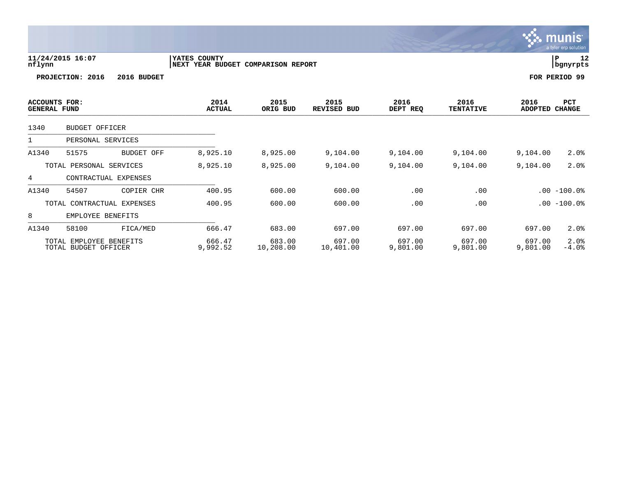a tyler erp solutior **11/24/2015 16:07 |YATES COUNTY |P 12 nflynn |NEXT YEAR BUDGET COMPARISON REPORT |bgnyrpts PROJECTION: 2016 2016 BUDGET FOR PERIOD 99 ACCOUNTS FOR: 2014 2015 2015 2016 2016 2016 PCT GENERAL FUND ACTUAL ORIG BUD REVISED BUD DEPT REQ TENTATIVE ADOPTED CHANGE**  ARISPERSE LOUD ACTORE ONLY NOT RESIDENCE OF THIS INVESTIGATION ON A REPORT OF THE CHANGE 1340 BUDGET OFFICER \_\_\_\_\_\_\_\_\_\_\_\_\_\_\_\_\_\_\_\_\_\_\_\_\_\_\_\_\_\_\_\_\_\_\_\_\_\_\_\_\_\_\_\_ 1 PERSONAL SERVICES \_\_\_\_\_\_\_\_\_\_\_\_\_\_\_\_\_\_\_\_\_\_\_\_\_\_\_\_\_\_\_\_\_\_\_\_\_\_\_\_\_\_\_\_ A1340 51575 BUDGET OFF 8,925.10 8,925.00 9,104.00 9,104.00 9,104.00 9,104.00 2.0% TOTAL PERSONAL SERVICES 8,925.10 8,925.00 9,104.00 9,104.00 9,104.00 9,104.00 2.0% 4 CONTRACTUAL EXPENSES

munis

A1340 54507 COPIER CHR 400.95 600.00 600.00 .00 .00 .00 -100.0% TOTAL CONTRACTUAL EXPENSES 400.95 600.00 600.00 .00 .00 .00 -100.0%

A1340 58100 FICA/MED 666.47 683.00 697.00 697.00 697.00 697.00 2.0%

TOTAL EMPLOYEE BENEFITS 666.47 683.00 697.00 697.00 697.00 697.00 2.0%

8 EMPLOYEE BENEFITS

TOTAL BUDGET OFFICER

\_\_\_\_\_\_\_\_\_\_\_\_\_\_\_\_\_\_\_\_\_\_\_\_\_\_\_\_\_\_\_\_\_\_\_\_\_\_\_\_\_\_\_\_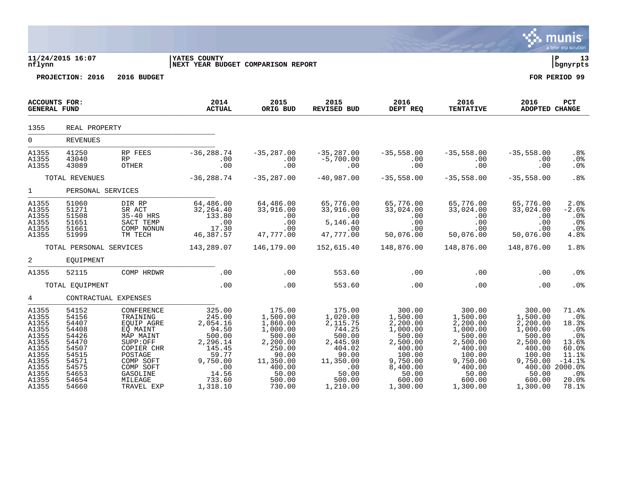|                                                                                                                   |                                                                                                                   |                                                                                                                                                                   |                                                                                                                                 |                                                                                                                                                   |                                                                                                                               |                                                                                                                                                 |                                                                                                                                                          |                                                                                                                                 | munis<br>a tyler erp solution                                                                                                                   |
|-------------------------------------------------------------------------------------------------------------------|-------------------------------------------------------------------------------------------------------------------|-------------------------------------------------------------------------------------------------------------------------------------------------------------------|---------------------------------------------------------------------------------------------------------------------------------|---------------------------------------------------------------------------------------------------------------------------------------------------|-------------------------------------------------------------------------------------------------------------------------------|-------------------------------------------------------------------------------------------------------------------------------------------------|----------------------------------------------------------------------------------------------------------------------------------------------------------|---------------------------------------------------------------------------------------------------------------------------------|-------------------------------------------------------------------------------------------------------------------------------------------------|
| nflynn                                                                                                            | 11/24/2015 16:07                                                                                                  |                                                                                                                                                                   | <b>YATES COUNTY</b><br>NEXT YEAR BUDGET COMPARISON REPORT                                                                       |                                                                                                                                                   |                                                                                                                               |                                                                                                                                                 |                                                                                                                                                          |                                                                                                                                 | l P<br>13<br>  bgnyrpts                                                                                                                         |
|                                                                                                                   | PROJECTION: 2016                                                                                                  | 2016 BUDGET                                                                                                                                                       |                                                                                                                                 |                                                                                                                                                   |                                                                                                                               |                                                                                                                                                 |                                                                                                                                                          |                                                                                                                                 | FOR PERIOD 99                                                                                                                                   |
| <b>ACCOUNTS FOR:</b><br><b>GENERAL FUND</b>                                                                       |                                                                                                                   |                                                                                                                                                                   | 2014<br><b>ACTUAL</b>                                                                                                           | 2015<br>ORIG BUD                                                                                                                                  | 2015<br>REVISED BUD                                                                                                           | 2016<br>DEPT REQ                                                                                                                                | 2016<br><b>TENTATIVE</b>                                                                                                                                 | 2016<br><b>ADOPTED CHANGE</b>                                                                                                   | PCT                                                                                                                                             |
| 1355                                                                                                              | REAL PROPERTY                                                                                                     |                                                                                                                                                                   |                                                                                                                                 |                                                                                                                                                   |                                                                                                                               |                                                                                                                                                 |                                                                                                                                                          |                                                                                                                                 |                                                                                                                                                 |
| $\overline{0}$                                                                                                    | <b>REVENUES</b>                                                                                                   |                                                                                                                                                                   |                                                                                                                                 |                                                                                                                                                   |                                                                                                                               |                                                                                                                                                 |                                                                                                                                                          |                                                                                                                                 |                                                                                                                                                 |
| A1355<br>A1355<br>A1355                                                                                           | 41250<br>43040<br>43089                                                                                           | RP FEES<br><b>RP</b><br>OTHER                                                                                                                                     | $-36, 288.74$<br>$\cdot\frac{00}{22}$<br>.00                                                                                    | $-35,287.00$<br>$\begin{array}{c} . & 0 & 0 \\ . & 0 & 0 \end{array}$                                                                             | $-35,287.00$<br>$-5,700.00$<br>.00                                                                                            | $-35,558.00$<br>$\begin{array}{c} 00 \\ 0 \\ 0 \\ 0 \end{array}$                                                                                | $-35,558.00$<br>$\begin{array}{c} \texttt{.00} \\ \texttt{.00} \end{array}$                                                                              | $-35,558.00$<br>.00<br>.00                                                                                                      | .8%<br>.0%<br>$.0\%$                                                                                                                            |
|                                                                                                                   | TOTAL REVENUES                                                                                                    |                                                                                                                                                                   | $-36, 288.74$                                                                                                                   | $-35, 287.00$                                                                                                                                     | $-40,987.00$                                                                                                                  | $-35,558.00$                                                                                                                                    | $-35,558.00$                                                                                                                                             | $-35,558.00$                                                                                                                    | .8%                                                                                                                                             |
| $1 \quad \blacksquare$                                                                                            | PERSONAL SERVICES                                                                                                 |                                                                                                                                                                   |                                                                                                                                 |                                                                                                                                                   |                                                                                                                               |                                                                                                                                                 |                                                                                                                                                          |                                                                                                                                 |                                                                                                                                                 |
| A1355<br>A1355<br>A1355<br>A1355<br>A1355<br>A1355                                                                | 51060<br>51271<br>51508<br>51651<br>51661<br>51999                                                                | DIR RP<br>SR ACT<br>$35-40$ HRS<br>SACT TEMP<br>COMP NONUN<br>TM TECH                                                                                             | 64,486.00<br>32, 264.40<br>$\begin{array}{r} 133.80 \\ 133.80 \\ .00 \\ 17.30 \end{array}$<br>46,387.57                         | 64,486.00<br>33,916.00<br>.00<br>.00<br>.00<br>ںں .<br>47,777.00                                                                                  | 65,776.00<br>33,916.00<br>00.00<br>5,146.40<br>47,777.00                                                                      | 65,776.00<br>33,024.00<br>$\overline{00}$ .<br>$00$<br>.00<br>50,076.00                                                                         | 65,776.00<br>33,024.00<br>$\frac{0}{0}$ .<br>$\frac{1}{2}$<br>.00<br>50,076.00                                                                           | 65,776.00<br>33,024.00<br>.00<br>.00<br>.00<br>50,076.00                                                                        | 2.0%<br>$-2.6%$<br>.0%<br>.0%<br>.0%<br>4.8%                                                                                                    |
|                                                                                                                   |                                                                                                                   |                                                                                                                                                                   | TOTAL PERSONAL SERVICES 143,289.07                                                                                              | 146,179.00                                                                                                                                        | 152,615.40                                                                                                                    | 148,876.00                                                                                                                                      | 148,876.00                                                                                                                                               | 148,876.00                                                                                                                      | 1.8%                                                                                                                                            |
| $\overline{a}$                                                                                                    | EQUIPMENT                                                                                                         |                                                                                                                                                                   |                                                                                                                                 |                                                                                                                                                   |                                                                                                                               |                                                                                                                                                 |                                                                                                                                                          |                                                                                                                                 |                                                                                                                                                 |
| A1355                                                                                                             | 52115                                                                                                             | COMP HRDWR                                                                                                                                                        | .00                                                                                                                             | .00                                                                                                                                               | 553.60                                                                                                                        | $\sim$ 00                                                                                                                                       | .00                                                                                                                                                      | .00                                                                                                                             | .0%                                                                                                                                             |
|                                                                                                                   | TOTAL EQUIPMENT                                                                                                   |                                                                                                                                                                   | .00                                                                                                                             | .00                                                                                                                                               | 553.60                                                                                                                        | .00                                                                                                                                             | .00                                                                                                                                                      | .00                                                                                                                             | .0%                                                                                                                                             |
| $4\overline{ }$                                                                                                   | CONTRACTUAL EXPENSES                                                                                              |                                                                                                                                                                   |                                                                                                                                 |                                                                                                                                                   |                                                                                                                               |                                                                                                                                                 |                                                                                                                                                          |                                                                                                                                 |                                                                                                                                                 |
| A1355<br>A1355<br>A1355<br>A1355<br>A1355<br>A1355<br>A1355<br>A1355<br>A1355<br>A1355<br>A1355<br>A1355<br>A1355 | 54152<br>54156<br>54407<br>54408<br>54426<br>54470<br>54507<br>54515<br>54571<br>54575<br>54653<br>54654<br>54660 | CONFERENCE<br>TRAINING<br>EQUIP AGRE<br>EQ MAINT<br>MAP MAINT<br>SUPP:OFF<br>COPIER CHR<br>POSTAGE<br>COMP SOFT<br>COMP SOFT<br>GASOLINE<br>MILEAGE<br>TRAVEL EXP | 325.00<br>245.00<br>2,054.16<br>94.50<br>500.00<br>2,296.14<br>$145.45$<br>$59.77$<br>9,750.00<br>$14.56$<br>733.60<br>1,318.10 | 175.00<br>1,500.00<br>1,860.00<br>1,000.00<br>500.00<br>2,200.00<br>250.00<br>90.00<br>11,350.00<br>400.00<br>400.00<br>50.00<br>500.00<br>730.00 | 175.00<br>1,020.00<br>2,115.75<br>744.25<br>500.00<br>2,445.98<br>404.02<br>90.00<br>11,350.00<br>50.00<br>500.00<br>1,210.00 | 300.00<br>1,500.00<br>2,200.00<br>1,000.00<br>500.00<br>2,500.00<br>400.00<br>100.00<br>$9,750.00$<br>$8,400.00$<br>50.00<br>600.00<br>1,300.00 | 300.00<br>1,500.00<br>2,200.00<br>$\overline{1}$ , 000.00<br>500.00<br>2,500.00<br>400.00<br>100.00<br>9,750.00<br>400.00<br>50.00<br>600.00<br>1,300.00 | 300.00<br>1,500.00<br>2,200.00<br>1,000.00<br>500.00<br>2,500.00<br>400.00<br>100.00<br>9,750.00<br>50.00<br>600.00<br>1,300.00 | 71.4%<br>.0 <sup>°</sup><br>18.3%<br>.0 <sup>°</sup><br>.0%<br>13.6%<br>60.0%<br>11.1%<br>$-14.1%$<br>100.002000.08<br>$.0\%$<br>20.0%<br>78.1% |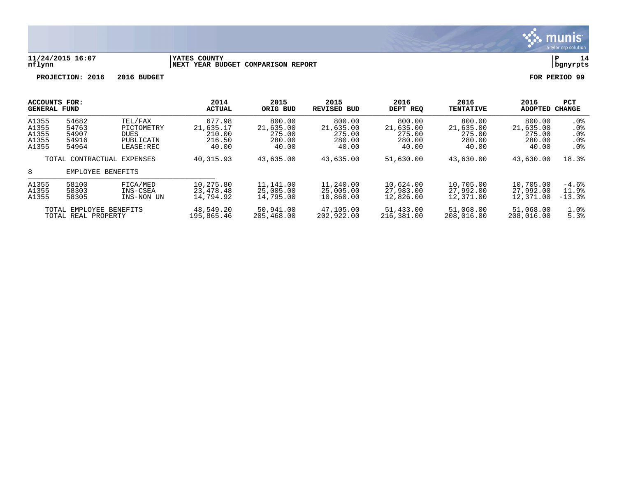

#### **11/24/2015 16:07 |YATES COUNTY |P 14 nflynn |NEXT YEAR BUDGET COMPARISON REPORT |bgnyrpts**

| <b>ACCOUNTS FOR:</b><br>GENERAL FUND |                            |             | 2014<br><b>ACTUAL</b> | 2015<br>ORIG BUD | 2015<br><b>REVISED BUD</b> | 2016<br>DEPT REQ | 2016<br><b>TENTATIVE</b> | 2016<br><b>ADOPTED</b> | PCT<br><b>CHANGE</b> |
|--------------------------------------|----------------------------|-------------|-----------------------|------------------|----------------------------|------------------|--------------------------|------------------------|----------------------|
| A1355                                | 54682                      | TEL/FAX     | 677.98                | 800.00           | 800.00                     | 800.00           | 800.00                   | 800.00                 | .0%                  |
| A1355                                | 54763                      | PICTOMETRY  | 21,635.17             | 21,635.00        | 21,635.00                  | 21,635.00        | 21,635.00                | 21,635.00              | .0 <sub>8</sub>      |
| A1355                                | 54907                      | <b>DUES</b> | 210.00                | 275.00           | 275.00                     | 275.00           | 275.00                   | 275.00                 | .0%                  |
| A1355                                | 54916                      | PUBLICATN   | 216.50                | 280.00           | 280.00                     | 280.00           | 280.00                   | 280.00                 | .0 <sub>8</sub>      |
| A1355                                | 54964                      | LEASE:REC   | 40.00                 | 40.00            | 40.00                      | 40.00            | 40.00                    | 40.00                  | .0%                  |
|                                      | TOTAL CONTRACTUAL EXPENSES |             | 40,315.93             | 43,635.00        | 43,635.00                  | 51,630.00        | 43,630.00                | 43,630.00              | 18.3%                |
| 8                                    | EMPLOYEE BENEFITS          |             |                       |                  |                            |                  |                          |                        |                      |
| A1355                                | 58100                      | FICA/MED    | 10,275.80             | 11,141.00        | 11,240.00                  | 10,624.00        | 10,705.00                | 10,705.00              | $-4.6%$              |
| A1355                                | 58303                      | INS-CSEA    | 23,478.48             | 25,005.00        | 25,005.00                  | 27,983.00        | 27,992.00                | 27,992.00              | 11.9%                |
| A1355                                | 58305                      | INS-NON UN  | 14,794.92             | 14,795.00        | 10,860.00                  | 12,826.00        | 12,371.00                | 12,371.00              | $-13.3%$             |
| TOTAL EMPLOYEE BENEFITS              |                            | 48,549.20   | 50,941.00             | 47,105.00        | 51,433.00                  | 51,068.00        | 51,068.00                | 1.0%                   |                      |
| TOTAL REAL PROPERTY                  |                            | 195,865.46  | 205,468.00            | 202,922.00       | 216,381.00                 | 208,016.00       | 208,016.00               | 5.3%                   |                      |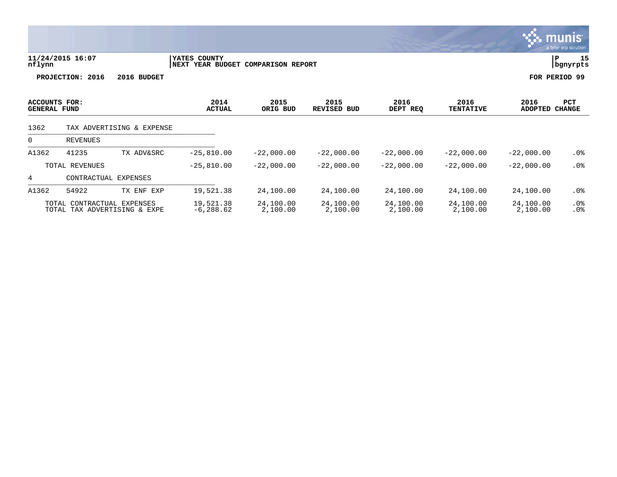|                                      |                                                     |                           |                                                              |                  |                            |                  |                          |                        | the contract of the contract of the |
|--------------------------------------|-----------------------------------------------------|---------------------------|--------------------------------------------------------------|------------------|----------------------------|------------------|--------------------------|------------------------|-------------------------------------|
| nflynn                               | 11/24/2015 16:07<br>PROJECTION: 2016<br>2016 BUDGET |                           | YATES COUNTY<br>NEXT YEAR BUDGET<br><b>COMPARISON REPORT</b> | ∣P               | 15<br>  bgnyrpts           |                  |                          |                        |                                     |
|                                      |                                                     |                           |                                                              |                  |                            |                  |                          | FOR PERIOD 99          |                                     |
| ACCOUNTS FOR:<br><b>GENERAL FUND</b> |                                                     |                           | 2014<br><b>ACTUAL</b>                                        | 2015<br>ORIG BUD | 2015<br><b>REVISED BUD</b> | 2016<br>DEPT REQ | 2016<br><b>TENTATIVE</b> | 2016<br>ADOPTED CHANGE | <b>PCT</b>                          |
| 1362                                 |                                                     | TAX ADVERTISING & EXPENSE |                                                              |                  |                            |                  |                          |                        |                                     |
| 0                                    | REVENUES                                            |                           |                                                              |                  |                            |                  |                          |                        |                                     |
| A1362                                | 41235                                               | TX ADV&SRC                | $-25,810.00$                                                 | $-22,000.00$     | $-22,000.00$               | $-22,000.00$     | $-22,000.00$             | $-22,000.00$           | . 0 %                               |
|                                      | TOTAL REVENUES                                      |                           | $-25,810.00$                                                 | $-22,000.00$     | $-22,000.00$               | $-22,000.00$     | $-22,000.00$             | $-22,000.00$           | .0 <sub>8</sub>                     |
| 4                                    | CONTRACTUAL EXPENSES                                |                           |                                                              |                  |                            |                  |                          |                        |                                     |
| A1362                                | 54922                                               | TX ENF<br>EXP             | 19,521.38                                                    | 24,100.00        | 24,100.00                  | 24,100.00        | 24,100.00                | 24,100.00              | . 0 %                               |

 $\ddot{\mathbf{w}}$  munis

TOTAL CONTRACTUAL EXPENSES 19,521.38 24,100.00 24,100.00 24,100.00 24,100.00 24,100.00 .0% TOTAL TAX ADVERTISING & EXPE -6,288.62 2,100.00 2,100.00 2,100.00 2,100.00 2,100.00 .0%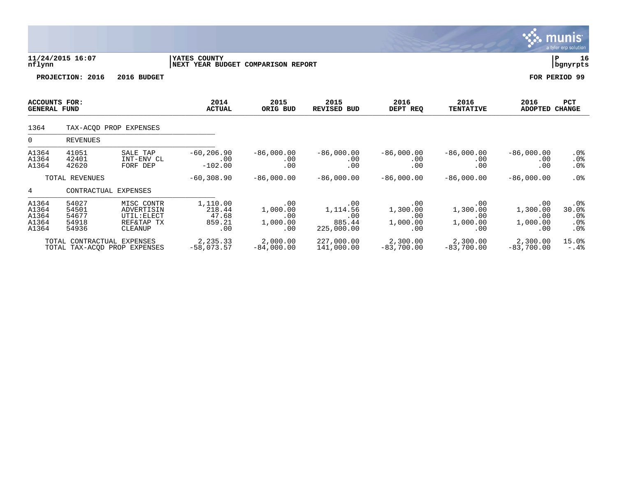|                                             |                                           |                                                                  |                                                    |                                           |                                                |                                           |                                           |                                           | $\overline{\mathsf{munis}}$<br>a tyler erp solution. |
|---------------------------------------------|-------------------------------------------|------------------------------------------------------------------|----------------------------------------------------|-------------------------------------------|------------------------------------------------|-------------------------------------------|-------------------------------------------|-------------------------------------------|------------------------------------------------------|
| nflynn                                      | 11/24/2015 16:07                          |                                                                  | YATES COUNTY<br>NEXT YEAR BUDGET COMPARISON REPORT |                                           |                                                |                                           |                                           |                                           | ΙP<br>16<br>  bgnyrpts                               |
|                                             | PROJECTION: 2016                          | 2016 BUDGET                                                      |                                                    |                                           |                                                |                                           |                                           |                                           | FOR PERIOD 99                                        |
| <b>ACCOUNTS FOR:</b><br><b>GENERAL FUND</b> |                                           |                                                                  | 2014<br><b>ACTUAL</b>                              | 2015<br>ORIG BUD                          | 2015<br><b>REVISED BUD</b>                     | 2016<br>DEPT REQ                          | 2016<br><b>TENTATIVE</b>                  | 2016<br><b>ADOPTED</b>                    | <b>PCT</b><br><b>CHANGE</b>                          |
| 1364                                        |                                           | TAX-ACOD PROP EXPENSES                                           |                                                    |                                           |                                                |                                           |                                           |                                           |                                                      |
| $\overline{0}$                              | <b>REVENUES</b>                           |                                                                  |                                                    |                                           |                                                |                                           |                                           |                                           |                                                      |
| A1364<br>A1364<br>A1364                     | 41051<br>42401<br>42620                   | SALE TAP<br>INT-ENV CL<br>FORF DEP                               | $-60, 206.90$<br>.00<br>$-102.00$                  | $-86,000.00$<br>.00<br>.00                | $-86,000.00$<br>.00<br>.00                     | $-86,000.00$<br>.00<br>.00                | $-86,000.00$<br>$.00 \ \rm$<br>.00        | $-86,000.00$<br>.00<br>.00                | $.0\%$<br>$.0\%$<br>$.0\%$                           |
|                                             | TOTAL REVENUES                            |                                                                  | $-60, 308.90$                                      | $-86,000.00$                              | $-86,000.00$                                   | $-86,000.00$                              | $-86,000.00$                              | $-86,000.00$                              | .0%                                                  |
| 4                                           | CONTRACTUAL EXPENSES                      |                                                                  |                                                    |                                           |                                                |                                           |                                           |                                           |                                                      |
| A1364<br>A1364<br>A1364<br>A1364<br>A1364   | 54027<br>54501<br>54677<br>54918<br>54936 | MISC CONTR<br>ADVERTISIN<br>UTIL: ELECT<br>REF&TAP TX<br>CLEANUP | 1,110.00<br>218.44<br>47.68<br>859.21<br>.00       | .00<br>1,000.00<br>.00<br>1,000.00<br>.00 | .00<br>1,114.56<br>.00<br>885.44<br>225,000.00 | .00<br>1,300.00<br>.00<br>1,000.00<br>.00 | .00<br>1,300.00<br>.00<br>1,000.00<br>.00 | .00<br>1,300.00<br>.00<br>1,000.00<br>.00 | .0 <sub>8</sub><br>30.0%<br>$.0\%$<br>.0%<br>.0%     |
|                                             | TOTAL CONTRACTUAL EXPENSES                | TOTAL TAX-ACOD PROP EXPENSES                                     | 2,235.33<br>$-58,073.57$                           | 2,000.00<br>$-84,000.00$                  | 227,000.00<br>141,000.00                       | 2,300.00<br>$-83,700.00$                  | 2,300.00<br>$-83,700.00$                  | 2,300.00<br>$-83,700.00$                  | 15.0%<br>$-0.4%$                                     |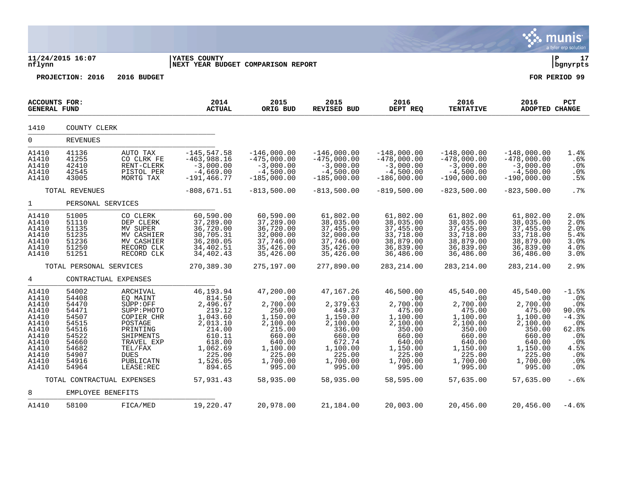|                                                                                                                   |                                                                                                                   |                                                                                                                                                                     |                                                                                                                                             |                                                                                                                                          |                                                                                                                                          |                                                                                                                                          |                                                                                                                                          |                                                                                                                                          | munis<br>a tyler erp solution                                                                              |
|-------------------------------------------------------------------------------------------------------------------|-------------------------------------------------------------------------------------------------------------------|---------------------------------------------------------------------------------------------------------------------------------------------------------------------|---------------------------------------------------------------------------------------------------------------------------------------------|------------------------------------------------------------------------------------------------------------------------------------------|------------------------------------------------------------------------------------------------------------------------------------------|------------------------------------------------------------------------------------------------------------------------------------------|------------------------------------------------------------------------------------------------------------------------------------------|------------------------------------------------------------------------------------------------------------------------------------------|------------------------------------------------------------------------------------------------------------|
| nflynn                                                                                                            | 11/24/2015 16:07                                                                                                  |                                                                                                                                                                     | <b>YATES COUNTY</b><br>NEXT YEAR BUDGET COMPARISON REPORT                                                                                   |                                                                                                                                          |                                                                                                                                          |                                                                                                                                          |                                                                                                                                          |                                                                                                                                          | l P<br>17<br>  bgnyrpts                                                                                    |
|                                                                                                                   | PROJECTION: 2016                                                                                                  | 2016 BUDGET                                                                                                                                                         |                                                                                                                                             |                                                                                                                                          |                                                                                                                                          |                                                                                                                                          |                                                                                                                                          |                                                                                                                                          | FOR PERIOD 99                                                                                              |
| <b>ACCOUNTS FOR:</b><br><b>GENERAL FUND</b>                                                                       |                                                                                                                   |                                                                                                                                                                     | 2014<br><b>ACTUAL</b>                                                                                                                       | 2015<br>ORIG BUD                                                                                                                         | 2015<br><b>REVISED BUD</b>                                                                                                               | 2016<br>DEPT REQ                                                                                                                         | 2016<br><b>TENTATIVE</b>                                                                                                                 | 2016<br>ADOPTED CHANGE                                                                                                                   | PCT                                                                                                        |
| 1410                                                                                                              | COUNTY CLERK                                                                                                      |                                                                                                                                                                     |                                                                                                                                             |                                                                                                                                          |                                                                                                                                          |                                                                                                                                          |                                                                                                                                          |                                                                                                                                          |                                                                                                            |
| $\overline{0}$                                                                                                    | <b>REVENUES</b>                                                                                                   |                                                                                                                                                                     |                                                                                                                                             |                                                                                                                                          |                                                                                                                                          |                                                                                                                                          |                                                                                                                                          |                                                                                                                                          |                                                                                                            |
| A1410<br>A1410<br>A1410<br>A1410<br>A1410                                                                         | 41136<br>41255<br>42410<br>42545<br>43005                                                                         | AUTO TAX<br>CO CLRK FE<br>RENT-CLERK<br>PISTOL PER<br>MORTG TAX                                                                                                     | $-145, 547.58$<br>$-463,988.16$<br>$-3,000.00$<br>$-4,669.00$<br>$-191, 466.77$                                                             | $-146,000.00$<br>$-475,000.00$<br>$-3,000.00$<br>$-4,500.00$<br>$-185,000.00$                                                            | $-146,000.00$<br>$-475,000.00$<br>$-3,000.00$<br>$-4,500.00$<br>$-185,000.00$                                                            | $-148,000.00$<br>$-478,000.00$<br>$-3,000.00$<br>$-4,500.00$<br>$-186,000.00$                                                            | $-148,000.00$<br>$-478,000.00$<br>$-3,000.00$<br>$-4,500.00$<br>$-190,000.00$                                                            | $-148,000.00$<br>$-478,000.00$<br>$-3,000.00$<br>$-4,500.00$<br>$-190,000.00$                                                            | 1.4%<br>.6%<br>.0%<br>.0%<br>.5%                                                                           |
|                                                                                                                   | TOTAL REVENUES                                                                                                    |                                                                                                                                                                     | $-808,671.51$                                                                                                                               | $-813,500.00$                                                                                                                            | $-813,500.00$                                                                                                                            | $-819,500.00$                                                                                                                            | $-823,500.00$                                                                                                                            | $-823,500.00$                                                                                                                            | .7%                                                                                                        |
| $\mathbf{1}$                                                                                                      | PERSONAL SERVICES                                                                                                 |                                                                                                                                                                     |                                                                                                                                             |                                                                                                                                          |                                                                                                                                          |                                                                                                                                          |                                                                                                                                          |                                                                                                                                          |                                                                                                            |
| A1410<br>A1410<br>A1410<br>A1410<br>A1410<br>A1410<br>A1410                                                       | 51005<br>51110<br>51135<br>51235<br>51236<br>51250<br>51251                                                       | CO CLERK<br>DEP CLERK<br>MV SUPER<br>MV CASHIER<br>MV CASHIER<br>RECORD CLK<br>RECORD CLK                                                                           | 60,590.00<br>37,289.00<br>36,720.00<br>30,705.31<br>36,280.05<br>34,402.51<br>34,402.43                                                     | 60,590.00<br>37,289.00<br>36,720.00<br>32,000.00<br>37,746.00<br>35,426.00<br>35,426.00                                                  | 61,802.00<br>38,035.00<br>37,455.00<br>32,000.00<br>37,746.00<br>35,426.00<br>35,426.00                                                  | 61,802.00<br>38,035.00<br>37,455.00<br>33,718.00<br>38,879.00<br>36,839.00<br>36,486.00                                                  | 61,802.00<br>38,035.00<br>37,455.00<br>33,718.00<br>38,879.00<br>36,839.00<br>36,486.00                                                  | 61,802.00<br>38,035.00<br>37,455.00<br>33,718.00<br>38,879.00<br>36,839.00<br>36,486.00                                                  | 2.0%<br>2.0%<br>2.0%<br>5.4%<br>3.0%<br>4.0%<br>3.0%                                                       |
|                                                                                                                   | TOTAL PERSONAL SERVICES                                                                                           |                                                                                                                                                                     | 270,389.30                                                                                                                                  | 275,197.00                                                                                                                               | 277,890.00                                                                                                                               | 283, 214.00                                                                                                                              | 283, 214.00                                                                                                                              | 283, 214.00                                                                                                                              | 2.9%                                                                                                       |
| 4                                                                                                                 | CONTRACTUAL EXPENSES                                                                                              |                                                                                                                                                                     |                                                                                                                                             |                                                                                                                                          |                                                                                                                                          |                                                                                                                                          |                                                                                                                                          |                                                                                                                                          |                                                                                                            |
| A1410<br>A1410<br>A1410<br>A1410<br>A1410<br>A1410<br>A1410<br>A1410<br>A1410<br>A1410<br>A1410<br>A1410<br>A1410 | 54002<br>54408<br>54470<br>54471<br>54507<br>54515<br>54516<br>54522<br>54660<br>54682<br>54907<br>54916<br>54964 | ARCHIVAL<br>EQ MAINT<br>SUPP:OFF<br>SUPP: PHOTO<br>COPIER CHR<br>POSTAGE<br>PRINTING<br>SHIPMENTS<br>TRAVEL EXP<br>TEL/FAX<br><b>DUES</b><br>PUBLICATN<br>LEASE:REC | 46,193.94<br>814.50<br>2,496.67<br>219.12<br>1,043.60<br>2,013.10<br>214.00<br>610.11<br>618.00<br>1,062.69<br>225.00<br>1,526.05<br>894.65 | 47,200.00<br>.00<br>2,700.00<br>250.00<br>1,150.00<br>2,100.00<br>215.00<br>660.00<br>640.00<br>1,100.00<br>225.00<br>1,700.00<br>995.00 | 47,167.26<br>.00<br>2,379.63<br>449.37<br>1,150.00<br>2,100.00<br>336.00<br>660.00<br>672.74<br>1,100.00<br>225.00<br>1,700.00<br>995.00 | 46,500.00<br>.00<br>2,700.00<br>475.00<br>1,100.00<br>2,100.00<br>350.00<br>660.00<br>640.00<br>1,150.00<br>225.00<br>1,700.00<br>995.00 | 45,540.00<br>.00<br>2,700.00<br>475.00<br>1,100.00<br>2,100.00<br>350.00<br>660.00<br>640.00<br>1,150.00<br>225.00<br>1,700.00<br>995.00 | 45,540.00<br>.00<br>2,700.00<br>475.00<br>1,100.00<br>2,100.00<br>350.00<br>660.00<br>640.00<br>1,150.00<br>225.00<br>1,700.00<br>995.00 | $-1.5%$<br>.0%<br>.0%<br>90.0%<br>$-4.3%$<br>.0%<br>62.8%<br>.0%<br>$.0\%$<br>4.5%<br>.0%<br>$.0\%$<br>.0% |
|                                                                                                                   | TOTAL CONTRACTUAL EXPENSES                                                                                        |                                                                                                                                                                     | 57,931.43                                                                                                                                   | 58,935.00                                                                                                                                | 58,935.00                                                                                                                                | 58,595.00                                                                                                                                | 57,635.00                                                                                                                                | 57,635.00                                                                                                                                | $-.6%$                                                                                                     |
| 8                                                                                                                 | EMPLOYEE BENEFITS                                                                                                 |                                                                                                                                                                     |                                                                                                                                             |                                                                                                                                          |                                                                                                                                          |                                                                                                                                          |                                                                                                                                          |                                                                                                                                          |                                                                                                            |
| A1410                                                                                                             | 58100                                                                                                             | FICA/MED                                                                                                                                                            | 19,220.47                                                                                                                                   | 20,978.00                                                                                                                                | 21,184.00                                                                                                                                | 20,003.00                                                                                                                                | 20,456.00                                                                                                                                | 20,456.00                                                                                                                                | $-4.6%$                                                                                                    |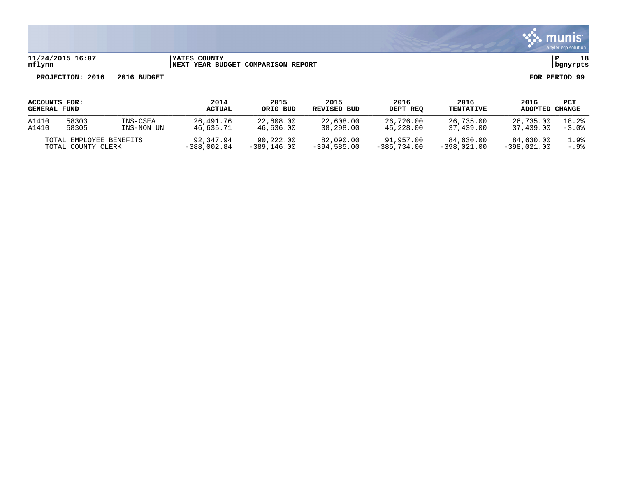

### **11/24/2015 16:07 |YATES COUNTY |P 18 nflynn |NEXT YEAR BUDGET COMPARISON REPORT |bgnyrpts**

| ACCOUNTS FOR:<br><b>GENERAL FUND</b> |       |               | 2014<br><b>ACTUAL</b> | 2015<br>ORIG BUD | 2015<br>REVISED BUD | 2016<br>DEPT REQ | 2016<br><b>TENTATIVE</b> | 2016<br>ADOPTED | PCT<br>CHANGE |
|--------------------------------------|-------|---------------|-----------------------|------------------|---------------------|------------------|--------------------------|-----------------|---------------|
| A1410                                | 58303 | INS-CSEA      | 26,491.76             | 22,608.00        | 22,608.00           | 26,726.00        | 26,735.00                | 26,735.00       | 18.2%         |
| A1410                                | 58305 | INS-NON UN    | 46,635.71             | 46,636.00        | 38,298.00           | 45,228.00        | 37,439.00                | 37,439.00       | $-3.0%$       |
| TOTAL EMPLOYEE BENEFITS              |       | 92,347.94     | 90,222.00             | 82,090.00        | 91,957.00           | 84,630.00        | 84,630.00                | 1.9%            |               |
| TOTAL COUNTY CLERK                   |       | $-388,002.84$ | $-389.146.00$         | $-394.585.00$    | $-385.734.00$       | $-398.021.00$    | $-398.021.00$            | $-.9%$          |               |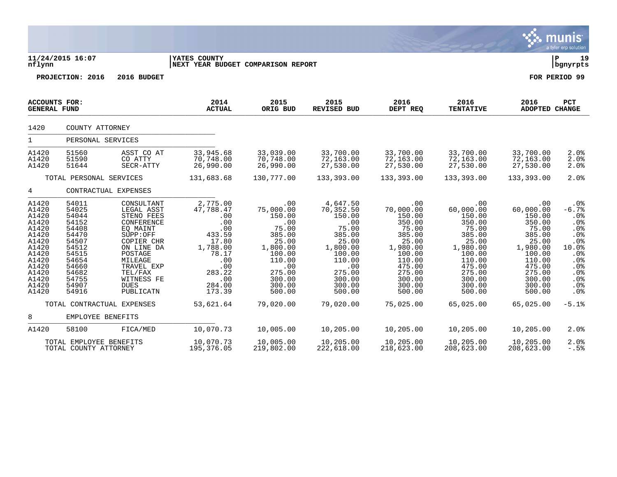|                                                                                                                                     |                                                                                                                                     |                                                                                                                                                                                                   |                                                                                                                                       |                                                                                                                                              |                                                                                                                                                   |                                                                                                                                                    |                                                                                                                                                    |                                                                                                                                                    | a tyler elp solution.                                                                                                   |
|-------------------------------------------------------------------------------------------------------------------------------------|-------------------------------------------------------------------------------------------------------------------------------------|---------------------------------------------------------------------------------------------------------------------------------------------------------------------------------------------------|---------------------------------------------------------------------------------------------------------------------------------------|----------------------------------------------------------------------------------------------------------------------------------------------|---------------------------------------------------------------------------------------------------------------------------------------------------|----------------------------------------------------------------------------------------------------------------------------------------------------|----------------------------------------------------------------------------------------------------------------------------------------------------|----------------------------------------------------------------------------------------------------------------------------------------------------|-------------------------------------------------------------------------------------------------------------------------|
| nflynn                                                                                                                              | 11/24/2015 16:07                                                                                                                    |                                                                                                                                                                                                   | YATES COUNTY<br>NEXT YEAR BUDGET COMPARISON REPORT                                                                                    |                                                                                                                                              |                                                                                                                                                   |                                                                                                                                                    |                                                                                                                                                    |                                                                                                                                                    | l P<br>19<br>  bgnyrpts                                                                                                 |
|                                                                                                                                     | PROJECTION: 2016                                                                                                                    | 2016 BUDGET                                                                                                                                                                                       |                                                                                                                                       |                                                                                                                                              |                                                                                                                                                   |                                                                                                                                                    |                                                                                                                                                    |                                                                                                                                                    | FOR PERIOD 99                                                                                                           |
| ACCOUNTS FOR:<br><b>GENERAL FUND</b>                                                                                                |                                                                                                                                     |                                                                                                                                                                                                   | 2014<br><b>ACTUAL</b>                                                                                                                 | 2015<br>ORIG BUD                                                                                                                             | 2015<br><b>REVISED BUD</b>                                                                                                                        | 2016<br>DEPT REQ                                                                                                                                   | 2016<br><b>TENTATIVE</b>                                                                                                                           | 2016<br><b>ADOPTED CHANGE</b>                                                                                                                      | <b>PCT</b>                                                                                                              |
| 1420                                                                                                                                | COUNTY ATTORNEY                                                                                                                     |                                                                                                                                                                                                   |                                                                                                                                       |                                                                                                                                              |                                                                                                                                                   |                                                                                                                                                    |                                                                                                                                                    |                                                                                                                                                    |                                                                                                                         |
| $\mathbf{1}$                                                                                                                        | PERSONAL SERVICES                                                                                                                   |                                                                                                                                                                                                   |                                                                                                                                       |                                                                                                                                              |                                                                                                                                                   |                                                                                                                                                    |                                                                                                                                                    |                                                                                                                                                    |                                                                                                                         |
| A1420<br>A1420<br>A1420                                                                                                             | 51560<br>51590<br>51644                                                                                                             | ASST CO AT<br>CO ATTY<br>SECR-ATTY                                                                                                                                                                | 33,945.68<br>70,748.00<br>26,990.00                                                                                                   | 33,039.00<br>70,748.00<br>26,990.00                                                                                                          | 33,700.00<br>72,163.00<br>27,530.00                                                                                                               | 33,700.00<br>72,163.00<br>27,530.00                                                                                                                | 33,700.00<br>72,163.00<br>27,530.00                                                                                                                | 33,700.00<br>72,163.00<br>27,530.00                                                                                                                | 2.0%<br>2.0%<br>2.0%                                                                                                    |
|                                                                                                                                     | TOTAL PERSONAL SERVICES                                                                                                             |                                                                                                                                                                                                   | 131,683.68                                                                                                                            | 130,777.00                                                                                                                                   | 133,393.00                                                                                                                                        | 133,393.00                                                                                                                                         | 133,393.00                                                                                                                                         | 133,393.00                                                                                                                                         | 2.0%                                                                                                                    |
| 4                                                                                                                                   |                                                                                                                                     | CONTRACTUAL EXPENSES                                                                                                                                                                              |                                                                                                                                       |                                                                                                                                              |                                                                                                                                                   |                                                                                                                                                    |                                                                                                                                                    |                                                                                                                                                    |                                                                                                                         |
| A1420<br>A1420<br>A1420<br>A1420<br>A1420<br>A1420<br>A1420<br>A1420<br>A1420<br>A1420<br>A1420<br>A1420<br>A1420<br>A1420<br>A1420 | 54011<br>54025<br>54044<br>54152<br>54408<br>54470<br>54507<br>54512<br>54515<br>54654<br>54660<br>54682<br>54755<br>54907<br>54916 | CONSULTANT<br>LEGAL ASST<br>STENO FEES<br>CONFERENCE<br>EO MAINT<br>SUPP:OFF<br>COPIER CHR<br>ON LINE DA<br>POSTAGE<br>MILEAGE<br>TRAVEL EXP<br>TEL/FAX<br>WITNESS FE<br><b>DUES</b><br>PUBLICATN | 2,775.00<br>47,788.47<br>.00<br>.00<br>.00<br>433.59<br>17.80<br>1,788.00<br>78.17<br>.00<br>.00<br>283.22<br>.00<br>284.00<br>173.39 | .00<br>75,000.00<br>150.00<br>.00<br>75.00<br>385.00<br>25.00<br>1,800.00<br>100.00<br>110.00<br>.00<br>275.00<br>300.00<br>300.00<br>500.00 | 4,647.50<br>70,352.50<br>150.00<br>.00<br>75.00<br>385.00<br>25.00<br>1,800.00<br>100.00<br>110.00<br>.00<br>275.00<br>300.00<br>300.00<br>500.00 | .00<br>70,000.00<br>150.00<br>350.00<br>75.00<br>385.00<br>25.00<br>1,980.00<br>100.00<br>110.00<br>475.00<br>275.00<br>300.00<br>300.00<br>500.00 | .00<br>60,000.00<br>150.00<br>350.00<br>75.00<br>385.00<br>25.00<br>1,980.00<br>100.00<br>110.00<br>475.00<br>275.00<br>300.00<br>300.00<br>500.00 | .00<br>60,000.00<br>150.00<br>350.00<br>75.00<br>385.00<br>25.00<br>1,980.00<br>100.00<br>110.00<br>475.00<br>275.00<br>300.00<br>300.00<br>500.00 | $.0\%$<br>$-6.7%$<br>.0%<br>.0%<br>.0%<br>.0%<br>.0%<br>10.0%<br>$.0\%$<br>$.0\%$<br>.0%<br>$.0\%$<br>.0%<br>.0%<br>.0% |
|                                                                                                                                     | TOTAL CONTRACTUAL EXPENSES                                                                                                          |                                                                                                                                                                                                   | 53,621.64                                                                                                                             | 79,020.00                                                                                                                                    | 79,020.00                                                                                                                                         | 75,025.00                                                                                                                                          | 65,025.00                                                                                                                                          | 65,025.00                                                                                                                                          | $-5.1%$                                                                                                                 |
| 8                                                                                                                                   | EMPLOYEE BENEFITS                                                                                                                   |                                                                                                                                                                                                   |                                                                                                                                       |                                                                                                                                              |                                                                                                                                                   |                                                                                                                                                    |                                                                                                                                                    |                                                                                                                                                    |                                                                                                                         |
| A1420                                                                                                                               | 58100                                                                                                                               | FICA/MED                                                                                                                                                                                          | 10,070.73                                                                                                                             | 10,005.00                                                                                                                                    | 10,205.00                                                                                                                                         | 10,205.00                                                                                                                                          | 10,205.00                                                                                                                                          | 10,205.00                                                                                                                                          | 2.0%                                                                                                                    |
|                                                                                                                                     | TOTAL EMPLOYEE BENEFITS<br>TOTAL COUNTY ATTORNEY                                                                                    |                                                                                                                                                                                                   | 10,070.73<br>195,376.05                                                                                                               | 10,005.00<br>219,802.00                                                                                                                      | 10,205.00<br>222,618.00                                                                                                                           | 10,205.00<br>218,623.00                                                                                                                            | 10,205.00<br>208,623.00                                                                                                                            | 10,205.00<br>208,623.00                                                                                                                            | 2.0%<br>$-.5%$                                                                                                          |

 $\ddot{\mathbf{w}}$  munis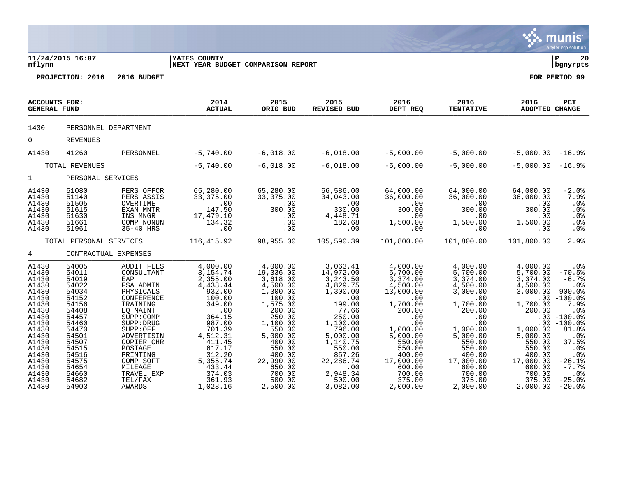|                                                                                                                                                                         |                                                                                                                                                                         |                                                                                                                                                                                                                                                    |                                                                                                                                                                                                        |                                                                                                                                                                                                                |                                                                                                                                                                                                             |                                                                                                                                                                                                         |                                                                                                                                                                                                      |                                                                                                                                                                                        | munis <sup>®</sup><br>a tyler erp solution                                                                                                                                                                |
|-------------------------------------------------------------------------------------------------------------------------------------------------------------------------|-------------------------------------------------------------------------------------------------------------------------------------------------------------------------|----------------------------------------------------------------------------------------------------------------------------------------------------------------------------------------------------------------------------------------------------|--------------------------------------------------------------------------------------------------------------------------------------------------------------------------------------------------------|----------------------------------------------------------------------------------------------------------------------------------------------------------------------------------------------------------------|-------------------------------------------------------------------------------------------------------------------------------------------------------------------------------------------------------------|---------------------------------------------------------------------------------------------------------------------------------------------------------------------------------------------------------|------------------------------------------------------------------------------------------------------------------------------------------------------------------------------------------------------|----------------------------------------------------------------------------------------------------------------------------------------------------------------------------------------|-----------------------------------------------------------------------------------------------------------------------------------------------------------------------------------------------------------|
| nflynn                                                                                                                                                                  | 11/24/2015 16:07                                                                                                                                                        |                                                                                                                                                                                                                                                    | <b>YATES COUNTY</b><br>NEXT YEAR BUDGET COMPARISON REPORT                                                                                                                                              |                                                                                                                                                                                                                |                                                                                                                                                                                                             |                                                                                                                                                                                                         |                                                                                                                                                                                                      |                                                                                                                                                                                        | ΙP<br>20<br>  bgnyrpts                                                                                                                                                                                    |
|                                                                                                                                                                         | PROJECTION: 2016                                                                                                                                                        | 2016 BUDGET                                                                                                                                                                                                                                        |                                                                                                                                                                                                        |                                                                                                                                                                                                                |                                                                                                                                                                                                             |                                                                                                                                                                                                         |                                                                                                                                                                                                      |                                                                                                                                                                                        | FOR PERIOD 99                                                                                                                                                                                             |
| ACCOUNTS FOR:<br><b>GENERAL FUND</b>                                                                                                                                    |                                                                                                                                                                         |                                                                                                                                                                                                                                                    | 2014<br><b>ACTUAL</b>                                                                                                                                                                                  | 2015<br>ORIG BUD                                                                                                                                                                                               | 2015<br>REVISED BUD                                                                                                                                                                                         | 2016<br>DEPT REQ                                                                                                                                                                                        | 2016<br><b>TENTATIVE</b>                                                                                                                                                                             | 2016<br>ADOPTED CHANGE                                                                                                                                                                 | <b>PCT</b>                                                                                                                                                                                                |
| 1430                                                                                                                                                                    | PERSONNEL DEPARTMENT                                                                                                                                                    |                                                                                                                                                                                                                                                    |                                                                                                                                                                                                        |                                                                                                                                                                                                                |                                                                                                                                                                                                             |                                                                                                                                                                                                         |                                                                                                                                                                                                      |                                                                                                                                                                                        |                                                                                                                                                                                                           |
| $\mathbf 0$                                                                                                                                                             | <b>REVENUES</b>                                                                                                                                                         |                                                                                                                                                                                                                                                    |                                                                                                                                                                                                        |                                                                                                                                                                                                                |                                                                                                                                                                                                             |                                                                                                                                                                                                         |                                                                                                                                                                                                      |                                                                                                                                                                                        |                                                                                                                                                                                                           |
| A1430                                                                                                                                                                   | 41260                                                                                                                                                                   | PERSONNEL                                                                                                                                                                                                                                          | $-5,740.00$                                                                                                                                                                                            | $-6,018.00$                                                                                                                                                                                                    | $-6,018.00$                                                                                                                                                                                                 | $-5,000.00$                                                                                                                                                                                             | $-5,000.00$                                                                                                                                                                                          | $-5,000.00$                                                                                                                                                                            | $-16.9%$                                                                                                                                                                                                  |
|                                                                                                                                                                         | TOTAL REVENUES                                                                                                                                                          |                                                                                                                                                                                                                                                    | $-5,740.00$                                                                                                                                                                                            | $-6,018.00$                                                                                                                                                                                                    | $-6,018.00$                                                                                                                                                                                                 | $-5,000.00$                                                                                                                                                                                             | $-5,000.00$                                                                                                                                                                                          | $-5,000.00$                                                                                                                                                                            | $-16.9%$                                                                                                                                                                                                  |
| 1                                                                                                                                                                       | PERSONAL SERVICES                                                                                                                                                       |                                                                                                                                                                                                                                                    |                                                                                                                                                                                                        |                                                                                                                                                                                                                |                                                                                                                                                                                                             |                                                                                                                                                                                                         |                                                                                                                                                                                                      |                                                                                                                                                                                        |                                                                                                                                                                                                           |
| A1430<br>A1430<br>A1430<br>A1430<br>A1430<br>A1430<br>A1430                                                                                                             | 51080<br>51140<br>51505<br>51615<br>51630<br>51661<br>51961                                                                                                             | PERS OFFCR<br>PERS ASSIS<br>OVERTIME<br>EXAM MNTR<br>INS MNGR<br>COMP NONUN<br>35-40 HRS                                                                                                                                                           | 65,280.00<br>33, 375.00<br>.00<br>147.50<br>17,479.10<br>134.32<br>.00                                                                                                                                 | 65,280.00<br>33,375.00<br>.00<br>300.00<br>.00<br>.00<br>.00                                                                                                                                                   | 66,586.00<br>34,043.00<br>.00<br>330.00<br>4,448.71<br>182.68<br>.00                                                                                                                                        | 64,000.00<br>36,000.00<br>.00<br>300.00<br>.00<br>1,500.00<br>.00                                                                                                                                       | 64,000.00<br>36,000.00<br>.00<br>300.00<br>.00<br>1,500.00<br>.00                                                                                                                                    | 64,000.00<br>36,000.00<br>.00<br>300.00<br>.00<br>1,500.00<br>.00                                                                                                                      | $-2.0%$<br>7.9%<br>.0%<br>.0%<br>.0%<br>.0 <sub>8</sub><br>.0%                                                                                                                                            |
|                                                                                                                                                                         | TOTAL PERSONAL SERVICES                                                                                                                                                 |                                                                                                                                                                                                                                                    | 116, 415.92                                                                                                                                                                                            | 98,955.00                                                                                                                                                                                                      | 105,590.39                                                                                                                                                                                                  | 101,800.00                                                                                                                                                                                              | 101,800.00                                                                                                                                                                                           | 101,800.00                                                                                                                                                                             | 2.9%                                                                                                                                                                                                      |
| 4                                                                                                                                                                       | CONTRACTUAL EXPENSES                                                                                                                                                    |                                                                                                                                                                                                                                                    |                                                                                                                                                                                                        |                                                                                                                                                                                                                |                                                                                                                                                                                                             |                                                                                                                                                                                                         |                                                                                                                                                                                                      |                                                                                                                                                                                        |                                                                                                                                                                                                           |
| A1430<br>A1430<br>A1430<br>A1430<br>A1430<br>A1430<br>A1430<br>A1430<br>A1430<br>A1430<br>A1430<br>A1430<br>A1430<br>A1430<br>A1430<br>A1430<br>A1430<br>A1430<br>A1430 | 54005<br>54011<br>54019<br>54022<br>54034<br>54152<br>54156<br>54408<br>54457<br>54460<br>54470<br>54501<br>54507<br>54515<br>54516<br>54575<br>54654<br>54660<br>54682 | <b>AUDIT FEES</b><br>CONSULTANT<br>EAP<br>FSA ADMIN<br>PHYSICALS<br>CONFERENCE<br>TRAINING<br>EQ MAINT<br>SUPP: COMP<br>SUPP: DRUG<br>SUPP:OFF<br>ADVERTISIN<br>COPIER CHR<br>POSTAGE<br>PRINTING<br>COMP SOFT<br>MILEAGE<br>TRAVEL EXP<br>TEL/FAX | 4,000.00<br>3, 154.74<br>2,355.00<br>4,438.44<br>932.00<br>100.00<br>349.00<br>.00<br>364.15<br>987.00<br>701.39<br>4,512.31<br>411.45<br>617.17<br>312.20<br>5, 355. 74<br>433.44<br>374.03<br>361.93 | 4,000.00<br>19,336.00<br>3,618.00<br>4,500.00<br>1,300.00<br>100.00<br>1,575.00<br>200.00<br>250.00<br>1,100.00<br>550.00<br>5,000.00<br>400.00<br>550.00<br>400.00<br>22,990.00<br>650.00<br>700.00<br>500.00 | 3,063.41<br>14,972.00<br>3, 243.50<br>4,829.75<br>1,300.00<br>.00<br>199.00<br>77.66<br>250.00<br>1,100.00<br>796.00<br>5,000.00<br>1,140.75<br>550.00<br>857.26<br>22, 286.74<br>.00<br>2,948.34<br>500.00 | 4,000.00<br>$5,700.00$<br>3,374.00<br>4,500.00<br>13,000.00<br>.00<br>1,700.00<br>200.00<br>.00<br>.00<br>1,000.00<br>5,000.00<br>550.00<br>550.00<br>400.00<br>17,000.00<br>600.00<br>700.00<br>375.00 | 4,000.00<br>5,700.00<br>3,374.00<br>4,500.00<br>3,000.00<br>.00<br>1,700.00<br>200.00<br>.00<br>.00<br>1,000.00<br>5,000.00<br>550.00<br>550.00<br>400.00<br>17,000.00<br>600.00<br>700.00<br>375.00 | 4,000.00<br>5,700.00<br>3,374.00<br>4,500.00<br>3,000.00<br>.00<br>1,700.00<br>200.00<br>1,000.00<br>5,000.00<br>550.00<br>550.00<br>400.00<br>17,000.00<br>600.00<br>700.00<br>375.00 | .0 <sub>8</sub><br>$-70.5%$<br>$-6.7%$<br>.0%<br>900.0%<br>$-100.0$ %<br>7.9%<br>.0%<br>$.00 - 100.0%$<br>$.00 - 100.0%$<br>81.8%<br>.0%<br>37.5%<br>.0%<br>.0%<br>$-26.1%$<br>$-7.7%$<br>.0%<br>$-25.0%$ |

A1430 54903 AWARDS 1,028.16 2,500.00 3,082.00 2,000.00 2,000.00 2,000.00 -20.0%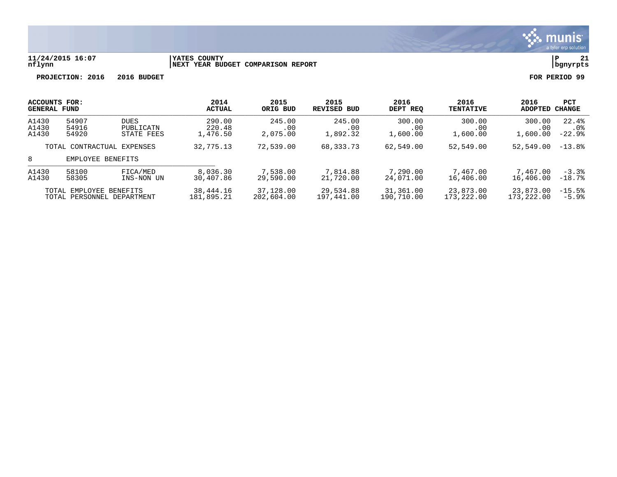

### **11/24/2015 16:07 |YATES COUNTY |P 21 nflynn |NEXT YEAR BUDGET COMPARISON REPORT |bgnyrpts**

| <b>ACCOUNTS FOR:</b><br><b>GENERAL FUND</b>           |                                          |                                        | 2014<br><b>ACTUAL</b>        | 2015<br>ORIG BUD<br>245.00<br>.00<br>2,075.00 | 2015<br>REVISED BUD<br>245.00<br>$.00 \,$<br>1,892.32 | 2016<br>DEPT REO<br>300.00<br>.00<br>1,600.00 | 2016<br><b>TENTATIVE</b><br>300.00<br>.00<br>1,600.00 | 2016<br>ADOPTED<br>300.00<br>.00<br>1,600.00 | <b>PCT</b><br>CHANGE     |
|-------------------------------------------------------|------------------------------------------|----------------------------------------|------------------------------|-----------------------------------------------|-------------------------------------------------------|-----------------------------------------------|-------------------------------------------------------|----------------------------------------------|--------------------------|
| A1430<br>A1430<br>A1430                               | 54907<br>54916<br>54920                  | <b>DUES</b><br>PUBLICATN<br>STATE FEES | 290.00<br>220.48<br>1,476.50 |                                               |                                                       |                                               |                                                       |                                              | 22.4%<br>.0%<br>$-22.9%$ |
| TOTAL CONTRACTUAL EXPENSES                            |                                          | 32,775.13                              | 72,539.00                    | 68,333.73                                     | 62,549.00                                             | 52,549.00                                     | 52,549.00                                             | $-13.8%$                                     |                          |
| 8                                                     |                                          | EMPLOYEE BENEFITS                      |                              |                                               |                                                       |                                               |                                                       |                                              |                          |
| A1430<br>A1430                                        | 58100<br>FICA/MED<br>58305<br>INS-NON UN |                                        | 8,036.30<br>30,407.86        | 7,538.00<br>29,590.00                         | 7,814.88<br>21,720.00                                 | 7,290.00<br>24,071.00                         | 7,467.00<br>16,406.00                                 | 7,467.00<br>16,406.00                        | $-3.3%$<br>$-18.7%$      |
| TOTAL EMPLOYEE BENEFITS<br>TOTAL PERSONNEL DEPARTMENT |                                          | 38,444.16<br>181,895.21                | 37,128.00<br>202,604.00      | 29,534.88<br>197,441.00                       | 31,361.00<br>190,710.00                               | 23,873.00<br>173, 222, 00                     | 23,873.00<br>173,222.00                               | $-15.5%$<br>$-5.9%$                          |                          |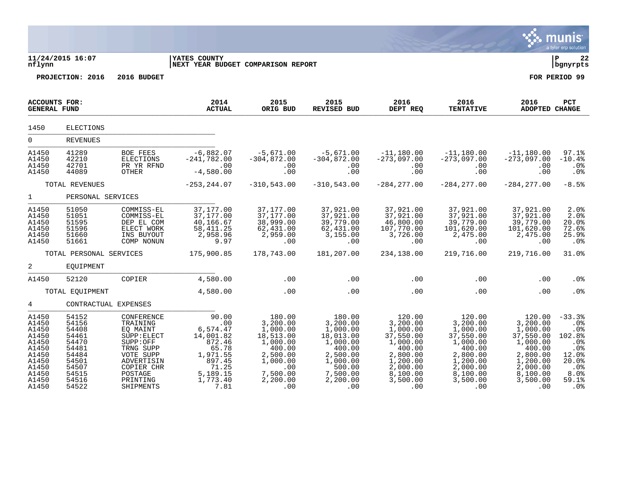|                                                                                                          |                                                                                                          |                                                                                                                                                         |                                                                                                                         |                                                                                                                                 |                                                                                                                                    |                                                                                                                                      |                                                                                                                                      |                                                                                                                                      | munis<br>a tyler erp solution                                                                                           |
|----------------------------------------------------------------------------------------------------------|----------------------------------------------------------------------------------------------------------|---------------------------------------------------------------------------------------------------------------------------------------------------------|-------------------------------------------------------------------------------------------------------------------------|---------------------------------------------------------------------------------------------------------------------------------|------------------------------------------------------------------------------------------------------------------------------------|--------------------------------------------------------------------------------------------------------------------------------------|--------------------------------------------------------------------------------------------------------------------------------------|--------------------------------------------------------------------------------------------------------------------------------------|-------------------------------------------------------------------------------------------------------------------------|
| nflynn                                                                                                   | 11/24/2015 16:07                                                                                         |                                                                                                                                                         | <b>YATES COUNTY</b><br>NEXT YEAR BUDGET COMPARISON REPORT                                                               |                                                                                                                                 |                                                                                                                                    |                                                                                                                                      |                                                                                                                                      |                                                                                                                                      | ∣ P<br>22<br>  bgnyrpts                                                                                                 |
|                                                                                                          | PROJECTION: 2016                                                                                         | 2016 BUDGET                                                                                                                                             |                                                                                                                         |                                                                                                                                 |                                                                                                                                    |                                                                                                                                      |                                                                                                                                      |                                                                                                                                      | FOR PERIOD 99                                                                                                           |
| ACCOUNTS FOR:<br><b>GENERAL FUND</b>                                                                     |                                                                                                          |                                                                                                                                                         | 2014<br><b>ACTUAL</b>                                                                                                   | 2015<br>ORIG BUD                                                                                                                | 2015<br>REVISED BUD                                                                                                                | 2016<br>DEPT REQ                                                                                                                     | 2016<br><b>TENTATIVE</b>                                                                                                             | 2016<br><b>ADOPTED CHANGE</b>                                                                                                        | PCT                                                                                                                     |
| 1450                                                                                                     | ELECTIONS                                                                                                |                                                                                                                                                         |                                                                                                                         |                                                                                                                                 |                                                                                                                                    |                                                                                                                                      |                                                                                                                                      |                                                                                                                                      |                                                                                                                         |
| $\Omega$                                                                                                 | <b>REVENUES</b>                                                                                          |                                                                                                                                                         |                                                                                                                         |                                                                                                                                 |                                                                                                                                    |                                                                                                                                      |                                                                                                                                      |                                                                                                                                      |                                                                                                                         |
| A1450<br>A1450<br>A1450<br>A1450                                                                         | 41289<br>42210<br>42701<br>44089                                                                         | <b>BOE FEES</b><br>ELECTIONS<br>PR YR RFND<br>OTHER                                                                                                     | $-6,882.07$<br>$-241,782.00$<br>$-4,580.00$                                                                             | $-5,671.00$<br>$-304,872.00$<br>.00<br>.00                                                                                      | $-5,671.00$<br>$-304,872.00$<br>.00<br>.00                                                                                         | $-11,180.00$<br>$-273,097.00$<br>.00<br>.00                                                                                          | $-11,180.00$<br>$-273,097.00$<br>.00<br>.00                                                                                          | $-11,180.00$<br>$-273,097.00$<br>.00<br>.00                                                                                          | 97.1%<br>$-10.4%$<br>.0%<br>.0%                                                                                         |
|                                                                                                          | TOTAL REVENUES                                                                                           |                                                                                                                                                         | $-253, 244.07$                                                                                                          | $-310,543.00$                                                                                                                   | $-310, 543.00$                                                                                                                     | $-284, 277.00$                                                                                                                       | $-284, 277.00$                                                                                                                       | $-284, 277.00$                                                                                                                       | $-8.5%$                                                                                                                 |
| $\mathbf{1}$                                                                                             | PERSONAL SERVICES                                                                                        |                                                                                                                                                         |                                                                                                                         |                                                                                                                                 |                                                                                                                                    |                                                                                                                                      |                                                                                                                                      |                                                                                                                                      |                                                                                                                         |
| A1450<br>A1450<br>A1450<br>A1450<br>A1450<br>A1450                                                       | 51050<br>51051<br>51595<br>51596<br>51660<br>51661                                                       | COMMISS-EL<br>COMMISS-EL<br>DEP EL COM<br>ELECT WORK<br>INS BUYOUT<br>COMP NONUN                                                                        | 37,177.00<br>37,177.00<br>40, 166.67<br>58, 411.25<br>2,958.96<br>9.97                                                  | 37,177.00<br>37,177.00<br>38,999.00<br>62,431.00<br>2,959.00<br>.00                                                             | 37,921.00<br>37,921.00<br>39,779.00<br>62,431.00<br>3,155.00<br>.00                                                                | 37,921.00<br>37,921.00<br>46,800.00<br>107,770.00<br>3,726.00<br>.00                                                                 | 37,921.00<br>37,921.00<br>39,779.00<br>101,620.00<br>2,475.00<br>$.00 \,$                                                            | 37,921.00<br>37,921.00<br>39,779.00<br>101,620.00<br>2,475.00<br>.00                                                                 | 2.0%<br>2.0%<br>20.0%<br>72.6%<br>25.9%<br>.0%                                                                          |
|                                                                                                          | TOTAL PERSONAL SERVICES                                                                                  |                                                                                                                                                         | 175,900.85                                                                                                              | 178,743.00                                                                                                                      | 181,207.00                                                                                                                         | 234,138.00                                                                                                                           | 219,716.00                                                                                                                           | 219,716.00                                                                                                                           | 31.0%                                                                                                                   |
| 2                                                                                                        | EOUIPMENT                                                                                                |                                                                                                                                                         |                                                                                                                         |                                                                                                                                 |                                                                                                                                    |                                                                                                                                      |                                                                                                                                      |                                                                                                                                      |                                                                                                                         |
| A1450                                                                                                    | 52120                                                                                                    | COPIER                                                                                                                                                  | 4,580.00                                                                                                                | .00                                                                                                                             | .00                                                                                                                                | .00                                                                                                                                  | .00                                                                                                                                  | .00                                                                                                                                  | .0%                                                                                                                     |
|                                                                                                          | TOTAL EQUIPMENT                                                                                          |                                                                                                                                                         | 4,580.00                                                                                                                | .00                                                                                                                             | .00                                                                                                                                | .00                                                                                                                                  | .00                                                                                                                                  | .00                                                                                                                                  | .0%                                                                                                                     |
| 4                                                                                                        | CONTRACTUAL EXPENSES                                                                                     |                                                                                                                                                         |                                                                                                                         |                                                                                                                                 |                                                                                                                                    |                                                                                                                                      |                                                                                                                                      |                                                                                                                                      |                                                                                                                         |
| A1450<br>A1450<br>A1450<br>A1450<br>A1450<br>A1450<br>A1450<br>A1450<br>A1450<br>A1450<br>A1450<br>A1450 | 54152<br>54156<br>54408<br>54461<br>54470<br>54481<br>54484<br>54501<br>54507<br>54515<br>54516<br>54522 | CONFERENCE<br>TRAINING<br>EQ MAINT<br>SUPP: ELECT<br>SUPP:OFF<br>TRNG SUPP<br>VOTE SUPP<br>ADVERTISIN<br>COPIER CHR<br>POSTAGE<br>PRINTING<br>SHIPMENTS | 90.00<br>.00<br>6,574.47<br>14,001.82<br>872.46<br>65.78<br>1,971.55<br>897.45<br>71.25<br>5,189.15<br>1,773.40<br>7.81 | 180.00<br>3,200.00<br>1,000.00<br>18,513.00<br>1,000.00<br>400.00<br>2,500.00<br>1,000.00<br>.00<br>7,500.00<br>2,200.00<br>.00 | 180.00<br>3,200.00<br>1,000.00<br>18,013.00<br>1,000.00<br>400.00<br>2,500.00<br>1,000.00<br>500.00<br>7,500.00<br>2,200.00<br>.00 | 120.00<br>3,200.00<br>1,000.00<br>37,550.00<br>1,000.00<br>400.00<br>2,800.00<br>1,200.00<br>2,000.00<br>8,100.00<br>3,500.00<br>.00 | 120.00<br>3,200.00<br>1,000.00<br>37,550.00<br>1,000.00<br>400.00<br>2,800.00<br>1,200.00<br>2,000.00<br>8,100.00<br>3,500.00<br>.00 | 120.00<br>3,200.00<br>1,000.00<br>37,550.00<br>1,000.00<br>400.00<br>2,800.00<br>1,200.00<br>2,000.00<br>8,100.00<br>3,500.00<br>.00 | $-33.3%$<br>.0 <sub>8</sub><br>.0%<br>102.8%<br>.0%<br>.0%<br>12.0%<br>20.0%<br>.0%<br>8.0%<br>59.1%<br>.0 <sup>8</sup> |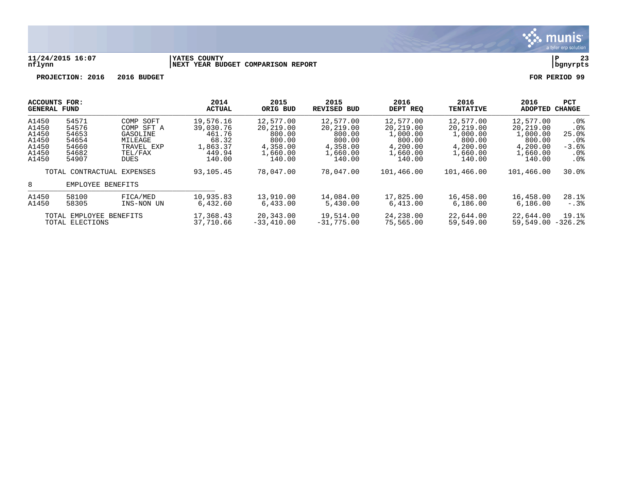

#### **11/24/2015 16:07 |YATES COUNTY |P 23 nflynn |NEXT YEAR BUDGET COMPARISON REPORT |bgnyrpts**

|                         | ACCOUNTS FOR:              |                   | 2014          | 2015         | 2015        | 2016       | 2016                 | 2016       | PCT           |
|-------------------------|----------------------------|-------------------|---------------|--------------|-------------|------------|----------------------|------------|---------------|
|                         | <b>GENERAL FUND</b>        |                   | <b>ACTUAL</b> | ORIG BUD     | REVISED BUD | DEPT REQ   | <b>TENTATIVE</b>     | ADOPTED    | <b>CHANGE</b> |
| A1450                   | 54571                      | COMP SOFT         | 19,576.16     | 12,577.00    | 12,577.00   | 12,577.00  | 12,577.00            | 12,577.00  | . 0 %         |
| A1450                   | 54576                      | COMP SFT A        | 39,030.76     | 20,219.00    | 20,219.00   | 20,219.00  | 20,219.00            | 20,219.00  | .0%           |
| A1450                   | 54653                      | GASOLINE          | 461.76        | 800.00       | 800.00      | 1,000.00   | 1,000.00             | 1,000.00   | 25.0%         |
| A1450                   | 54654                      | MILEAGE           | 68.32         | 800.00       | 800.00      | 800.00     | 800.00               | 800.00     | . 0 %         |
| A1450                   | 54660                      | TRAVEL EXP        | 1,863.37      | 4,358.00     | 4,358.00    | 4,200.00   | 4,200.00             | 4,200.00   | $-3.6%$       |
| A1450                   | 54682                      | TEL/FAX           | 449.94        | 1,660.00     | 1,660.00    | 1,660.00   | 1,660.00             | 1,660.00   | $.0\%$        |
| A1450                   | 54907                      | <b>DUES</b>       | 140.00        | 140.00       | 140.00      | 140.00     | 140.00               | 140.00     | $.0\%$        |
|                         | TOTAL CONTRACTUAL EXPENSES |                   | 93,105.45     | 78,047.00    | 78,047.00   | 101,466.00 | 101,466.00           | 101,466.00 | 30.0%         |
| 8                       |                            | EMPLOYEE BENEFITS |               |              |             |            |                      |            |               |
| A1450                   | 58100                      | FICA/MED          | 10,935.83     | 13,910.00    | 14,084.00   | 17,825.00  | 16,458.00            | 16,458.00  | 28.1%         |
| A1450                   | 58305                      | INS-NON UN        | 6.432.60      | 6,433.00     | 5,430.00    | 6,413.00   | 6.186.00             | 6,186.00   | $-0.3\%$      |
| TOTAL EMPLOYEE BENEFITS |                            | 17,368.43         | 20,343.00     | 19,514.00    | 24,238.00   | 22,644.00  | 22,644.00            | 19.1%      |               |
| TOTAL ELECTIONS         |                            | 37,710.66         | $-33,410.00$  | $-31,775.00$ | 75,565.00   | 59,549.00  | $59.549.00 - 326.28$ |            |               |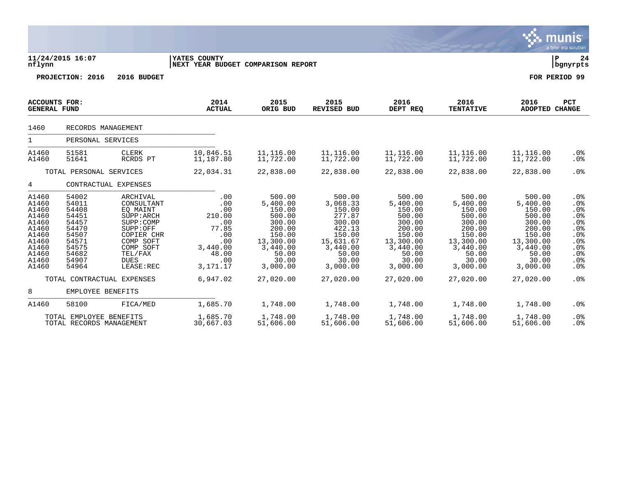|                                                                                                          |                                                                                                          |                                                                                                                                                          |                                                                                                     |                                                                                                                             |                                                                                                                             |                                                                                                                             |                                                                                                                             |                                                                                                                             | munis<br>a tyler erp solution                                                       |  |  |
|----------------------------------------------------------------------------------------------------------|----------------------------------------------------------------------------------------------------------|----------------------------------------------------------------------------------------------------------------------------------------------------------|-----------------------------------------------------------------------------------------------------|-----------------------------------------------------------------------------------------------------------------------------|-----------------------------------------------------------------------------------------------------------------------------|-----------------------------------------------------------------------------------------------------------------------------|-----------------------------------------------------------------------------------------------------------------------------|-----------------------------------------------------------------------------------------------------------------------------|-------------------------------------------------------------------------------------|--|--|
| nflynn                                                                                                   | 11/24/2015 16:07                                                                                         |                                                                                                                                                          | YATES COUNTY<br>NEXT YEAR BUDGET COMPARISON REPORT                                                  |                                                                                                                             |                                                                                                                             |                                                                                                                             |                                                                                                                             |                                                                                                                             | l P<br>24<br>  bgnyrpts                                                             |  |  |
|                                                                                                          | PROJECTION: 2016                                                                                         | 2016 BUDGET                                                                                                                                              |                                                                                                     |                                                                                                                             |                                                                                                                             |                                                                                                                             |                                                                                                                             |                                                                                                                             | FOR PERIOD 99                                                                       |  |  |
| <b>GENERAL FUND</b>                                                                                      | ACCOUNTS FOR:                                                                                            |                                                                                                                                                          | 2014<br><b>ACTUAL</b>                                                                               | 2015<br>ORIG BUD                                                                                                            | 2015<br><b>REVISED BUD</b>                                                                                                  | 2016<br>DEPT REQ                                                                                                            | 2016<br><b>TENTATIVE</b>                                                                                                    | 2016<br><b>ADOPTED CHANGE</b>                                                                                               | PCT                                                                                 |  |  |
| 1460                                                                                                     |                                                                                                          | RECORDS MANAGEMENT                                                                                                                                       |                                                                                                     |                                                                                                                             |                                                                                                                             |                                                                                                                             |                                                                                                                             |                                                                                                                             |                                                                                     |  |  |
| $\mathbf{1}$                                                                                             | PERSONAL SERVICES                                                                                        |                                                                                                                                                          |                                                                                                     |                                                                                                                             |                                                                                                                             |                                                                                                                             |                                                                                                                             |                                                                                                                             |                                                                                     |  |  |
| A1460<br>A1460                                                                                           | 51581<br>51641                                                                                           | <b>CLERK</b><br>RCRDS PT                                                                                                                                 | 10,846.51<br>11,187.80                                                                              | 11,116.00<br>11,722.00                                                                                                      | 11,116.00<br>11,722.00                                                                                                      | 11,116.00<br>11,722.00                                                                                                      | 11,116.00<br>11,722.00                                                                                                      | 11,116.00<br>11,722.00                                                                                                      | $.0\%$<br>$.0\%$                                                                    |  |  |
| TOTAL PERSONAL SERVICES                                                                                  |                                                                                                          |                                                                                                                                                          | 22,034.31                                                                                           | 22,838.00                                                                                                                   | 22,838.00                                                                                                                   | 22,838.00                                                                                                                   | 22,838.00                                                                                                                   | 22,838.00                                                                                                                   | .0%                                                                                 |  |  |
| 4                                                                                                        |                                                                                                          | CONTRACTUAL EXPENSES                                                                                                                                     |                                                                                                     |                                                                                                                             |                                                                                                                             |                                                                                                                             |                                                                                                                             |                                                                                                                             |                                                                                     |  |  |
| A1460<br>A1460<br>A1460<br>A1460<br>A1460<br>A1460<br>A1460<br>A1460<br>A1460<br>A1460<br>A1460<br>A1460 | 54002<br>54011<br>54408<br>54451<br>54457<br>54470<br>54507<br>54571<br>54575<br>54682<br>54907<br>54964 | ARCHIVAL<br>CONSULTANT<br>EO MAINT<br>SUPP: ARCH<br>SUPP:COMP<br>SUPP:OFF<br>COPIER CHR<br>COMP SOFT<br>COMP SOFT<br>TEL/FAX<br><b>DUES</b><br>LEASE:REC | .00<br>.00<br>.00<br>210.00<br>.00<br>77.85<br>.00<br>.00<br>3,440.00<br>48.00<br>.00<br>3, 171. 17 | 500.00<br>5,400.00<br>150.00<br>500.00<br>300.00<br>200.00<br>150.00<br>13,300.00<br>3,440.00<br>50.00<br>30.00<br>3,000.00 | 500.00<br>3,068.33<br>150.00<br>277.87<br>300.00<br>422.13<br>150.00<br>15,631.67<br>3,440.00<br>50.00<br>30.00<br>3,000.00 | 500.00<br>5,400.00<br>150.00<br>500.00<br>300.00<br>200.00<br>150.00<br>13,300.00<br>3,440.00<br>50.00<br>30.00<br>3,000.00 | 500.00<br>5,400.00<br>150.00<br>500.00<br>300.00<br>200.00<br>150.00<br>13,300.00<br>3,440.00<br>50.00<br>30.00<br>3,000.00 | 500.00<br>5,400.00<br>150.00<br>500.00<br>300.00<br>200.00<br>150.00<br>13,300.00<br>3,440.00<br>50.00<br>30.00<br>3,000.00 | .0%<br>.0%<br>.0%<br>$.0\%$<br>.0%<br>.0%<br>.0%<br>.0%<br>.0%<br>.0%<br>.0%<br>.0% |  |  |
|                                                                                                          |                                                                                                          | TOTAL CONTRACTUAL EXPENSES                                                                                                                               | 6,947.02                                                                                            | 27,020.00                                                                                                                   | 27,020.00                                                                                                                   | 27,020.00                                                                                                                   | 27,020.00                                                                                                                   | 27,020.00                                                                                                                   | .0%                                                                                 |  |  |
| 8                                                                                                        | EMPLOYEE BENEFITS                                                                                        |                                                                                                                                                          |                                                                                                     |                                                                                                                             |                                                                                                                             |                                                                                                                             |                                                                                                                             |                                                                                                                             |                                                                                     |  |  |
| A1460                                                                                                    | 58100                                                                                                    | FICA/MED                                                                                                                                                 | 1,685.70                                                                                            | 1,748.00                                                                                                                    | 1,748.00                                                                                                                    | 1,748.00                                                                                                                    | 1,748.00                                                                                                                    | 1,748.00                                                                                                                    | .0 <sub>8</sub>                                                                     |  |  |
|                                                                                                          | TOTAL EMPLOYEE BENEFITS<br>TOTAL RECORDS MANAGEMENT                                                      |                                                                                                                                                          | 1,685.70<br>30,667.03                                                                               | 1,748.00<br>51,606.00                                                                                                       | 1,748.00<br>51,606.00                                                                                                       | 1,748.00<br>51,606.00                                                                                                       | 1,748.00<br>51,606.00                                                                                                       | 1,748.00<br>51,606.00                                                                                                       | .0 <sub>8</sub><br>.0 <sub>8</sub>                                                  |  |  |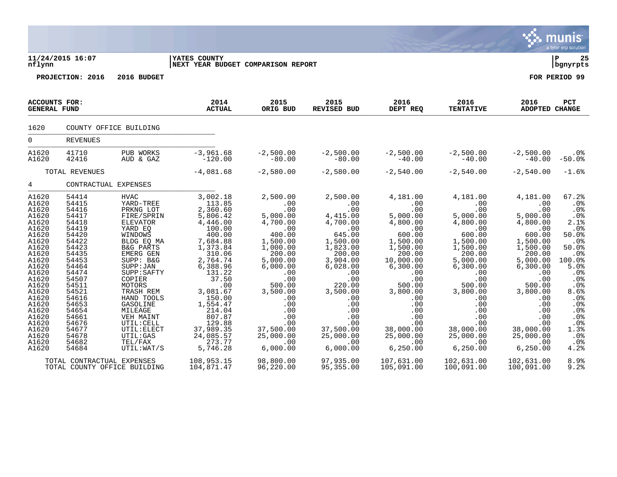|                                                                                                                                                                                                                               |                                                                                                                                                                                                                               |                                                                                                                                                                                                                                                                                                                              |                                                                                                                                                                                                                                                                                |                                                                                                                                                                                                                                               |                                                                                                                                                                                                                                               |                                                                                                                                                                                                                                                 |                                                                                                                                                                                                                                                     |                                                                                                                                                                                                                                                | nis<br><u>mul</u><br>a tyler erp solution                                                                                                                                                                |
|-------------------------------------------------------------------------------------------------------------------------------------------------------------------------------------------------------------------------------|-------------------------------------------------------------------------------------------------------------------------------------------------------------------------------------------------------------------------------|------------------------------------------------------------------------------------------------------------------------------------------------------------------------------------------------------------------------------------------------------------------------------------------------------------------------------|--------------------------------------------------------------------------------------------------------------------------------------------------------------------------------------------------------------------------------------------------------------------------------|-----------------------------------------------------------------------------------------------------------------------------------------------------------------------------------------------------------------------------------------------|-----------------------------------------------------------------------------------------------------------------------------------------------------------------------------------------------------------------------------------------------|-------------------------------------------------------------------------------------------------------------------------------------------------------------------------------------------------------------------------------------------------|-----------------------------------------------------------------------------------------------------------------------------------------------------------------------------------------------------------------------------------------------------|------------------------------------------------------------------------------------------------------------------------------------------------------------------------------------------------------------------------------------------------|----------------------------------------------------------------------------------------------------------------------------------------------------------------------------------------------------------|
| nflynn                                                                                                                                                                                                                        | 11/24/2015 16:07                                                                                                                                                                                                              |                                                                                                                                                                                                                                                                                                                              | YATES COUNTY<br>NEXT YEAR BUDGET COMPARISON REPORT                                                                                                                                                                                                                             |                                                                                                                                                                                                                                               |                                                                                                                                                                                                                                               |                                                                                                                                                                                                                                                 |                                                                                                                                                                                                                                                     |                                                                                                                                                                                                                                                | lР<br>25<br>bgnyrpts                                                                                                                                                                                     |
|                                                                                                                                                                                                                               | PROJECTION: 2016                                                                                                                                                                                                              | 2016 BUDGET                                                                                                                                                                                                                                                                                                                  |                                                                                                                                                                                                                                                                                |                                                                                                                                                                                                                                               |                                                                                                                                                                                                                                               |                                                                                                                                                                                                                                                 |                                                                                                                                                                                                                                                     |                                                                                                                                                                                                                                                | FOR PERIOD 99                                                                                                                                                                                            |
| <b>ACCOUNTS FOR:</b><br><b>GENERAL FUND</b>                                                                                                                                                                                   |                                                                                                                                                                                                                               |                                                                                                                                                                                                                                                                                                                              | 2014<br><b>ACTUAL</b>                                                                                                                                                                                                                                                          | 2015<br>ORIG BUD                                                                                                                                                                                                                              | 2015<br><b>REVISED BUD</b>                                                                                                                                                                                                                    | 2016<br>DEPT REQ                                                                                                                                                                                                                                | 2016<br><b>TENTATIVE</b>                                                                                                                                                                                                                            | 2016<br><b>ADOPTED CHANGE</b>                                                                                                                                                                                                                  | PCT                                                                                                                                                                                                      |
| 1620                                                                                                                                                                                                                          |                                                                                                                                                                                                                               | COUNTY OFFICE BUILDING                                                                                                                                                                                                                                                                                                       |                                                                                                                                                                                                                                                                                |                                                                                                                                                                                                                                               |                                                                                                                                                                                                                                               |                                                                                                                                                                                                                                                 |                                                                                                                                                                                                                                                     |                                                                                                                                                                                                                                                |                                                                                                                                                                                                          |
| $\overline{0}$                                                                                                                                                                                                                | <b>REVENUES</b>                                                                                                                                                                                                               |                                                                                                                                                                                                                                                                                                                              |                                                                                                                                                                                                                                                                                |                                                                                                                                                                                                                                               |                                                                                                                                                                                                                                               |                                                                                                                                                                                                                                                 |                                                                                                                                                                                                                                                     |                                                                                                                                                                                                                                                |                                                                                                                                                                                                          |
| A1620<br>A1620                                                                                                                                                                                                                | 41710<br>42416                                                                                                                                                                                                                | PUB WORKS<br>AUD & GAZ                                                                                                                                                                                                                                                                                                       | $-3,961.68$<br>$-120.00$                                                                                                                                                                                                                                                       | $-2,500.00$<br>$-80.00$                                                                                                                                                                                                                       | $-2,500.00$<br>$-80.00$                                                                                                                                                                                                                       | $-2,500.00$<br>$-40.00$                                                                                                                                                                                                                         | $-2,500.00$<br>$-40.00$                                                                                                                                                                                                                             | $-2,500.00$<br>$-40.00$                                                                                                                                                                                                                        | $.0\%$<br>$-50.0%$                                                                                                                                                                                       |
|                                                                                                                                                                                                                               | TOTAL REVENUES                                                                                                                                                                                                                |                                                                                                                                                                                                                                                                                                                              | $-4,081.68$                                                                                                                                                                                                                                                                    | $-2,580.00$                                                                                                                                                                                                                                   | $-2,580.00$                                                                                                                                                                                                                                   | $-2,540.00$                                                                                                                                                                                                                                     | $-2,540.00$                                                                                                                                                                                                                                         | $-2,540.00$                                                                                                                                                                                                                                    | $-1.6%$                                                                                                                                                                                                  |
| $4\overline{ }$                                                                                                                                                                                                               | CONTRACTUAL EXPENSES                                                                                                                                                                                                          |                                                                                                                                                                                                                                                                                                                              |                                                                                                                                                                                                                                                                                |                                                                                                                                                                                                                                               |                                                                                                                                                                                                                                               |                                                                                                                                                                                                                                                 |                                                                                                                                                                                                                                                     |                                                                                                                                                                                                                                                |                                                                                                                                                                                                          |
| A1620<br>A1620<br>A1620<br>A1620<br>A1620<br>A1620<br>A1620<br>A1620<br>A1620<br>A1620<br>A1620<br>A1620<br>A1620<br>A1620<br>A1620<br>A1620<br>A1620<br>A1620<br>A1620<br>A1620<br>A1620<br>A1620<br>A1620<br>A1620<br>A1620 | 54414<br>54415<br>54416<br>54417<br>54418<br>54419<br>54420<br>54422<br>54423<br>54435<br>54453<br>54464<br>54474<br>54507<br>54511<br>54521<br>54616<br>54653<br>54654<br>54661<br>54676<br>54677<br>54678<br>54682<br>54684 | <b>HVAC</b><br>YARD-TREE<br>PRKNG LOT<br>FIRE/SPRIN<br>ELEVATOR<br>YARD EO<br>WINDOWS<br>BLDG EQ MA<br>B&G PARTS<br>EMERG GEN<br>SUPP: B&G<br>SUPP: JAN<br>SUPP: SAFTY<br>COPIER<br>MOTORS<br>TRASH REM<br>HAND TOOLS<br>GASOLINE<br>MILEAGE<br>VEH MAINT<br>UTIL: CELL<br>UTIL: ELECT<br>UTIL:GAS<br>TEL/FAX<br>UTIL: WAT/S | 3,002.18<br>113.85<br>2,360.60<br>5,806.42<br>4,446.00<br>100.00<br>400.00<br>7,684.88<br>1,373.84<br>310.06<br>2,764.74<br>6,388.96<br>131.22<br>37.50<br>.00<br>3,081.67<br>150.00<br>1,554.47<br>214.04<br>807.87<br>129.88<br>37,989.35<br>24,085.57<br>273.77<br>5,746.28 | 2,500.00<br>.00<br>.00<br>5,000.00<br>4,700.00<br>.00<br>400.00<br>1,500.00<br>1,000.00<br>200.00<br>5,000.00<br>6,000.00<br>.00<br>.00<br>500.00<br>3,500.00<br>.00<br>.00<br>.00<br>.00<br>.00<br>37,500.00<br>25,000.00<br>.00<br>6,000.00 | 2,500.00<br>.00<br>.00<br>4,415.00<br>4,700.00<br>.00<br>645.00<br>1,500.00<br>1,823.00<br>200.00<br>3,904.00<br>6,028.00<br>.00<br>.00<br>220.00<br>3,500.00<br>.00<br>.00<br>.00<br>.00<br>.00<br>37,500.00<br>25,000.00<br>.00<br>6,000.00 | 4,181.00<br>.00<br>.00<br>5,000.00<br>4,800.00<br>.00<br>600.00<br>1,500.00<br>1,500.00<br>200.00<br>10,000.00<br>6,300.00<br>.00<br>.00<br>500.00<br>3,800.00<br>.00<br>.00<br>.00<br>.00<br>.00<br>38,000.00<br>25,000.00<br>.00<br>6, 250.00 | 4,181.00<br>.00<br>.00<br>5,000.00<br>4,800.00<br>.00<br>600.00<br>1,500.00<br>1,500.00<br>200.00<br>5,000.00<br>6,300.00<br>.00<br>.00<br>500.00<br>3,800.00<br>$.00 \,$<br>.00<br>.00<br>.00<br>.00<br>38,000.00<br>25,000.00<br>.00<br>6, 250.00 | 4,181.00<br>.00<br>.00<br>5,000.00<br>4,800.00<br>.00<br>600.00<br>1,500.00<br>1,500.00<br>200.00<br>5,000.00<br>6,300.00<br>.00<br>.00<br>500.00<br>3,800.00<br>.00<br>.00<br>.00<br>.00<br>.00<br>38,000.00<br>25,000.00<br>.00<br>6, 250.00 | 67.2%<br>.0%<br>.0%<br>.0 <sub>8</sub><br>2.1%<br>.0%<br>50.0%<br>.0%<br>50.0%<br>.0%<br>100.0%<br>5.0%<br>.0%<br>.0%<br>.0%<br>8.6%<br>.0%<br>.0%<br>.0%<br>.0%<br>.0%<br>1.3%<br>.0%<br>$.0\%$<br>4.2% |
|                                                                                                                                                                                                                               | TOTAL CONTRACTUAL EXPENSES                                                                                                                                                                                                    | TOTAL COUNTY OFFICE BUILDING                                                                                                                                                                                                                                                                                                 | 108,953.15<br>104,871.47                                                                                                                                                                                                                                                       | 98,800.00<br>96,220.00                                                                                                                                                                                                                        | 97,935.00<br>95,355.00                                                                                                                                                                                                                        | 107,631.00<br>105,091.00                                                                                                                                                                                                                        | 102,631.00<br>100,091.00                                                                                                                                                                                                                            | 102,631.00<br>100,091.00                                                                                                                                                                                                                       | 8.9%<br>9.2%                                                                                                                                                                                             |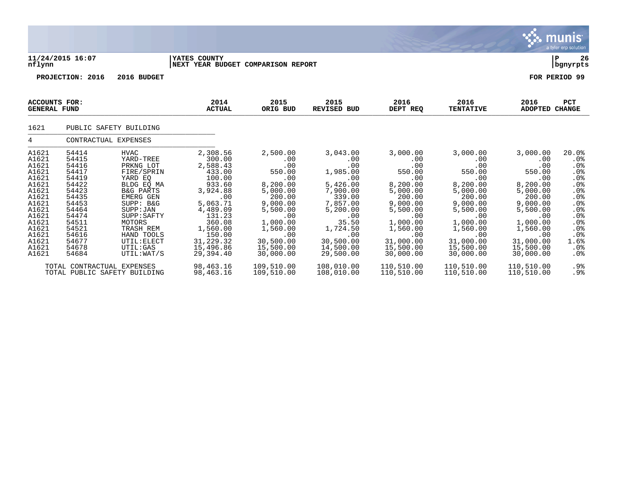|                                                                                                                                                       |                                                                                                                                                       |                                                                                                                                                                                                                                                  |                                                                                                                                                                                           |                                                                                                                                                                                |                                                                                                                                                                               |                                                                                                                                                                                |                                                                                                                                                                                |                                                                                                                                                                                | a tyler erp solution                                                                                                                           |
|-------------------------------------------------------------------------------------------------------------------------------------------------------|-------------------------------------------------------------------------------------------------------------------------------------------------------|--------------------------------------------------------------------------------------------------------------------------------------------------------------------------------------------------------------------------------------------------|-------------------------------------------------------------------------------------------------------------------------------------------------------------------------------------------|--------------------------------------------------------------------------------------------------------------------------------------------------------------------------------|-------------------------------------------------------------------------------------------------------------------------------------------------------------------------------|--------------------------------------------------------------------------------------------------------------------------------------------------------------------------------|--------------------------------------------------------------------------------------------------------------------------------------------------------------------------------|--------------------------------------------------------------------------------------------------------------------------------------------------------------------------------|------------------------------------------------------------------------------------------------------------------------------------------------|
| nflynn                                                                                                                                                | 11/24/2015 16:07                                                                                                                                      |                                                                                                                                                                                                                                                  | <b>IYATES COUNTY</b><br>NEXT YEAR BUDGET COMPARISON REPORT                                                                                                                                |                                                                                                                                                                                |                                                                                                                                                                               |                                                                                                                                                                                |                                                                                                                                                                                |                                                                                                                                                                                | 26<br>${\bf P}$<br>  bgnyrpts                                                                                                                  |
|                                                                                                                                                       | PROJECTION: 2016                                                                                                                                      | 2016 BUDGET                                                                                                                                                                                                                                      |                                                                                                                                                                                           |                                                                                                                                                                                |                                                                                                                                                                               |                                                                                                                                                                                |                                                                                                                                                                                |                                                                                                                                                                                | FOR PERIOD 99                                                                                                                                  |
| ACCOUNTS FOR:<br><b>GENERAL FUND</b>                                                                                                                  |                                                                                                                                                       |                                                                                                                                                                                                                                                  | 2014<br><b>ACTUAL</b>                                                                                                                                                                     | 2015<br>ORIG BUD                                                                                                                                                               | 2015<br><b>REVISED BUD</b>                                                                                                                                                    | 2016<br>DEPT REQ                                                                                                                                                               | 2016<br><b>TENTATIVE</b>                                                                                                                                                       | 2016<br><b>ADOPTED CHANGE</b>                                                                                                                                                  | <b>PCT</b>                                                                                                                                     |
| 1621                                                                                                                                                  |                                                                                                                                                       | PUBLIC SAFETY BUILDING                                                                                                                                                                                                                           |                                                                                                                                                                                           |                                                                                                                                                                                |                                                                                                                                                                               |                                                                                                                                                                                |                                                                                                                                                                                |                                                                                                                                                                                |                                                                                                                                                |
| 4                                                                                                                                                     | CONTRACTUAL EXPENSES                                                                                                                                  |                                                                                                                                                                                                                                                  |                                                                                                                                                                                           |                                                                                                                                                                                |                                                                                                                                                                               |                                                                                                                                                                                |                                                                                                                                                                                |                                                                                                                                                                                |                                                                                                                                                |
| A1621<br>A1621<br>A1621<br>A1621<br>A1621<br>A1621<br>A1621<br>A1621<br>A1621<br>A1621<br>A1621<br>A1621<br>A1621<br>A1621<br>A1621<br>A1621<br>A1621 | 54414<br>54415<br>54416<br>54417<br>54419<br>54422<br>54423<br>54435<br>54453<br>54464<br>54474<br>54511<br>54521<br>54616<br>54677<br>54678<br>54684 | <b>HVAC</b><br>YARD-TREE<br>PRKNG LOT<br>FIRE/SPRIN<br>YARD EO<br>BLDG EQ MA<br><b>B&amp;G PARTS</b><br>EMERG GEN<br>SUPP: B&G<br>SUPP: JAN<br>SUPP: SAFTY<br>MOTORS<br>TRASH REM<br>HAND TOOLS<br>UTIL: ELECT<br><b>UTIL:GAS</b><br>UTIL: WAT/S | 2,308.56<br>300.00<br>2,588.43<br>433.00<br>100.00<br>933.60<br>3,924.88<br>.00<br>5,063.71<br>4,489.09<br>131.23<br>360.08<br>1,560.00<br>150.00<br>31, 229.32<br>15,496.86<br>29,394.40 | 2,500.00<br>.00<br>.00<br>550.00<br>.00<br>8,200.00<br>5,000.00<br>200.00<br>9,000.00<br>5,500.00<br>.00<br>1,000.00<br>1,560.00<br>.00<br>30,500.00<br>15,500.00<br>30,000.00 | 3,043.00<br>.00<br>.00<br>1,985.00<br>.00<br>5,426.00<br>7,900.00<br>339.00<br>7,857.00<br>5,200.00<br>.00<br>35.50<br>1,724.50<br>.00<br>30,500.00<br>14,500.00<br>29,500.00 | 3,000.00<br>.00<br>.00<br>550.00<br>.00<br>8,200.00<br>5,000.00<br>200.00<br>9,000.00<br>5,500.00<br>.00<br>1,000.00<br>1,560.00<br>.00<br>31,000.00<br>15,500.00<br>30,000.00 | 3,000.00<br>.00<br>.00<br>550.00<br>.00<br>8,200.00<br>5,000.00<br>200.00<br>9,000.00<br>5,500.00<br>.00<br>1,000.00<br>1,560.00<br>.00<br>31,000.00<br>15,500.00<br>30,000.00 | 3,000.00<br>.00<br>.00<br>550.00<br>.00<br>8,200.00<br>5,000.00<br>200.00<br>9,000.00<br>5,500.00<br>.00<br>1,000.00<br>1,560.00<br>.00<br>31,000.00<br>15,500.00<br>30,000.00 | 20.0%<br>.0%<br>.0%<br>$.0\%$<br>.0%<br>.0%<br>.0%<br>$.0\%$<br>.0%<br>$.0\%$<br>$.0\%$<br>$.0\%$<br>$.0\%$<br>$.0\%$<br>1.6%<br>$.0\%$<br>.0% |
|                                                                                                                                                       | TOTAL CONTRACTUAL EXPENSES                                                                                                                            | TOTAL PUBLIC SAFETY BUILDING                                                                                                                                                                                                                     | 98,463.16<br>98,463.16                                                                                                                                                                    | 109,510.00<br>109,510.00                                                                                                                                                       | 108,010.00<br>108,010.00                                                                                                                                                      | 110,510.00<br>110,510.00                                                                                                                                                       | 110,510.00<br>110,510.00                                                                                                                                                       | 110,510.00<br>110,510.00                                                                                                                                                       | .9%<br>.9%                                                                                                                                     |

 $\ddot{\ddot{\mathbf{u}}}$  munis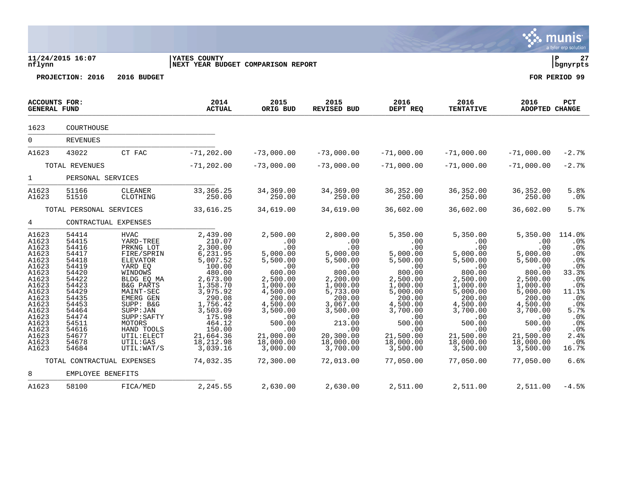|                                                                                                                                                                         |                                                                                                                                                                                                       |                                                                                                                                                                                                                                                                          |                                                                                                                                                                                                                                   |                                                                                                                                                                                                                  |                                                                                                                                                                                                                  |                                                                                                                                                                                                                  |                                                                                                                                                                                                                  |                                                                                                                                                                                                                  | a tyler erp suidtium                                                                                                                                          |
|-------------------------------------------------------------------------------------------------------------------------------------------------------------------------|-------------------------------------------------------------------------------------------------------------------------------------------------------------------------------------------------------|--------------------------------------------------------------------------------------------------------------------------------------------------------------------------------------------------------------------------------------------------------------------------|-----------------------------------------------------------------------------------------------------------------------------------------------------------------------------------------------------------------------------------|------------------------------------------------------------------------------------------------------------------------------------------------------------------------------------------------------------------|------------------------------------------------------------------------------------------------------------------------------------------------------------------------------------------------------------------|------------------------------------------------------------------------------------------------------------------------------------------------------------------------------------------------------------------|------------------------------------------------------------------------------------------------------------------------------------------------------------------------------------------------------------------|------------------------------------------------------------------------------------------------------------------------------------------------------------------------------------------------------------------|---------------------------------------------------------------------------------------------------------------------------------------------------------------|
| nflynn                                                                                                                                                                  | 11/24/2015 16:07                                                                                                                                                                                      |                                                                                                                                                                                                                                                                          | YATES COUNTY<br>NEXT YEAR BUDGET COMPARISON REPORT                                                                                                                                                                                |                                                                                                                                                                                                                  |                                                                                                                                                                                                                  |                                                                                                                                                                                                                  |                                                                                                                                                                                                                  |                                                                                                                                                                                                                  | l P<br>27<br>bgnyrpts                                                                                                                                         |
|                                                                                                                                                                         | PROJECTION: 2016                                                                                                                                                                                      | 2016 BUDGET                                                                                                                                                                                                                                                              |                                                                                                                                                                                                                                   |                                                                                                                                                                                                                  |                                                                                                                                                                                                                  |                                                                                                                                                                                                                  |                                                                                                                                                                                                                  |                                                                                                                                                                                                                  | FOR PERIOD 99                                                                                                                                                 |
| <b>GENERAL FUND</b>                                                                                                                                                     | <b>ACCOUNTS FOR:</b>                                                                                                                                                                                  |                                                                                                                                                                                                                                                                          | 2014<br><b>ACTUAL</b>                                                                                                                                                                                                             | 2015<br>ORIG BUD                                                                                                                                                                                                 | 2015<br>REVISED BUD                                                                                                                                                                                              | 2016<br>DEPT REQ                                                                                                                                                                                                 | 2016<br><b>TENTATIVE</b>                                                                                                                                                                                         | 2016<br><b>ADOPTED CHANGE</b>                                                                                                                                                                                    | PCT                                                                                                                                                           |
| 1623                                                                                                                                                                    | COURTHOUSE                                                                                                                                                                                            |                                                                                                                                                                                                                                                                          |                                                                                                                                                                                                                                   |                                                                                                                                                                                                                  |                                                                                                                                                                                                                  |                                                                                                                                                                                                                  |                                                                                                                                                                                                                  |                                                                                                                                                                                                                  |                                                                                                                                                               |
| $\overline{0}$                                                                                                                                                          | <b>REVENUES</b>                                                                                                                                                                                       |                                                                                                                                                                                                                                                                          |                                                                                                                                                                                                                                   |                                                                                                                                                                                                                  |                                                                                                                                                                                                                  |                                                                                                                                                                                                                  |                                                                                                                                                                                                                  |                                                                                                                                                                                                                  |                                                                                                                                                               |
| A1623                                                                                                                                                                   | 43022                                                                                                                                                                                                 | CT FAC                                                                                                                                                                                                                                                                   | $-71, 202.00$                                                                                                                                                                                                                     | $-73,000.00$                                                                                                                                                                                                     | $-73,000.00$                                                                                                                                                                                                     | $-71,000.00$                                                                                                                                                                                                     | $-71,000.00$                                                                                                                                                                                                     | $-71,000.00$                                                                                                                                                                                                     | $-2.7%$                                                                                                                                                       |
|                                                                                                                                                                         | TOTAL REVENUES                                                                                                                                                                                        |                                                                                                                                                                                                                                                                          | $-71, 202.00$                                                                                                                                                                                                                     | $-73,000.00$                                                                                                                                                                                                     | $-73,000.00$                                                                                                                                                                                                     | $-71,000.00$                                                                                                                                                                                                     | $-71,000.00$                                                                                                                                                                                                     | $-71,000.00$                                                                                                                                                                                                     | $-2.7%$                                                                                                                                                       |
| $\mathbf{1}$                                                                                                                                                            | PERSONAL SERVICES                                                                                                                                                                                     |                                                                                                                                                                                                                                                                          |                                                                                                                                                                                                                                   |                                                                                                                                                                                                                  |                                                                                                                                                                                                                  |                                                                                                                                                                                                                  |                                                                                                                                                                                                                  |                                                                                                                                                                                                                  |                                                                                                                                                               |
| A1623<br>A1623                                                                                                                                                          | 51166<br>51510                                                                                                                                                                                        | <b>CLEANER</b><br>CLOTHING                                                                                                                                                                                                                                               | 33, 366. 25<br>250.00                                                                                                                                                                                                             | 34,369.00<br>250.00                                                                                                                                                                                              | 34,369.00<br>250.00                                                                                                                                                                                              | 36, 352.00<br>250.00                                                                                                                                                                                             | 36, 352.00<br>250.00                                                                                                                                                                                             | 36, 352.00<br>250.00                                                                                                                                                                                             | 5.8%<br>$.0\%$                                                                                                                                                |
|                                                                                                                                                                         | TOTAL PERSONAL SERVICES                                                                                                                                                                               |                                                                                                                                                                                                                                                                          | 33,616.25                                                                                                                                                                                                                         | 34,619.00                                                                                                                                                                                                        | 34,619.00                                                                                                                                                                                                        | 36,602.00                                                                                                                                                                                                        | 36,602.00                                                                                                                                                                                                        | 36,602.00                                                                                                                                                                                                        | 5.7%                                                                                                                                                          |
| 4                                                                                                                                                                       |                                                                                                                                                                                                       | CONTRACTUAL EXPENSES                                                                                                                                                                                                                                                     |                                                                                                                                                                                                                                   |                                                                                                                                                                                                                  |                                                                                                                                                                                                                  |                                                                                                                                                                                                                  |                                                                                                                                                                                                                  |                                                                                                                                                                                                                  |                                                                                                                                                               |
| A1623<br>A1623<br>A1623<br>A1623<br>A1623<br>A1623<br>A1623<br>A1623<br>A1623<br>A1623<br>A1623<br>A1623<br>A1623<br>A1623<br>A1623<br>A1623<br>A1623<br>A1623<br>A1623 | 54414<br>54415<br>54416<br>54417<br>54418<br>54419<br>54420<br>54422<br>54423<br>54429<br>54435<br>54453<br>54464<br>54474<br>54511<br>54616<br>54677<br>54678<br>54684<br>TOTAL CONTRACTUAL EXPENSES | <b>HVAC</b><br>YARD-TREE<br>PRKNG LOT<br>FIRE/SPRIN<br><b>ELEVATOR</b><br>YARD EQ<br>WINDOWS<br>BLDG EQ MA<br><b>B&amp;G PARTS</b><br>MAINT-SEC<br>EMERG GEN<br>SUPP: B&G<br>SUPP: JAN<br>SUPP: SAFTY<br>MOTORS<br>HAND TOOLS<br>UTIL: ELECT<br>UTIL: GAS<br>UTIL: WAT/S | 2,439.00<br>210.07<br>2,300.00<br>6,231.95<br>5,007.52<br>100.00<br>480.00<br>2,673.00<br>1,358.70<br>3,975.92<br>290.08<br>1,756.42<br>3,503.09<br>175.98<br>464.12<br>150.00<br>21,664.36<br>18,212.98<br>3,039.16<br>74,032.35 | 2,500.00<br>.00<br>.00<br>5,000.00<br>5,500.00<br>.00<br>600.00<br>2,500.00<br>1,000.00<br>4,500.00<br>200.00<br>4,500.00<br>3,500.00<br>.00<br>500.00<br>.00<br>21,000.00<br>18,000.00<br>3,000.00<br>72,300.00 | 2,800.00<br>.00<br>.00<br>5,000.00<br>5,500.00<br>.00<br>800.00<br>2,200.00<br>1,000.00<br>5,733.00<br>200.00<br>3,067.00<br>3,500.00<br>.00<br>213.00<br>.00<br>20,300.00<br>18,000.00<br>3,700.00<br>72,013.00 | 5,350.00<br>.00<br>.00<br>5,000.00<br>5,500.00<br>.00<br>800.00<br>2,500.00<br>1,000.00<br>5,000.00<br>200.00<br>4,500.00<br>3,700.00<br>.00<br>500.00<br>.00<br>21,500.00<br>18,000.00<br>3,500.00<br>77,050.00 | 5,350.00<br>.00<br>.00<br>5,000.00<br>5,500.00<br>.00<br>800.00<br>2,500.00<br>1,000.00<br>5,000.00<br>200.00<br>4,500.00<br>3,700.00<br>.00<br>500.00<br>.00<br>21,500.00<br>18,000.00<br>3,500.00<br>77,050.00 | 5,350.00<br>.00<br>.00<br>5,000.00<br>5,500.00<br>.00<br>800.00<br>2,500.00<br>1,000.00<br>5,000.00<br>200.00<br>4,500.00<br>3,700.00<br>.00<br>500.00<br>.00<br>21,500.00<br>18,000.00<br>3,500.00<br>77,050.00 | 114.0%<br>$.0\%$<br>$.0\%$<br>.0%<br>.0%<br>.0%<br>33.3%<br>.0%<br>.0%<br>11.1%<br>.0%<br>.0%<br>5.7%<br>.0%<br>.0%<br>$.0\%$<br>2.4%<br>.0%<br>16.7%<br>6.6% |
| 8                                                                                                                                                                       | EMPLOYEE BENEFITS                                                                                                                                                                                     |                                                                                                                                                                                                                                                                          |                                                                                                                                                                                                                                   |                                                                                                                                                                                                                  |                                                                                                                                                                                                                  |                                                                                                                                                                                                                  |                                                                                                                                                                                                                  |                                                                                                                                                                                                                  |                                                                                                                                                               |
| A1623                                                                                                                                                                   | 58100                                                                                                                                                                                                 | FICA/MED                                                                                                                                                                                                                                                                 | 2,245.55                                                                                                                                                                                                                          | 2,630.00                                                                                                                                                                                                         | 2,630.00                                                                                                                                                                                                         | 2,511.00                                                                                                                                                                                                         | 2,511.00                                                                                                                                                                                                         | 2,511.00                                                                                                                                                                                                         | $-4.5%$                                                                                                                                                       |

**V** munis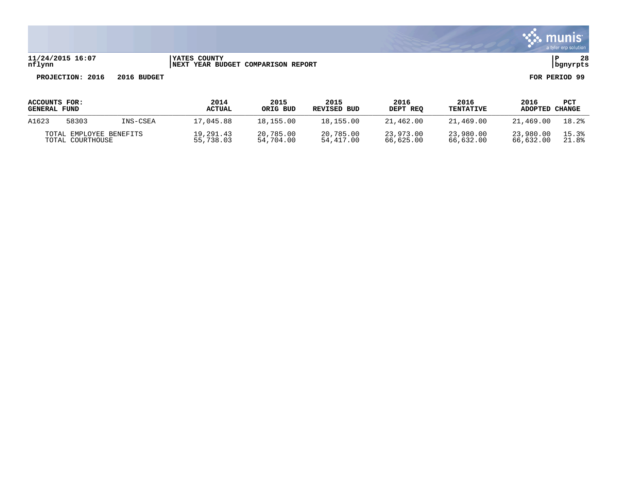

### **11/24/2015 16:07 |YATES COUNTY |P 28 nflynn |NEXT YEAR BUDGET COMPARISON REPORT |bgnyrpts**

| ACCOUNTS FOR:           |       |          | 2014          | 2015      | 2015        | 2016      | 2016             | 2016      | PCT    |
|-------------------------|-------|----------|---------------|-----------|-------------|-----------|------------------|-----------|--------|
| <b>GENERAL FUND</b>     |       |          | <b>ACTUAL</b> | ORIG BUD  | REVISED BUD | DEPT REO  | <b>TENTATIVE</b> | ADOPTED   | CHANGE |
| A1623                   | 58303 | INS-CSEA | 17,045.88     | 18,155.00 | 18,155.00   | 21,462.00 | 21,469.00        | 21,469.00 | 18.2%  |
| TOTAL EMPLOYEE BENEFITS |       |          | 19,291.43     | 20,785.00 | 20,785.00   | 23,973.00 | 23,980.00        | 23,980.00 | 15.3%  |
| TOTAL COURTHOUSE        |       |          | 55,738.03     | 54,704.00 | 54,417.00   | 66,625.00 | 66,632.00        | 66,632.00 | 21.8%  |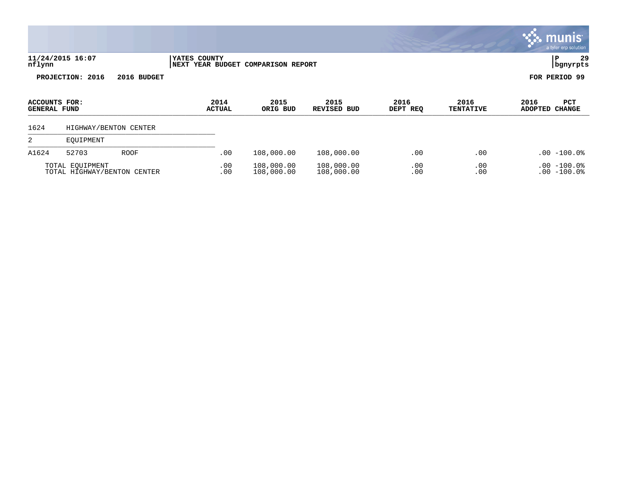|                                      |                                                |                       |                      |                       |                                    |                          |                  |                          |                        | munist<br>a tyler erp solution  |
|--------------------------------------|------------------------------------------------|-----------------------|----------------------|-----------------------|------------------------------------|--------------------------|------------------|--------------------------|------------------------|---------------------------------|
| nflynn                               | 11/24/2015 16:07                               |                       | <b> YATES COUNTY</b> |                       | NEXT YEAR BUDGET COMPARISON REPORT |                          |                  |                          | IΡ                     | 29<br>  bgnyrpts                |
|                                      | PROJECTION: 2016                               | 2016 BUDGET           |                      |                       |                                    |                          |                  |                          | FOR PERIOD 99          |                                 |
| ACCOUNTS FOR:<br><b>GENERAL FUND</b> |                                                |                       |                      | 2014<br><b>ACTUAL</b> | 2015<br>ORIG BUD                   | 2015<br>REVISED BUD      | 2016<br>DEPT REQ | 2016<br><b>TENTATIVE</b> | 2016<br><b>ADOPTED</b> | PCT<br><b>CHANGE</b>            |
| 1624                                 |                                                | HIGHWAY/BENTON CENTER |                      |                       |                                    |                          |                  |                          |                        |                                 |
| 2                                    | EQUIPMENT                                      |                       |                      |                       |                                    |                          |                  |                          |                        |                                 |
| A1624                                | 52703                                          | <b>ROOF</b>           |                      | .00                   | 108,000.00                         | 108,000.00               | .00              | .00                      |                        | $.00 - 100.08$                  |
|                                      | TOTAL EQUIPMENT<br>TOTAL HIGHWAY/BENTON CENTER |                       |                      | .00<br>.00            | 108,000.00<br>108,000.00           | 108,000.00<br>108,000.00 | .00<br>.00       | .00<br>.00               |                        | $.00 - 100.0$<br>$.00 - 100.08$ |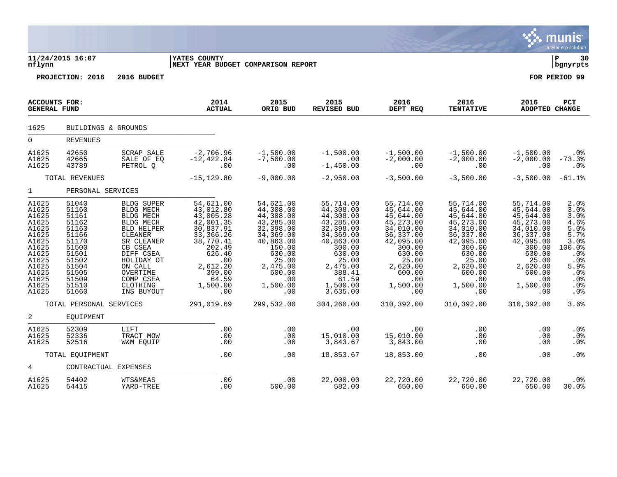|                                                                                                                                     |                                                                                                                                     |                                                                                                                                                                                                                                 |                                                                                                                                                                        |                                                                                                                                                                      |                                                                                                                                                                             |                                                                                                                                                                      |                                                                                                                                                                             |                                                                                                                                                                        | munis<br>a tyler erp solution                                                                                                               |
|-------------------------------------------------------------------------------------------------------------------------------------|-------------------------------------------------------------------------------------------------------------------------------------|---------------------------------------------------------------------------------------------------------------------------------------------------------------------------------------------------------------------------------|------------------------------------------------------------------------------------------------------------------------------------------------------------------------|----------------------------------------------------------------------------------------------------------------------------------------------------------------------|-----------------------------------------------------------------------------------------------------------------------------------------------------------------------------|----------------------------------------------------------------------------------------------------------------------------------------------------------------------|-----------------------------------------------------------------------------------------------------------------------------------------------------------------------------|------------------------------------------------------------------------------------------------------------------------------------------------------------------------|---------------------------------------------------------------------------------------------------------------------------------------------|
| nflynn                                                                                                                              | 11/24/2015 16:07                                                                                                                    |                                                                                                                                                                                                                                 | <b>YATES COUNTY</b><br>NEXT YEAR BUDGET COMPARISON REPORT                                                                                                              |                                                                                                                                                                      |                                                                                                                                                                             |                                                                                                                                                                      |                                                                                                                                                                             |                                                                                                                                                                        | ΙP<br>30<br>bgnyrpts                                                                                                                        |
|                                                                                                                                     | PROJECTION: 2016                                                                                                                    | 2016 BUDGET                                                                                                                                                                                                                     |                                                                                                                                                                        |                                                                                                                                                                      |                                                                                                                                                                             |                                                                                                                                                                      |                                                                                                                                                                             |                                                                                                                                                                        | FOR PERIOD 99                                                                                                                               |
| <b>ACCOUNTS FOR:</b><br><b>GENERAL FUND</b>                                                                                         |                                                                                                                                     |                                                                                                                                                                                                                                 | 2014<br><b>ACTUAL</b>                                                                                                                                                  | 2015<br>ORIG BUD                                                                                                                                                     | 2015<br><b>REVISED BUD</b>                                                                                                                                                  | 2016<br>DEPT REQ                                                                                                                                                     | 2016<br><b>TENTATIVE</b>                                                                                                                                                    | 2016<br><b>ADOPTED CHANGE</b>                                                                                                                                          | <b>PCT</b>                                                                                                                                  |
| 1625                                                                                                                                | BUILDINGS & GROUNDS                                                                                                                 |                                                                                                                                                                                                                                 |                                                                                                                                                                        |                                                                                                                                                                      |                                                                                                                                                                             |                                                                                                                                                                      |                                                                                                                                                                             |                                                                                                                                                                        |                                                                                                                                             |
| $\mathbf 0$                                                                                                                         | <b>REVENUES</b>                                                                                                                     |                                                                                                                                                                                                                                 |                                                                                                                                                                        |                                                                                                                                                                      |                                                                                                                                                                             |                                                                                                                                                                      |                                                                                                                                                                             |                                                                                                                                                                        |                                                                                                                                             |
| A1625<br>A1625<br>A1625                                                                                                             | 42650<br>42665<br>43789                                                                                                             | <b>SCRAP SALE</b><br>SALE OF EQ<br>PETROL Q                                                                                                                                                                                     | $-2,706.96$<br>$-12, 422.84$<br>.00                                                                                                                                    | $-1,500.00$<br>$-7,500.00$<br>.00                                                                                                                                    | $-1,500.00$<br>.00<br>$-1,450.00$                                                                                                                                           | $-1,500.00$<br>$-2,000.00$<br>.00                                                                                                                                    | $-1,500.00$<br>$-2,000.00$<br>.00                                                                                                                                           | $-1,500.00$<br>$-2,000.00$<br>.00                                                                                                                                      | .0 <sub>8</sub><br>$-73.3%$<br>.0%                                                                                                          |
|                                                                                                                                     | TOTAL REVENUES                                                                                                                      |                                                                                                                                                                                                                                 | $-15, 129.80$                                                                                                                                                          | $-9,000.00$                                                                                                                                                          | $-2,950.00$                                                                                                                                                                 | $-3,500.00$                                                                                                                                                          | $-3,500.00$                                                                                                                                                                 | $-3,500.00$                                                                                                                                                            | $-61.1%$                                                                                                                                    |
| $\mathbf{1}$                                                                                                                        | PERSONAL SERVICES                                                                                                                   |                                                                                                                                                                                                                                 |                                                                                                                                                                        |                                                                                                                                                                      |                                                                                                                                                                             |                                                                                                                                                                      |                                                                                                                                                                             |                                                                                                                                                                        |                                                                                                                                             |
| A1625<br>A1625<br>A1625<br>A1625<br>A1625<br>A1625<br>A1625<br>A1625<br>A1625<br>A1625<br>A1625<br>A1625<br>A1625<br>A1625<br>A1625 | 51040<br>51160<br>51161<br>51162<br>51163<br>51166<br>51170<br>51500<br>51501<br>51502<br>51504<br>51505<br>51509<br>51510<br>51660 | <b>BLDG SUPER</b><br><b>BLDG MECH</b><br><b>BLDG MECH</b><br><b>BLDG MECH</b><br><b>BLD HELPER</b><br>CLEANER<br>SR CLEANER<br>CB CSEA<br>DIFF CSEA<br>HOLIDAY OT<br>ON CALL<br>OVERTIME<br>COMP CSEA<br>CLOTHING<br>INS BUYOUT | 54,621.00<br>43,012.80<br>43,005.28<br>42,001.35<br>30,837.91<br>33, 366. 26<br>38,770.41<br>202.49<br>626.40<br>.00<br>2,612.20<br>399.00<br>64.59<br>1,500.00<br>.00 | 54,621.00<br>44,308.00<br>44,308.00<br>43,285.00<br>32,398.00<br>34,369.00<br>40,863.00<br>150.00<br>630.00<br>25.00<br>2,475.00<br>600.00<br>.00<br>1,500.00<br>.00 | 55,714.00<br>44,308.00<br>44,308.00<br>43,285.00<br>32,398.00<br>34,369.00<br>40,863.00<br>300.00<br>630.00<br>25.00<br>2,475.00<br>388.41<br>61.59<br>1,500.00<br>3,635.00 | 55,714.00<br>45,644.00<br>45,644.00<br>45,273.00<br>34,010.00<br>36,337.00<br>42,095.00<br>300.00<br>630.00<br>25.00<br>2,620.00<br>600.00<br>.00<br>1,500.00<br>.00 | 55,714.00<br>45,644.00<br>45,644.00<br>45, 273.00<br>34,010.00<br>36, 337.00<br>42,095.00<br>300.00<br>630.00<br>25.00<br>2,620.00<br>600.00<br>$.00 \,$<br>1,500.00<br>.00 | 55,714.00<br>45,644.00<br>45,644.00<br>45, 273.00<br>34,010.00<br>36, 337.00<br>42,095.00<br>300.00<br>630.00<br>25.00<br>2,620.00<br>600.00<br>.00<br>1,500.00<br>.00 | 2.0%<br>3.0%<br>3.0%<br>4.6%<br>5.0%<br>5.7%<br>3.0%<br>100.0%<br>.0%<br>$.0\%$<br>5.9%<br>.0%<br>.0%<br>.0 <sub>8</sub><br>.0 <sub>8</sub> |
|                                                                                                                                     | TOTAL PERSONAL SERVICES                                                                                                             |                                                                                                                                                                                                                                 | 291,019.69                                                                                                                                                             | 299,532.00                                                                                                                                                           | 304,260.00                                                                                                                                                                  | 310,392.00                                                                                                                                                           | 310,392.00                                                                                                                                                                  | 310,392.00                                                                                                                                                             | 3.6%                                                                                                                                        |
| 2<br>A1625<br>A1625<br>A1625                                                                                                        | EQUIPMENT<br>52309<br>52336<br>52516                                                                                                | LIFT<br>TRACT MOW<br>W&M EQUIP                                                                                                                                                                                                  | .00<br>.00<br>.00                                                                                                                                                      | .00<br>.00<br>.00                                                                                                                                                    | .00<br>15,010.00<br>3,843.67                                                                                                                                                | .00<br>15,010.00<br>3,843.00                                                                                                                                         | .00<br>.00<br>.00                                                                                                                                                           | .00<br>.00<br>.00                                                                                                                                                      | .0%<br>.0%<br>.0 <sub>8</sub>                                                                                                               |
|                                                                                                                                     | TOTAL EQUIPMENT                                                                                                                     |                                                                                                                                                                                                                                 | .00                                                                                                                                                                    | .00                                                                                                                                                                  | 18,853.67                                                                                                                                                                   | 18,853.00                                                                                                                                                            | .00                                                                                                                                                                         | .00                                                                                                                                                                    | .0%                                                                                                                                         |
| 4                                                                                                                                   | CONTRACTUAL EXPENSES                                                                                                                |                                                                                                                                                                                                                                 |                                                                                                                                                                        |                                                                                                                                                                      |                                                                                                                                                                             |                                                                                                                                                                      |                                                                                                                                                                             |                                                                                                                                                                        |                                                                                                                                             |
| A1625<br>A1625                                                                                                                      | 54402<br>54415                                                                                                                      | <b>WTS&amp;MEAS</b><br>YARD-TREE                                                                                                                                                                                                | .00<br>.00                                                                                                                                                             | .00<br>500.00                                                                                                                                                        | 22,000.00<br>582.00                                                                                                                                                         | 22,720.00<br>650.00                                                                                                                                                  | 22,720.00<br>650.00                                                                                                                                                         | 22,720.00<br>650.00                                                                                                                                                    | $.0\%$<br>30.0%                                                                                                                             |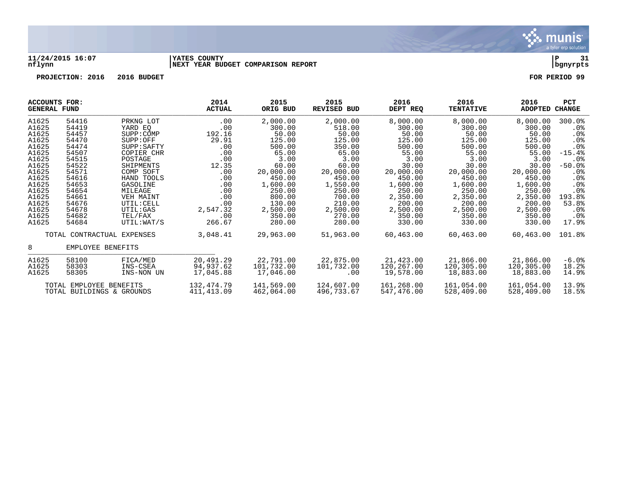

#### **11/24/2015 16:07 |YATES COUNTY |P 31 nflynn |NEXT YEAR BUDGET COMPARISON REPORT |bgnyrpts**

| <b>ACCOUNTS FOR:</b><br><b>GENERAL FUND</b> |                           |                            | 2014<br><b>ACTUAL</b> | 2015<br>ORIG BUD | 2015<br><b>REVISED BUD</b> | 2016<br>DEPT REQ | 2016<br><b>TENTATIVE</b> | 2016<br><b>ADOPTED</b> | PCT<br><b>CHANGE</b> |
|---------------------------------------------|---------------------------|----------------------------|-----------------------|------------------|----------------------------|------------------|--------------------------|------------------------|----------------------|
| A1625                                       | 54416                     | PRKNG LOT                  | .00                   | 2,000.00         | 2,000.00                   | 8,000.00         | 8,000.00                 | 8,000.00               | 300.0%               |
| A1625                                       | 54419                     | YARD EO                    | .00                   | 300.00           | 518.00                     | 300.00           | 300.00                   | 300.00                 | $.0\%$               |
| A1625                                       | 54457                     | SUPP:COMP                  | 192.16                | 50.00            | 50.00                      | 50.00            | 50.00                    | 50.00                  | $.0\%$               |
| A1625                                       | 54470                     | SUPP:OFF                   | 29.91                 | 125.00           | 125.00                     | 125.00           | 125.00                   | 125.00                 | $.0\%$               |
| A1625                                       | 54474                     | SUPP: SAFTY                | .00                   | 500.00           | 350.00                     | 500.00           | 500.00                   | 500.00                 | .0%                  |
| A1625                                       | 54507                     | COPIER CHR                 | .00                   | 65.00            | 65.00                      | 55.00            | 55.00                    | 55.00                  | $-15.4%$             |
| A1625                                       | 54515                     | POSTAGE                    | .00                   | 3.00             | 3.00                       | 3.00             | 3.00                     | 3.00                   | $.0\%$               |
| A1625                                       | 54522                     | SHIPMENTS                  | 12.35                 | 60.00            | 60.00                      | 30.00            | 30.00                    | 30.00                  | $-50.0$ %            |
| A1625                                       | 54571                     | COMP SOFT                  | .00                   | 20,000.00        | 20,000.00                  | 20,000.00        | 20,000.00                | 20,000.00              | $.0\%$               |
| A1625                                       | 54616                     | HAND TOOLS                 | .00                   | 450.00           | 450.00                     | 450.00           | 450.00                   | 450.00                 | $.0\%$               |
| A1625                                       | 54653                     | GASOLINE                   | .00                   | 1,600.00         | 1,550.00                   | 1,600.00         | 1,600.00                 | 1,600.00               | $.0\%$               |
| A1625                                       | 54654                     | MILEAGE                    | .00                   | 250.00           | 250.00                     | 250.00           | 250.00                   | 250.00                 | .0 <sub>8</sub>      |
| A1625                                       | 54661                     | VEH MAINT                  | .00                   | 800.00           | 700.00                     | 2,350.00         | 2,350.00                 | 2,350.00               | 193.8%               |
| A1625                                       | 54676                     | UTIL: CELL                 | .00                   | 130.00           | 210.00                     | 200.00           | 200.00                   | 200.00                 | 53.8%                |
| A1625                                       | 54678                     | UTIL:GAS                   | 2,547.32              | 2,500.00         | 2,500.00                   | 2,500.00         | 2,500.00                 | 2,500.00               | .0%                  |
| A1625                                       | 54682                     | TEL/FAX                    | .00                   | 350.00           | 270.00                     | 350.00           | 350.00                   | 350.00                 | . 0%                 |
| A1625                                       | 54684                     | UTIL: WAT/S                | 266.67                | 280.00           | 280.00                     | 330.00           | 330.00                   | 330.00                 | 17.9%                |
|                                             |                           | TOTAL CONTRACTUAL EXPENSES | 3,048.41              | 29,963.00        | 51,963.00                  | 60,463.00        | 60,463.00                | 60,463.00              | 101.8%               |
| 8                                           | EMPLOYEE BENEFITS         |                            |                       |                  |                            |                  |                          |                        |                      |
| A1625                                       | 58100                     | FICA/MED                   | 20,491.29             | 22,791.00        | 22,875.00                  | 21,423.00        | 21,866.00                | 21,866.00              | $-6.0%$              |
| A1625                                       | 58303                     | INS-CSEA                   | 94,937.62             | 101,732.00       | 101,732.00                 | 120,267.00       | 120,305.00               | 120,305.00             | 18.2%                |
| A1625                                       | 58305                     | INS-NON UN                 | 17,045.88             | 17,046.00        | .00                        | 19,578.00        | 18,883.00                | 18,883.00              | 14.9%                |
|                                             | TOTAL EMPLOYEE BENEFITS   |                            | 132,474.79            | 141,569.00       | 124,607.00                 | 161,268.00       | 161,054.00               | 161,054.00             | 13.9%                |
|                                             | TOTAL BUILDINGS & GROUNDS |                            | 411,413.09            | 462,064.00       | 496,733.67                 | 547,476.00       | 528,409.00               | 528,409.00             | 18.5%                |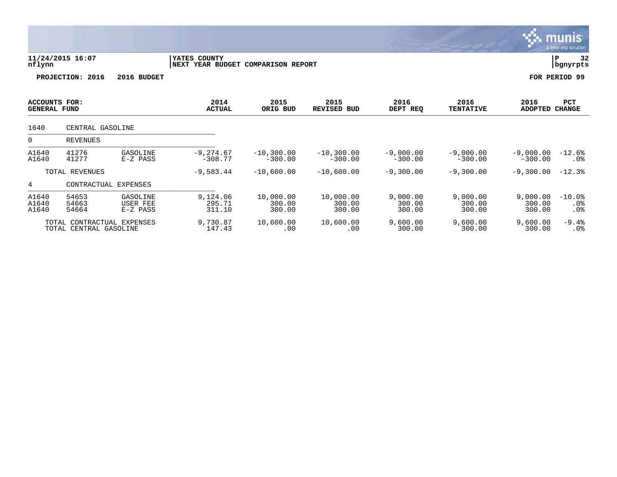|                                             |                                                      |                                  |                                                    |                               |                               |                              |                              |                              | munis<br>a tyler erp solution         |  |
|---------------------------------------------|------------------------------------------------------|----------------------------------|----------------------------------------------------|-------------------------------|-------------------------------|------------------------------|------------------------------|------------------------------|---------------------------------------|--|
| nflynn                                      | 11/24/2015 16:07                                     |                                  | YATES COUNTY<br>NEXT YEAR BUDGET COMPARISON REPORT |                               |                               |                              |                              |                              | 32<br>í ₽<br>bgnyrpts                 |  |
|                                             | PROJECTION:<br>2016                                  | 2016 BUDGET                      |                                                    |                               |                               |                              |                              |                              | FOR PERIOD 99                         |  |
| <b>ACCOUNTS FOR:</b><br><b>GENERAL FUND</b> |                                                      |                                  | 2014<br><b>ACTUAL</b>                              | 2015<br>ORIG BUD              | 2015<br><b>REVISED BUD</b>    | 2016<br>DEPT REQ             | 2016<br><b>TENTATIVE</b>     | 2016<br><b>ADOPTED</b>       | <b>PCT</b><br><b>CHANGE</b>           |  |
| 1640                                        | CENTRAL GASOLINE                                     |                                  |                                                    |                               |                               |                              |                              |                              |                                       |  |
| 0                                           | <b>REVENUES</b>                                      |                                  |                                                    |                               |                               |                              |                              |                              |                                       |  |
| A1640<br>A1640                              | 41276<br>41277                                       | GASOLINE<br>$E-Z$ PASS           | $-9, 274.67$<br>$-308.77$                          | $-10, 300.00$<br>$-300.00$    | $-10, 300.00$<br>$-300.00$    | $-9,000.00$<br>$-300.00$     | $-9,000.00$<br>$-300.00$     | $-9,000.00$<br>$-300.00$     | $-12.6%$<br>. 0 %                     |  |
|                                             | TOTAL REVENUES                                       |                                  | $-9,583.44$                                        | $-10,600.00$                  | $-10,600.00$                  | $-9,300.00$                  | $-9,300.00$                  | $-9,300.00$                  | $-12.3%$                              |  |
| 4                                           | CONTRACTUAL EXPENSES                                 |                                  |                                                    |                               |                               |                              |                              |                              |                                       |  |
| A1640<br>A1640<br>A1640                     | 54653<br>54663<br>54664                              | GASOLINE<br>USER FEE<br>E-Z PASS | 9,124.06<br>295.71<br>311.10                       | 10,000.00<br>300.00<br>300.00 | 10,000.00<br>300.00<br>300.00 | 9,000.00<br>300.00<br>300.00 | 9,000.00<br>300.00<br>300.00 | 9,000.00<br>300.00<br>300.00 | $-10.0%$<br>$.0\%$<br>.0 <sub>8</sub> |  |
|                                             | TOTAL CONTRACTUAL EXPENSES<br>TOTAL CENTRAL GASOLINE |                                  | 9,730.87<br>147.43                                 | 10,600.00<br>.00              | 10,600.00<br>.00              | 9,600.00<br>300.00           | 9,600.00<br>300.00           | 9,600.00<br>300.00           | $-9.4%$<br>.0%                        |  |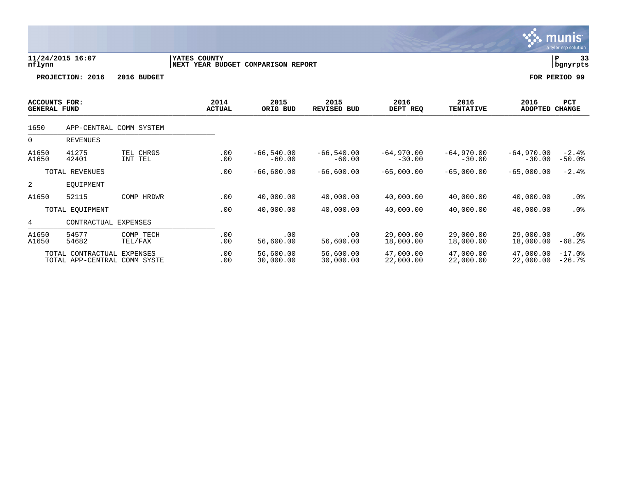|                                             |                                                   |                         |              |                       |                                    |                            |                          |                          |                          | munis<br>a tyler erp solution |
|---------------------------------------------|---------------------------------------------------|-------------------------|--------------|-----------------------|------------------------------------|----------------------------|--------------------------|--------------------------|--------------------------|-------------------------------|
| nflynn                                      | 11/24/2015 16:07                                  |                         | YATES COUNTY |                       | NEXT YEAR BUDGET COMPARISON REPORT |                            |                          |                          |                          | P<br>33<br>  bgnyrpts         |
|                                             | PROJECTION: 2016                                  | 2016 BUDGET             |              |                       |                                    |                            |                          |                          |                          | FOR PERIOD 99                 |
| <b>ACCOUNTS FOR:</b><br><b>GENERAL FUND</b> |                                                   |                         |              | 2014<br><b>ACTUAL</b> | 2015<br>ORIG BUD                   | 2015<br><b>REVISED BUD</b> | 2016<br>DEPT REQ         | 2016<br><b>TENTATIVE</b> | 2016<br><b>ADOPTED</b>   | PCT<br><b>CHANGE</b>          |
| 1650                                        |                                                   | APP-CENTRAL COMM SYSTEM |              |                       |                                    |                            |                          |                          |                          |                               |
| $\mathbf 0$                                 | <b>REVENUES</b>                                   |                         |              |                       |                                    |                            |                          |                          |                          |                               |
| A1650<br>A1650                              | 41275<br>42401                                    | TEL CHRGS<br>INT TEL    |              | .00<br>.00            | $-66, 540.00$<br>$-60.00$          | $-66, 540.00$<br>$-60.00$  | $-64,970.00$<br>$-30.00$ | $-64,970.00$<br>$-30.00$ | $-64,970.00$<br>$-30.00$ | $-2.4%$<br>$-50.0%$           |
|                                             | TOTAL REVENUES                                    |                         |              | .00                   | $-66,600.00$                       | $-66,600.00$               | $-65,000.00$             | $-65,000.00$             | $-65,000.00$             | $-2.4%$                       |
| 2                                           | EOUIPMENT                                         |                         |              |                       |                                    |                            |                          |                          |                          |                               |
| A1650                                       | 52115                                             | COMP HRDWR              |              | .00                   | 40,000.00                          | 40,000.00                  | 40,000.00                | 40,000.00                | 40,000.00                | .0%                           |
|                                             | TOTAL EQUIPMENT                                   |                         |              | .00                   | 40,000.00                          | 40,000.00                  | 40,000.00                | 40,000.00                | 40,000.00                | .0%                           |
| 4                                           | CONTRACTUAL                                       | EXPENSES                |              |                       |                                    |                            |                          |                          |                          |                               |
| A1650<br>A1650                              | 54577<br>54682                                    | COMP TECH<br>TEL/FAX    |              | .00<br>.00            | .00<br>56,600.00                   | .00<br>56,600.00           | 29,000.00<br>18,000.00   | 29,000.00<br>18,000.00   | 29,000.00<br>18,000.00   | $.0\%$<br>$-68.2%$            |
|                                             | TOTAL CONTRACTUAL<br>TOTAL APP-CENTRAL COMM SYSTE | EXPENSES                |              | .00<br>.00            | 56,600.00<br>30,000.00             | 56,600.00<br>30,000.00     | 47,000.00<br>22,000.00   | 47,000.00<br>22,000.00   | 47,000.00<br>22,000.00   | $-17.0%$<br>$-26.7%$          |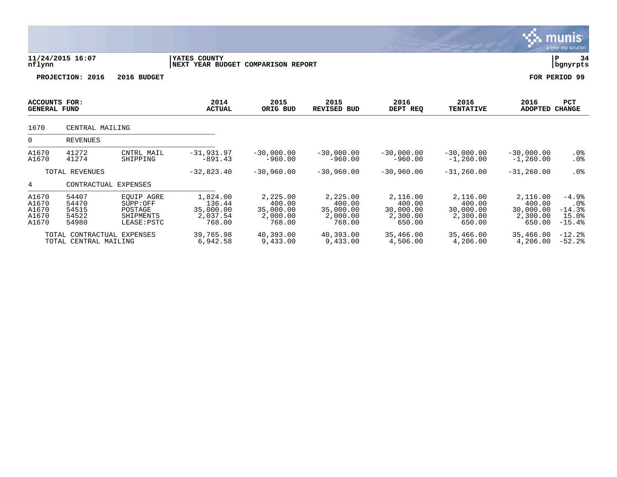|                                           |                                                     |                                                                      |                                                       |                                                       |                                                       |                                                       |                                                       |                                                       | munis<br>a tyler erp solution                               |
|-------------------------------------------|-----------------------------------------------------|----------------------------------------------------------------------|-------------------------------------------------------|-------------------------------------------------------|-------------------------------------------------------|-------------------------------------------------------|-------------------------------------------------------|-------------------------------------------------------|-------------------------------------------------------------|
| nflynn                                    | 11/24/2015 16:07                                    |                                                                      | YATES COUNTY<br>NEXT YEAR BUDGET COMPARISON REPORT    |                                                       |                                                       |                                                       |                                                       |                                                       | l P<br>34<br>  bgnyrpts                                     |
|                                           | PROJECTION: 2016                                    | 2016 BUDGET                                                          |                                                       |                                                       |                                                       |                                                       |                                                       |                                                       | FOR PERIOD 99                                               |
| ACCOUNTS FOR:<br><b>GENERAL FUND</b>      |                                                     |                                                                      | 2014<br><b>ACTUAL</b>                                 | 2015<br>ORIG BUD                                      | 2015<br><b>REVISED BUD</b>                            | 2016<br>DEPT REQ                                      | 2016<br><b>TENTATIVE</b>                              | 2016<br>ADOPTED                                       | <b>PCT</b><br><b>CHANGE</b>                                 |
| 1670                                      | CENTRAL MAILING                                     |                                                                      |                                                       |                                                       |                                                       |                                                       |                                                       |                                                       |                                                             |
| $\Omega$                                  | <b>REVENUES</b>                                     |                                                                      |                                                       |                                                       |                                                       |                                                       |                                                       |                                                       |                                                             |
| A1670<br>A1670                            | 41272<br>41274                                      | CNTRL MAIL<br>SHIPPING                                               | $-31,931.97$<br>$-891.43$                             | $-30,000,00$<br>$-960.00$                             | $-30,000.00$<br>$-960.00$                             | $-30.000.00$<br>$-960.00$                             | $-30.000.00$<br>$-1,260.00$                           | $-30,000,00$<br>$-1, 260, 00$                         | $.0\%$<br>.0%                                               |
|                                           | TOTAL REVENUES                                      |                                                                      | $-32,823.40$                                          | $-30,960.00$                                          | $-30,960.00$                                          | $-30,960.00$                                          | $-31, 260.00$                                         | $-31, 260.00$                                         | .0%                                                         |
| 4                                         | CONTRACTUAL EXPENSES                                |                                                                      |                                                       |                                                       |                                                       |                                                       |                                                       |                                                       |                                                             |
| A1670<br>A1670<br>A1670<br>A1670<br>A1670 | 54407<br>54470<br>54515<br>54522<br>54980           | <b>EOUIP AGRE</b><br>SUPP:OFF<br>POSTAGE<br>SHIPMENTS<br>LEASE: PSTC | 1,824.00<br>136.44<br>35,000.00<br>2,037.54<br>768.00 | 2,225.00<br>400.00<br>35,000.00<br>2,000.00<br>768.00 | 2,225.00<br>400.00<br>35,000.00<br>2,000.00<br>768.00 | 2,116.00<br>400.00<br>30,000.00<br>2,300.00<br>650.00 | 2,116.00<br>400.00<br>30,000.00<br>2,300.00<br>650.00 | 2,116.00<br>400.00<br>30,000.00<br>2,300.00<br>650.00 | $-4.9%$<br>.0 <sub>8</sub><br>$-14.3%$<br>15.0%<br>$-15.4%$ |
|                                           | TOTAL CONTRACTUAL EXPENSES<br>TOTAL CENTRAL MAILING |                                                                      | 39,765.98<br>6,942.58                                 | 40,393.00<br>9,433.00                                 | 40,393.00<br>9,433.00                                 | 35,466.00<br>4,506.00                                 | 35,466.00<br>4,206.00                                 | 35,466.00<br>4,206.00                                 | $-12.2$<br>$-52.2$                                          |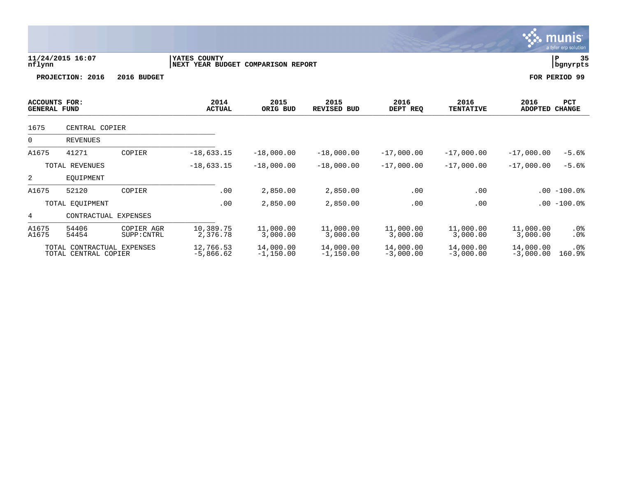| nflynn                                      |                      |                           | YATES COUNTY                       |                       |                            |                       |                          |                        |                      |
|---------------------------------------------|----------------------|---------------------------|------------------------------------|-----------------------|----------------------------|-----------------------|--------------------------|------------------------|----------------------|
|                                             | 11/24/2015 16:07     |                           | NEXT YEAR BUDGET COMPARISON REPORT |                       |                            |                       |                          |                        | 35<br>P<br>bgnyrpts  |
|                                             | PROJECTION: 2016     | 2016 BUDGET               |                                    |                       |                            |                       |                          |                        | FOR PERIOD 99        |
| <b>ACCOUNTS FOR:</b><br><b>GENERAL FUND</b> |                      |                           | 2014<br><b>ACTUAL</b>              | 2015<br>ORIG BUD      | 2015<br><b>REVISED BUD</b> | 2016<br>DEPT REQ      | 2016<br><b>TENTATIVE</b> | 2016<br><b>ADOPTED</b> | PCT<br><b>CHANGE</b> |
| 1675                                        | CENTRAL COPIER       |                           |                                    |                       |                            |                       |                          |                        |                      |
| 0                                           | <b>REVENUES</b>      |                           |                                    |                       |                            |                       |                          |                        |                      |
| A1675                                       | 41271                | COPIER                    | $-18,633.15$                       | $-18,000.00$          | $-18,000.00$               | $-17,000.00$          | $-17,000.00$             | $-17,000.00$           | $-5.6%$              |
|                                             | TOTAL REVENUES       |                           | $-18,633.15$                       | $-18,000.00$          | $-18,000.00$               | $-17,000.00$          | $-17,000.00$             | $-17,000.00$           | $-5.6%$              |
| $\overline{a}$                              | EQUIPMENT            |                           |                                    |                       |                            |                       |                          |                        |                      |
| A1675                                       | 52120                | COPIER                    | .00                                | 2,850.00              | 2,850.00                   | .00                   | .00                      |                        | $.00 - 100.0$        |
|                                             | TOTAL EQUIPMENT      |                           | .00                                | 2,850.00              | 2,850.00                   | .00                   | .00                      |                        | $.00 - 100.0$        |
| 4                                           | CONTRACTUAL EXPENSES |                           |                                    |                       |                            |                       |                          |                        |                      |
| A1675<br>A1675                              | 54406<br>54454       | COPIER AGR<br>SUPP: CNTRL | 10,389.75<br>2,376.78              | 11,000.00<br>3,000.00 | 11,000.00<br>3,000.00      | 11,000.00<br>3,000.00 | 11,000.00<br>3,000.00    | 11,000.00<br>3,000.00  | $.0\%$<br>.0%        |

TOTAL CONTRACTUAL EXPENSES 12,766.53 14,000.00 14,000.00 14,000.00 14,000.00 14,000.00 .0%

TOTAL CENTRAL COPIER -5,866.62 -1,150.00 -1,150.00 -3,000.00 -3,000.00 -3,000.00 160.9%

 $\ddot{\ddot{\mathbf{u}}}$  munis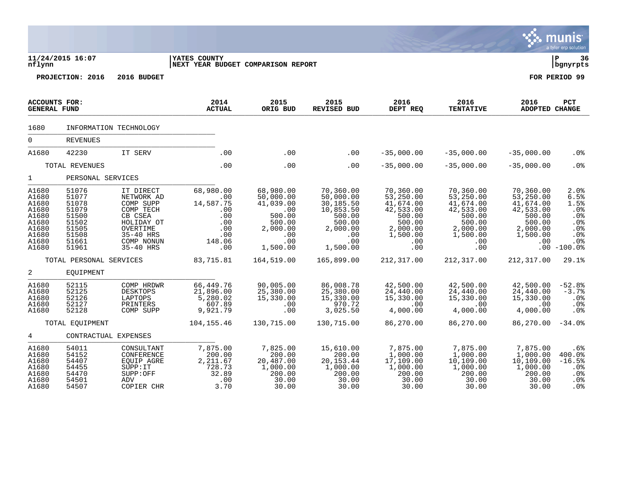|                                                                                        |                                                                                        |                                                                                                                                |                                                                                   |                                                                                                      |                                                                                                            |                                                                                                            |                                                                                                            |                                                                                                     | a tyler erp solution                                                                           |
|----------------------------------------------------------------------------------------|----------------------------------------------------------------------------------------|--------------------------------------------------------------------------------------------------------------------------------|-----------------------------------------------------------------------------------|------------------------------------------------------------------------------------------------------|------------------------------------------------------------------------------------------------------------|------------------------------------------------------------------------------------------------------------|------------------------------------------------------------------------------------------------------------|-----------------------------------------------------------------------------------------------------|------------------------------------------------------------------------------------------------|
| nflynn                                                                                 | 11/24/2015 16:07                                                                       |                                                                                                                                | YATES COUNTY<br>NEXT YEAR BUDGET COMPARISON REPORT                                |                                                                                                      |                                                                                                            |                                                                                                            |                                                                                                            |                                                                                                     | l P<br>36<br>  bgnyrpts                                                                        |
|                                                                                        | PROJECTION: 2016                                                                       | 2016 BUDGET                                                                                                                    |                                                                                   |                                                                                                      |                                                                                                            |                                                                                                            |                                                                                                            |                                                                                                     | FOR PERIOD 99                                                                                  |
| <b>ACCOUNTS FOR:</b><br><b>GENERAL FUND</b>                                            |                                                                                        |                                                                                                                                | 2014<br><b>ACTUAL</b>                                                             | 2015<br>ORIG BUD                                                                                     | 2015<br><b>REVISED BUD</b>                                                                                 | 2016<br>DEPT REQ                                                                                           | 2016<br><b>TENTATIVE</b>                                                                                   | 2016<br>ADOPTED CHANGE                                                                              | PCT                                                                                            |
| 1680                                                                                   |                                                                                        | INFORMATION TECHNOLOGY                                                                                                         |                                                                                   |                                                                                                      |                                                                                                            |                                                                                                            |                                                                                                            |                                                                                                     |                                                                                                |
| $\mathbf 0$                                                                            | <b>REVENUES</b>                                                                        |                                                                                                                                |                                                                                   |                                                                                                      |                                                                                                            |                                                                                                            |                                                                                                            |                                                                                                     |                                                                                                |
| A1680                                                                                  | 42230                                                                                  | IT SERV                                                                                                                        | .00                                                                               | .00                                                                                                  | .00                                                                                                        | $-35,000.00$                                                                                               | $-35,000.00$                                                                                               | $-35,000.00$                                                                                        | .0 <sub>8</sub>                                                                                |
|                                                                                        | TOTAL REVENUES                                                                         |                                                                                                                                | .00                                                                               | .00                                                                                                  | .00                                                                                                        | $-35,000.00$                                                                                               | $-35,000.00$                                                                                               | $-35,000.00$                                                                                        | .0 <sub>8</sub>                                                                                |
| $\mathbf{1}$                                                                           | PERSONAL SERVICES                                                                      |                                                                                                                                |                                                                                   |                                                                                                      |                                                                                                            |                                                                                                            |                                                                                                            |                                                                                                     |                                                                                                |
| A1680<br>A1680<br>A1680<br>A1680<br>A1680<br>A1680<br>A1680<br>A1680<br>A1680<br>A1680 | 51076<br>51077<br>51078<br>51079<br>51500<br>51502<br>51505<br>51508<br>51661<br>51961 | IT DIRECT<br>NETWORK AD<br>COMP SUPP<br>COMP TECH<br>CB CSEA<br>HOLIDAY OT<br>OVERTIME<br>35-40 HRS<br>COMP NONUN<br>35-40 HRS | 68,980.00<br>.00<br>14,587.75<br>.00<br>.00<br>.00<br>.00<br>.00<br>148.06<br>.00 | 68,980.00<br>50,000.00<br>41,039.00<br>.00<br>500.00<br>500.00<br>2,000.00<br>.00<br>.00<br>1,500.00 | 70,360.00<br>50,000.00<br>30,185.50<br>10,853.50<br>500.00<br>500.00<br>2,000.00<br>.00<br>.00<br>1,500.00 | 70,360.00<br>53,250.00<br>41,674.00<br>42,533.00<br>500.00<br>500.00<br>2,000.00<br>1,500.00<br>.00<br>.00 | 70,360.00<br>53,250.00<br>41,674.00<br>42,533.00<br>500.00<br>500.00<br>2,000.00<br>1,500.00<br>.00<br>.00 | 70,360.00<br>53,250.00<br>41,674.00<br>42,533.00<br>500.00<br>500.00<br>2,000.00<br>1,500.00<br>.00 | 2.0%<br>6.5%<br>1.5%<br>.0%<br>$.0\%$<br>.0%<br>.0%<br>.0%<br>.0 <sub>8</sub><br>$.00 - 100.0$ |
|                                                                                        | TOTAL PERSONAL SERVICES                                                                |                                                                                                                                | 83,715.81                                                                         | 164,519.00                                                                                           | 165,899.00                                                                                                 | 212,317.00                                                                                                 | 212, 317.00                                                                                                | 212,317.00                                                                                          | 29.1%                                                                                          |
| $\overline{2}$                                                                         | EOUIPMENT                                                                              |                                                                                                                                |                                                                                   |                                                                                                      |                                                                                                            |                                                                                                            |                                                                                                            |                                                                                                     |                                                                                                |
| A1680<br>A1680<br>A1680<br>A1680<br>A1680                                              | 52115<br>52125<br>52126<br>52127<br>52128                                              | COMP HRDWR<br><b>DESKTOPS</b><br>LAPTOPS<br>PRINTERS<br>COMP SUPP                                                              | 66, 449.76<br>21,896.00<br>5,280.02<br>607.89<br>9,921.79                         | 90,005.00<br>25,380.00<br>15,330.00<br>.00<br>.00                                                    | 86,008.78<br>25,380.00<br>15,330.00<br>970.72<br>3,025.50                                                  | 42,500.00<br>24,440.00<br>15,330.00<br>.00<br>4,000.00                                                     | 42,500.00<br>24,440.00<br>15,330.00<br>$.00 \,$<br>4,000.00                                                | 42,500.00<br>24,440.00<br>15,330.00<br>.00<br>4,000.00                                              | $-52.8%$<br>$-3.7%$<br>.0%<br>$.0\%$<br>.0%                                                    |
|                                                                                        | TOTAL EOUIPMENT                                                                        |                                                                                                                                | 104,155.46                                                                        | 130,715.00                                                                                           | 130,715.00                                                                                                 | 86,270.00                                                                                                  | 86,270.00                                                                                                  | 86,270.00                                                                                           | $-34.0%$                                                                                       |
| 4                                                                                      | CONTRACTUAL EXPENSES                                                                   |                                                                                                                                |                                                                                   |                                                                                                      |                                                                                                            |                                                                                                            |                                                                                                            |                                                                                                     |                                                                                                |
| A1680<br>A1680<br>A1680<br>A1680<br>A1680<br>A1680<br>A1680                            | 54011<br>54152<br>54407<br>54455<br>54470<br>54501<br>54507                            | CONSULTANT<br>CONFERENCE<br>EQUIP AGRE<br>SUPP:IT<br>SUPP:OFF<br>ADV<br>COPIER CHR                                             | 7,875.00<br>200.00<br>2,211.67<br>728.73<br>32.89<br>.00<br>3.70                  | 7,825.00<br>200.00<br>20,487.00<br>1,000.00<br>200.00<br>30.00<br>30.00                              | 15,610.00<br>200.00<br>20, 153. 44<br>1,000.00<br>200.00<br>30.00<br>30.00                                 | 7,875.00<br>1,000.00<br>17,109.00<br>1,000.00<br>200.00<br>30.00<br>30.00                                  | 7,875.00<br>1,000.00<br>10, 109.00<br>1,000.00<br>200.00<br>30.00<br>30.00                                 | 7,875.00<br>1,000.00<br>10,109.00<br>1,000.00<br>200.00<br>30.00<br>30.00                           | .6%<br>400.0%<br>$-16.5%$<br>.0 <sub>8</sub><br>.0%<br>.0%<br>.0 <sub>8</sub>                  |

 $\ddot{\mathbf{w}}$  munis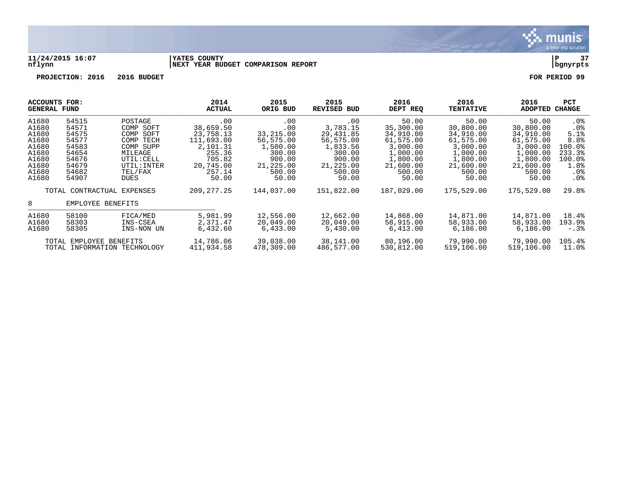

### **11/24/2015 16:07 |YATES COUNTY |P 37 nflynn |NEXT YEAR BUDGET COMPARISON REPORT |bgnyrpts**

| ACCOUNTS FOR:<br>GENERAL FUND |                              |             | 2014<br><b>ACTUAL</b> | 2015<br>ORIG BUD | 2015<br><b>REVISED BUD</b> | 2016<br>DEPT REQ | 2016<br><b>TENTATIVE</b> | 2016<br>ADOPTED | <b>PCT</b><br><b>CHANGE</b> |
|-------------------------------|------------------------------|-------------|-----------------------|------------------|----------------------------|------------------|--------------------------|-----------------|-----------------------------|
| A1680                         | 54515                        | POSTAGE     | $.00 \ \rm$           | $.00 \,$         | .00                        | 50.00            | 50.00                    | 50.00           | $.0\%$                      |
| A1680                         | 54571                        | COMP SOFT   | 38,659.50             | .00              | 3,783.15                   | 35,300.00        | 30,800.00                | 30,800.00       | .0 <sub>8</sub>             |
| A1680                         | 54575                        | COMP SOFT   | 23,758.13             | 33,215.00        | 29,431.85                  | 34,910.00        | 34,910.00                | 34,910.00       | 5.1%                        |
| A1680                         | 54577                        | COMP TECH   | 111,693.00            | 56,575.00        | 56,575.00                  | 61,575.00        | 61,575.00                | 61,575.00       | 8.8%                        |
| A1680                         | 54583                        | COMP SUPP   | 2,101.31              | 1,500.00         | 1,833.56                   | 3,000.00         | 3,000.00                 | 3,000.00        | $100.0$ <sup>8</sup>        |
| A1680                         | 54654                        | MILEAGE     | 255.36                | 300.00           | 300.00                     | 1,000.00         | 1,000.00                 | 1,000.00        | 233.3%                      |
| A1680                         | 54676                        | UTIL: CELL  | 705.82                | 900.00           | 900.00                     | 1,800.00         | 1,800.00                 | 1,800.00        | 100.0%                      |
| A1680                         | 54679                        | UTIL: INTER | 20,745.00             | 21,225.00        | 21,225.00                  | 21,600.00        | 21,600.00                | 21,600.00       | 1.8%                        |
| A1680                         | 54682                        | TEL/FAX     | 257.14                | 500.00           | 500.00                     | 500.00           | 500.00                   | 500.00          | .0%                         |
| A1680                         | 54907                        | <b>DUES</b> | 50.00                 | 50.00            | 50.00                      | 50.00            | 50.00                    | 50.00           | $.0\%$                      |
|                               | TOTAL CONTRACTUAL EXPENSES   |             | 209, 277. 25          | 144,037.00       | 151,822.00                 | 187,029.00       | 175,529.00               | 175,529.00      | 29.8%                       |
| 8                             | EMPLOYEE BENEFITS            |             |                       |                  |                            |                  |                          |                 |                             |
| A1680                         | 58100                        | FICA/MED    | 5,981.99              | 12,556.00        | 12,662.00                  | 14,868.00        | 14,871.00                | 14,871.00       | 18.4%                       |
| A1680                         | 58303                        | INS-CSEA    | 2,371.47              | 20,049.00        | 20,049.00                  | 58,915.00        | 58,933.00                | 58,933.00       | 193.9%                      |
| A1680                         | 58305                        | INS-NON UN  | 6,432.60              | 6,433.00         | 5,430.00                   | 6,413.00         | 6,186.00                 | 6,186.00        | $-0.38$                     |
|                               | TOTAL EMPLOYEE BENEFITS      |             | 14,786.06             | 39,038.00        | 38,141.00                  | 80,196.00        | 79,990.00                | 79,990.00       | 105.4%                      |
|                               | TOTAL INFORMATION TECHNOLOGY |             | 411,934.58            | 478,309.00       | 486,577.00                 | 530,812.00       | 519,106.00               | 519,106.00      | 11.0%                       |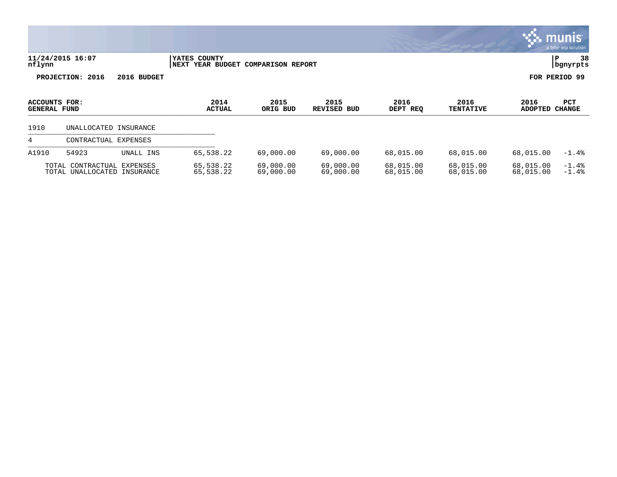|                                             |                                                 |             |                                            |                          |                            |                        |                          |                        | <b>munis</b><br>a tyler erp solution |
|---------------------------------------------|-------------------------------------------------|-------------|--------------------------------------------|--------------------------|----------------------------|------------------------|--------------------------|------------------------|--------------------------------------|
| nflynn                                      | 11/24/2015 16:07                                |             | YATES COUNTY<br>NEXT<br><b>YEAR BUDGET</b> | <b>COMPARISON REPORT</b> |                            |                        |                          |                        | 38<br>ΙP<br>  bgnyrpts               |
|                                             | PROJECTION: 2016                                | 2016 BUDGET |                                            |                          |                            |                        |                          |                        | FOR PERIOD 99                        |
| <b>ACCOUNTS FOR:</b><br><b>GENERAL FUND</b> |                                                 |             | 2014<br><b>ACTUAL</b>                      | 2015<br>ORIG BUD         | 2015<br><b>REVISED BUD</b> | 2016<br>DEPT REQ       | 2016<br><b>TENTATIVE</b> | 2016<br><b>ADOPTED</b> | PCT<br><b>CHANGE</b>                 |
| 1910                                        | UNALLOCATED                                     | INSURANCE   |                                            |                          |                            |                        |                          |                        |                                      |
| 4                                           | CONTRACTUAL                                     | EXPENSES    |                                            |                          |                            |                        |                          |                        |                                      |
| A1910                                       | 54923                                           | UNALL INS   | 65,538.22                                  | 69,000.00                | 69,000.00                  | 68,015.00              | 68,015.00                | 68,015.00              | $-1.4%$                              |
|                                             | TOTAL CONTRACTUAL EXPENSES<br>TOTAL UNALLOCATED | INSURANCE   | 65,538.22<br>65,538.22                     | 69,000.00<br>69,000.00   | 69,000.00<br>69,000.00     | 68,015.00<br>68,015.00 | 68,015.00<br>68,015.00   | 68,015.00<br>68,015.00 | $-1.4%$<br>$-1.4%$                   |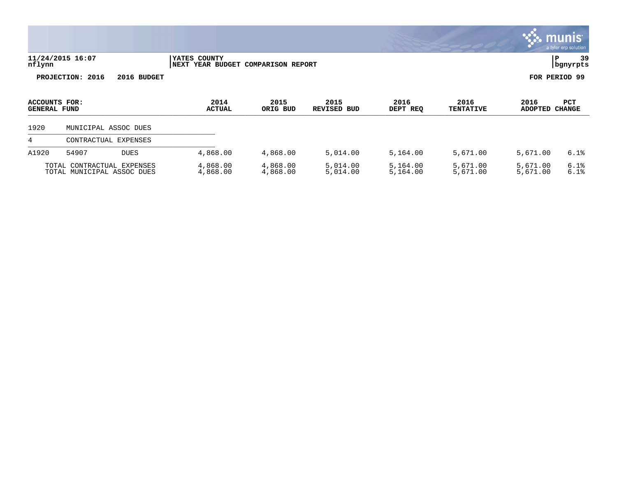|                                      |                                                          |                      |                                            |                          |                            |                      |                          |                        | $\overline{\mathsf{m} \mathsf{u}}$ nıs $\overline{\ }$<br>a tyler erp solution |
|--------------------------------------|----------------------------------------------------------|----------------------|--------------------------------------------|--------------------------|----------------------------|----------------------|--------------------------|------------------------|--------------------------------------------------------------------------------|
| nflynn                               | 11/24/2015 16:07                                         |                      | YATES COUNTY<br>NEXT<br><b>YEAR BUDGET</b> | <b>COMPARISON REPORT</b> |                            |                      |                          | ΙP                     | 39<br>bgnyrpts                                                                 |
|                                      | PROJECTION: 2016                                         | 2016 BUDGET          |                                            |                          |                            |                      |                          | FOR PERIOD 99          |                                                                                |
| ACCOUNTS FOR:<br><b>GENERAL FUND</b> |                                                          |                      | 2014<br><b>ACTUAL</b>                      | 2015<br>ORIG BUD         | 2015<br><b>REVISED BUD</b> | 2016<br>DEPT REQ     | 2016<br><b>TENTATIVE</b> | 2016<br>ADOPTED CHANGE | <b>PCT</b>                                                                     |
| 1920                                 |                                                          | MUNICIPAL ASSOC DUES |                                            |                          |                            |                      |                          |                        |                                                                                |
| 4                                    | CONTRACTUAL                                              | EXPENSES             |                                            |                          |                            |                      |                          |                        |                                                                                |
| A1920                                | 54907                                                    | <b>DUES</b>          | 4,868.00                                   | 4,868.00                 | 5,014.00                   | 5,164.00             | 5,671.00                 | 5,671.00               | 6.1%                                                                           |
|                                      | TOTAL CONTRACTUAL EXPENSES<br>TOTAL MUNICIPAL ASSOC DUES |                      | 4,868.00<br>4,868.00                       | 4,868.00<br>4,868.00     | 5,014.00<br>5,014.00       | 5,164.00<br>5,164.00 | 5,671.00<br>5,671.00     | 5,671.00<br>5,671.00   | 6.1%<br>6.1%                                                                   |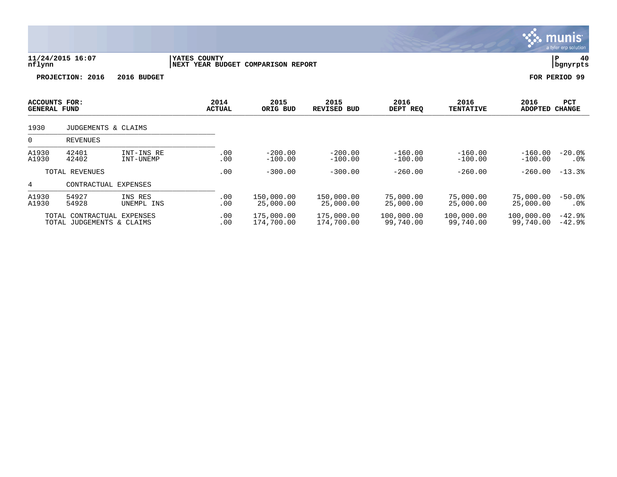|                                      |                                                |                         |              |                       |                                    |                            |                         |                          |                         | munis <sup>.</sup><br>a tyler erp solution |
|--------------------------------------|------------------------------------------------|-------------------------|--------------|-----------------------|------------------------------------|----------------------------|-------------------------|--------------------------|-------------------------|--------------------------------------------|
| nflynn                               | 11/24/2015 16:07                               |                         | YATES COUNTY |                       | NEXT YEAR BUDGET COMPARISON REPORT |                            |                         |                          |                         | P<br>40<br>bgnyrpts                        |
|                                      | PROJECTION: 2016                               | 2016 BUDGET             |              |                       |                                    |                            |                         |                          |                         | FOR PERIOD 99                              |
| ACCOUNTS FOR:<br><b>GENERAL FUND</b> |                                                |                         |              | 2014<br><b>ACTUAL</b> | 2015<br>ORIG BUD                   | 2015<br><b>REVISED BUD</b> | 2016<br>DEPT REQ        | 2016<br><b>TENTATIVE</b> | 2016<br>ADOPTED         | <b>PCT</b><br><b>CHANGE</b>                |
| 1930                                 | JUDGEMENTS & CLAIMS                            |                         |              |                       |                                    |                            |                         |                          |                         |                                            |
| $\mathbf 0$                          | <b>REVENUES</b>                                |                         |              |                       |                                    |                            |                         |                          |                         |                                            |
| A1930<br>A1930                       | 42401<br>42402                                 | INT-INS RE<br>INT-UNEMP |              | .00<br>.00            | $-200.00$<br>$-100.00$             | $-200.00$<br>$-100.00$     | $-160.00$<br>$-100.00$  | $-160.00$<br>$-100.00$   | $-160.00$<br>$-100.00$  | $-20.0%$<br>$.0\%$                         |
|                                      | TOTAL REVENUES                                 |                         |              | .00                   | $-300.00$                          | $-300.00$                  | $-260.00$               | $-260.00$                | $-260.00$               | $-13.3%$                                   |
| 4                                    |                                                | CONTRACTUAL EXPENSES    |              |                       |                                    |                            |                         |                          |                         |                                            |
| A1930<br>A1930                       | 54927<br>54928                                 | INS RES<br>UNEMPL INS   |              | .00<br>.00            | 150,000.00<br>25,000.00            | 150,000.00<br>25,000.00    | 75,000.00<br>25,000.00  | 75,000.00<br>25,000.00   | 75,000.00<br>25,000.00  | $-50.0%$<br>$.0\%$                         |
|                                      | TOTAL CONTRACTUAL<br>TOTAL JUDGEMENTS & CLAIMS | <b>EXPENSES</b>         |              | .00<br>.00            | 175,000.00<br>174,700.00           | 175,000.00<br>174,700.00   | 100,000.00<br>99,740.00 | 100,000.00<br>99,740.00  | 100,000.00<br>99,740.00 | $-42.9%$<br>$-42.9%$                       |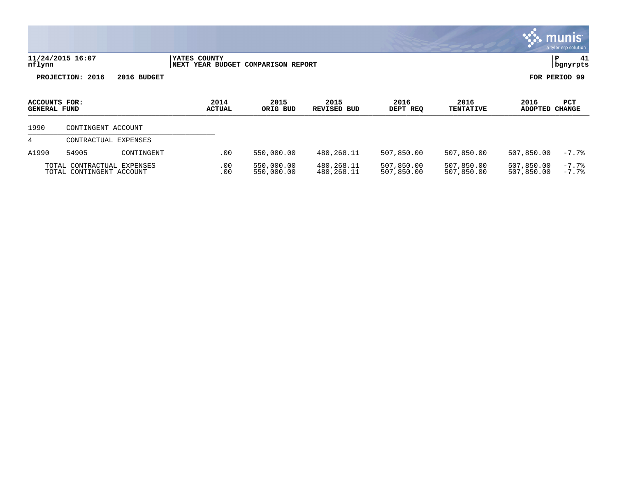|                                      |                                                        |             |              |                       |                                    |                            |                          |                          |                          | <b>munis</b><br>a tyler erp solution |
|--------------------------------------|--------------------------------------------------------|-------------|--------------|-----------------------|------------------------------------|----------------------------|--------------------------|--------------------------|--------------------------|--------------------------------------|
| nflynn                               | 11/24/2015 16:07                                       |             | YATES COUNTY |                       | NEXT YEAR BUDGET COMPARISON REPORT |                            |                          |                          |                          | 41<br>∣P<br>bgnyrpts                 |
|                                      | PROJECTION: 2016                                       | 2016 BUDGET |              |                       |                                    |                            |                          |                          |                          | FOR PERIOD 99                        |
| ACCOUNTS FOR:<br><b>GENERAL FUND</b> |                                                        |             |              | 2014<br><b>ACTUAL</b> | 2015<br>ORIG BUD                   | 2015<br><b>REVISED BUD</b> | 2016<br>DEPT REQ         | 2016<br><b>TENTATIVE</b> | 2016<br>ADOPTED CHANGE   | <b>PCT</b>                           |
| 1990                                 | CONTINGENT ACCOUNT                                     |             |              |                       |                                    |                            |                          |                          |                          |                                      |
| 4                                    | CONTRACTUAL EXPENSES                                   |             |              |                       |                                    |                            |                          |                          |                          |                                      |
| A1990                                | 54905                                                  | CONTINGENT  |              | .00                   | 550,000.00                         | 480,268.11                 | 507,850.00               | 507,850.00               | 507,850.00               | $-7.7%$                              |
|                                      | TOTAL CONTRACTUAL EXPENSES<br>TOTAL CONTINGENT ACCOUNT |             |              | .00<br>.00            | 550,000.00<br>550,000.00           | 480,268.11<br>480,268.11   | 507,850.00<br>507,850.00 | 507,850.00<br>507,850.00 | 507,850.00<br>507,850.00 | $-7.7%$<br>$-7.7%$                   |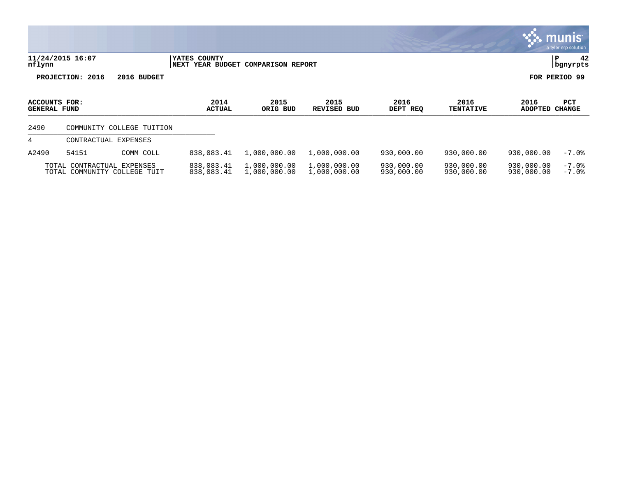|                                      |                                                            |                                                    |                              |                              |                          |                          |                          | munis <sup>®</sup><br>a tyler erp solution |
|--------------------------------------|------------------------------------------------------------|----------------------------------------------------|------------------------------|------------------------------|--------------------------|--------------------------|--------------------------|--------------------------------------------|
| nflynn                               | 11/24/2015 16:07                                           | YATES COUNTY<br>NEXT YEAR BUDGET COMPARISON REPORT |                              |                              |                          |                          |                          | 42<br>İР.<br>  bgnyrpts                    |
|                                      | PROJECTION: 2016<br>2016 BUDGET                            |                                                    |                              |                              |                          |                          |                          | FOR PERIOD 99                              |
| ACCOUNTS FOR:<br><b>GENERAL FUND</b> |                                                            | 2014<br><b>ACTUAL</b>                              | 2015<br>ORIG BUD             | 2015<br><b>REVISED BUD</b>   | 2016<br>DEPT REQ         | 2016<br><b>TENTATIVE</b> | 2016<br><b>ADOPTED</b>   | <b>PCT</b><br><b>CHANGE</b>                |
| 2490                                 | COMMUNITY COLLEGE TUITION                                  |                                                    |                              |                              |                          |                          |                          |                                            |
| 4                                    | CONTRACTUAL EXPENSES                                       |                                                    |                              |                              |                          |                          |                          |                                            |
| A2490                                | 54151<br>COMM COLL                                         | 838,083.41                                         | 1,000,000.00                 | 1,000,000.00                 | 930,000.00               | 930,000.00               | 930,000.00               | $-7.0%$                                    |
|                                      | TOTAL CONTRACTUAL EXPENSES<br>TOTAL COMMUNITY COLLEGE TUIT | 838,083.41<br>838,083.41                           | 1,000,000.00<br>1,000,000.00 | 1,000,000.00<br>1,000,000.00 | 930,000.00<br>930,000.00 | 930,000.00<br>930,000.00 | 930,000.00<br>930,000.00 | $-7.0$ $8$<br>$-7.0$ $8$                   |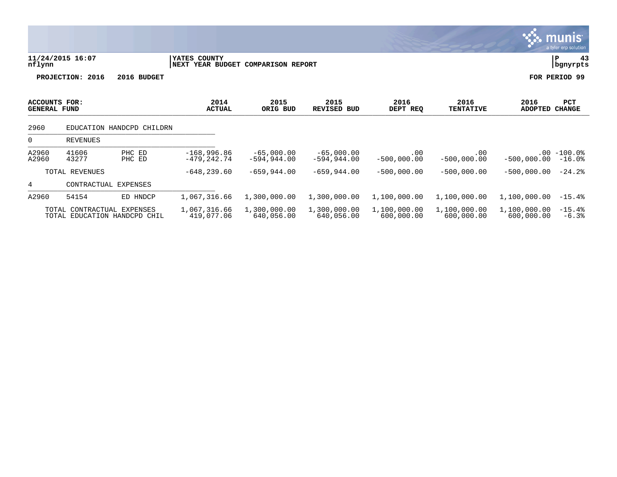|                                             |                      |                                          |                                                    |                                |                                |                            |                            |                            | <u>munis </u><br>a tyler erp solution |
|---------------------------------------------|----------------------|------------------------------------------|----------------------------------------------------|--------------------------------|--------------------------------|----------------------------|----------------------------|----------------------------|---------------------------------------|
| nflynn                                      | 11/24/2015 16:07     |                                          | YATES COUNTY<br>NEXT YEAR BUDGET COMPARISON REPORT |                                |                                |                            |                            |                            | 43<br>P<br>bgnyrpts                   |
|                                             | PROJECTION: 2016     | 2016 BUDGET                              |                                                    |                                |                                |                            |                            |                            | FOR PERIOD 99                         |
| <b>ACCOUNTS FOR:</b><br><b>GENERAL FUND</b> |                      |                                          | 2014<br><b>ACTUAL</b>                              | 2015<br>ORIG BUD               | 2015<br><b>REVISED BUD</b>     | 2016<br>DEPT REQ           | 2016<br><b>TENTATIVE</b>   | 2016<br><b>ADOPTED</b>     | PCT<br><b>CHANGE</b>                  |
| 2960                                        |                      | EDUCATION HANDCPD CHILDRN                |                                                    |                                |                                |                            |                            |                            |                                       |
| 0                                           | <b>REVENUES</b>      |                                          |                                                    |                                |                                |                            |                            |                            |                                       |
| A2960<br>A2960                              | 41606<br>43277       | PHC ED<br>PHC ED                         | $-168,996.86$<br>$-479, 242.74$                    | $-65,000.00$<br>$-594, 944.00$ | $-65,000.00$<br>$-594, 944.00$ | .00<br>$-500,000.00$       | .00<br>$-500,000.00$       | $-500,000.00$              | $.00 - 100.0$<br>$-16.0%$             |
|                                             | TOTAL REVENUES       |                                          | $-648, 239.60$                                     | $-659,944.00$                  | $-659,944.00$                  | $-500,000.00$              | $-500,000.00$              | $-500,000.00$              | $-24.2$ °                             |
| 4                                           | CONTRACTUAL EXPENSES |                                          |                                                    |                                |                                |                            |                            |                            |                                       |
| A2960                                       | 54154                | ED HNDCP                                 | 1,067,316.66                                       | 1,300,000.00                   | 1,300,000.00                   | 1,100,000.00               | 1,100,000.00               | 1,100,000.00               | $-15.4%$                              |
|                                             | TOTAL CONTRACTUAL    | EXPENSES<br>TOTAL EDUCATION HANDCPD CHIL | 1,067,316.66<br>419,077.06                         | 1,300,000.00<br>640,056.00     | 1,300,000.00<br>640,056.00     | 1,100,000.00<br>600,000.00 | 1,100,000.00<br>600,000.00 | 1,100,000.00<br>600,000.00 | $-15.4%$<br>$-6.3%$                   |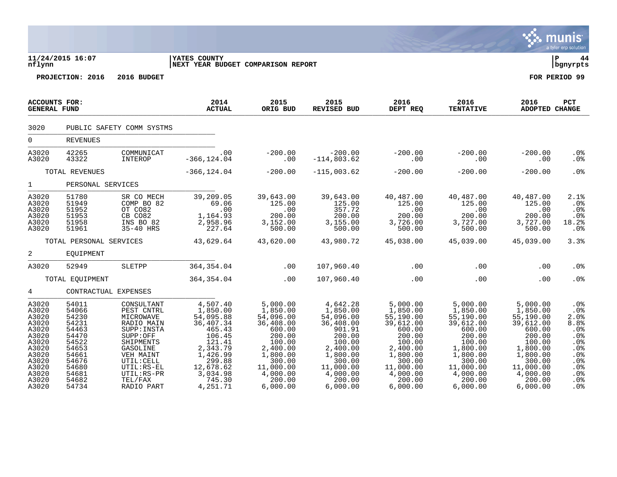|                                                                                                                            |                                                                                                                            |                                                                                                                                                                                         |                                                                                                                                                                   |                                                                                                                                                                               |                                                                                                                                                                               |                                                                                                                                                               |                                                                                                                                                                  |                                                                                                                                                                | <b>munis</b><br>a tyler erp solution                                                                                                 |
|----------------------------------------------------------------------------------------------------------------------------|----------------------------------------------------------------------------------------------------------------------------|-----------------------------------------------------------------------------------------------------------------------------------------------------------------------------------------|-------------------------------------------------------------------------------------------------------------------------------------------------------------------|-------------------------------------------------------------------------------------------------------------------------------------------------------------------------------|-------------------------------------------------------------------------------------------------------------------------------------------------------------------------------|---------------------------------------------------------------------------------------------------------------------------------------------------------------|------------------------------------------------------------------------------------------------------------------------------------------------------------------|----------------------------------------------------------------------------------------------------------------------------------------------------------------|--------------------------------------------------------------------------------------------------------------------------------------|
| nflynn                                                                                                                     | 11/24/2015 16:07                                                                                                           |                                                                                                                                                                                         | YATES COUNTY<br>NEXT YEAR BUDGET COMPARISON REPORT                                                                                                                |                                                                                                                                                                               |                                                                                                                                                                               |                                                                                                                                                               |                                                                                                                                                                  |                                                                                                                                                                | ∣ P<br>  bgnyrpts                                                                                                                    |
|                                                                                                                            | PROJECTION: 2016                                                                                                           | 2016 BUDGET                                                                                                                                                                             |                                                                                                                                                                   |                                                                                                                                                                               |                                                                                                                                                                               |                                                                                                                                                               |                                                                                                                                                                  |                                                                                                                                                                | FOR PERIOD 99                                                                                                                        |
| <b>ACCOUNTS FOR:</b><br><b>GENERAL FUND</b>                                                                                |                                                                                                                            |                                                                                                                                                                                         | 2014<br><b>ACTUAL</b>                                                                                                                                             | 2015<br>ORIG BUD                                                                                                                                                              | 2015<br>REVISED BUD                                                                                                                                                           | 2016<br>DEPT REQ                                                                                                                                              | 2016<br><b>TENTATIVE</b>                                                                                                                                         | 2016<br>ADOPTED CHANGE                                                                                                                                         | PCT                                                                                                                                  |
| 3020                                                                                                                       | PUBLIC SAFETY COMM SYSTMS                                                                                                  |                                                                                                                                                                                         |                                                                                                                                                                   |                                                                                                                                                                               |                                                                                                                                                                               |                                                                                                                                                               |                                                                                                                                                                  |                                                                                                                                                                |                                                                                                                                      |
| $\Omega$                                                                                                                   | <b>REVENUES</b>                                                                                                            |                                                                                                                                                                                         |                                                                                                                                                                   |                                                                                                                                                                               |                                                                                                                                                                               |                                                                                                                                                               |                                                                                                                                                                  |                                                                                                                                                                |                                                                                                                                      |
| A3020<br>A3020                                                                                                             | 42265<br>43322                                                                                                             | COMMUNICAT<br>INTEROP                                                                                                                                                                   | .00<br>$-366, 124.04$                                                                                                                                             | -200.00<br>00.                                                                                                                                                                | $-200.00$<br>$-114,803.62$ $-200.00$                                                                                                                                          |                                                                                                                                                               | $-200.38$                                                                                                                                                        | $-200.00$<br>.00                                                                                                                                               | .0 <sub>8</sub><br>.0%                                                                                                               |
|                                                                                                                            | TOTAL REVENUES                                                                                                             |                                                                                                                                                                                         | $-366, 124.04$                                                                                                                                                    | $-200.00$                                                                                                                                                                     | $-115,003.62$ $-200.00$                                                                                                                                                       |                                                                                                                                                               | $-200.00$                                                                                                                                                        | $-200.00$                                                                                                                                                      | .0%                                                                                                                                  |
| $1 \quad \blacksquare$                                                                                                     | PERSONAL SERVICES                                                                                                          |                                                                                                                                                                                         |                                                                                                                                                                   |                                                                                                                                                                               |                                                                                                                                                                               |                                                                                                                                                               |                                                                                                                                                                  |                                                                                                                                                                |                                                                                                                                      |
| A3020<br>A3020<br>A3020<br>A3020<br>A3020<br>A3020                                                                         | 51780<br>51949<br>51952<br>51953<br>51958<br>51961                                                                         | SR CO MECH<br>COMP BO 82<br>OT CO82<br>CB CO82<br>INS BO 82<br>35-40 HRS                                                                                                                | 39,209.05<br>39, 209.06<br>69.06<br>00.<br>1, 164.93<br>2, 958.96<br>227.64                                                                                       | 39,643.00<br>125.00<br>.00<br>200.00<br>3,152.00<br>500.00                                                                                                                    | 39,643.00<br>125.00<br>357.72<br>200.00<br>3,155.00<br>500.00                                                                                                                 | 40,487.00<br>125.00<br>.00<br>200.00<br>3,726.00<br>500.00                                                                                                    | 40,487.00<br>125.00<br>.00<br>200.00<br>3,727.00<br>500.00                                                                                                       | 40,487.00<br>125.00<br>.00<br>200.00<br>3,727.00<br>500.00                                                                                                     | 2.1%<br>.0%<br>.0%<br>.0%<br>18.2%<br>$.0\%$                                                                                         |
|                                                                                                                            | TOTAL PERSONAL SERVICES                                                                                                    |                                                                                                                                                                                         | 43,629.64                                                                                                                                                         | 43,620.00                                                                                                                                                                     | 43,980.72                                                                                                                                                                     | 45,038.00                                                                                                                                                     | 45,039.00                                                                                                                                                        | 45,039.00                                                                                                                                                      | 3.3%                                                                                                                                 |
| $\overline{a}$                                                                                                             | EQUIPMENT                                                                                                                  |                                                                                                                                                                                         |                                                                                                                                                                   |                                                                                                                                                                               |                                                                                                                                                                               |                                                                                                                                                               |                                                                                                                                                                  |                                                                                                                                                                |                                                                                                                                      |
| A3020                                                                                                                      | 52949                                                                                                                      | SLETPP                                                                                                                                                                                  | 364, 354.04                                                                                                                                                       | .00                                                                                                                                                                           | 107,960.40                                                                                                                                                                    | .00                                                                                                                                                           | .00                                                                                                                                                              | .00                                                                                                                                                            | .0 <sup>8</sup>                                                                                                                      |
|                                                                                                                            | TOTAL EQUIPMENT                                                                                                            |                                                                                                                                                                                         | 364, 354.04                                                                                                                                                       | .00                                                                                                                                                                           | 107,960.40                                                                                                                                                                    | .00                                                                                                                                                           | .00                                                                                                                                                              | .00                                                                                                                                                            | .0%                                                                                                                                  |
| $4\degree$                                                                                                                 | CONTRACTUAL EXPENSES                                                                                                       |                                                                                                                                                                                         |                                                                                                                                                                   |                                                                                                                                                                               |                                                                                                                                                                               |                                                                                                                                                               |                                                                                                                                                                  |                                                                                                                                                                |                                                                                                                                      |
| A3020<br>A3020<br>A3020<br>A3020<br>A3020<br>A3020<br>A3020<br>A3020<br>A3020<br>A3020<br>A3020<br>A3020<br>A3020<br>A3020 | 54011<br>54066<br>54230<br>54231<br>54463<br>54470<br>54522<br>54653<br>54661<br>54676<br>54680<br>54681<br>54682<br>54734 | CONSULTANT<br>PEST CNTRL<br>MICROWAVE<br>RADIO MAIN<br>SUPP: INSTA<br>SUPP:OFF<br>SHIPMENTS<br>GASOLINE<br>VEH MAINT<br>UTIL: CELL<br>UTIL:RS-EL<br>UTIL:RS-PR<br>TEL/FAX<br>RADIO PART | 4,507.40<br>1,850.00<br>54,095.88<br>36,407.34<br>465.43<br>106.45<br>121.41<br>2,343.79<br>$1,426.99$<br>$299.88$<br>12,678.62<br>3,034.98<br>745.30<br>4,251.71 | 5,000.00<br>$1,850.00$<br>$1,850.00$<br>54,096.00<br>36,408.00<br>600.00<br>200.00<br>100.00<br>2,400.00<br>1,800.00<br>300.00<br>11,000.00<br>4,000.00<br>200.00<br>6,000.00 | 4,642.28<br>$1,850.00$<br>$0.650.00$<br>54,096.00<br>36,408.00<br>901.91<br>200.00<br>100.00<br>2,400.00<br>1,800.00<br>300.00<br>11,000.00<br>4,000.00<br>200.00<br>6,000.00 | 5,000.00<br>1,850.00<br>55,190.00<br>39,612.00<br>600.00<br>200.00<br>100.00<br>2,400.00<br>1,800.00<br>300.00<br>11,000.00<br>4,000.00<br>200.00<br>6,000.00 | 5,000.00<br>1,850.00<br>55, 190.00<br>39,612.00<br>600.00<br>200.00<br>100.00<br>1,800.00<br>$1,800.00$<br>300.00<br>11,000.00<br>4,000.00<br>200.00<br>6,000.00 | 5,000.00<br>1,850.00<br>55, 190.00<br>39,612.00<br>600.00<br>200.00<br>100.00<br>1,800.00<br>1,800.00<br>300.00<br>11,000.00<br>4,000.00<br>200.00<br>6,000.00 | .0%<br>.0%<br>2.0%<br>8.8%<br>.0%<br>.0%<br>.0%<br>.0%<br>.0%<br>.0%<br>.0%<br>.0 <sup>8</sup><br>.0 <sup>8</sup><br>.0 <sub>8</sub> |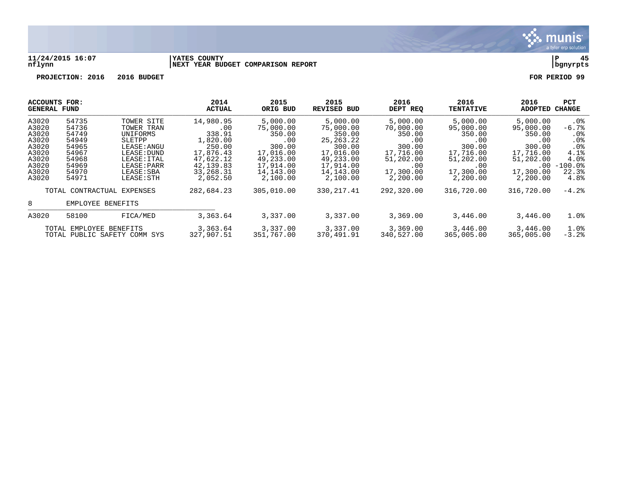

### **11/24/2015 16:07 |YATES COUNTY |P 45 nflynn |NEXT YEAR BUDGET COMPARISON REPORT |bgnyrpts**

| ACCOUNTS FOR:<br>GENERAL FUND |                         |                              | 2014<br><b>ACTUAL</b>  | 2015<br>ORIG BUD       | 2015<br><b>REVISED BUD</b> | 2016<br>DEPT REQ       | 2016<br><b>TENTATIVE</b> | 2016<br>ADOPTED        | <b>PCT</b><br><b>CHANGE</b>        |
|-------------------------------|-------------------------|------------------------------|------------------------|------------------------|----------------------------|------------------------|--------------------------|------------------------|------------------------------------|
| A3020<br>A3020                | 54735<br>54736          | TOWER SITE                   | 14,980.95              | 5,000.00               | 5,000.00                   | 5,000.00               | 5,000.00                 | 5,000.00               | . 0 %                              |
| A3020                         | 54749                   | TOWER TRAN                   | .00<br>338.91          | 75,000.00<br>350.00    | 75,000.00<br>350.00        | 70,000.00              | 95,000.00<br>350.00      | 95,000.00<br>350.00    | $-6.7%$                            |
| A3020                         | 54949                   | UNIFORMS<br>SLETPP           | 1,820.00               | .00                    | 25, 263, 22                | 350.00<br>.00          | .00                      | .00                    | .0 <sub>8</sub><br>.0 <sub>8</sub> |
| A3020                         | 54965                   | LEASE: ANGU                  | 250.00                 | 300.00                 | 300.00                     | 300.00                 | 300.00                   | 300.00                 | .0 <sub>8</sub>                    |
| A3020                         | 54967                   | LEASE: DUND                  | 17,876.43              | 17,016.00              | 17,016.00                  | 17,716.00              | 17,716.00                | 17,716.00              | 4.1%                               |
| A3020                         | 54968                   | LEASE: ITAL                  | 47,622.12              | 49,233.00              | 49,233.00                  | 51,202.00              | 51,202.00                | 51,202.00              | 4.0%                               |
| A3020                         | 54969                   | LEASE: PARR                  | 42, 139.83             | 17,914.00              | 17,914.00                  | .00                    | .00                      | $.00 \,$               | $-100.0$ °                         |
| A3020                         | 54970                   | LEASE: SBA                   | 33,268.31              | 14,143.00              | 14,143.00                  | 17,300.00              | 17,300.00                | 17,300.00              | 22.3%                              |
| A3020                         | 54971                   | LEASE: STH                   | 2,052.50               | 2,100.00               | 2,100.00                   | 2,200.00               | 2,200.00                 | 2,200.00               | 4.8%                               |
|                               |                         | TOTAL CONTRACTUAL EXPENSES   | 282,684.23             | 305,010.00             | 330, 217.41                | 292,320.00             | 316,720.00               | 316,720.00             | $-4.2%$                            |
| 8                             | EMPLOYEE BENEFITS       |                              |                        |                        |                            |                        |                          |                        |                                    |
| A3020                         | 58100                   | FICA/MED                     | 3,363.64               | 3,337.00               | 3,337.00                   | 3,369.00               | 3,446.00                 | 3,446.00               | 1.0%                               |
|                               | TOTAL EMPLOYEE BENEFITS | TOTAL PUBLIC SAFETY COMM SYS | 3,363.64<br>327,907.51 | 3,337.00<br>351,767.00 | 3,337.00<br>370,491.91     | 3,369.00<br>340,527.00 | 3,446.00<br>365,005.00   | 3,446.00<br>365,005.00 | 1.0%<br>$-3.2%$                    |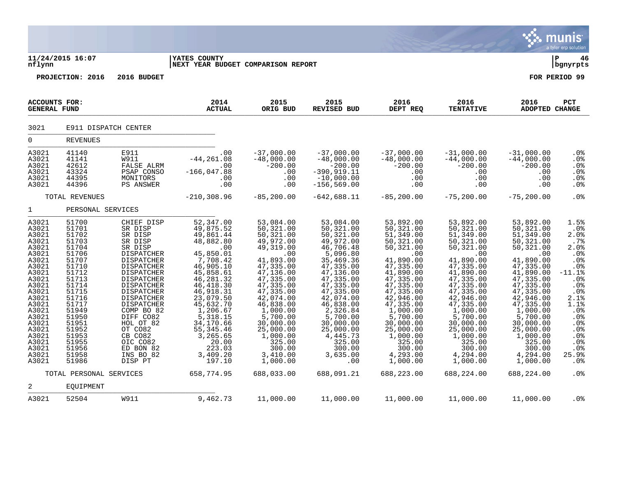|                                                                                                                                                                                                             |                                                                                                                                                                                                             |                                                                                                                                                                                                                                                                                                            |                                                                                                                                                                                                                                                                                              |                                                                                                                                                                                                                                                                                           |                                                                                                                                                                                                                                                                                        |                                                                                                                                                                                                                                                                                             |                                                                                                                                                                                                                                                                                            |                                                                                                                                                                                                                                                                                             | munis<br>a tyler erp solution                                                                                                                                                 |
|-------------------------------------------------------------------------------------------------------------------------------------------------------------------------------------------------------------|-------------------------------------------------------------------------------------------------------------------------------------------------------------------------------------------------------------|------------------------------------------------------------------------------------------------------------------------------------------------------------------------------------------------------------------------------------------------------------------------------------------------------------|----------------------------------------------------------------------------------------------------------------------------------------------------------------------------------------------------------------------------------------------------------------------------------------------|-------------------------------------------------------------------------------------------------------------------------------------------------------------------------------------------------------------------------------------------------------------------------------------------|----------------------------------------------------------------------------------------------------------------------------------------------------------------------------------------------------------------------------------------------------------------------------------------|---------------------------------------------------------------------------------------------------------------------------------------------------------------------------------------------------------------------------------------------------------------------------------------------|--------------------------------------------------------------------------------------------------------------------------------------------------------------------------------------------------------------------------------------------------------------------------------------------|---------------------------------------------------------------------------------------------------------------------------------------------------------------------------------------------------------------------------------------------------------------------------------------------|-------------------------------------------------------------------------------------------------------------------------------------------------------------------------------|
| nflynn                                                                                                                                                                                                      | 11/24/2015 16:07                                                                                                                                                                                            |                                                                                                                                                                                                                                                                                                            | <b>YATES COUNTY</b><br>NEXT YEAR BUDGET COMPARISON REPORT                                                                                                                                                                                                                                    |                                                                                                                                                                                                                                                                                           |                                                                                                                                                                                                                                                                                        |                                                                                                                                                                                                                                                                                             |                                                                                                                                                                                                                                                                                            |                                                                                                                                                                                                                                                                                             | ΙP<br>46<br>  bgnyrpts                                                                                                                                                        |
|                                                                                                                                                                                                             | PROJECTION: 2016                                                                                                                                                                                            | 2016 BUDGET                                                                                                                                                                                                                                                                                                |                                                                                                                                                                                                                                                                                              |                                                                                                                                                                                                                                                                                           |                                                                                                                                                                                                                                                                                        |                                                                                                                                                                                                                                                                                             |                                                                                                                                                                                                                                                                                            |                                                                                                                                                                                                                                                                                             | FOR PERIOD 99                                                                                                                                                                 |
| <b>ACCOUNTS FOR:</b><br><b>GENERAL FUND</b>                                                                                                                                                                 |                                                                                                                                                                                                             |                                                                                                                                                                                                                                                                                                            | 2014<br><b>ACTUAL</b>                                                                                                                                                                                                                                                                        | 2015<br>ORIG BUD                                                                                                                                                                                                                                                                          | 2015<br>REVISED BUD                                                                                                                                                                                                                                                                    | 2016<br>DEPT REQ                                                                                                                                                                                                                                                                            | 2016<br><b>TENTATIVE</b>                                                                                                                                                                                                                                                                   | 2016<br>ADOPTED CHANGE                                                                                                                                                                                                                                                                      | PCT                                                                                                                                                                           |
| 3021                                                                                                                                                                                                        | E911 DISPATCH CENTER                                                                                                                                                                                        |                                                                                                                                                                                                                                                                                                            |                                                                                                                                                                                                                                                                                              |                                                                                                                                                                                                                                                                                           |                                                                                                                                                                                                                                                                                        |                                                                                                                                                                                                                                                                                             |                                                                                                                                                                                                                                                                                            |                                                                                                                                                                                                                                                                                             |                                                                                                                                                                               |
| $\mathbf 0$                                                                                                                                                                                                 | <b>REVENUES</b>                                                                                                                                                                                             |                                                                                                                                                                                                                                                                                                            |                                                                                                                                                                                                                                                                                              |                                                                                                                                                                                                                                                                                           |                                                                                                                                                                                                                                                                                        |                                                                                                                                                                                                                                                                                             |                                                                                                                                                                                                                                                                                            |                                                                                                                                                                                                                                                                                             |                                                                                                                                                                               |
| A3021<br>A3021<br>A3021<br>A3021<br>A3021<br>A3021                                                                                                                                                          | 41140<br>41141<br>42612<br>43324<br>44395<br>44396                                                                                                                                                          | E911<br><b>W911</b><br>FALSE ALRM<br>PSAP CONSO<br>MONITORS<br>PS ANSWER                                                                                                                                                                                                                                   | .00<br>$-44, 261.08$<br>.00<br>$-166,047.88$<br>.00<br>.00                                                                                                                                                                                                                                   | $-37,000.00$<br>$-48,000.00$<br>$-200.00$<br>.00<br>.00<br>.00                                                                                                                                                                                                                            | $-37,000.00$<br>$-48,000.00$<br>$-200.00$<br>$-390, 919.11$<br>$-10,000.00$<br>$-156, 569.00$                                                                                                                                                                                          | $-37,000.00$<br>$-48,000.00$<br>$-200.00$<br>.00<br>.00<br>.00                                                                                                                                                                                                                              | $-31,000.00$<br>$-44,000.00$<br>$-200.00$<br>.00<br>.00<br>.00                                                                                                                                                                                                                             | $-31,000.00$<br>$-44,000.00$<br>$-200.00$<br>.00<br>.00<br>.00                                                                                                                                                                                                                              | .0%<br>.0%<br>.0%<br>.0%<br>.0%<br>.0%                                                                                                                                        |
|                                                                                                                                                                                                             | TOTAL REVENUES                                                                                                                                                                                              |                                                                                                                                                                                                                                                                                                            | $-210, 308.96$                                                                                                                                                                                                                                                                               | $-85, 200.00$                                                                                                                                                                                                                                                                             | $-642,688.11$                                                                                                                                                                                                                                                                          | $-85, 200.00$                                                                                                                                                                                                                                                                               | $-75, 200.00$                                                                                                                                                                                                                                                                              | $-75, 200.00$                                                                                                                                                                                                                                                                               | .0%                                                                                                                                                                           |
| $\mathbf{1}$                                                                                                                                                                                                | PERSONAL SERVICES                                                                                                                                                                                           |                                                                                                                                                                                                                                                                                                            |                                                                                                                                                                                                                                                                                              |                                                                                                                                                                                                                                                                                           |                                                                                                                                                                                                                                                                                        |                                                                                                                                                                                                                                                                                             |                                                                                                                                                                                                                                                                                            |                                                                                                                                                                                                                                                                                             |                                                                                                                                                                               |
| A3021<br>A3021<br>A3021<br>A3021<br>A3021<br>A3021<br>A3021<br>A3021<br>A3021<br>A3021<br>A3021<br>A3021<br>A3021<br>A3021<br>A3021<br>A3021<br>A3021<br>A3021<br>A3021<br>A3021<br>A3021<br>A3021<br>A3021 | 51700<br>51701<br>51702<br>51703<br>51704<br>51706<br>51707<br>51710<br>51712<br>51713<br>51714<br>51715<br>51716<br>51717<br>51949<br>51950<br>51951<br>51952<br>51953<br>51955<br>51956<br>51958<br>51986 | CHIEF DISP<br>SR DISP<br>SR DISP<br>SR DISP<br>SR DISP<br>DISPATCHER<br>DISPATCHER<br><b>DISPATCHER</b><br>DISPATCHER<br>DISPATCHER<br>DISPATCHER<br>DISPATCHER<br>DISPATCHER<br>DISPATCHER<br>COMP BO 82<br>DIFF CO82<br>HOL OT 82<br>OT CO82<br>CB CO82<br>OIC CO82<br>ED BON 82<br>INS BO 82<br>DISP PT | 52, 347.00<br>49,875.52<br>49,861.44<br>48,882.80<br>$\sim$ 00<br>45,850.01<br>7,708.42<br>46,905.10<br>45,858.61<br>46,281.32<br>46, 418.30<br>46,918.31<br>23,079.50<br>45,632.70<br>1,206.67<br>5, 318.15<br>34,170.66<br>55, 345.46<br>3,265.65<br>20.00<br>223.03<br>3,409.20<br>197.10 | 53,084.00<br>50, 321.00<br>50, 321.00<br>49,972.00<br>49,319.00<br>.00<br>41,893.00<br>47,335.00<br>47,136.00<br>47, 335.00<br>47,335.00<br>47,335.00<br>42,074.00<br>46,838.00<br>1,000.00<br>5,700.00<br>30,000.00<br>25,000.00<br>1,000.00<br>325.00<br>300.00<br>3,410.00<br>1,000.00 | 53,084.00<br>50,321.00<br>50,321.00<br>49,972.00<br>46,706.48<br>5,096.80<br>35,469.36<br>47,335.00<br>47,136.00<br>47,335.00<br>47,335.00<br>47,335.00<br>42,074.00<br>46,838.00<br>2,326.84<br>5,700.00<br>30,000.00<br>25,000.00<br>4,445.73<br>325.00<br>300.00<br>3,635.00<br>.00 | 53,892.00<br>50,321.00<br>51,349.00<br>50, 321.00<br>50, 321.00<br>.00<br>41,890.00<br>47, 335.00<br>41,890.00<br>47,335.00<br>47,335.00<br>47, 335.00<br>42,946.00<br>47, 335.00<br>1,000.00<br>5,700.00<br>30,000.00<br>25,000.00<br>1,000.00<br>325.00<br>300.00<br>4,293.00<br>1,000.00 | 53,892.00<br>50, 321.00<br>51,349.00<br>50, 321.00<br>50,321.00<br>.00<br>41,890.00<br>47,335.00<br>41,890.00<br>47, 335.00<br>47, 335.00<br>47,335.00<br>42,946.00<br>47,335.00<br>1,000.00<br>5,700.00<br>30,000.00<br>25,000.00<br>1,000.00<br>325.00<br>300.00<br>4,294.00<br>1,000.00 | 53,892.00<br>50,321.00<br>51,349.00<br>50,321.00<br>50, 321.00<br>.00<br>41,890.00<br>47, 335.00<br>41,890.00<br>47, 335.00<br>47,335.00<br>47, 335.00<br>42,946.00<br>47, 335.00<br>1,000.00<br>5,700.00<br>30,000.00<br>25,000.00<br>1,000.00<br>325.00<br>300.00<br>4,294.00<br>1,000.00 | 1.5%<br>$.0\%$<br>2.0%<br>.7%<br>2.0%<br>.0%<br>.0%<br>.0%<br>$-11.1$ %<br>.0%<br>.0%<br>.0%<br>2.1%<br>1.1%<br>.0%<br>.0%<br>.0%<br>.0%<br>.0%<br>.0%<br>.0%<br>25.9%<br>.0% |
|                                                                                                                                                                                                             | TOTAL PERSONAL SERVICES                                                                                                                                                                                     |                                                                                                                                                                                                                                                                                                            | 658,774.95                                                                                                                                                                                                                                                                                   | 688,033.00                                                                                                                                                                                                                                                                                | 688,091.21                                                                                                                                                                                                                                                                             | 688,223.00                                                                                                                                                                                                                                                                                  | 688,224.00                                                                                                                                                                                                                                                                                 | 688,224.00                                                                                                                                                                                                                                                                                  | .0%                                                                                                                                                                           |
| 2                                                                                                                                                                                                           | EQUIPMENT                                                                                                                                                                                                   |                                                                                                                                                                                                                                                                                                            |                                                                                                                                                                                                                                                                                              |                                                                                                                                                                                                                                                                                           |                                                                                                                                                                                                                                                                                        |                                                                                                                                                                                                                                                                                             |                                                                                                                                                                                                                                                                                            |                                                                                                                                                                                                                                                                                             |                                                                                                                                                                               |
| A3021                                                                                                                                                                                                       | 52504                                                                                                                                                                                                       | <b>W911</b>                                                                                                                                                                                                                                                                                                | 9,462.73                                                                                                                                                                                                                                                                                     | 11,000.00                                                                                                                                                                                                                                                                                 | 11,000.00                                                                                                                                                                                                                                                                              | 11,000.00                                                                                                                                                                                                                                                                                   | 11,000.00                                                                                                                                                                                                                                                                                  | 11,000.00                                                                                                                                                                                                                                                                                   | .0 <sub>8</sub>                                                                                                                                                               |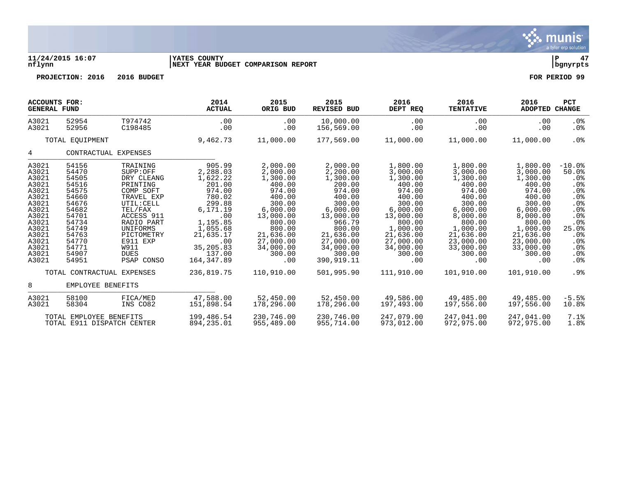

# **11/24/2015 16:07 |YATES COUNTY |P 47 nflynn |NEXT YEAR BUDGET COMPARISON REPORT |bgnyrpts**

| <b>ACCOUNTS FOR:</b><br><b>GENERAL FUND</b>                                                                                                  |                                                                                                                                              |                                                                                                                                                                                                                  | 2014<br><b>ACTUAL</b>                                                                                                                                                        | 2015<br>ORIG BUD                                                                                                                                                              | 2015<br><b>REVISED BUD</b>                                                                                                                                                           | 2016<br>DEPT REQ                                                                                                                                                                | 2016<br><b>TENTATIVE</b>                                                                                                                                                       | 2016<br><b>ADOPTED</b>                                                                                                                                                         | <b>PCT</b><br><b>CHANGE</b>                                                                                                                                                        |
|----------------------------------------------------------------------------------------------------------------------------------------------|----------------------------------------------------------------------------------------------------------------------------------------------|------------------------------------------------------------------------------------------------------------------------------------------------------------------------------------------------------------------|------------------------------------------------------------------------------------------------------------------------------------------------------------------------------|-------------------------------------------------------------------------------------------------------------------------------------------------------------------------------|--------------------------------------------------------------------------------------------------------------------------------------------------------------------------------------|---------------------------------------------------------------------------------------------------------------------------------------------------------------------------------|--------------------------------------------------------------------------------------------------------------------------------------------------------------------------------|--------------------------------------------------------------------------------------------------------------------------------------------------------------------------------|------------------------------------------------------------------------------------------------------------------------------------------------------------------------------------|
| A3021<br>A3021                                                                                                                               | 52954<br>52956                                                                                                                               | T974742<br>C198485                                                                                                                                                                                               | .00<br>.00                                                                                                                                                                   | .00<br>.00                                                                                                                                                                    | 10,000.00<br>156,569.00                                                                                                                                                              | .00<br>.00                                                                                                                                                                      | .00<br>.00                                                                                                                                                                     | .00<br>.00                                                                                                                                                                     | $.0\%$<br>$.0\%$                                                                                                                                                                   |
|                                                                                                                                              | TOTAL EQUIPMENT                                                                                                                              |                                                                                                                                                                                                                  | 9,462.73                                                                                                                                                                     | 11,000.00                                                                                                                                                                     | 177,569.00                                                                                                                                                                           | 11,000.00                                                                                                                                                                       | 11,000.00                                                                                                                                                                      | 11,000.00                                                                                                                                                                      | $.0\%$                                                                                                                                                                             |
| 4                                                                                                                                            |                                                                                                                                              | CONTRACTUAL EXPENSES                                                                                                                                                                                             |                                                                                                                                                                              |                                                                                                                                                                               |                                                                                                                                                                                      |                                                                                                                                                                                 |                                                                                                                                                                                |                                                                                                                                                                                |                                                                                                                                                                                    |
| A3021<br>A3021<br>A3021<br>A3021<br>A3021<br>A3021<br>A3021<br>A3021<br>A3021<br>A3021<br>A3021<br>A3021<br>A3021<br>A3021<br>A3021<br>A3021 | 54156<br>54470<br>54505<br>54516<br>54575<br>54660<br>54676<br>54682<br>54701<br>54734<br>54749<br>54763<br>54770<br>54771<br>54907<br>54951 | TRAINING<br>SUPP:OFF<br>DRY CLEANG<br>PRINTING<br>COMP SOFT<br>TRAVEL EXP<br>UTIL: CELL<br>TEL/FAX<br>ACCESS 911<br>RADIO PART<br>UNIFORMS<br>PICTOMETRY<br>E911 EXP<br><b>W911</b><br><b>DUES</b><br>PSAP CONSO | 905.99<br>2,288.03<br>1,622.22<br>201.00<br>974.00<br>780.02<br>299.88<br>6,171.19<br>.00<br>1,195.85<br>1,055.68<br>21,635.17<br>.00<br>35, 205.83<br>137.00<br>164, 347.89 | 2,000.00<br>2,000.00<br>1,300.00<br>400.00<br>974.00<br>400.00<br>300.00<br>6,000.00<br>13,000.00<br>800.00<br>800.00<br>21,636.00<br>27,000.00<br>34,000.00<br>300.00<br>.00 | 2,000.00<br>2,200.00<br>1,300.00<br>200.00<br>974.00<br>400.00<br>300.00<br>6,000.00<br>13,000.00<br>966.79<br>800.00<br>21,636.00<br>27,000.00<br>34,000.00<br>300.00<br>390,919.11 | 1,800.00<br>3,000.00<br>1,300.00<br>400.00<br>974.00<br>400.00<br>300.00<br>6,000.00<br>13,000.00<br>800.00<br>1,000.00<br>21,636.00<br>27,000.00<br>34,000.00<br>300.00<br>.00 | 1,800.00<br>3,000.00<br>1,300.00<br>400.00<br>974.00<br>400.00<br>300.00<br>6,000.00<br>8,000.00<br>800.00<br>1,000.00<br>21,636.00<br>23,000.00<br>33,000.00<br>300.00<br>.00 | 1,800.00<br>3,000.00<br>1,300.00<br>400.00<br>974.00<br>400.00<br>300.00<br>6,000.00<br>8,000.00<br>800.00<br>1,000.00<br>21,636.00<br>23,000.00<br>33,000.00<br>300.00<br>.00 | $-10.0$ %<br>50.0%<br>$.0\%$<br>.0%<br>.0 <sub>8</sub><br>.0%<br>.0 <sub>8</sub><br>$.0\%$<br>$.0\%$<br>.0 <sub>8</sub><br>25.0%<br>.0 <sub>8</sub><br>.0%<br>$.0\%$<br>.0%<br>.0% |
|                                                                                                                                              |                                                                                                                                              | TOTAL CONTRACTUAL EXPENSES                                                                                                                                                                                       | 236,819.75                                                                                                                                                                   | 110,910.00                                                                                                                                                                    | 501,995.90                                                                                                                                                                           | 111,910.00                                                                                                                                                                      | 101,910.00                                                                                                                                                                     | 101,910.00                                                                                                                                                                     | $.9\%$                                                                                                                                                                             |
| 8                                                                                                                                            | EMPLOYEE BENEFITS                                                                                                                            |                                                                                                                                                                                                                  |                                                                                                                                                                              |                                                                                                                                                                               |                                                                                                                                                                                      |                                                                                                                                                                                 |                                                                                                                                                                                |                                                                                                                                                                                |                                                                                                                                                                                    |
| A3021<br>A3021                                                                                                                               | 58100<br>58304                                                                                                                               | FICA/MED<br>INS CO82                                                                                                                                                                                             | 47,588.00<br>151,898.54                                                                                                                                                      | 52,450.00<br>178,296.00                                                                                                                                                       | 52,450.00<br>178,296.00                                                                                                                                                              | 49,586.00<br>197,493.00                                                                                                                                                         | 49,485.00<br>197,556.00                                                                                                                                                        | 49,485.00<br>197,556.00                                                                                                                                                        | $-5.5%$<br>10.8%                                                                                                                                                                   |
|                                                                                                                                              | TOTAL EMPLOYEE BENEFITS                                                                                                                      | TOTAL E911 DISPATCH CENTER                                                                                                                                                                                       | 199,486.54<br>894,235.01                                                                                                                                                     | 230,746.00<br>955,489.00                                                                                                                                                      | 230,746.00<br>955,714.00                                                                                                                                                             | 247,079,00<br>973,012.00                                                                                                                                                        | 247,041.00<br>972,975.00                                                                                                                                                       | 247.041.00<br>972,975.00                                                                                                                                                       | 7.1%<br>1.8%                                                                                                                                                                       |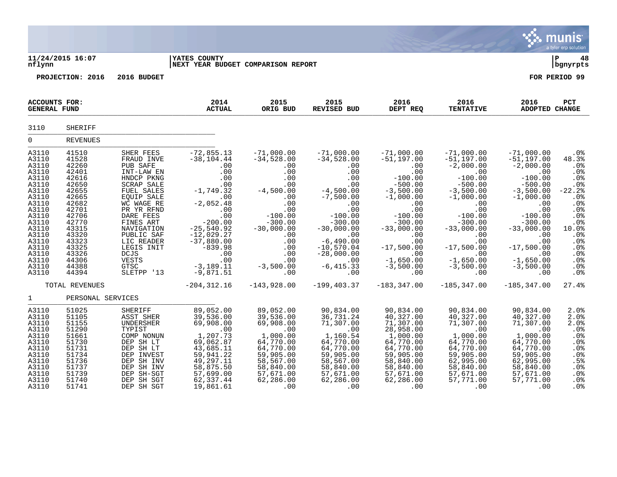|                                                                                                                                                                                  |                                                                                                                                                                                  |                                                                                                                                                                                                                                                                              |                                                                                                                                                                                                                                          |                                                                                                                                                                                                 |                                                                                                                                                                                                                                                |                                                                                                                                                                                                                                       |                                                                                                                                                                                                                                                      |                                                                                                                                                                                                                                               | munis<br>a tyler erp solution                                                                                                                                     |
|----------------------------------------------------------------------------------------------------------------------------------------------------------------------------------|----------------------------------------------------------------------------------------------------------------------------------------------------------------------------------|------------------------------------------------------------------------------------------------------------------------------------------------------------------------------------------------------------------------------------------------------------------------------|------------------------------------------------------------------------------------------------------------------------------------------------------------------------------------------------------------------------------------------|-------------------------------------------------------------------------------------------------------------------------------------------------------------------------------------------------|------------------------------------------------------------------------------------------------------------------------------------------------------------------------------------------------------------------------------------------------|---------------------------------------------------------------------------------------------------------------------------------------------------------------------------------------------------------------------------------------|------------------------------------------------------------------------------------------------------------------------------------------------------------------------------------------------------------------------------------------------------|-----------------------------------------------------------------------------------------------------------------------------------------------------------------------------------------------------------------------------------------------|-------------------------------------------------------------------------------------------------------------------------------------------------------------------|
| nflynn                                                                                                                                                                           | 11/24/2015 16:07                                                                                                                                                                 |                                                                                                                                                                                                                                                                              | <b>YATES COUNTY</b><br>NEXT YEAR BUDGET COMPARISON REPORT                                                                                                                                                                                |                                                                                                                                                                                                 |                                                                                                                                                                                                                                                |                                                                                                                                                                                                                                       |                                                                                                                                                                                                                                                      |                                                                                                                                                                                                                                               | ∣ P<br>48<br>  bgnyrpts                                                                                                                                           |
|                                                                                                                                                                                  | PROJECTION: 2016                                                                                                                                                                 | 2016 BUDGET                                                                                                                                                                                                                                                                  |                                                                                                                                                                                                                                          |                                                                                                                                                                                                 |                                                                                                                                                                                                                                                |                                                                                                                                                                                                                                       |                                                                                                                                                                                                                                                      |                                                                                                                                                                                                                                               | FOR PERIOD 99                                                                                                                                                     |
| ACCOUNTS FOR:<br><b>GENERAL FUND</b>                                                                                                                                             |                                                                                                                                                                                  |                                                                                                                                                                                                                                                                              | 2014<br><b>ACTUAL</b>                                                                                                                                                                                                                    | 2015<br>ORIG BUD                                                                                                                                                                                | 2015<br>REVISED BUD                                                                                                                                                                                                                            | 2016<br>DEPT REQ                                                                                                                                                                                                                      | 2016<br><b>TENTATIVE</b>                                                                                                                                                                                                                             | 2016<br><b>ADOPTED CHANGE</b>                                                                                                                                                                                                                 | <b>PCT</b>                                                                                                                                                        |
| 3110                                                                                                                                                                             | SHERIFF                                                                                                                                                                          |                                                                                                                                                                                                                                                                              |                                                                                                                                                                                                                                          |                                                                                                                                                                                                 |                                                                                                                                                                                                                                                |                                                                                                                                                                                                                                       |                                                                                                                                                                                                                                                      |                                                                                                                                                                                                                                               |                                                                                                                                                                   |
| $\mathbf 0$                                                                                                                                                                      | <b>REVENUES</b>                                                                                                                                                                  |                                                                                                                                                                                                                                                                              |                                                                                                                                                                                                                                          |                                                                                                                                                                                                 |                                                                                                                                                                                                                                                |                                                                                                                                                                                                                                       |                                                                                                                                                                                                                                                      |                                                                                                                                                                                                                                               |                                                                                                                                                                   |
| A3110<br>A3110<br>A3110<br>A3110<br>A3110<br>A3110<br>A3110<br>A3110<br>A3110<br>A3110<br>A3110<br>A3110<br>A3110<br>A3110<br>A3110<br>A3110<br>A3110<br>A3110<br>A3110<br>A3110 | 41510<br>41528<br>42260<br>42401<br>42616<br>42650<br>42655<br>42665<br>42682<br>42701<br>42706<br>42770<br>43315<br>43320<br>43323<br>43325<br>43326<br>44306<br>44388<br>44394 | SHER FEES<br>FRAUD INVE<br>PUB SAFE<br>INT-LAW EN<br>HNDCP PKNG<br>SCRAP SALE<br>FUEL SALES<br>EQUIP SALE<br>WC WAGE RE<br>PR YR RFND<br>DARE FEES<br>FINES ART<br>NAVIGATION<br>PUBLIC SAF<br>LIC READER<br>LEGIS INIT<br>DCJS<br><b>VESTS</b><br><b>GTSC</b><br>SLETPP '13 | $-72,855.13$<br>$-38, 104.44$<br>.00<br>.00<br>.00<br>$.00 \,$<br>$-1,749.32$<br>.00<br>$-2,052.48$<br>.00<br>.00<br>$-200.00$<br>$-25,540.92$<br>$-12,029.27$<br>$-37,880.00$<br>$-839.98$<br>.00<br>.00<br>$-3, 189.11$<br>$-9,871.51$ | $-71,000.00$<br>$-34,528.00$<br>.00<br>.00<br>.00<br>.00<br>$-4,500.00$<br>.00<br>.00<br>.00<br>$-100.00$<br>$-300.00$<br>$-30,000.00$<br>.00<br>.00<br>.00<br>.00<br>.00<br>$-3,500.00$<br>.00 | $-71,000.00$<br>$-34,528.00$<br>.00<br>.00<br>.00<br>.00<br>$-4,500.00$<br>$-7,500.00$<br>.00<br>.00<br>$-100.00$<br>$-300.00$<br>$-30,000.00$<br>.00<br>$-6,490.00$<br>$-10,570.04$<br>$-28,000.00$<br>$\overline{00}$<br>$-6, 415.33$<br>.00 | $-71,000.00$<br>$-51, 197.00$<br>.00<br>.00<br>$-100.00$<br>$-500.00$<br>$-3,500.00$<br>$-1,000.00$<br>.00<br>.00<br>$-100.00$<br>$-300.00$<br>$-33,000.00$<br>.00<br>.00<br>$-17,500.00$<br>.00<br>$-1,650.00$<br>$-3,500.00$<br>.00 | $-71,000.00$<br>$-51,197.00$<br>$-2,000.00$<br>.00<br>$-100.00$<br>$-500.00$<br>$-3,500.00$<br>$-1,000.00$<br>.00<br>.00<br>$-100.00$<br>$-300.00$<br>$-33,000.00$<br>$.00 \ \rm$<br>.00<br>$-17,500.00$<br>.00<br>$-1,650.00$<br>$-3,500.00$<br>.00 | $-71,000.00$<br>$-51, 197.00$<br>$-2,000.00$<br>.00<br>$-100.00$<br>$-500.00$<br>$-3,500.00$<br>$-1,000.00$<br>.00<br>.00<br>$-100.00$<br>$-300.00$<br>$-33,000.00$<br>.00<br>.00<br>$-17,500.00$<br>.00<br>$-1,650.00$<br>$-3,500.00$<br>.00 | .0%<br>48.3%<br>.0%<br>.0%<br>.0%<br>.0%<br>$-22.2$<br>.0 <sub>8</sub><br>.0%<br>.0%<br>.0%<br>$.0%$<br>10.0%<br>.0%<br>.0%<br>.0%<br>.0%<br>.0%<br>$.0\%$<br>.0% |
|                                                                                                                                                                                  | TOTAL REVENUES                                                                                                                                                                   |                                                                                                                                                                                                                                                                              | $-204, 312.16$                                                                                                                                                                                                                           | $-143,928.00$                                                                                                                                                                                   | $-199, 403.37$                                                                                                                                                                                                                                 | $-183, 347.00$                                                                                                                                                                                                                        | $-185, 347.00$                                                                                                                                                                                                                                       | $-185, 347.00$                                                                                                                                                                                                                                | 27.4%                                                                                                                                                             |
| $\mathbf{1}$                                                                                                                                                                     | PERSONAL SERVICES                                                                                                                                                                |                                                                                                                                                                                                                                                                              |                                                                                                                                                                                                                                          |                                                                                                                                                                                                 |                                                                                                                                                                                                                                                |                                                                                                                                                                                                                                       |                                                                                                                                                                                                                                                      |                                                                                                                                                                                                                                               |                                                                                                                                                                   |
| A3110<br>A3110<br>A3110<br>A3110<br>A3110<br>A3110<br>A3110<br>A3110<br>A3110<br>A3110<br>A3110<br>A3110<br>A3110                                                                | 51025<br>51105<br>51155<br>51290<br>51661<br>51730<br>51731<br>51734<br>51736<br>51737<br>51739<br>51740<br>51741                                                                | SHERIFF<br>ASST SHER<br>UNDERSHER<br>TYPIST<br>COMP NONUN<br>DEP SH LT<br>DEP SH LT<br>DEP INVEST<br>DEP SH INV<br>DEP SH INV<br>DEP SH-SGT<br>DEP SH SGT<br>DEP SH SGT                                                                                                      | 89,052.00<br>39,536.00<br>69,908.00<br>$\overline{00}$<br>1,207.73<br>69,062.87<br>43,685.11<br>59,941.22<br>49, 297.11<br>58,875.50<br>57,699.00<br>62, 337.44<br>19,861.61                                                             | 89,052.00<br>39,536.00<br>69,908.00<br>.00<br>1,000.00<br>64,770.00<br>64,770.00<br>59,905.00<br>58,567.00<br>58,840.00<br>57,671.00<br>62,286.00<br>.00                                        | 90,834.00<br>36,731.24<br>71,307.00<br>$\sim$ 00<br>1,160.54<br>64,770.00<br>64,770.00<br>59,905.00<br>58,567.00<br>58,840.00<br>57,671.00<br>62,286.00<br>.00                                                                                 | 90,834.00<br>40,327.00<br>71,307.00<br>28,958.00<br>1,000.00<br>64,770.00<br>64,770.00<br>59,905.00<br>58,840.00<br>58,840.00<br>57,671.00<br>62,286.00<br>.00                                                                        | 90,834.00<br>40,327.00<br>71,307.00<br>.00<br>1,000.00<br>64,770.00<br>64,770.00<br>59,905.00<br>62,995.00<br>58,840.00<br>57,671.00<br>57,771.00<br>.00                                                                                             | 90,834.00<br>40,327.00<br>71,307.00<br>.00<br>1,000.00<br>64,770.00<br>64,770.00<br>59,905.00<br>62,995.00<br>58,840.00<br>57,671.00<br>57,771.00<br>.00                                                                                      | 2.0%<br>2.0%<br>2.0%<br>.0 <sub>8</sub><br>.0 <sub>8</sub><br>.0%<br>.0%<br>.0%<br>.5%<br>.0%<br>.0%<br>.0%<br>.0 <sub>8</sub>                                    |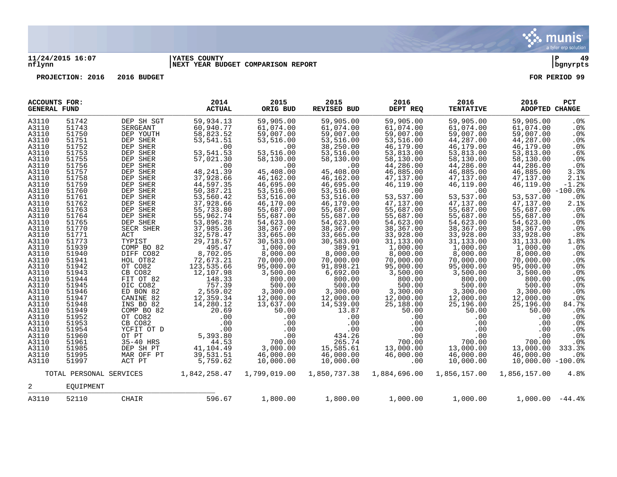

### **11/24/2015 16:07 |YATES COUNTY |P 49 nflynn |NEXT YEAR BUDGET COMPARISON REPORT |bgnyrpts**

|                                                                                                                                                                                                                                                                            | <b>ACCOUNTS FOR:</b><br><b>GENERAL FUND</b>                                                                                                                                                                                                                                |                                                                                                                                                                                                                                                                                                                                                                        | 2014<br><b>ACTUAL</b>                                                                                                                                                                                                                                                                                                                                                         | 2015<br>ORIG BUD                                                                                                                                                                                                                                                                                                                                                             | 2015<br>REVISED BUD                                                                                                                                                                                                                                                                                                                                                              | 2016<br>DEPT REQ                                                                                                                                                                                                                                                                                                                                                                   | 2016<br><b>TENTATIVE</b>                                                                                                                                                                                                                                                                                                                                                            | 2016<br>ADOPTED CHANGE                                                                                                                                                                                                                                                                                                                                                      | PCT                                                                                                                                                                                                                                                                                       |
|----------------------------------------------------------------------------------------------------------------------------------------------------------------------------------------------------------------------------------------------------------------------------|----------------------------------------------------------------------------------------------------------------------------------------------------------------------------------------------------------------------------------------------------------------------------|------------------------------------------------------------------------------------------------------------------------------------------------------------------------------------------------------------------------------------------------------------------------------------------------------------------------------------------------------------------------|-------------------------------------------------------------------------------------------------------------------------------------------------------------------------------------------------------------------------------------------------------------------------------------------------------------------------------------------------------------------------------|------------------------------------------------------------------------------------------------------------------------------------------------------------------------------------------------------------------------------------------------------------------------------------------------------------------------------------------------------------------------------|----------------------------------------------------------------------------------------------------------------------------------------------------------------------------------------------------------------------------------------------------------------------------------------------------------------------------------------------------------------------------------|------------------------------------------------------------------------------------------------------------------------------------------------------------------------------------------------------------------------------------------------------------------------------------------------------------------------------------------------------------------------------------|-------------------------------------------------------------------------------------------------------------------------------------------------------------------------------------------------------------------------------------------------------------------------------------------------------------------------------------------------------------------------------------|-----------------------------------------------------------------------------------------------------------------------------------------------------------------------------------------------------------------------------------------------------------------------------------------------------------------------------------------------------------------------------|-------------------------------------------------------------------------------------------------------------------------------------------------------------------------------------------------------------------------------------------------------------------------------------------|
| A3110<br>A3110<br>A3110<br>A3110<br>A3110<br>A3110<br>A3110<br>A3110<br>A3110<br>A3110<br>A3110<br>A3110<br>A3110<br>A3110<br>A3110<br>A3110<br>A3110<br>A3110<br>A3110<br>A3110<br>A3110<br>A3110<br>A3110<br>A3110<br>A3110<br>A3110<br>A3110<br>A3110<br>A3110<br>A3110 | 51742<br>51743<br>51750<br>51751<br>51752<br>51753<br>51755<br>51756<br>51757<br>51758<br>51759<br>51760<br>51761<br>51762<br>51763<br>51764<br>51765<br>51770<br>51771<br>51773<br>51939<br>51940<br>51941<br>51942<br>51943<br>51944<br>51945<br>51946<br>51947<br>51948 | DEP SH SGT<br>SERGEANT<br>DEP YOUTH<br>DEP SHER<br>DEP SHER<br>DEP SHER<br>DEP SHER<br>DEP SHER<br>DEP SHER<br>DEP SHER<br>DEP SHER<br>DEP SHER<br>DEP SHER<br>DEP SHER<br>DEP SHER<br>DEP SHER<br>DEP SHER<br>SECR SHER<br>ACT<br>TYPIST<br>COMP BO 82<br>DIFF CO82<br>HOL OT82<br>OT CO82<br>CB CO82<br>FIT OT 82<br>OIC CO82<br>ED BON 82<br>CANINE 82<br>INS BO 82 | 59,934.13<br>60,940.77<br>58,823.52<br>53,541.51<br>.00<br>53,541.53<br>57,021.30<br>.00<br>48, 241.39<br>37,928.66<br>44,597.35<br>50,387.21<br>53,560.42<br>37,928.66<br>55,733.80<br>55,962.74<br>53,896.28<br>37,985.36<br>32,578.47<br>29,718.57<br>495.47<br>8,702.05<br>72,673.21<br>123,535.66<br>12,107.98<br>148.33<br>757.39<br>2,559.02<br>12,359.34<br>14,280.12 | 59,905.00<br>61,074.00<br>59,007.00<br>53,516.00<br>.00<br>53,516.00<br>58,130.00<br>.00<br>45,408.00<br>46,162.00<br>46,695.00<br>53,516.00<br>53,516.00<br>46,170.00<br>55,687.00<br>55,687.00<br>54,623.00<br>38,367.00<br>33,665.00<br>30,583.00<br>1,000.00<br>8,000.00<br>70,000.00<br>95,000.00<br>3,500.00<br>800.00<br>500.00<br>3,300.00<br>12,000.00<br>13,637.00 | 59,905.00<br>61,074.00<br>59,007.00<br>53,516.00<br>38,250.00<br>53,516.00<br>58,130.00<br>.00<br>45,408.00<br>46,162.00<br>46,695.00<br>53,516.00<br>53,516.00<br>46,170.00<br>55,687.00<br>55,687.00<br>54,623.00<br>38,367.00<br>33,665.00<br>30,583.00<br>389.91<br>8,000.00<br>70,000.00<br>91,898.21<br>6,692.00<br>800.00<br>500.00<br>3,300.00<br>12,000.00<br>14,539.00 | 59,905.00<br>61,074.00<br>59,007.00<br>53,516.00<br>46,179.00<br>53,813.00<br>58,130.00<br>44,286.00<br>46,885.00<br>47,137.00<br>46,119.00<br>.00<br>53,537.00<br>47,137.00<br>55,687.00<br>55,687.00<br>54,623.00<br>38,367.00<br>33,928.00<br>31,133.00<br>1,000.00<br>8,000.00<br>70,000.00<br>95,000.00<br>3,500.00<br>800.00<br>500.00<br>3,300.00<br>12,000.00<br>25,188.00 | 59,905.00<br>61,074.00<br>59,007.00<br>44,287.00<br>46,179.00<br>53,813.00<br>58,130.00<br>44,286.00<br>46,885.00<br>47,137.00<br>46,119.00<br>.00<br>53,537.00<br>47,137.00<br>55,687.00<br>55,687.00<br>54,623.00<br>38,367.00<br>33,928.00<br>31, 133.00<br>1,000.00<br>8,000.00<br>70,000.00<br>95,000.00<br>3,500.00<br>800.00<br>500.00<br>3,300.00<br>12,000.00<br>25,196.00 | 59,905.00<br>61,074.00<br>59,007.00<br>44,287.00<br>46,179.00<br>53,813.00<br>58,130.00<br>44,286.00<br>46,885.00<br>47,137.00<br>46,119.00<br>53,537.00<br>47,137.00<br>55,687.00<br>55,687.00<br>54,623.00<br>38,367.00<br>33,928.00<br>31,133.00<br>1,000.00<br>8,000.00<br>70,000.00<br>95,000.00<br>3,500.00<br>800.00<br>500.00<br>3,300.00<br>12,000.00<br>25,196.00 | .0%<br>.0%<br>.0%<br>.0%<br>.0%<br>.6%<br>.0 <sub>8</sub><br>.0%<br>3.3%<br>2.1%<br>$-1.2%$<br>$.00 - 100.0%$<br>.0%<br>2.1%<br>.0%<br>$.0\%$<br>.0%<br>.0%<br>.8%<br>1.8%<br>.0%<br>.0%<br>$.0\%$<br>.0 <sub>8</sub><br>.0%<br>.0%<br>.0%<br>.0 <sub>8</sub><br>.0 <sub>8</sub><br>84.7% |
| A3110<br>A3110<br>A3110<br>A3110<br>A3110<br>A3110<br>A3110                                                                                                                                                                                                                | 51949<br>51952<br>51953<br>51954<br>51960<br>51961<br>51985                                                                                                                                                                                                                | COMP BO 82<br>OT CO82<br>CB CO82<br>YCFIT OT D<br>OT PT<br>35-40 HRS<br>DEP SH PT                                                                                                                                                                                                                                                                                      | 20.69<br>.00<br>.00<br>$.00 \,$<br>5,393.80<br>44.53<br>41,104.49                                                                                                                                                                                                                                                                                                             | 50.00<br>.00<br>.00<br>.00<br>.00<br>700.00<br>3,000.00                                                                                                                                                                                                                                                                                                                      | 13.87<br>.00<br>.00<br>.00<br>434.26<br>265.74<br>15,585.61                                                                                                                                                                                                                                                                                                                      | 50.00<br>.00<br>.00<br>.00<br>.00<br>700.00<br>13,000.00                                                                                                                                                                                                                                                                                                                           | 50.00<br>.00<br>.00<br>$.00 \,$<br>.00<br>700.00<br>13,000.00                                                                                                                                                                                                                                                                                                                       | 50.00<br>.00<br>.00<br>.00<br>.00<br>700.00<br>13,000.00                                                                                                                                                                                                                                                                                                                    | .0%<br>.0%<br>.0 <sub>8</sub><br>.0%<br>.0 <sub>8</sub><br>$.0\%$<br>333.3%                                                                                                                                                                                                               |
| A3110<br>A3110                                                                                                                                                                                                                                                             | 51995<br>51997                                                                                                                                                                                                                                                             | MAR OFF PT<br>ACT PT                                                                                                                                                                                                                                                                                                                                                   | 39,531.51<br>5,759.62                                                                                                                                                                                                                                                                                                                                                         | 46,000.00<br>10,000.00                                                                                                                                                                                                                                                                                                                                                       | 46,000.00<br>10,000.00                                                                                                                                                                                                                                                                                                                                                           | 46,000.00<br>.00                                                                                                                                                                                                                                                                                                                                                                   | 46,000.00<br>10,000.00                                                                                                                                                                                                                                                                                                                                                              | 46,000.00<br>$10,000.00 - 100.08$                                                                                                                                                                                                                                                                                                                                           | .0%                                                                                                                                                                                                                                                                                       |
|                                                                                                                                                                                                                                                                            | TOTAL PERSONAL SERVICES                                                                                                                                                                                                                                                    |                                                                                                                                                                                                                                                                                                                                                                        | 1,842,258.47                                                                                                                                                                                                                                                                                                                                                                  | 1,799,019.00                                                                                                                                                                                                                                                                                                                                                                 | 1,850,737.38                                                                                                                                                                                                                                                                                                                                                                     | 1,884,696.00                                                                                                                                                                                                                                                                                                                                                                       | 1,856,157.00                                                                                                                                                                                                                                                                                                                                                                        | 1,856,157.00                                                                                                                                                                                                                                                                                                                                                                | 4.8%                                                                                                                                                                                                                                                                                      |
| 2                                                                                                                                                                                                                                                                          | EOUIPMENT                                                                                                                                                                                                                                                                  |                                                                                                                                                                                                                                                                                                                                                                        |                                                                                                                                                                                                                                                                                                                                                                               |                                                                                                                                                                                                                                                                                                                                                                              |                                                                                                                                                                                                                                                                                                                                                                                  |                                                                                                                                                                                                                                                                                                                                                                                    |                                                                                                                                                                                                                                                                                                                                                                                     |                                                                                                                                                                                                                                                                                                                                                                             |                                                                                                                                                                                                                                                                                           |
| A3110                                                                                                                                                                                                                                                                      | 52110                                                                                                                                                                                                                                                                      | CHAIR                                                                                                                                                                                                                                                                                                                                                                  | 596.67                                                                                                                                                                                                                                                                                                                                                                        | 1,800.00                                                                                                                                                                                                                                                                                                                                                                     | 1,800.00                                                                                                                                                                                                                                                                                                                                                                         | 1,000.00                                                                                                                                                                                                                                                                                                                                                                           | 1,000.00                                                                                                                                                                                                                                                                                                                                                                            | $1,000.00 -44.4$                                                                                                                                                                                                                                                                                                                                                            |                                                                                                                                                                                                                                                                                           |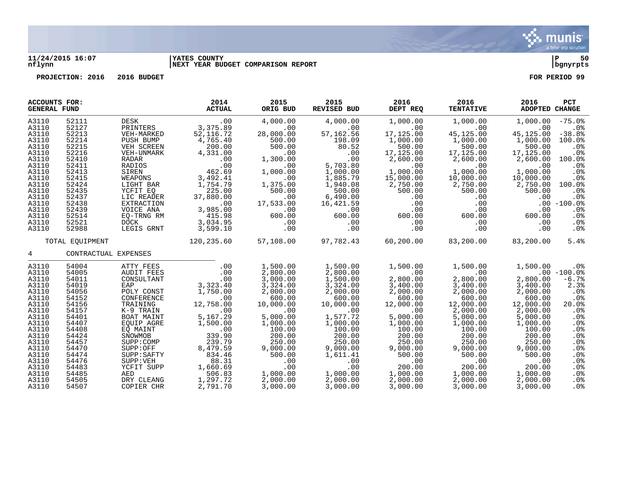

### **11/24/2015 16:07 |YATES COUNTY |P 50 nflynn |NEXT YEAR BUDGET COMPARISON REPORT |bgnyrpts**

| <b>ACCOUNTS FOR:</b><br><b>GENERAL FUND</b>                                                                                                                                      |                                                                                                                                                                                  |                                                                                                                                                                                                                                                           | 2014<br><b>ACTUAL</b>                                                                                                                                                                                                        | 2015<br>ORIG BUD                                                                                                                                                                                                                                                       | 2015<br>REVISED BUD                                                                                                                                                                                                          | 2016<br>DEPT REQ                                                                                                                                                                                                               | 2016<br><b>TENTATIVE</b>                                                                                                                                                                                                | 2016<br><b>ADOPTED CHANGE</b>                                                                                                                                                                                          | <b>PCT</b>                                                                                                                                                               |
|----------------------------------------------------------------------------------------------------------------------------------------------------------------------------------|----------------------------------------------------------------------------------------------------------------------------------------------------------------------------------|-----------------------------------------------------------------------------------------------------------------------------------------------------------------------------------------------------------------------------------------------------------|------------------------------------------------------------------------------------------------------------------------------------------------------------------------------------------------------------------------------|------------------------------------------------------------------------------------------------------------------------------------------------------------------------------------------------------------------------------------------------------------------------|------------------------------------------------------------------------------------------------------------------------------------------------------------------------------------------------------------------------------|--------------------------------------------------------------------------------------------------------------------------------------------------------------------------------------------------------------------------------|-------------------------------------------------------------------------------------------------------------------------------------------------------------------------------------------------------------------------|------------------------------------------------------------------------------------------------------------------------------------------------------------------------------------------------------------------------|--------------------------------------------------------------------------------------------------------------------------------------------------------------------------|
| A3110<br>A3110<br>A3110<br>A3110<br>A3110<br>A3110<br>A3110<br>A3110<br>A3110<br>A3110<br>A3110<br>A3110<br>A3110<br>A3110<br>A3110<br>A3110<br>A3110<br>A3110                   | 52111<br>52127<br>52213<br>52214<br>52215<br>52216<br>52410<br>52411<br>52413<br>52415<br>52424<br>52435<br>52437<br>52438<br>52439<br>52514<br>52521<br>52988                   | DESK<br>DESK .00<br>PRINTERS 3,375.89<br>VEH-MARKED<br>PUSH BUMP<br>VEH SCREEN<br>VEH-UNMARK<br>RADAR<br>RADIOS<br>SIREN<br>WEAPONS<br>LIGHT BAR<br>YCFIT EQ<br>LIC READER<br>EXTRACTION<br>VOICE ANA<br>EQ-TRNG RM<br>DOCK<br>LEGIS GRNT                 | .00<br>52,116.72<br>4,765.40<br>200.00<br>4,331.00<br>$\begin{array}{c} .00 \\ .00 \\ .00 \\ 462.69 \end{array}$<br>3,492.41<br>1,754.79<br>225.00<br>37,880.00<br>$\sim 00$<br>3,985.00<br>$415.98$<br>3,034.95<br>3,599.10 | 4,000.00<br>$\sim 00$<br>28,000.00<br>500.00<br>500.00<br>$\sim 00$<br>1,300.00<br>.00<br>1,000.00<br>$\sim 00$<br>1,375.00<br>500.00<br>.00<br>17,533.00<br>$\begin{array}{c} 00 \ 600.00 \end{array}$<br>$\begin{array}{c} \texttt{.00} \\ \texttt{.00} \end{array}$ | 4,000.00<br>.00<br>57,162.56<br>198.09<br>80.52<br>.00<br>.00<br>5,703.80<br>1,000.00<br>1,885.79<br>1,940.08<br>500.00<br>6,490.00<br>16,421.59<br>.00<br>600.00                                                            | 1,000.00<br>.00<br>17,125.00<br>1,000.00<br>500.00<br>17,125.00<br>2,600.00<br>$\sim 00$<br>1,000.00<br>15,000.00<br>2,750.00<br>500.00<br>.00<br>.00<br>.00<br>600.00<br>.00<br>.00                                           | 1,000.00<br>.00<br>45,125.00<br>1,000.00<br>500.00<br>17,125.00<br>2,600.00<br>.00<br>1,000.00<br>10,000.00<br>2,750.00<br>500.00<br>.00<br>.00<br>.00<br>600.00<br>.00<br>.00                                          | 1,000.00<br>.00<br>45,125.00<br>1,000.00<br>500.00<br>17,125.00<br>2,600.00<br>.00<br>1,000.00<br>10,000.00<br>2,750.00<br>500.00<br>.00<br>.00<br>600.00<br>.00<br>.00                                                | $-75.0%$<br>.0%<br>$-38.8$<br>100.0%<br>$.0\%$<br>$.0\%$<br>100.0%<br>$.0\%$<br>.0%<br>.0%<br>100.0%<br>.0%<br>.0%<br>$.00 - 100.0$<br>.0%<br>.0%<br>$.0\%$<br>$.0\%$    |
|                                                                                                                                                                                  | TOTAL EQUIPMENT                                                                                                                                                                  |                                                                                                                                                                                                                                                           | 120,235.60                                                                                                                                                                                                                   |                                                                                                                                                                                                                                                                        | $57,108.00$ $97,782.43$ $60,200.00$ $83,200.00$ $83,200.00$                                                                                                                                                                  |                                                                                                                                                                                                                                |                                                                                                                                                                                                                         |                                                                                                                                                                                                                        | 5.4%                                                                                                                                                                     |
| $4\degree$                                                                                                                                                                       |                                                                                                                                                                                  | CONTRACTUAL EXPENSES                                                                                                                                                                                                                                      |                                                                                                                                                                                                                              |                                                                                                                                                                                                                                                                        |                                                                                                                                                                                                                              |                                                                                                                                                                                                                                |                                                                                                                                                                                                                         |                                                                                                                                                                                                                        |                                                                                                                                                                          |
| A3110<br>A3110<br>A3110<br>A3110<br>A3110<br>A3110<br>A3110<br>A3110<br>A3110<br>A3110<br>A3110<br>A3110<br>A3110<br>A3110<br>A3110<br>A3110<br>A3110<br>A3110<br>A3110<br>A3110 | 54004<br>54005<br>54011<br>54019<br>54056<br>54152<br>54156<br>54157<br>54401<br>54407<br>54408<br>54424<br>54457<br>54470<br>54474<br>54476<br>54483<br>54485<br>54505<br>54507 | ATTY FEES<br>AUDIT FEES<br>CONSULTANT<br>EAP<br>POLY CONST<br>CONFERENCE<br>TRAINING<br>K-9 TRAIN<br>BOAT MAINT<br>EQUIP AGRE<br>EO MAINT<br>SNOWMOB<br>SUPP:COMP<br>SUPP:OFF<br>SUPP:SAFTY<br>SUPP: VEH<br>YCFIT SUPP<br>AED<br>DRY CLEANG<br>COPIER CHR | .00<br>.00<br>.00<br>3,323.40<br>1,750.00<br>.00<br>12,758.00<br>.00<br>5,167.29<br>1,500.00<br>$00$<br>339.90<br>239.79<br>8,479.59<br>834.46<br>88.31<br>1,660.69<br>506.83<br>1,297.72<br>2,791.70                        | 1,500.00<br>2,800.00<br>3,000.00<br>3,324.00<br>2,000.00<br>600.00<br>10,000.00<br>.00<br>5,000.00<br>1,000.00<br>100.00<br>200.00<br>250.00<br>9,000.00<br>500.00<br>.00<br>.00<br>1,000.00<br>2,000.00<br>3,000.00                                                   | 1,500.00<br>2,800.00<br>1,500.00<br>3,324.00<br>2,000.00<br>600.00<br>10,000.00<br>.00<br>1,577.72<br>1,000.00<br>100.00<br>200.00<br>250.00<br>9,000.00<br>1,611.41<br>$\sim$ 00<br>.00<br>1,000.00<br>2,000.00<br>3,000.00 | 1,500.00<br>.00<br>2,800.00<br>3,400.00<br>2,000.00<br>600.00<br>12,000.00<br>.00<br>5,000.00<br>1,000.00<br>100.00<br>200.00<br>250.00<br>9,000.00<br>500.00<br>$\overline{00}$<br>200.00<br>1,000.00<br>2,000.00<br>3,000.00 | 1,500.00<br>.00<br>2,800.00<br>3,400.00<br>2,000.00<br>600.00<br>12,000.00<br>2,000.00<br>5,000.00<br>1,000.00<br>100.00<br>200.00<br>250.00<br>9,000.00<br>500.00<br>.00<br>200.00<br>1,000.00<br>2,000.00<br>3,000.00 | 1,500.00<br>2,800.00<br>3,400.00<br>2,000.00<br>600.00<br>12,000.00<br>2,000.00<br>5,000.00<br>1,000.00<br>100.00<br>200.00<br>250.00<br>9,000.00<br>500.00<br>$\sim$ 00<br>200.00<br>1,000.00<br>2,000.00<br>3,000.00 | $.0\%$<br>$.00 - 100.0$<br>$-6.7%$<br>2.3%<br>$.0\%$<br>.0%<br>20.0%<br>$.0\%$<br>.0%<br>.0%<br>.0%<br>$.0\%$<br>.0%<br>.0%<br>.0%<br>$.0\%$<br>.0%<br>.0%<br>.0%<br>.0% |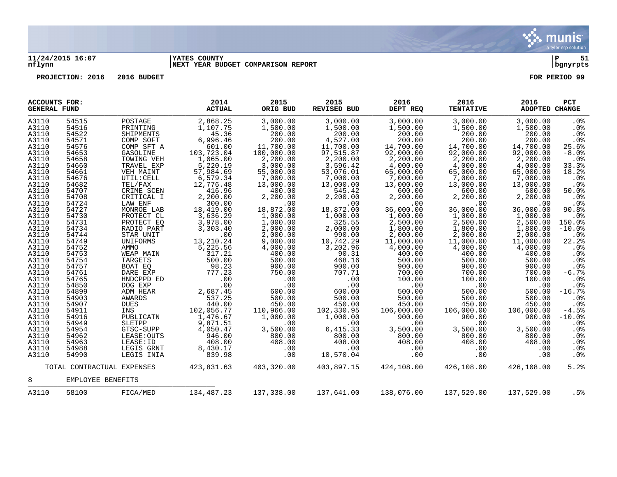

### **11/24/2015 16:07 |YATES COUNTY |P 51 nflynn |NEXT YEAR BUDGET COMPARISON REPORT |bgnyrpts**

| <b>ACCOUNTS FOR:</b><br><b>GENERAL FUND</b> |                   |                            | 2014<br><b>ACTUAL</b> | 2015<br>ORIG BUD | 2015<br>REVISED BUD | 2016<br>DEPT REQ | 2016<br><b>TENTATIVE</b> | 2016<br>ADOPTED CHANGE | <b>PCT</b>      |
|---------------------------------------------|-------------------|----------------------------|-----------------------|------------------|---------------------|------------------|--------------------------|------------------------|-----------------|
| A3110                                       | 54515             | POSTAGE                    | 2,868.25              | 3,000.00         | 3,000.00            | 3,000.00         | 3,000.00                 | 3,000.00               | .0%             |
| A3110                                       | 54516             | PRINTING                   | 1,107.75              | 1,500.00         | 1,500.00            | 1,500.00         | 1,500.00                 | 1,500.00               | $.0\%$          |
| A3110                                       | 54522             | SHIPMENTS                  | 45.36                 | 200.00           | 200.00              | 200.00           | 200.00                   | 200.00                 | .0%             |
| A3110                                       | 54571             | COMP SOFT                  | 6,996.46              | 200.00           | 4,527.00            | 200.00           | 200.00                   | 200.00                 | .0%             |
| A3110                                       | 54576             | COMP SFT A                 | 601.00                | 11,700.00        | 11,700.00           | 14,700.00        | 14,700.00                | 14,700.00              | 25.6%           |
| A3110                                       | 54653             | GASOLINE                   | 103,723.04            | 100,000.00       | 97,515.87           | 92,000.00        | 92,000.00                | 92,000.00              | $-8.0$ %        |
|                                             |                   |                            |                       |                  |                     | 2,200.00         |                          |                        |                 |
| A3110                                       | 54658             | TOWING VEH                 | 1,065.00              | 2,200.00         | 2,200.00            |                  | 2,200.00                 | 2,200.00               | .0%             |
| A3110                                       | 54660             | TRAVEL EXP                 | 5,220.19              | 3,000.00         | 3,596.42            | 4,000.00         | 4,000.00                 | 4,000.00               | 33.3%           |
| A3110                                       | 54661             | VEH MAINT                  | 57,984.69             | 55,000.00        | 53,076.01           | 65,000.00        | 65,000.00                | 65,000.00              | 18.2%           |
| A3110                                       | 54676             | UTIL: CELL                 | 6,579.34              | 7,000.00         | 7,000.00            | 7,000.00         | 7,000.00                 | 7,000.00               | .0%             |
| A3110                                       | 54682             | TEL/FAX                    | 12,776.48             | 13,000.00        | 13,000.00           | 13,000.00        | 13,000.00                | 13,000.00              | $.0\%$          |
| A3110                                       | 54707             | CRIME SCEN                 | 416.96                | 400.00           | 545.42              | 600.00           | 600.00                   | 600.00                 | 50.0%           |
| A3110                                       | 54708             | CRITICAL I                 | 2,200.00              | 2,200.00         | 2,200.00            | 2,200.00         | 2,200.00                 | 2,200.00               | .0%             |
| A3110                                       | 54724             | LAW ENF                    | 300.00                | .00              | .00                 | .00              | .00                      | .00                    | $.0\%$          |
| A3110                                       | 54727             | MONROE LAB                 | 18,419.00             | 18,872.00        | 18,872.00           | 36,000.00        | 36,000.00                | 36,000.00              | 90.8%           |
| A3110                                       | 54730             | PROTECT CL                 | 3,636.29              | 1,000.00         | 1,000.00            | 1,000.00         | 1,000.00                 | 1,000.00               | .0%             |
| A3110                                       | 54731             | PROTECT EQ                 | 3,978.00              | 1,000.00         | 325.55              | 2,500.00         | 2,500.00                 | 2,500.00               | 150.0%          |
| A3110                                       | 54734             | RADIO PART                 | 3,303.40              | 2,000.00         | 2,000.00            | 1,800.00         | 1,800.00                 | 1,800.00               | $-10.0%$        |
| A3110                                       | 54744             | STAR UNIT                  | .00                   | 2,000.00         | 990.00              | 2,000.00         | 2,000.00                 | 2,000.00               | .0%             |
| A3110                                       | 54749             | UNIFORMS                   | 13,210.24             | 9,000.00         | 10,742.29           | 11,000.00        | 11,000.00                | 11,000.00              | 22.2            |
|                                             | 54752             | AMMO                       |                       |                  |                     |                  |                          |                        |                 |
| A3110                                       |                   |                            | 5,225.56              | 4,000.00         | 3,202.96            | 4,000.00         | 4,000.00                 | 4,000.00               | .0%             |
| A3110                                       | 54753             | WEAP MAIN                  | 317.21                | 400.00           | 90.31               | 400.00           | 400.00                   | 400.00                 | .0%             |
| A3110                                       | 54754             | TARGETS                    | 500.00                | 500.00           | 468.16              | 500.00           | 500.00                   | 500.00                 | .0%             |
| A3110                                       | 54757             | BOAT EO                    | 98.23                 | 900.00           | 900.00              | 900.00           | 900.00                   | 900.00                 | .0%             |
| A3110                                       | 54761             | DARE EXP                   | 777.23                | 750.00           | 707.71              | 700.00           | 700.00                   | 700.00                 | $-6.7%$         |
| A3110                                       | 54765             | HNDCPPD ED                 | $\overline{0}$ .      | .00              | .00                 | 100.00           | 100.00                   | 100.00                 | .0%             |
| A3110                                       | 54850             | DOG EXP                    | .00                   | .00              | .00                 | .00              | .00                      | .00                    | $.0\%$          |
| A3110                                       | 54899             | ADM HEAR                   | 2,687.45              | 600.00           | 600.00              | 500.00           | 500.00                   | 500.00                 | $-16.7%$        |
| A3110                                       | 54903             | AWARDS                     | 537.25                | 500.00           | 500.00              | 500.00           | 500.00                   | 500.00                 | .0%             |
| A3110                                       | 54907             | DUES                       | 440.00                | 450.00           | 450.00              | 450.00           | 450.00                   | 450.00                 | $.0\%$          |
| A3110                                       | 54911             | INS                        | 102,056.77            | 110,966.00       | 102,330.95          | 106,000.00       | 106,000.00               | 106,000.00             | $-4.5%$         |
| A3110                                       | 54916             | PUBLICATN                  | 1,476.67              | 1,000.00         | 1,000.00            | 900.00           | 900.00                   | 900.00                 | $-10.0$ %       |
| A3110                                       | 54949             | SLETPP                     | 9,871.51              | .00              | .00                 | .00              | .00                      | .00                    | .0 <sub>8</sub> |
| A3110                                       | 54954             | GTSC-SUPP                  | 4,050.47              | 3,500.00         | 6,415.33            | 3,500.00         | 3,500.00                 | 3,500.00               | .0 <sub>8</sub> |
| A3110                                       | 54962             | LEASE: OUTS                | 946.00                | 800.00           | 800.00              | 800.00           | 800.00                   | 800.00                 | .0%             |
|                                             |                   |                            |                       |                  |                     |                  |                          |                        |                 |
| A3110                                       | 54963             | LEASE: ID                  | 408.00                | 408.00           | 408.00              | 408.00           | 408.00                   | 408.00                 | .0 <sub>8</sub> |
| A3110                                       | 54988             | LEGIS GRNT                 | 8,430.17              | .00              | .00                 | .00              | .00                      | .00                    | $.0\%$          |
| A3110                                       | 54990             | LEGIS INIA                 | 839.98                | .00              | 10,570.04           | .00              | .00                      | .00                    | .0%             |
|                                             |                   | TOTAL CONTRACTUAL EXPENSES | 423,831.63            | 403,320.00       | 403,897.15          | 424,108.00       | 426,108.00               | 426,108.00             | 5.2%            |
| 8                                           | EMPLOYEE BENEFITS |                            |                       |                  |                     |                  |                          |                        |                 |
| A3110                                       | 58100             | FICA/MED                   | 134,487.23            | 137,338.00       | 137,641.00          | 138,076.00       | 137,529.00               | 137,529.00             | .5%             |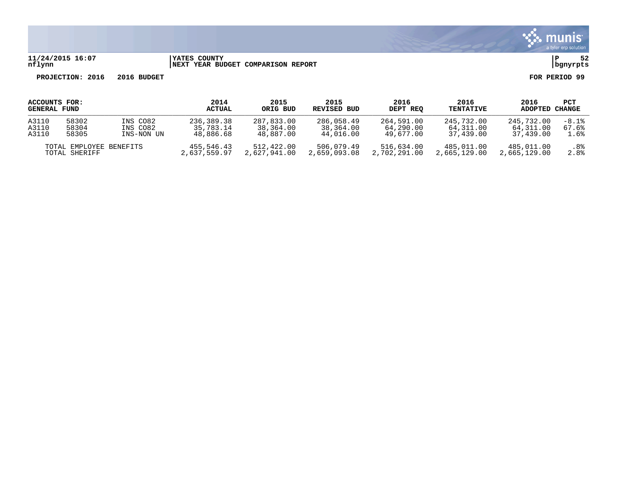

# **11/24/2015 16:07 |YATES COUNTY |P 52 nflynn |NEXT YEAR BUDGET COMPARISON REPORT |bgnyrpts**

| ACCOUNTS FOR:       |                                          |            | 2014                       | 2015                       | 2015                       | 2016                       | 2016                       | 2016                       | PCT         |
|---------------------|------------------------------------------|------------|----------------------------|----------------------------|----------------------------|----------------------------|----------------------------|----------------------------|-------------|
| <b>GENERAL FUND</b> |                                          |            | ACTUAL                     | ORIG BUD                   | REVISED BUD                | DEPT REO                   | <b>TENTATIVE</b>           | ADOPTED                    | CHANGE      |
| A3110               | 58302                                    | INS CO82   | 236,389.38                 | 287,833.00                 | 286,058.49                 | 264,591.00                 | 245,732.00                 | 245,732.00                 | $-8.1%$     |
| A3110               | 58304                                    | INS CO82   | 35,783.14                  | 38,364.00                  | 38,364.00                  | 64,290.00                  | 64,311.00                  | 64,311.00                  | 67.6%       |
| A3110               | 58305                                    | INS-NON UN | 48,886.68                  | 48,887.00                  | 44,016.00                  | 49.677.00                  | 37,439.00                  | 37,439.00                  | 1.6%        |
|                     | TOTAL EMPLOYEE BENEFITS<br>TOTAL SHERIFF |            | 455,546.43<br>2,637,559.97 | 512,422.00<br>2,627,941.00 | 506,079.49<br>2,659,093.08 | 516,634.00<br>2,702,291.00 | 485,011.00<br>2,665,129.00 | 485,011.00<br>2,665,129.00 | .8%<br>2.8% |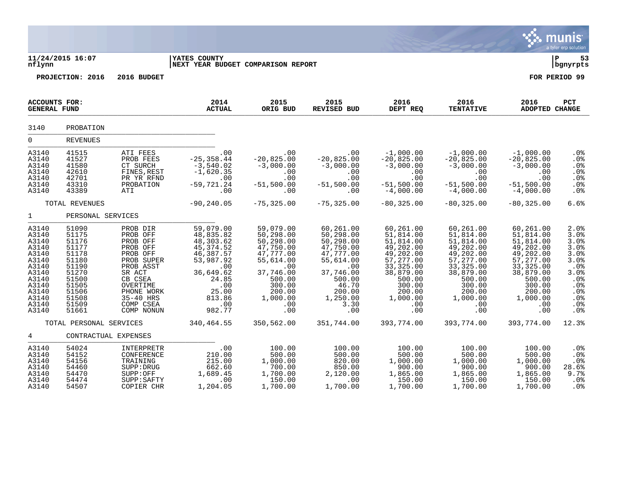|                                                                                                                            |                                                                                                                            |                                                                                                                                                                            |                                                                                                                                                     |                                                                                                                                                        |                                                                                                                                                        |                                                                                                                                                               |                                                                                                                                                                    |                                                                                                                                                               | munis <sup>®</sup><br>a tyler erp solution                                                                           |
|----------------------------------------------------------------------------------------------------------------------------|----------------------------------------------------------------------------------------------------------------------------|----------------------------------------------------------------------------------------------------------------------------------------------------------------------------|-----------------------------------------------------------------------------------------------------------------------------------------------------|--------------------------------------------------------------------------------------------------------------------------------------------------------|--------------------------------------------------------------------------------------------------------------------------------------------------------|---------------------------------------------------------------------------------------------------------------------------------------------------------------|--------------------------------------------------------------------------------------------------------------------------------------------------------------------|---------------------------------------------------------------------------------------------------------------------------------------------------------------|----------------------------------------------------------------------------------------------------------------------|
| nflynn                                                                                                                     | 11/24/2015 16:07                                                                                                           |                                                                                                                                                                            | <b>IYATES COUNTY</b><br>NEXT YEAR BUDGET COMPARISON REPORT                                                                                          |                                                                                                                                                        |                                                                                                                                                        |                                                                                                                                                               |                                                                                                                                                                    |                                                                                                                                                               | ∣ P<br>53<br>bgnyrpts                                                                                                |
|                                                                                                                            | PROJECTION: 2016                                                                                                           | 2016 BUDGET                                                                                                                                                                |                                                                                                                                                     |                                                                                                                                                        |                                                                                                                                                        |                                                                                                                                                               |                                                                                                                                                                    |                                                                                                                                                               | FOR PERIOD 99                                                                                                        |
| ACCOUNTS FOR:<br><b>GENERAL FUND</b>                                                                                       |                                                                                                                            |                                                                                                                                                                            | 2014<br><b>ACTUAL</b>                                                                                                                               | 2015<br>ORIG BUD                                                                                                                                       | 2015<br><b>REVISED BUD</b>                                                                                                                             | 2016<br>DEPT REQ                                                                                                                                              | 2016<br><b>TENTATIVE</b>                                                                                                                                           | 2016<br>ADOPTED CHANGE                                                                                                                                        | PCT                                                                                                                  |
| 3140                                                                                                                       | PROBATION                                                                                                                  |                                                                                                                                                                            |                                                                                                                                                     |                                                                                                                                                        |                                                                                                                                                        |                                                                                                                                                               |                                                                                                                                                                    |                                                                                                                                                               |                                                                                                                      |
| $\Omega$                                                                                                                   | <b>REVENUES</b>                                                                                                            |                                                                                                                                                                            |                                                                                                                                                     |                                                                                                                                                        |                                                                                                                                                        |                                                                                                                                                               |                                                                                                                                                                    |                                                                                                                                                               |                                                                                                                      |
| A3140<br>A3140<br>A3140<br>A3140<br>A3140<br>A3140<br>A3140                                                                | 41515<br>41527<br>41580<br>42610<br>42701<br>43310<br>43389                                                                | ATI FEES<br>PROB FEES<br>CT SURCH<br>FINES, REST<br>PR YR RFND<br>PROBATION<br>ATI                                                                                         | .00<br>$-25, 358.44$<br>$-3,540.02$<br>$-1,620.35$<br>.00<br>-59,721.24<br>.00                                                                      | .00<br>$-20,825.00$<br>$-3,000.00$<br>.00<br>.00<br>$-51,500.00$<br>.00                                                                                | .00<br>$-20,825.00$<br>$-3,000.00$<br>.00<br>.00<br>$-51,500.00$<br>.00                                                                                | $-1,000.00$<br>$-20,825.00$<br>$-3,000.00$<br>.00<br>.00<br>$-51,500.00$<br>$-4,000.00$                                                                       | $-1,000.00$<br>$-20,825.00$<br>$-3,000.00$<br>.00<br>.00<br>$-51,500.00$<br>$-4,000.00$                                                                            | $-1,000.00$<br>$-20,825.00$<br>$-3,000.00$<br>.00<br>.00<br>$-51,500.00$<br>$-4,000.00$                                                                       | .0%<br>.0%<br>.0%<br>.0%<br>.0%<br>.0%<br>.0%                                                                        |
|                                                                                                                            | TOTAL REVENUES                                                                                                             |                                                                                                                                                                            | $-90, 240.05$                                                                                                                                       | $-75, 325.00$                                                                                                                                          | $-75, 325.00$                                                                                                                                          | $-80, 325.00$                                                                                                                                                 | $-80, 325.00$                                                                                                                                                      | $-80, 325.00$                                                                                                                                                 | 6.6%                                                                                                                 |
| $\mathbf{1}$                                                                                                               | PERSONAL SERVICES                                                                                                          |                                                                                                                                                                            |                                                                                                                                                     |                                                                                                                                                        |                                                                                                                                                        |                                                                                                                                                               |                                                                                                                                                                    |                                                                                                                                                               |                                                                                                                      |
| A3140<br>A3140<br>A3140<br>A3140<br>A3140<br>A3140<br>A3140<br>A3140<br>A3140<br>A3140<br>A3140<br>A3140<br>A3140<br>A3140 | 51090<br>51175<br>51176<br>51177<br>51178<br>51180<br>51190<br>51270<br>51500<br>51505<br>51506<br>51508<br>51509<br>51661 | PROB DIR<br>PROB OFF<br>PROB OFF<br>PROB OFF<br>PROB OFF<br>PROB SUPER<br>PROB ASST<br>SR ACT<br>CB CSEA<br>OVERTIME<br>PHONE WORK<br>35-40 HRS<br>COMP CSEA<br>COMP NONUN | 59,079.00<br>48,835.82<br>48,303.62<br>45, 374.52<br>46,387.57<br>53,987.92<br>.00<br>36,649.62<br>24.85<br>.00<br>25.00<br>813.86<br>.00<br>982.77 | 59,079.00<br>50,298.00<br>50,298.00<br>47,750.00<br>47,777.00<br>55,614.00<br>.00<br>37,746.00<br>500.00<br>300.00<br>200.00<br>1,000.00<br>.00<br>.00 | 60,261.00<br>50,298.00<br>50,298.00<br>47,750.00<br>47,777.00<br>55,614.00<br>.00<br>37,746.00<br>500.00<br>46.70<br>200.00<br>1,250.00<br>3.30<br>.00 | 60,261.00<br>51,814.00<br>51,814.00<br>49,202.00<br>49,202.00<br>57,277.00<br>33, 325.00<br>38,879.00<br>500.00<br>300.00<br>200.00<br>1,000.00<br>.00<br>.00 | 60,261.00<br>51,814.00<br>51,814.00<br>49,202.00<br>49,202.00<br>57,277.00<br>33, 325.00<br>38,879.00<br>500.00<br>300.00<br>200.00<br>1,000.00<br>$.00 \,$<br>.00 | 60,261.00<br>51,814.00<br>51,814.00<br>49,202.00<br>49,202.00<br>57,277.00<br>33, 325.00<br>38,879.00<br>500.00<br>300.00<br>200.00<br>1,000.00<br>.00<br>.00 | 2.0%<br>3.0%<br>3.0%<br>3.0%<br>3.0%<br>3.0%<br>$.0\%$<br>3.0%<br>.0%<br>.0%<br>.0 <sub>8</sub><br>.0%<br>.0%<br>.0% |
|                                                                                                                            | TOTAL PERSONAL SERVICES                                                                                                    |                                                                                                                                                                            | 340,464.55                                                                                                                                          | 350,562.00                                                                                                                                             | 351,744.00                                                                                                                                             | 393,774.00                                                                                                                                                    | 393,774.00                                                                                                                                                         | 393,774.00                                                                                                                                                    | 12.3%                                                                                                                |
| 4                                                                                                                          | CONTRACTUAL EXPENSES                                                                                                       |                                                                                                                                                                            |                                                                                                                                                     |                                                                                                                                                        |                                                                                                                                                        |                                                                                                                                                               |                                                                                                                                                                    |                                                                                                                                                               |                                                                                                                      |
| A3140<br>A3140<br>A3140<br>A3140<br>A3140<br>A3140<br>A3140                                                                | 54024<br>54152<br>54156<br>54460<br>54470<br>54474<br>54507                                                                | INTERPRETR<br>CONFERENCE<br>TRAINING<br>SUPP: DRUG<br>SUPP:OFF<br>SUPP: SAFTY<br>COPIER CHR                                                                                | .00<br>210.00<br>215.00<br>662.60<br>1,689.45<br>.00<br>1,204.05                                                                                    | 100.00<br>500.00<br>1,000.00<br>700.00<br>1,700.00<br>150.00<br>1,700.00                                                                               | 100.00<br>500.00<br>820.00<br>850.00<br>2,120.00<br>.00<br>1,700.00                                                                                    | 100.00<br>500.00<br>1,000.00<br>900.00<br>1,865.00<br>150.00<br>1,700.00                                                                                      | 100.00<br>500.00<br>1,000.00<br>900.00<br>1,865.00<br>150.00<br>1,700.00                                                                                           | 100.00<br>500.00<br>1,000.00<br>900.00<br>1,865.00<br>150.00<br>1,700.00                                                                                      | .0%<br>.0%<br>.0%<br>28.6%<br>9.7%<br>.0%<br>.0 <sub>8</sub>                                                         |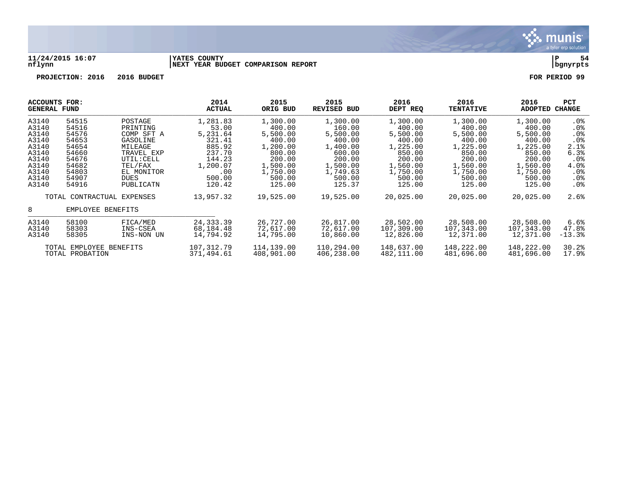

### **11/24/2015 16:07 |YATES COUNTY |P 54 nflynn |NEXT YEAR BUDGET COMPARISON REPORT |bgnyrpts**

|       | ACCOUNTS FOR:<br><b>GENERAL FUND</b> |                            | 2014<br><b>ACTUAL</b> | 2015<br>ORIG BUD | 2015<br><b>REVISED BUD</b> | 2016<br>DEPT REQ | 2016<br><b>TENTATIVE</b> | 2016<br>ADOPTED | <b>PCT</b><br><b>CHANGE</b> |
|-------|--------------------------------------|----------------------------|-----------------------|------------------|----------------------------|------------------|--------------------------|-----------------|-----------------------------|
| A3140 | 54515                                | POSTAGE                    | 1,281.83              | 1,300.00         | 1,300.00                   | 1,300.00         | 1,300.00                 | 1,300.00        | $.0\%$                      |
| A3140 | 54516                                | PRINTING                   | 53.00                 | 400.00           | 160.00                     | 400.00           | 400.00                   | 400.00          | $.0\%$                      |
| A3140 | 54576                                | COMP SFT A                 | 5,231.64              | 5,500.00         | 5,500.00                   | 5,500.00         | 5,500.00                 | 5,500.00        | .0 <sub>8</sub>             |
| A3140 | 54653                                | GASOLINE                   | 321.41                | 400.00           | 400.00                     | 400.00           | 400.00                   | 400.00          | .0%                         |
| A3140 | 54654                                | MILEAGE                    | 885.92                | 1,200.00         | 1,400.00                   | 1,225.00         | 1,225.00                 | 1,225.00        | 2.1%                        |
| A3140 | 54660                                | TRAVEL EXP                 | 237.70                | 800.00           | 600.00                     | 850.00           | 850.00                   | 850.00          | 6.3%                        |
| A3140 | 54676                                | UTIL: CELL                 | 144.23                | 200.00           | 200.00                     | 200.00           | 200.00                   | 200.00          | $.0\%$                      |
| A3140 | 54682                                | TEL/FAX                    | 1,200.07              | 1,500.00         | 1,500.00                   | 1,560.00         | 1,560.00                 | 1,560.00        | 4.0%                        |
| A3140 | 54803                                | EL MONITOR                 | .00                   | 1,750.00         | 1,749.63                   | 1,750.00         | 1,750.00                 | 1,750.00        | $.0\%$                      |
| A3140 | 54907                                | DUES                       | 500.00                | 500.00           | 500.00                     | 500.00           | 500.00                   | 500.00          | .0%                         |
| A3140 | 54916                                | PUBLICATN                  | 120.42                | 125.00           | 125.37                     | 125.00           | 125.00                   | 125.00          | .0%                         |
|       |                                      | TOTAL CONTRACTUAL EXPENSES | 13,957.32             | 19,525.00        | 19,525.00                  | 20,025.00        | 20,025.00                | 20,025.00       | 2.6%                        |
| 8     | EMPLOYEE BENEFITS                    |                            |                       |                  |                            |                  |                          |                 |                             |
| A3140 | 58100                                | FICA/MED                   | 24,333.39             | 26,727.00        | 26,817.00                  | 28,502.00        | 28,508.00                | 28,508.00       | 6.6%                        |
| A3140 | 58303                                | INS-CSEA                   | 68,184.48             | 72,617.00        | 72,617.00                  | 107,309.00       | 107,343.00               | 107,343.00      | 47.8%                       |
| A3140 | 58305                                | INS-NON UN                 | 14,794.92             | 14,795.00        | 10,860.00                  | 12,826.00        | 12,371.00                | 12,371.00       | $-13.3%$                    |
|       | TOTAL EMPLOYEE BENEFITS              |                            | 107,312.79            | 114,139.00       | 110,294.00                 | 148,637.00       | 148,222.00               | 148,222.00      | 30.2%                       |
|       | TOTAL PROBATION                      |                            | 371,494.61            | 408,901.00       | 406,238.00                 | 482,111.00       | 481,696.00               | 481,696.00      | 17.9%                       |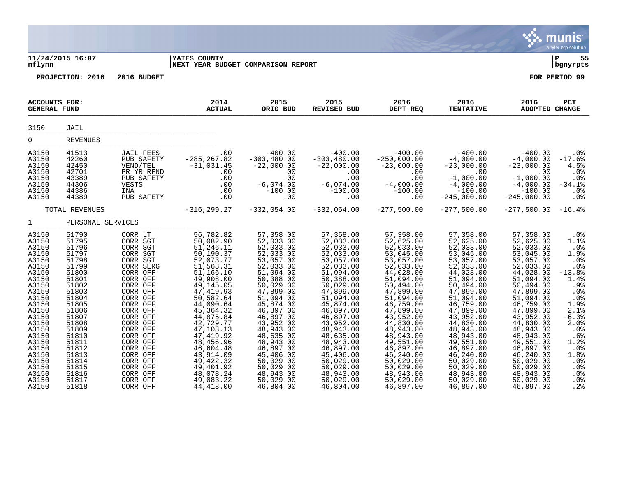|                                                                                                                                                                                                                               |                                                                                                                                                                                                                               |                                                                                                                                                                                                                                                                                                          |                                                                                                                                                                                                                                                                                                                                           |                                                                                                                                                                                                                                                                                                                                   |                                                                                                                                                                                                                                                                                                                                   |                                                                                                                                                                                                                                                                                                                                    |                                                                                                                                                                                                                                                                                                                                    |                                                                                                                                                                                                                                                                                                                                    | munis<br>a tyler erp solution                                                                                                                                                                        |
|-------------------------------------------------------------------------------------------------------------------------------------------------------------------------------------------------------------------------------|-------------------------------------------------------------------------------------------------------------------------------------------------------------------------------------------------------------------------------|----------------------------------------------------------------------------------------------------------------------------------------------------------------------------------------------------------------------------------------------------------------------------------------------------------|-------------------------------------------------------------------------------------------------------------------------------------------------------------------------------------------------------------------------------------------------------------------------------------------------------------------------------------------|-----------------------------------------------------------------------------------------------------------------------------------------------------------------------------------------------------------------------------------------------------------------------------------------------------------------------------------|-----------------------------------------------------------------------------------------------------------------------------------------------------------------------------------------------------------------------------------------------------------------------------------------------------------------------------------|------------------------------------------------------------------------------------------------------------------------------------------------------------------------------------------------------------------------------------------------------------------------------------------------------------------------------------|------------------------------------------------------------------------------------------------------------------------------------------------------------------------------------------------------------------------------------------------------------------------------------------------------------------------------------|------------------------------------------------------------------------------------------------------------------------------------------------------------------------------------------------------------------------------------------------------------------------------------------------------------------------------------|------------------------------------------------------------------------------------------------------------------------------------------------------------------------------------------------------|
| nflynn                                                                                                                                                                                                                        | 11/24/2015 16:07                                                                                                                                                                                                              |                                                                                                                                                                                                                                                                                                          | <b>IYATES COUNTY</b><br>NEXT YEAR BUDGET COMPARISON REPORT                                                                                                                                                                                                                                                                                |                                                                                                                                                                                                                                                                                                                                   |                                                                                                                                                                                                                                                                                                                                   |                                                                                                                                                                                                                                                                                                                                    |                                                                                                                                                                                                                                                                                                                                    |                                                                                                                                                                                                                                                                                                                                    | lР<br>55<br>  bgnyrpts                                                                                                                                                                               |
|                                                                                                                                                                                                                               | PROJECTION: 2016                                                                                                                                                                                                              | 2016 BUDGET                                                                                                                                                                                                                                                                                              |                                                                                                                                                                                                                                                                                                                                           |                                                                                                                                                                                                                                                                                                                                   |                                                                                                                                                                                                                                                                                                                                   |                                                                                                                                                                                                                                                                                                                                    |                                                                                                                                                                                                                                                                                                                                    |                                                                                                                                                                                                                                                                                                                                    | FOR PERIOD 99                                                                                                                                                                                        |
| <b>ACCOUNTS FOR:</b><br><b>GENERAL FUND</b>                                                                                                                                                                                   |                                                                                                                                                                                                                               |                                                                                                                                                                                                                                                                                                          | 2014<br><b>ACTUAL</b>                                                                                                                                                                                                                                                                                                                     | 2015<br>ORIG BUD                                                                                                                                                                                                                                                                                                                  | 2015<br>REVISED BUD                                                                                                                                                                                                                                                                                                               | 2016<br>DEPT REQ                                                                                                                                                                                                                                                                                                                   | 2016<br><b>TENTATIVE</b>                                                                                                                                                                                                                                                                                                           | 2016<br><b>ADOPTED CHANGE</b>                                                                                                                                                                                                                                                                                                      | PCT                                                                                                                                                                                                  |
| 3150                                                                                                                                                                                                                          | JAIL                                                                                                                                                                                                                          |                                                                                                                                                                                                                                                                                                          |                                                                                                                                                                                                                                                                                                                                           |                                                                                                                                                                                                                                                                                                                                   |                                                                                                                                                                                                                                                                                                                                   |                                                                                                                                                                                                                                                                                                                                    |                                                                                                                                                                                                                                                                                                                                    |                                                                                                                                                                                                                                                                                                                                    |                                                                                                                                                                                                      |
| $\overline{0}$                                                                                                                                                                                                                | <b>REVENUES</b>                                                                                                                                                                                                               |                                                                                                                                                                                                                                                                                                          |                                                                                                                                                                                                                                                                                                                                           |                                                                                                                                                                                                                                                                                                                                   |                                                                                                                                                                                                                                                                                                                                   |                                                                                                                                                                                                                                                                                                                                    |                                                                                                                                                                                                                                                                                                                                    |                                                                                                                                                                                                                                                                                                                                    |                                                                                                                                                                                                      |
| A3150<br>A3150<br>A3150<br>A3150<br>A3150<br>A3150<br>A3150<br>A3150                                                                                                                                                          | 41513<br>42260<br>42450<br>42701<br>43389<br>44306<br>44386<br>44389                                                                                                                                                          | <b>JAIL FEES</b><br>PUB SAFETY<br>VEND/TEL<br>PR YR RFND<br>PUB SAFETY<br>VESTS<br>INA<br>PUB SAFETY                                                                                                                                                                                                     | .00<br>$-285, 267.82$<br>$-31, 031.45$<br>.00<br>.00<br>.00<br>.00<br>.00                                                                                                                                                                                                                                                                 | $-400.00$<br>$-303, 480.00$<br>$-22,000.00$<br>.00<br>.00<br>$-6,074.00$<br>$-100.00$<br>.00                                                                                                                                                                                                                                      | $-400.00$<br>$-303, 480.00$<br>$-22,000.00$<br>.00<br>.00<br>$-6,074.00$<br>$-100.00$<br>.00                                                                                                                                                                                                                                      | $-400.00$<br>$-250,000.00$<br>$-23,000.00$<br>.00<br>.00<br>$-4,000.00$<br>$-100.00$<br>.00                                                                                                                                                                                                                                        | $-400.00$<br>$-4,000.00$<br>$-23,000.00$<br>.00<br>$-1,000.00$<br>$-4,000.00$<br>$-100.00$<br>$-245,000.00$                                                                                                                                                                                                                        | $-400.00$<br>$-4,000.00$<br>$-23,000.00$<br>.00<br>$-1,000.00$<br>$-4,000.00$<br>$-100.00$<br>$-245,000.00$                                                                                                                                                                                                                        | .0%<br>$-17.6%$<br>4.5%<br>.0%<br>.0%<br>$-34.1%$<br>.0%<br>.0%                                                                                                                                      |
|                                                                                                                                                                                                                               | TOTAL REVENUES                                                                                                                                                                                                                |                                                                                                                                                                                                                                                                                                          | $-316, 299.27$                                                                                                                                                                                                                                                                                                                            | $-332,054.00$                                                                                                                                                                                                                                                                                                                     | $-332,054.00$                                                                                                                                                                                                                                                                                                                     | $-277,500.00$                                                                                                                                                                                                                                                                                                                      | $-277,500.00$                                                                                                                                                                                                                                                                                                                      | $-277,500.00$                                                                                                                                                                                                                                                                                                                      | $-16.4%$                                                                                                                                                                                             |
| $\mathbf{1}$                                                                                                                                                                                                                  | PERSONAL SERVICES                                                                                                                                                                                                             |                                                                                                                                                                                                                                                                                                          |                                                                                                                                                                                                                                                                                                                                           |                                                                                                                                                                                                                                                                                                                                   |                                                                                                                                                                                                                                                                                                                                   |                                                                                                                                                                                                                                                                                                                                    |                                                                                                                                                                                                                                                                                                                                    |                                                                                                                                                                                                                                                                                                                                    |                                                                                                                                                                                                      |
| A3150<br>A3150<br>A3150<br>A3150<br>A3150<br>A3150<br>A3150<br>A3150<br>A3150<br>A3150<br>A3150<br>A3150<br>A3150<br>A3150<br>A3150<br>A3150<br>A3150<br>A3150<br>A3150<br>A3150<br>A3150<br>A3150<br>A3150<br>A3150<br>A3150 | 51790<br>51795<br>51796<br>51797<br>51798<br>51799<br>51800<br>51801<br>51802<br>51803<br>51804<br>51805<br>51806<br>51807<br>51808<br>51809<br>51810<br>51811<br>51812<br>51813<br>51814<br>51815<br>51816<br>51817<br>51818 | CORR LT<br>CORR SGT<br>CORR SGT<br>CORR SGT<br>CORR SGT<br>CORR SERG<br>CORR OFF<br>CORR OFF<br>CORR OFF<br>CORR OFF<br>CORR OFF<br>CORR OFF<br>CORR OFF<br>CORR OFF<br>CORR OFF<br>CORR OFF<br>CORR OFF<br>CORR OFF<br>CORR OFF<br>CORR OFF<br>CORR OFF<br>CORR OFF<br>CORR OFF<br>CORR OFF<br>CORR OFF | 56,782.82<br>50,082.90<br>51,246.11<br>50,190.37<br>52,073.77<br>51,568.31<br>51, 166.10<br>49,908.00<br>49,145.05<br>47, 419.93<br>50,582.64<br>44,090.64<br>45, 364.32<br>44,875.84<br>42,729.77<br>47, 103. 13<br>47, 419.92<br>48,456.96<br>46,604.48<br>43,914.09<br>49, 422.32<br>49, 401.92<br>48,078.24<br>49,083.22<br>44,418.00 | 57,358.00<br>52,033.00<br>52,033.00<br>52,033.00<br>53,057.00<br>52,033.00<br>51,094.00<br>50,388.00<br>50,029.00<br>47,899.00<br>51,094.00<br>45,874.00<br>46,897.00<br>46,897.00<br>43,952.00<br>48,943.00<br>48,635.00<br>48,943.00<br>46,897.00<br>45,406.00<br>50,029.00<br>50,029.00<br>48,943.00<br>50,029.00<br>46,804.00 | 57,358.00<br>52,033.00<br>52,033.00<br>52,033.00<br>53,057.00<br>52,033.00<br>51,094.00<br>50,388.00<br>50,029.00<br>47,899.00<br>51,094.00<br>45,874.00<br>46,897.00<br>46,897.00<br>43,952.00<br>48,943.00<br>48,635.00<br>48,943.00<br>46,897.00<br>45,406.00<br>50,029.00<br>50,029.00<br>48,943.00<br>50,029.00<br>46,804.00 | 57,358.00<br>52,625.00<br>52,033.00<br>53,045.00<br>53,057.00<br>52,033.00<br>44,028.00<br>51,094.00<br>50,494.00<br>47,899.00<br>51,094.00<br>46,759.00<br>47,899.00<br>43,952.00<br>44,830.00<br>48,943.00<br>48,943.00<br>49,551.00<br>46,897.00<br>46, 240.00<br>50,029.00<br>50,029.00<br>48,943.00<br>50,029.00<br>46,897.00 | 57,358.00<br>52,625.00<br>52,033.00<br>53,045.00<br>53,057.00<br>52,033.00<br>44,028.00<br>51,094.00<br>50,494.00<br>47,899.00<br>51,094.00<br>46,759.00<br>47,899.00<br>43,952.00<br>44,830.00<br>48,943.00<br>48,943.00<br>49,551.00<br>46,897.00<br>46, 240.00<br>50,029.00<br>50,029.00<br>48,943.00<br>50,029.00<br>46,897.00 | 57,358.00<br>52,625.00<br>52,033.00<br>53,045.00<br>53,057.00<br>52,033.00<br>44,028.00<br>51,094.00<br>50,494.00<br>47,899.00<br>51,094.00<br>46,759.00<br>47,899.00<br>43,952.00<br>44,830.00<br>48,943.00<br>48,943.00<br>49,551.00<br>46,897.00<br>46, 240.00<br>50,029.00<br>50,029.00<br>48,943.00<br>50,029.00<br>46,897.00 | .0%<br>1.1%<br>.0%<br>1.9%<br>.0%<br>.0%<br>$-13.8%$<br>1.4%<br>.9%<br>.0%<br>$.08$<br>$1.98$<br>$2.18$<br>$-6.3%$<br>2.0%<br>.0%<br>$.6%$<br>1.2%<br>.0%<br>1.8%<br>.0%<br>.0%<br>.0%<br>.0%<br>.2% |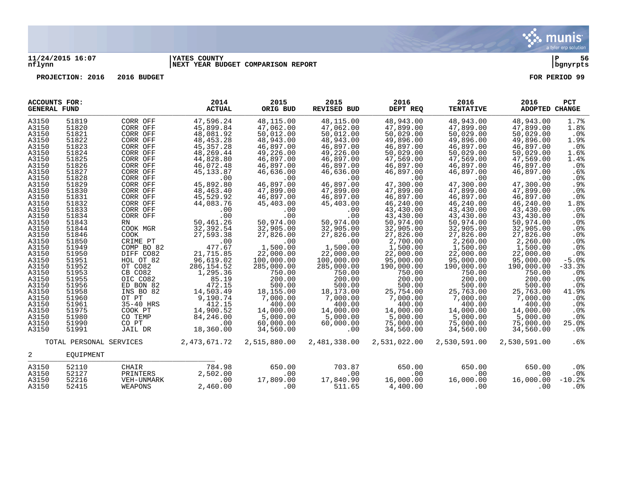

### **11/24/2015 16:07 |YATES COUNTY |P 56 nflynn |NEXT YEAR BUDGET COMPARISON REPORT |bgnyrpts**

| <b>ACCOUNTS FOR:</b><br><b>GENERAL FUND</b> |                                      |            | 2014<br><b>ACTUAL</b> | 2015<br>ORIG BUD | 2015<br>REVISED BUD | 2016<br>DEPT REQ | 2016<br><b>TENTATIVE</b> | 2016<br>ADOPTED CHANGE | <b>PCT</b>      |
|---------------------------------------------|--------------------------------------|------------|-----------------------|------------------|---------------------|------------------|--------------------------|------------------------|-----------------|
| A3150                                       | 51819                                | CORR OFF   | 47,596.24             | 48,115.00        | 48,115.00           | 48,943.00        | 48,943.00                | 48,943.00              | 1.7%            |
| A3150                                       | 51820                                | CORR OFF   | 45,899.84             | 47,062.00        | 47,062.00           | 47,899.00        | 47,899.00                | 47,899.00              | 1.8%            |
| A3150                                       | 51821                                | CORR OFF   | 48,081.92             | 50,012.00        | 50,012.00           | 50,029.00        | 50,029.00                | 50,029.00              | .0%             |
| A3150                                       | 51822                                | CORR OFF   | 48, 453. 28           | 48,943.00        | 48,943.00           | 49,896.00        | 49,896.00                | 49,896.00              | 1.9%            |
| A3150                                       | 51823                                | CORR OFF   | 45, 357. 28           | 46,897.00        | 46,897.00           | 46,897.00        | 46,897.00                | 46,897.00              | $.0\%$          |
| A3150                                       | 51824                                | CORR OFF   | 48,269.44             | 49,226.00        | 49,226.00           | 50,029.00        | 50,029.00                | 50,029.00              | 1.6%            |
| A3150                                       | 51825                                | CORR OFF   | 44,828.80             | 46,897.00        | 46,897.00           | 47,569.00        | 47,569.00                | 47,569.00              | 1.4%            |
| A3150                                       | 51826                                | CORR OFF   | 46,072.48             | 46,897.00        | 46,897.00           | 46,897.00        | 46,897.00                | 46,897.00              | .0%             |
| A3150                                       | 51827                                | CORR OFF   | 45, 133.87            | 46,636.00        | 46,636.00           | 46,897.00        | 46,897.00                | 46,897.00              | .6%             |
| A3150                                       | 51828                                | CORR OFF   | .00                   | .00              | .00                 | .00              | .00                      | .00                    | .0%             |
| A3150                                       | 51829                                | CORR OFF   | 45,892.80             | 46,897.00        | 46,897.00           | 47,300.00        | 47,300.00                | 47,300.00              | .9%             |
| A3150                                       | 51830                                | CORR OFF   | 48,463.40             | 47,899.00        | 47,899.00           | 47,899.00        | 47,899.00                | 47,899.00              | .0%             |
| A3150                                       | 51831                                | CORR OFF   | 45,529.92             | 46,897.00        | 46,897.00           | 46,897.00        | 46,897.00                | 46,897.00              | .0%             |
| A3150                                       | 51832                                | CORR OFF   | 44,083.76             | 45,403.00        | 45,403.00           | 46,240.00        | 46,240.00                | 46,240.00              | 1.8%            |
| A3150                                       | 51833                                | CORR OFF   | .00                   | .00              | .00                 | 43,430.00        | 43,430.00                | 43,430.00              | .0%             |
| A3150                                       | 51834                                | CORR OFF   | .00                   | .00              | .00                 | 43,430.00        | 43,430.00                | 43,430.00              | .0%             |
| A3150                                       | 51843                                | RN         | 50,461.26             | 50,974.00        | 50,974.00           | 50,974.00        | 50,974.00                | 50,974.00              | .0%             |
| A3150                                       | 51844                                | COOK MGR   | 32,392.54             | 32,905.00        | 32,905.00           | 32,905.00        | 32,905.00                | 32,905.00              | .0%             |
| A3150                                       | 51846                                | COOK       | 27,593.38             | 27,826.00        | 27,826.00           | 27,826.00        | 27,826.00                | 27,826.00              | .0 <sub>8</sub> |
| A3150                                       | 51850                                | CRIME PT   | .00                   | .00              | .00                 | 2,700.00         | 2,260.00                 | 2,260.00               | .0%             |
| A3150                                       | 51949                                | COMP BO 82 | 477.67                | 1,500.00         | 1,500.00            | 1,500.00         | 1,500.00                 | 1,500.00               | .0%             |
| A3150                                       | 51950                                | DIFF CO82  | 21,715.85             | 22,000.00        | 22,000.00           | 22,000.00        | 22,000.00                | 22,000.00              | .0%             |
| A3150                                       | 51951                                | HOL OT 82  | 96,619.02             | 100,000.00       | 100,000.00          | 95,000.00        | 95,000.00                | 95,000.00              | $-5.0$ $8$      |
| A3150                                       | 51952                                | OT CO82    | 286, 154.52           | 285,000.00       | 285,000.00          | 190,000.00       | 190,000.00               | 190,000.00             | $-33.3%$        |
| A3150                                       | 51953                                | CB CO82    | 1,295.36              | 750.00           | 750.00              | 750.00           | 750.00                   | 750.00                 | .0 <sub>8</sub> |
| A3150                                       | 51955                                | OIC CO82   | 85.19                 | 200.00           | 200.00              | 200.00           | 200.00                   | 200.00                 | .0%             |
| A3150                                       | 51956                                | ED BON 82  | 472.15                | 500.00           | 500.00              | 500.00           | 500.00                   | 500.00                 | .0%             |
| A3150                                       | 51958                                | INS BO 82  | 14,503.49             | 18,155.00        | 18,173.00           | 25,754.00        | 25,763.00                | 25,763.00              | 41.9%           |
| A3150                                       | 51960                                | OT PT      | 9,190.74              | 7,000.00         | 7,000.00            | 7,000.00         | 7,000.00                 | 7,000.00               | .0%             |
| A3150                                       | 51961                                | 35-40 HRS  | 412.15                | 400.00           | 400.00              | 400.00           | 400.00                   | 400.00                 | $.0\%$          |
| A3150                                       | 51975                                | COOK PT    | 14,900.52             | 14,000.00        | 14,000.00           | 14,000.00        | 14,000.00                | 14,000.00              | .0%             |
| A3150                                       | 51980                                | CO TEMP    | 84,246.00             | 5,000.00         | 5,000.00            | 5,000.00         | 5,000.00                 | 5,000.00               | $.0\%$          |
| A3150                                       | 51990                                | CO PT      | .00                   | 60,000.00        | 60,000.00           | 75,000.00        | 75,000.00                | 75,000.00              | 25.0%           |
| A3150                                       | 51991                                | JAIL DR    | 18,360.00             | 34,560.00        | .00                 | 34,560.00        | 34,560.00                | 34,560.00              | $.0\%$          |
| 2                                           | TOTAL PERSONAL SERVICES<br>EOUIPMENT |            | 2,473,671.72          | 2,515,880.00     | 2,481,338.00        | 2,531,022.00     | 2,530,591.00             | 2,530,591.00           | .6%             |
| A3150                                       | 52110                                | CHAIR      | 784.98                | 650.00           | 703.87              | 650.00           | 650.00                   | 650.00                 | $.0\%$          |
| A3150                                       | 52127                                | PRINTERS   | 2,502.00              | .00              | .00                 | .00              | .00                      | .00                    | $.0\%$          |
| A3150                                       | 52216                                | VEH-UNMARK | .00                   | 17,809.00        | 17,840.90           | 16,000.00        | 16,000.00                | 16,000.00              | $-10.2%$        |
| A3150                                       | 52415                                | WEAPONS    | 2,460.00              | .00              | 511.65              | 4,400.00         | .00                      | .00                    | .0%             |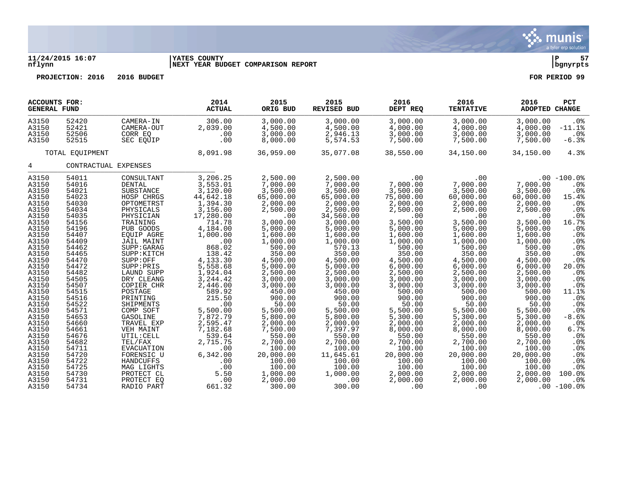

## **11/24/2015 16:07 |YATES COUNTY |P 57 nflynn |NEXT YEAR BUDGET COMPARISON REPORT |bgnyrpts**

| <b>ACCOUNTS FOR:</b><br><b>GENERAL FUND</b>                                                                                                                                                                                                                                                           |                                                                                                                                                                                                                                                                                                       |                                                                                                                                                                                                                                                                                                                                                                                                                                                   | 2014<br><b>ACTUAL</b>                                                                                                                                                                                                                                                                                                                                         | 2015<br>ORIG BUD                                                                                                                                                                                                                                                                                                                                                                   | 2015<br>REVISED BUD                                                                                                                                                                                                                                                                                                                                                                 | 2016<br>DEPT REQ                                                                                                                                                                                                                                                                                                                                                                    | 2016<br><b>TENTATIVE</b>                                                                                                                                                                                                                                                                                                                                                      | 2016<br>PCT<br>ADOPTED CHANGE                                                                                                                                                                                                                                                                                                                                                                                                                                                                                                                                                                                                                 |
|-------------------------------------------------------------------------------------------------------------------------------------------------------------------------------------------------------------------------------------------------------------------------------------------------------|-------------------------------------------------------------------------------------------------------------------------------------------------------------------------------------------------------------------------------------------------------------------------------------------------------|---------------------------------------------------------------------------------------------------------------------------------------------------------------------------------------------------------------------------------------------------------------------------------------------------------------------------------------------------------------------------------------------------------------------------------------------------|---------------------------------------------------------------------------------------------------------------------------------------------------------------------------------------------------------------------------------------------------------------------------------------------------------------------------------------------------------------|------------------------------------------------------------------------------------------------------------------------------------------------------------------------------------------------------------------------------------------------------------------------------------------------------------------------------------------------------------------------------------|-------------------------------------------------------------------------------------------------------------------------------------------------------------------------------------------------------------------------------------------------------------------------------------------------------------------------------------------------------------------------------------|-------------------------------------------------------------------------------------------------------------------------------------------------------------------------------------------------------------------------------------------------------------------------------------------------------------------------------------------------------------------------------------|-------------------------------------------------------------------------------------------------------------------------------------------------------------------------------------------------------------------------------------------------------------------------------------------------------------------------------------------------------------------------------|-----------------------------------------------------------------------------------------------------------------------------------------------------------------------------------------------------------------------------------------------------------------------------------------------------------------------------------------------------------------------------------------------------------------------------------------------------------------------------------------------------------------------------------------------------------------------------------------------------------------------------------------------|
| A3150<br>A3150<br>A3150<br>A3150                                                                                                                                                                                                                                                                      | 52420<br>52421<br>52506<br>52515                                                                                                                                                                                                                                                                      | CAMERA-IN<br>CAMERA-OUT<br>CORR EO<br>SEC EQUIP                                                                                                                                                                                                                                                                                                                                                                                                   | 306.00<br>2,039.00<br>.00<br>.00                                                                                                                                                                                                                                                                                                                              | 3,000.00<br>4,500.00<br>3,000.00<br>8,000.00                                                                                                                                                                                                                                                                                                                                       | 3,000.00<br>4,500.00<br>2,946.13<br>5,574.53                                                                                                                                                                                                                                                                                                                                        | 3,000.00<br>4,000.00<br>3,000.00<br>7,500.00                                                                                                                                                                                                                                                                                                                                        | 3,000.00<br>4,000.00<br>3,000.00<br>7,500.00                                                                                                                                                                                                                                                                                                                                  | 3,000.00<br>.0%<br>4,000.00<br>$-11.1$ %<br>3,000.00<br>$.0\%$<br>7,500.00<br>$-6.3%$                                                                                                                                                                                                                                                                                                                                                                                                                                                                                                                                                         |
|                                                                                                                                                                                                                                                                                                       | TOTAL EQUIPMENT                                                                                                                                                                                                                                                                                       |                                                                                                                                                                                                                                                                                                                                                                                                                                                   | 8,091.98                                                                                                                                                                                                                                                                                                                                                      | 36,959.00                                                                                                                                                                                                                                                                                                                                                                          | 35,077.08                                                                                                                                                                                                                                                                                                                                                                           | 38,550.00                                                                                                                                                                                                                                                                                                                                                                           | 34,150.00                                                                                                                                                                                                                                                                                                                                                                     | 34,150.00<br>4.3%                                                                                                                                                                                                                                                                                                                                                                                                                                                                                                                                                                                                                             |
| $4\overline{ }$                                                                                                                                                                                                                                                                                       |                                                                                                                                                                                                                                                                                                       | CONTRACTUAL EXPENSES                                                                                                                                                                                                                                                                                                                                                                                                                              |                                                                                                                                                                                                                                                                                                                                                               |                                                                                                                                                                                                                                                                                                                                                                                    |                                                                                                                                                                                                                                                                                                                                                                                     |                                                                                                                                                                                                                                                                                                                                                                                     |                                                                                                                                                                                                                                                                                                                                                                               |                                                                                                                                                                                                                                                                                                                                                                                                                                                                                                                                                                                                                                               |
| A3150<br>A3150<br>A3150<br>A3150<br>A3150<br>A3150<br>A3150<br>A3150<br>A3150<br>A3150<br>A3150<br>A3150<br>A3150<br>A3150<br>A3150<br>A3150<br>A3150<br>A3150<br>A3150<br>A3150<br>A3150<br>A3150<br>A3150<br>A3150<br>A3150<br>A3150<br>A3150<br>A3150<br>A3150<br>A3150<br>A3150<br>A3150<br>A3150 | 54011<br>54016<br>54021<br>54023<br>54030<br>54034<br>54035<br>54156<br>54196<br>54407<br>54409<br>54462<br>54465<br>54470<br>54472<br>54482<br>54505<br>54507<br>54515<br>54516<br>54522<br>54571<br>54653<br>54660<br>54661<br>54676<br>54682<br>54711<br>54720<br>54722<br>54725<br>54730<br>54731 | CONSULTANT<br>DENTAL<br>SUBSTANCE<br>HOSP CHRGS<br>OPTOMETRST<br>PHYSICALS<br>PHYSICIAN<br>TRAINING<br>PUB GOODS<br>EQUIP AGRE<br>JAIL MAINT<br>SUPP: GARAG<br>SUPP: KITCH<br>SUPP:OFF<br>SUPP:PRIS<br>LAUND SUPP<br>DRY CLEANG<br>COPIER CHR<br>POSTAGE<br>PRINTING<br>SHIPMENTS<br>COMP SOFT<br>GASOLINE<br>TRAVEL EXP<br>VEH MAINT<br>UTIL: CELL<br>TEL/FAX<br>EVACUATION<br>FORENSIC U<br>HANDCUFFS<br>MAG LIGHTS<br>PROTECT CL<br>PROTECT EO | 3,206.25<br>3,553.01<br>3,120.00<br>44,642.18<br>1,394.30<br>3,156.00<br>17,280.00<br>714.78<br>4,184.00<br>1,000.00<br>.00<br>868.02<br>138.42<br>4,133.30<br>5,558.68<br>1,924.04<br>3, 244.42<br>2,446.00<br>589.92<br>215.50<br>.00<br>5,500.00<br>7,872.79<br>2,595.47<br>7,182.68<br>539.64<br>2,715.75<br>.00<br>6,342.00<br>.00<br>.00<br>5.50<br>.00 | 2,500.00<br>7,000.00<br>3,500.00<br>65,000.00<br>2,000.00<br>2,500.00<br>.00<br>3,000.00<br>5,000.00<br>1,600.00<br>1,000.00<br>500.00<br>350.00<br>4,500.00<br>5,000.00<br>2,500.00<br>3,000.00<br>3,000.00<br>450.00<br>900.00<br>50.00<br>5,500.00<br>5,800.00<br>2,000.00<br>7,500.00<br>550.00<br>2,700.00<br>100.00<br>20,000.00<br>100.00<br>100.00<br>1,000.00<br>2,000.00 | 2,500.00<br>7,000.00<br>3,500.00<br>65,000.00<br>2,000.00<br>2,500.00<br>34,560.00<br>3,000.00<br>5,000.00<br>1,600.00<br>1,000.00<br>570.13<br>350.00<br>4,500.00<br>5,000.00<br>2,500.00<br>3,000.00<br>3,000.00<br>450.00<br>900.00<br>50.00<br>5,500.00<br>5,800.00<br>2,000.00<br>7,397.97<br>550.00<br>2,700.00<br>100.00<br>11,645.61<br>100.00<br>100.00<br>1,000.00<br>.00 | $\sim$ 00<br>7,000.00<br>3,500.00<br>75,000.00<br>2,000.00<br>2,500.00<br>.00<br>3,500.00<br>5,000.00<br>1,600.00<br>1,000.00<br>500.00<br>350.00<br>4,500.00<br>6,000.00<br>2,500.00<br>3,000.00<br>3,000.00<br>500.00<br>900.00<br>50.00<br>5,500.00<br>5,300.00<br>2,000.00<br>8,000.00<br>550.00<br>2,700.00<br>100.00<br>20,000.00<br>100.00<br>100.00<br>2,000.00<br>2,000.00 | .00<br>7,000.00<br>3,500.00<br>60,000.00<br>2,000.00<br>2,500.00<br>.00<br>3,500.00<br>5,000.00<br>1,600.00<br>1,000.00<br>500.00<br>350.00<br>4,500.00<br>6,000.00<br>2,500.00<br>3,000.00<br>3,000.00<br>500.00<br>900.00<br>50.00<br>5,500.00<br>5,300.00<br>2,000.00<br>8,000.00<br>550.00<br>2,700.00<br>100.00<br>20,000.00<br>100.00<br>100.00<br>2,000.00<br>2,000.00 | $.00 - 100.0$<br>7,000.00<br>.0%<br>3,500.00<br>.0%<br>60,000.00<br>15.4%<br>2,000.00<br>.0%<br>2,500.00<br>.0%<br>$.0\%$<br>.00<br>16.7%<br>3,500.00<br>5,000.00<br>.0%<br>1,600.00<br>$.0\%$<br>1,000.00<br>.0%<br>500.00<br>.0%<br>350.00<br>.0%<br>.0%<br>4,500.00<br>6,000.00<br>20.0%<br>2,500.00<br>.0%<br>3,000.00<br>.0%<br>3,000.00<br>.0%<br>11.1%<br>500.00<br>900.00<br>.0%<br>50.00<br>.0%<br>5,500.00<br>.0%<br>$-8.6%$<br>5,300.00<br>2,000.00<br>.0%<br>8,000.00<br>6.7%<br>550.00<br>.0%<br>2,700.00<br>.0%<br>100.00<br>.0%<br>20,000.00<br>.0%<br>100.00<br>.0%<br>100.00<br>.0%<br>100.0%<br>2,000.00<br>2,000.00<br>.0% |
| A3150                                                                                                                                                                                                                                                                                                 | 54734                                                                                                                                                                                                                                                                                                 | RADIO PART                                                                                                                                                                                                                                                                                                                                                                                                                                        | 661.32                                                                                                                                                                                                                                                                                                                                                        | 300.00                                                                                                                                                                                                                                                                                                                                                                             | 300.00                                                                                                                                                                                                                                                                                                                                                                              | 00 <sub>1</sub>                                                                                                                                                                                                                                                                                                                                                                     | $\sim$ 00                                                                                                                                                                                                                                                                                                                                                                     | $.00$ $-100.0$ $^{\circ}$                                                                                                                                                                                                                                                                                                                                                                                                                                                                                                                                                                                                                     |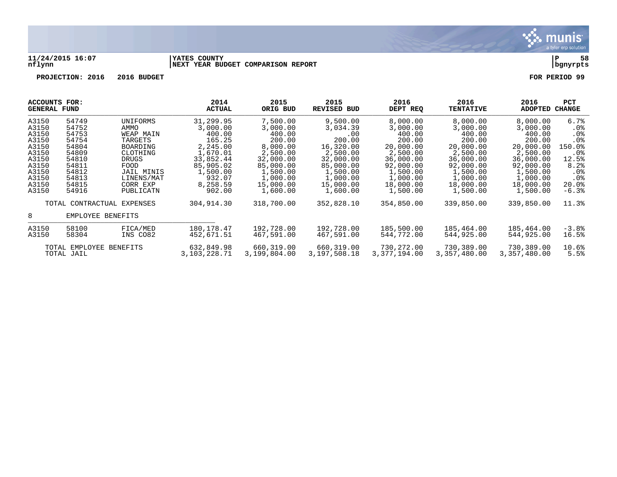

### **11/24/2015 16:07 |YATES COUNTY |P 58 nflynn |NEXT YEAR BUDGET COMPARISON REPORT |bgnyrpts**

| ACCOUNTS FOR:<br>GENERAL FUND |                                                 |                   | 2014<br><b>ACTUAL</b> | 2015<br>ORIG BUD | 2015<br><b>REVISED BUD</b> | 2016<br>DEPT REQ | 2016<br><b>TENTATIVE</b> | 2016<br><b>ADOPTED</b> | <b>PCT</b><br><b>CHANGE</b> |
|-------------------------------|-------------------------------------------------|-------------------|-----------------------|------------------|----------------------------|------------------|--------------------------|------------------------|-----------------------------|
| A3150                         | 54749                                           | UNIFORMS          | 31,299.95             | 7,500.00         | 9,500.00                   | 8,000.00         | 8,000.00                 | 8,000.00               | 6.7%                        |
| A3150                         | 54752                                           | AMMO              | 3,000.00              | 3,000.00         | 3,034.39                   | 3,000.00         | 3,000.00                 | 3,000.00               | $.0\%$                      |
| A3150                         | 54753                                           | WEAP MAIN         | 400.00                | 400.00           | .00                        | 400.00           | 400.00                   | 400.00                 | .0 <sub>8</sub>             |
| A3150                         | 54754                                           | TARGETS           | 165.25                | 200.00           | 200.00                     | 200.00           | 200.00                   | 200.00                 | .0%                         |
| A3150                         | 54804                                           | BOARDING          | 2,245.00              | 8,000.00         | 16,320.00                  | 20,000.00        | 20,000.00                | 20,000.00              | 150.0%                      |
| A3150                         | 54809                                           | CLOTHING          | 1,670.01              | 2,500.00         | 2,500.00                   | 2,500.00         | 2,500.00                 | 2,500.00               | $.0\%$                      |
| A3150                         | 54810                                           | DRUGS             | 33,852.44             | 32,000.00        | 32,000.00                  | 36,000.00        | 36,000.00                | 36,000.00              | 12.5%                       |
| A3150                         | 54811                                           | FOOD              | 85,905.02             | 85,000.00        | 85,000.00                  | 92,000.00        | 92,000.00                | 92,000.00              | 8.2%                        |
| A3150                         | 54812                                           | <b>JAIL MINIS</b> | 1,500.00              | 1,500.00         | 1,500.00                   | 1,500.00         | 1,500.00                 | 1,500.00               | $.0\%$                      |
| A3150                         | 54813                                           | LINENS/MAT        | 932.07                | 1,000.00         | 1,000.00                   | 1,000.00         | 1,000.00                 | 1,000.00               | .0 <sub>8</sub>             |
| A3150                         | 54815                                           | CORR EXP          | 8,258.59              | 15,000.00        | 15,000.00                  | 18,000.00        | 18,000.00                | 18,000.00              | 20.0%                       |
| A3150                         | 54916                                           | PUBLICATN         | 902.00                | 1,600.00         | 1,600.00                   | 1,500.00         | 1,500.00                 | 1,500.00               | $-6.3%$                     |
| 8                             | TOTAL CONTRACTUAL EXPENSES<br>EMPLOYEE BENEFITS |                   | 304,914.30            | 318,700.00       | 352,828.10                 | 354,850.00       | 339,850.00               | 339,850.00             | 11.3%                       |
| A3150                         | 58100                                           | FICA/MED          | 180, 178. 47          | 192,728.00       | 192,728.00                 | 185,500.00       | 185,464.00               | 185,464.00             | $-3.8%$                     |
| A3150                         | 58304                                           | INS CO82          | 452,671.51            | 467,591.00       | 467,591.00                 | 544,772.00       | 544,925.00               | 544,925,00             | 16.5%                       |
| TOTAL EMPLOYEE BENEFITS       |                                                 | 632,849.98        | 660,319.00            | 660,319.00       | 730,272.00                 | 730,389.00       | 730,389.00               | 10.6%                  |                             |
| TOTAL JAIL                    |                                                 | 3,103,228.71      | 3,199,804.00          | 3,197,508.18     | 3,377,194.00               | 3,357,480.00     | 3,357,480.00             | 5.5%                   |                             |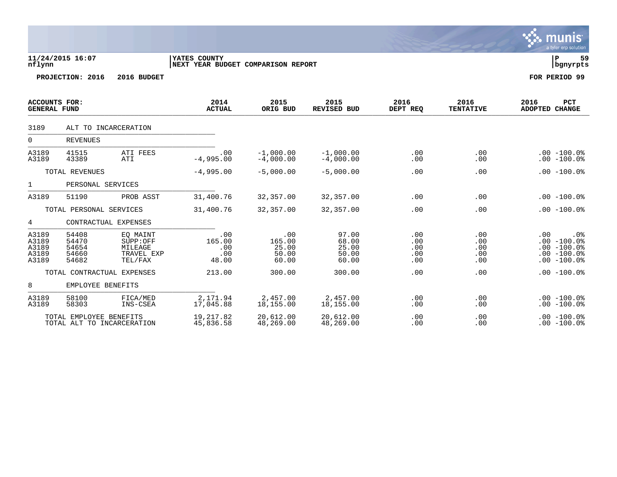|                                             |                                                       |                                                          |                                                     |                                          |                                           |                                 |                                 | a tyrch cip solution.                                                                        |
|---------------------------------------------|-------------------------------------------------------|----------------------------------------------------------|-----------------------------------------------------|------------------------------------------|-------------------------------------------|---------------------------------|---------------------------------|----------------------------------------------------------------------------------------------|
| nflynn                                      | 11/24/2015 16:07                                      |                                                          | YATES COUNTY<br>INEXT YEAR BUDGET COMPARISON REPORT |                                          |                                           |                                 |                                 | lР<br>59<br>  bgnyrpts                                                                       |
|                                             | PROJECTION: 2016                                      | 2016 BUDGET                                              |                                                     |                                          |                                           |                                 |                                 | FOR PERIOD 99                                                                                |
| <b>ACCOUNTS FOR:</b><br><b>GENERAL FUND</b> |                                                       |                                                          | 2014<br><b>ACTUAL</b>                               | 2015<br>ORIG BUD                         | 2015<br>REVISED BUD                       | 2016<br>DEPT REQ                | 2016<br><b>TENTATIVE</b>        | PCT<br>2016<br>ADOPTED CHANGE                                                                |
| 3189                                        | ALT TO INCARCERATION                                  |                                                          |                                                     |                                          |                                           |                                 |                                 |                                                                                              |
| $\overline{0}$                              | <b>REVENUES</b>                                       |                                                          |                                                     |                                          |                                           |                                 |                                 |                                                                                              |
| A3189<br>A3189                              | 41515<br>43389                                        | ATI FEES<br>ATI                                          | .00<br>$-4,995.00$                                  | $-1,000.00$<br>$-4.000.00$               | $-1,000.00$<br>$-4,000.00$                | .00<br>.00                      | .00<br>.00                      | $.00 - 100.0%$<br>$.00 - 100.0%$                                                             |
|                                             | TOTAL REVENUES                                        |                                                          | $-4,995.00$                                         | $-5,000.00$                              | $-5,000.00$                               | .00                             | .00                             | $.00 - 100.0%$                                                                               |
| 1                                           | PERSONAL SERVICES                                     |                                                          |                                                     |                                          |                                           |                                 |                                 |                                                                                              |
| A3189                                       | 51190                                                 | PROB ASST                                                | 31,400.76                                           | 32,357.00                                | 32,357.00                                 | .00                             | .00                             | $.00 - 100.0$                                                                                |
|                                             | TOTAL PERSONAL SERVICES                               |                                                          | 31,400.76                                           | 32,357.00                                | 32,357.00                                 | .00                             | .00                             | $.00 - 100.0%$                                                                               |
| $4^{\circ}$                                 | CONTRACTUAL EXPENSES                                  |                                                          |                                                     |                                          |                                           |                                 |                                 |                                                                                              |
| A3189<br>A3189<br>A3189<br>A3189<br>A3189   | 54408<br>54470<br>54654<br>54660<br>54682             | EQ MAINT<br>SUPP:OFF<br>MILEAGE<br>TRAVEL EXP<br>TEL/FAX | .00<br>165.00<br>.00<br>.00<br>48.00                | .00<br>165.00<br>25.00<br>50.00<br>60.00 | 97.00<br>68.00<br>25.00<br>50.00<br>60.00 | .00<br>.00<br>.00<br>.00<br>.00 | .00<br>.00<br>.00<br>.00<br>.00 | .00<br>.0 <sub>8</sub><br>$.00 - 100.0$<br>$.00 - 100.0%$<br>$.00 - 100.0$<br>$.00 - 100.0%$ |
|                                             | TOTAL CONTRACTUAL EXPENSES                            |                                                          | 213.00                                              | 300.00                                   | 300.00                                    | .00                             | .00                             | $.00 - 100.0%$                                                                               |
| 8                                           | EMPLOYEE BENEFITS                                     |                                                          |                                                     |                                          |                                           |                                 |                                 |                                                                                              |
| A3189<br>A3189                              | 58100<br>58303                                        | FICA/MED<br>INS-CSEA                                     | 2,171.94<br>17,045.88                               | 2,457.00<br>18,155.00                    | 2,457.00<br>18,155.00                     | .00<br>.00                      | .00<br>.00                      | $.00 - 100.0$<br>$.00 - 100.0$                                                               |
|                                             | TOTAL EMPLOYEE BENEFITS<br>TOTAL ALT TO INCARCERATION |                                                          | 19,217.82<br>45,836.58                              | 20,612.00<br>48,269.00                   | 20,612.00<br>48,269.00                    | .00<br>.00                      | .00<br>.00                      | $.00 - 100.0$<br>$.00 - 100.0$                                                               |

 $\ddot{\ddot{\mathbf{u}}}$  munis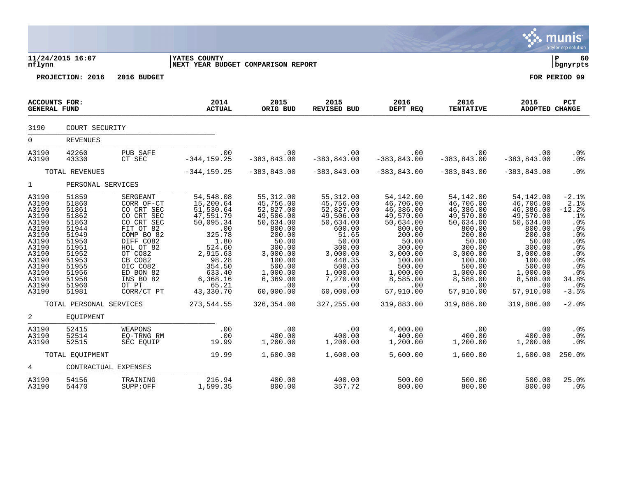|                                                                                                                                              |                                                                                                                                                                         |                                                                                                                                                                                                          |                                                                                                                                                                                                 |                                                                                                                                                                                                |                                                                                                                                                                                                |                                                                                                                                                                                                |                                                                                                                                                                                                |                                                                                                                                                                                                | munis<br>a tyler erp solution                                                                                                             |
|----------------------------------------------------------------------------------------------------------------------------------------------|-------------------------------------------------------------------------------------------------------------------------------------------------------------------------|----------------------------------------------------------------------------------------------------------------------------------------------------------------------------------------------------------|-------------------------------------------------------------------------------------------------------------------------------------------------------------------------------------------------|------------------------------------------------------------------------------------------------------------------------------------------------------------------------------------------------|------------------------------------------------------------------------------------------------------------------------------------------------------------------------------------------------|------------------------------------------------------------------------------------------------------------------------------------------------------------------------------------------------|------------------------------------------------------------------------------------------------------------------------------------------------------------------------------------------------|------------------------------------------------------------------------------------------------------------------------------------------------------------------------------------------------|-------------------------------------------------------------------------------------------------------------------------------------------|
| nflynn                                                                                                                                       | 11/24/2015 16:07                                                                                                                                                        |                                                                                                                                                                                                          | <b>IYATES COUNTY</b><br><b>NEXT YEAR BUDGET COMPARISON REPORT</b>                                                                                                                               |                                                                                                                                                                                                |                                                                                                                                                                                                |                                                                                                                                                                                                |                                                                                                                                                                                                |                                                                                                                                                                                                | ∣ P<br>60<br>  bgnyrpts                                                                                                                   |
|                                                                                                                                              | PROJECTION: 2016                                                                                                                                                        | 2016 BUDGET                                                                                                                                                                                              |                                                                                                                                                                                                 |                                                                                                                                                                                                |                                                                                                                                                                                                |                                                                                                                                                                                                |                                                                                                                                                                                                |                                                                                                                                                                                                | FOR PERIOD 99                                                                                                                             |
| ACCOUNTS FOR:<br><b>GENERAL FUND</b>                                                                                                         |                                                                                                                                                                         |                                                                                                                                                                                                          | 2014<br><b>ACTUAL</b>                                                                                                                                                                           | 2015<br>ORIG BUD                                                                                                                                                                               | 2015<br>REVISED BUD                                                                                                                                                                            | 2016<br>DEPT REQ                                                                                                                                                                               | 2016<br><b>TENTATIVE</b>                                                                                                                                                                       | 2016<br><b>ADOPTED CHANGE</b>                                                                                                                                                                  | <b>PCT</b>                                                                                                                                |
| 3190                                                                                                                                         | COURT SECURITY                                                                                                                                                          |                                                                                                                                                                                                          |                                                                                                                                                                                                 |                                                                                                                                                                                                |                                                                                                                                                                                                |                                                                                                                                                                                                |                                                                                                                                                                                                |                                                                                                                                                                                                |                                                                                                                                           |
| $\overline{0}$                                                                                                                               | <b>REVENUES</b>                                                                                                                                                         |                                                                                                                                                                                                          |                                                                                                                                                                                                 |                                                                                                                                                                                                |                                                                                                                                                                                                |                                                                                                                                                                                                |                                                                                                                                                                                                |                                                                                                                                                                                                |                                                                                                                                           |
| A3190<br>A3190                                                                                                                               | 42260<br>43330                                                                                                                                                          | PUB SAFE<br>CT SEC                                                                                                                                                                                       | .00<br>$-344, 159.25$                                                                                                                                                                           | $.00 \,$<br>$-383, 843.00$                                                                                                                                                                     | $\sim$ 00<br>$-383, 843.00$                                                                                                                                                                    | $.00 \,$<br>$-383, 843.00$                                                                                                                                                                     | .00<br>00.<br>383,843.00-                                                                                                                                                                      | $.00 \,$<br>$-383, 843.00$                                                                                                                                                                     | .0 <sub>8</sub><br>. 0 %                                                                                                                  |
|                                                                                                                                              | TOTAL REVENUES                                                                                                                                                          |                                                                                                                                                                                                          | $-344, 159.25$                                                                                                                                                                                  | $-383, 843.00$                                                                                                                                                                                 | $-383,843.00$                                                                                                                                                                                  | $-383, 843.00$                                                                                                                                                                                 | $-383, 843.00$                                                                                                                                                                                 | $-383, 843.00$                                                                                                                                                                                 | .0%                                                                                                                                       |
| $1 \quad \blacksquare$                                                                                                                       | PERSONAL SERVICES                                                                                                                                                       |                                                                                                                                                                                                          |                                                                                                                                                                                                 |                                                                                                                                                                                                |                                                                                                                                                                                                |                                                                                                                                                                                                |                                                                                                                                                                                                |                                                                                                                                                                                                |                                                                                                                                           |
| A3190<br>A3190<br>A3190<br>A3190<br>A3190<br>A3190<br>A3190<br>A3190<br>A3190<br>A3190<br>A3190<br>A3190<br>A3190<br>A3190<br>A3190<br>A3190 | 51859<br>51860<br>51861<br>51862<br>51863<br>51944<br>51949<br>51950<br>51951<br>51952<br>51953<br>51955<br>51956<br>51958<br>51960<br>51981<br>TOTAL PERSONAL SERVICES | SERGEANT<br>CORR OF-CT<br>CO CRT SEC<br>CO CRT SEC<br>CO CRT SEC<br>FIT OT 82<br>COMP BO 82<br>DIFF CO82<br>HOL OT 82<br>OT CO82<br>CB CO82<br>OIC CO82<br>ED BON 82<br>INS BO 82<br>OT PT<br>CORR/CT PT | 54,548.08<br>15,200.64<br>51, 530.64<br>47,551.79<br>50,095.34<br>325.78<br>325.78<br>1.80<br>524.60<br>2,915.63<br>$98.28$<br>354.50<br>633.40<br>6,368.16<br>65.21<br>43,330.70<br>273,544.55 | 55,312.00<br>45,756.00<br>52,827.00<br>49,506.00<br>50,634.00<br>800.00<br>200.00<br>50.00<br>300.00<br>3,000.00<br>100.00<br>500.00<br>1,000.00<br>6,369.00<br>.00<br>60,000.00<br>326,354.00 | 55, 312.00<br>45,756.00<br>52,827.00<br>49,506.00<br>50,634.00<br>600.00<br>51.65<br>50.00<br>300.00<br>3,000.00<br>448.35<br>500.00<br>1,000.00<br>7,270.00<br>.00<br>60,000.00<br>327,255.00 | 54,142.00<br>46,706.00<br>46,386.00<br>49,570.00<br>50,634.00<br>800.00<br>200.00<br>50.00<br>300.00<br>3,000.00<br>100.00<br>500.00<br>1,000.00<br>8,585.00<br>.00<br>57,910.00<br>319,883.00 | 54,142.00<br>46,706.00<br>46,386.00<br>49,570.00<br>50,634.00<br>800.00<br>200.00<br>50.00<br>300.00<br>3,000.00<br>100.00<br>500.00<br>1,000.00<br>8,588.00<br>.00<br>57,910.00<br>319,886.00 | 54,142.00<br>46,706.00<br>46,386.00<br>49,570.00<br>50,634.00<br>800.00<br>200.00<br>50.00<br>300.00<br>3,000.00<br>100.00<br>500.00<br>1,000.00<br>8,588.00<br>.00<br>57,910.00<br>319,886.00 | $-2.1%$<br>2.1%<br>$-12.2$<br>.1%<br>.0%<br>.0%<br>.0%<br>.0%<br>.0%<br>.0%<br>.0%<br>.0%<br>.0%<br>34.8%<br>$.0\%$<br>$-3.5%$<br>$-2.0%$ |
| $\overline{a}$                                                                                                                               | EQUIPMENT                                                                                                                                                               |                                                                                                                                                                                                          |                                                                                                                                                                                                 |                                                                                                                                                                                                |                                                                                                                                                                                                |                                                                                                                                                                                                |                                                                                                                                                                                                |                                                                                                                                                                                                |                                                                                                                                           |
| A3190<br>A3190<br>A3190                                                                                                                      | 52415<br>52514<br>52515                                                                                                                                                 | WEAPONS<br>EO-TRNG RM<br>SEC EOUIP                                                                                                                                                                       | .00<br>.00<br>19.99                                                                                                                                                                             | .00<br>400.00<br>1,200.00                                                                                                                                                                      | .00<br>400.00<br>1,200.00                                                                                                                                                                      | 4,000.00<br>400.00<br>1,200.00                                                                                                                                                                 | $\begin{array}{c}00\\400&00\end{array}$<br>400.00<br>1,200.00                                                                                                                                  | 00 .<br>400 .00<br>1,200.00                                                                                                                                                                    | .0%<br>.0%<br>.0 <sub>8</sub>                                                                                                             |
|                                                                                                                                              | TOTAL EOUIPMENT                                                                                                                                                         |                                                                                                                                                                                                          | 19.99                                                                                                                                                                                           | 1,600.00                                                                                                                                                                                       | 1,600.00                                                                                                                                                                                       | 5,600.00                                                                                                                                                                                       | 1,600.00                                                                                                                                                                                       | 1,600.00                                                                                                                                                                                       | 250.0%                                                                                                                                    |
| $4\overline{ }$                                                                                                                              | CONTRACTUAL EXPENSES                                                                                                                                                    |                                                                                                                                                                                                          |                                                                                                                                                                                                 |                                                                                                                                                                                                |                                                                                                                                                                                                |                                                                                                                                                                                                |                                                                                                                                                                                                |                                                                                                                                                                                                |                                                                                                                                           |
| A3190<br>A3190                                                                                                                               | 54156<br>54470                                                                                                                                                          | TRAINING<br>SUPP:OFF                                                                                                                                                                                     | 216.94<br>1,599.35                                                                                                                                                                              | 400.00<br>800.00                                                                                                                                                                               | 400.00<br>357.72                                                                                                                                                                               | 500.00<br>800.00                                                                                                                                                                               | 500.00<br>800.00                                                                                                                                                                               | 500.00<br>800.00                                                                                                                                                                               | 25.0%<br>.0%                                                                                                                              |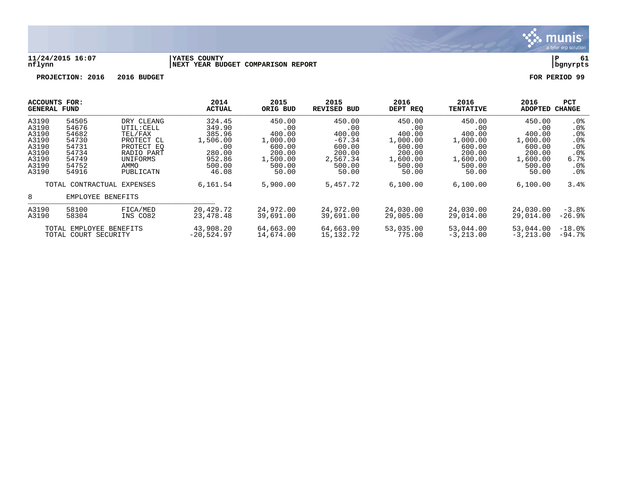

### **11/24/2015 16:07 |YATES COUNTY |P 61 nflynn |NEXT YEAR BUDGET COMPARISON REPORT |bgnyrpts**

| <b>ACCOUNTS FOR:</b><br><b>GENERAL FUND</b> |                                                 |                            | 2014<br><b>ACTUAL</b> | 2015<br>ORIG BUD | 2015<br>REVISED BUD | 2016<br>DEPT REQ | 2016<br><b>TENTATIVE</b> | 2016<br><b>ADOPTED</b> | PCT<br><b>CHANGE</b> |
|---------------------------------------------|-------------------------------------------------|----------------------------|-----------------------|------------------|---------------------|------------------|--------------------------|------------------------|----------------------|
| A3190                                       | 54505                                           | DRY CLEANG                 | 324.45                | 450.00           | 450.00              | 450.00           | 450.00                   | 450.00                 | . 0%                 |
| A3190                                       | 54676                                           | UTIL: CELL                 | 349.90                | .00              | .00                 | .00              | .00                      | .00                    | .0 <sub>8</sub>      |
| A3190                                       | 54682                                           | TEL/FAX                    | 385.96                | 400.00           | 400.00              | 400.00           | 400.00                   | 400.00                 | .0 <sub>8</sub>      |
| A3190                                       | 54730                                           | PROTECT CL                 | 1,506.00              | 1,000.00         | $-67.34$            | 1,000.00         | 1,000.00                 | 1,000.00               | .0 <sub>8</sub>      |
| A3190                                       | 54731                                           | PROTECT EO                 | .00                   | 600.00           | 600.00              | 600.00           | 600.00                   | 600.00                 | .0 <sub>8</sub>      |
| A3190                                       | 54734                                           | RADIO PART                 | 280.00                | 200.00           | 200.00              | 200.00           | 200.00                   | 200.00                 | .0 <sub>8</sub>      |
| A3190                                       | 54749                                           | UNIFORMS                   | 952.86                | 1,500.00         | 2,567.34            | 1,600.00         | 1,600.00                 | 1,600.00               | 6.7%                 |
| A3190                                       | 54752                                           | AMMO                       | 500.00                | 500.00           | 500.00              | 500.00           | 500.00                   | 500.00                 | $.0\%$               |
| A3190                                       | 54916                                           | PUBLICATN                  | 46.08                 | 50.00            | 50.00               | 50.00            | 50.00                    | 50.00                  | .0 <sub>8</sub>      |
|                                             |                                                 | TOTAL CONTRACTUAL EXPENSES | 6,161.54              | 5,900.00         | 5,457.72            | 6,100.00         | 6,100.00                 | 6,100.00               | 3.4%                 |
| 8                                           | EMPLOYEE                                        | BENEFITS                   |                       |                  |                     |                  |                          |                        |                      |
| A3190                                       | 58100                                           | FICA/MED                   | 20,429.72             | 24,972.00        | 24,972.00           | 24,030.00        | 24,030.00                | 24,030.00              | $-3.8%$              |
| A3190                                       | 58304                                           | INS CO82                   | 23, 478. 48           | 39,691.00        | 39,691.00           | 29,005.00        | 29,014.00                | 29,014.00              | $-26.9%$             |
|                                             |                                                 |                            | 43,908.20             | 64,663.00        | 64,663.00           | 53,035.00        | 53,044.00                | 53,044.00              | $-18.0$ .            |
|                                             | TOTAL EMPLOYEE BENEFITS<br>TOTAL COURT SECURITY |                            | $-20,524.97$          | 14,674.00        | 15,132.72           | 775.00           | $-3, 213.00$             | $-3, 213, 00$          | $-94.7%$             |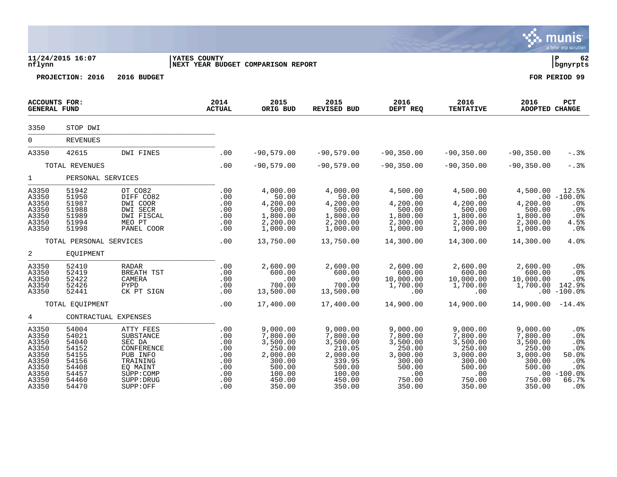|                                                                                        |                                                                                        |                                                                                                                            |                                                                    |                                                                                                          |                                                                                                          |                                                                                                       |                                                                                                       |                                                                                                       | <b>munis</b><br>a tyler erp solution                                                                     |
|----------------------------------------------------------------------------------------|----------------------------------------------------------------------------------------|----------------------------------------------------------------------------------------------------------------------------|--------------------------------------------------------------------|----------------------------------------------------------------------------------------------------------|----------------------------------------------------------------------------------------------------------|-------------------------------------------------------------------------------------------------------|-------------------------------------------------------------------------------------------------------|-------------------------------------------------------------------------------------------------------|----------------------------------------------------------------------------------------------------------|
| nflynn                                                                                 | 11/24/2015 16:07                                                                       |                                                                                                                            | YATES COUNTY<br>NEXT YEAR BUDGET COMPARISON REPORT                 |                                                                                                          |                                                                                                          |                                                                                                       |                                                                                                       |                                                                                                       | ∣ P<br>62<br>  bgnyrpts                                                                                  |
|                                                                                        | PROJECTION: 2016                                                                       | 2016 BUDGET                                                                                                                |                                                                    |                                                                                                          |                                                                                                          |                                                                                                       |                                                                                                       |                                                                                                       | FOR PERIOD 99                                                                                            |
| <b>ACCOUNTS FOR:</b><br><b>GENERAL FUND</b>                                            |                                                                                        |                                                                                                                            | 2014<br><b>ACTUAL</b>                                              | 2015<br>ORIG BUD                                                                                         | 2015<br><b>REVISED BUD</b>                                                                               | 2016<br>DEPT REQ                                                                                      | 2016<br><b>TENTATIVE</b>                                                                              | 2016<br>ADOPTED CHANGE                                                                                | PCT                                                                                                      |
| 3350                                                                                   | STOP DWI                                                                               |                                                                                                                            |                                                                    |                                                                                                          |                                                                                                          |                                                                                                       |                                                                                                       |                                                                                                       |                                                                                                          |
| $\Omega$                                                                               | <b>REVENUES</b>                                                                        |                                                                                                                            |                                                                    |                                                                                                          |                                                                                                          |                                                                                                       |                                                                                                       |                                                                                                       |                                                                                                          |
| A3350                                                                                  | 42615                                                                                  | DWI FINES                                                                                                                  | .00                                                                | $-90,579.00$                                                                                             | $-90,579.00$                                                                                             | $-90, 350.00$                                                                                         | $-90, 350.00$                                                                                         | $-90, 350.00$                                                                                         | $-.3%$                                                                                                   |
|                                                                                        | TOTAL REVENUES                                                                         |                                                                                                                            | .00                                                                | $-90,579.00$                                                                                             | $-90,579.00$                                                                                             | $-90, 350.00$                                                                                         | $-90, 350.00$                                                                                         | $-90, 350.00$                                                                                         | $-.3%$                                                                                                   |
| $\mathbf{1}$                                                                           | PERSONAL SERVICES                                                                      |                                                                                                                            |                                                                    |                                                                                                          |                                                                                                          |                                                                                                       |                                                                                                       |                                                                                                       |                                                                                                          |
| A3350<br>A3350<br>A3350<br>A3350<br>A3350<br>A3350<br>A3350                            | 51942<br>51950<br>51987<br>51988<br>51989<br>51994<br>51998                            | OT CO82<br>DIFF CO82<br>DWI COOR<br>DWI SECR<br>DWI FISCAL<br>MEO PT<br>PANEL COOR                                         | .00<br>.00<br>.00<br>.00<br>.00<br>.00<br>.00                      | 4,000.00<br>50.00<br>4,200.00<br>500.00<br>1,800.00<br>2,200.00<br>1,000.00                              | 4,000.00<br>50.00<br>4,200.00<br>500.00<br>1,800.00<br>2,200.00<br>1,000.00                              | 4,500.00<br>.00<br>4,200.00<br>500.00<br>1,800.00<br>2,300.00<br>1,000.00                             | 4,500.00<br>$.00 \,$<br>4,200.00<br>500.00<br>1,800.00<br>2,300.00<br>1,000.00                        | 4,500.00<br>4,200.00<br>500.00<br>1,800.00<br>2,300.00<br>1,000.00                                    | 12.5%<br>$.00 - 100.0%$<br>.0%<br>.0%<br>.0%<br>4.5%<br>.0%                                              |
|                                                                                        | TOTAL PERSONAL SERVICES                                                                |                                                                                                                            | .00                                                                | 13,750.00                                                                                                | 13,750.00                                                                                                | 14,300.00                                                                                             | 14,300.00                                                                                             | 14,300.00                                                                                             | 4.0%                                                                                                     |
| $\overline{a}$                                                                         | EQUIPMENT                                                                              |                                                                                                                            |                                                                    |                                                                                                          |                                                                                                          |                                                                                                       |                                                                                                       |                                                                                                       |                                                                                                          |
| A3350<br>A3350<br>A3350<br>A3350<br>A3350                                              | 52410<br>52419<br>52422<br>52426<br>52441                                              | <b>RADAR</b><br>BREATH TST<br>CAMERA<br>PYPD<br>CK PT SIGN                                                                 | .00<br>.00<br>.00<br>.00<br>.00                                    | 2,600.00<br>600.00<br>.00<br>700.00<br>13,500.00                                                         | 2,600.00<br>600.00<br>.00<br>700.00<br>13,500.00                                                         | 2,600.00<br>600.00<br>10,000.00<br>1,700.00<br>.00                                                    | 2,600.00<br>600.00<br>10,000.00<br>1,700.00<br>.00                                                    | 2,600.00<br>600.00<br>10,000.00<br>1,700.00                                                           | .0%<br>.0%<br>.0%<br>142.9%<br>$.00 - 100.0$                                                             |
|                                                                                        | TOTAL EQUIPMENT                                                                        |                                                                                                                            | .00                                                                | 17,400.00                                                                                                | 17,400.00                                                                                                | 14,900.00                                                                                             | 14,900.00                                                                                             | $14,900.00 - 14.48$                                                                                   |                                                                                                          |
| 4                                                                                      | CONTRACTUAL EXPENSES                                                                   |                                                                                                                            |                                                                    |                                                                                                          |                                                                                                          |                                                                                                       |                                                                                                       |                                                                                                       |                                                                                                          |
| A3350<br>A3350<br>A3350<br>A3350<br>A3350<br>A3350<br>A3350<br>A3350<br>A3350<br>A3350 | 54004<br>54021<br>54040<br>54152<br>54155<br>54156<br>54408<br>54457<br>54460<br>54470 | ATTY FEES<br>SUBSTANCE<br>SEC DA<br>CONFERENCE<br>PUB INFO<br>TRAINING<br>EQ MAINT<br>SUPP: COMP<br>SUPP: DRUG<br>SUPP:OFF | .00<br>.00<br>.00<br>.00<br>.00<br>.00<br>.00<br>.00<br>.00<br>.00 | 9,000.00<br>7,800.00<br>3,500.00<br>250.00<br>2,000.00<br>300.00<br>500.00<br>100.00<br>450.00<br>350.00 | 9,000.00<br>7,800.00<br>3,500.00<br>210.05<br>2,000.00<br>339.95<br>500.00<br>100.00<br>450.00<br>350.00 | 9,000.00<br>7,800.00<br>3,500.00<br>250.00<br>3,000.00<br>300.00<br>500.00<br>.00<br>750.00<br>350.00 | 9,000.00<br>7,800.00<br>3,500.00<br>250.00<br>3,000.00<br>300.00<br>500.00<br>.00<br>750.00<br>350.00 | 9,000.00<br>7,800.00<br>3,500.00<br>250.00<br>3,000.00<br>300.00<br>500.00<br>.00<br>750.00<br>350.00 | .0%<br>.0%<br>.0%<br>$0.0$ %<br>\$0.0<br>.0 <sub>8</sub><br>.0%<br>$-100.0%$<br>66.7%<br>.0 <sub>8</sub> |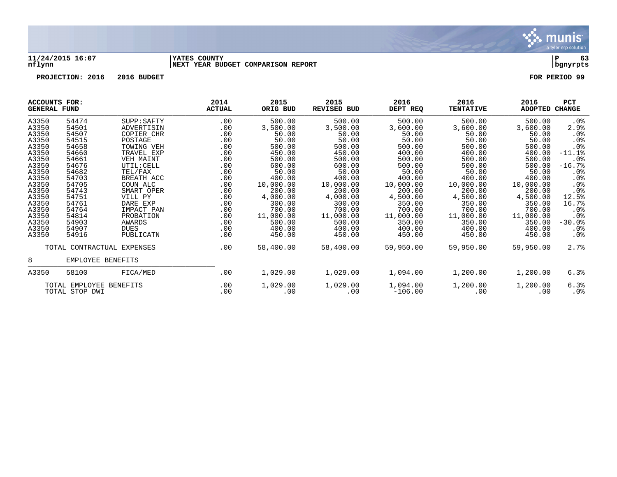

### **11/24/2015 16:07 |YATES COUNTY |P 63 nflynn |NEXT YEAR BUDGET COMPARISON REPORT |bgnyrpts**

| <b>ACCOUNTS FOR:</b><br><b>GENERAL FUND</b> |                                           |             | 2014<br><b>ACTUAL</b> | 2015<br>ORIG BUD | 2015<br><b>REVISED BUD</b> | 2016<br>DEPT REQ      | 2016<br><b>TENTATIVE</b> | 2016<br>ADOPTED | PCT<br><b>CHANGE</b> |
|---------------------------------------------|-------------------------------------------|-------------|-----------------------|------------------|----------------------------|-----------------------|--------------------------|-----------------|----------------------|
| A3350                                       | 54474                                     | SUPP: SAFTY | .00                   | 500.00           | 500.00                     | 500.00                | 500.00                   | 500.00          | $.0\%$               |
| A3350                                       | 54501                                     | ADVERTISIN  | .00                   | 3,500.00         | 3,500.00                   | 3,600.00              | 3,600.00                 | 3,600.00        | 2.9%                 |
| A3350                                       | 54507                                     | COPIER CHR  | .00                   | 50.00            | 50.00                      | 50.00                 | 50.00                    | 50.00           | .0%                  |
| A3350                                       | 54515                                     | POSTAGE     | .00                   | 50.00            | 50.00                      | 50.00                 | 50.00                    | 50.00           | .0%                  |
| A3350                                       | 54658                                     | TOWING VEH  | .00                   | 500.00           | 500.00                     | 500.00                | 500.00                   | 500.00          | .0%                  |
| A3350                                       | 54660                                     | TRAVEL EXP  | .00                   | 450.00           | 450.00                     | 400.00                | 400.00                   | 400.00          | $-11.1$ %            |
| A3350                                       | 54661                                     | VEH MAINT   | .00                   | 500.00           | 500.00                     | 500.00                | 500.00                   | 500.00          | $.0\%$               |
| A3350                                       | 54676                                     | UTIL: CELL  | .00                   | 600.00           | 600.00                     | 500.00                | 500.00                   | 500.00          | $-16.7%$             |
| A3350                                       | 54682                                     | TEL/FAX     | .00                   | 50.00            | 50.00                      | 50.00                 | 50.00                    | 50.00           | $.0\%$               |
| A3350                                       | 54703                                     | BREATH ACC  | .00                   | 400.00           | 400.00                     | 400.00                | 400.00                   | 400.00          | $.0\%$               |
| A3350                                       | 54705                                     | COUN ALC    | .00                   | 10,000.00        | 10,000.00                  | 10,000.00             | 10,000.00                | 10,000.00       | .0%                  |
| A3350                                       | 54743                                     | SMART OPER  | .00                   | 200.00           | 200.00                     | 200.00                | 200.00                   | 200.00          | .0%                  |
| A3350                                       | 54751                                     | VILL PY     | .00                   | 4,000.00         | 4,000.00                   | 4,500.00              | 4,500.00                 | 4,500.00        | 12.5%                |
| A3350                                       | 54761                                     | DARE EXP    | .00                   | 300.00           | 300.00                     | 350.00                | 350.00                   | 350.00          | 16.7%                |
| A3350                                       | 54764                                     | IMPACT PAN  | .00                   | 700.00           | 700.00                     | 700.00                | 700.00                   | 700.00          | $.0\%$               |
| A3350                                       | 54814                                     | PROBATION   | .00                   | 11,000.00        | 11,000.00                  | 11,000.00             | 11,000.00                | 11,000.00       | .0%                  |
| A3350                                       | 54903                                     | AWARDS      | .00                   | 500.00           | 500.00                     | 350.00                | 350.00                   | 350.00          | $-30.0%$             |
| A3350                                       | 54907                                     | <b>DUES</b> | .00                   | 400.00           | 400.00                     | 400.00                | 400.00                   | 400.00          | $.0\%$               |
| A3350                                       | 54916                                     | PUBLICATN   | .00                   | 450.00           | 450.00                     | 450.00                | 450.00                   | 450.00          | $.0\%$               |
|                                             | TOTAL CONTRACTUAL                         | EXPENSES    | $.00 \,$              | 58,400.00        | 58,400.00                  | 59,950.00             | 59,950.00                | 59,950.00       | 2.7%                 |
| 8                                           | EMPLOYEE BENEFITS                         |             |                       |                  |                            |                       |                          |                 |                      |
| A3350                                       | 58100                                     | FICA/MED    | .00                   | 1,029.00         | 1,029.00                   | 1,094.00              | 1,200.00                 | 1,200.00        | 6.3%                 |
|                                             | TOTAL EMPLOYEE BENEFITS<br>TOTAL STOP DWI |             | .00<br>.00            | 1,029.00<br>.00  | 1,029.00<br>.00            | 1,094.00<br>$-106.00$ | 1,200.00<br>.00          | 1,200.00<br>.00 | 6.3%<br>$.0\%$       |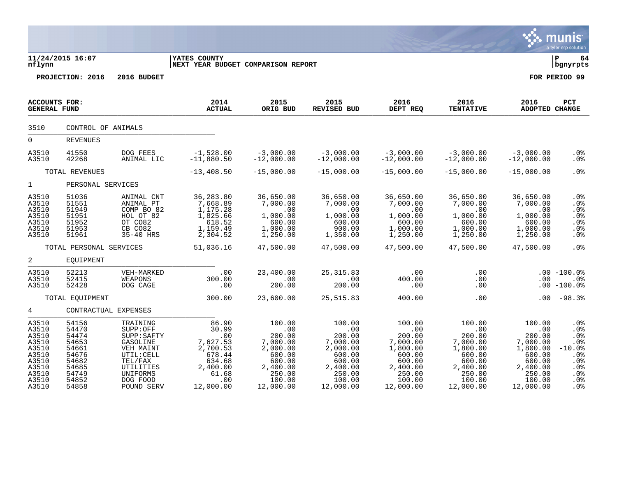|                                                                                                 |                                                                                                 |                                                                                                                                          |                                                                                                                   |                                                                                                                  |                                                                                                                  |                                                                                                                  |                                                                                                                  |                                                                                                                  | <b>munis</b><br>a tyler erp solution                                                       |
|-------------------------------------------------------------------------------------------------|-------------------------------------------------------------------------------------------------|------------------------------------------------------------------------------------------------------------------------------------------|-------------------------------------------------------------------------------------------------------------------|------------------------------------------------------------------------------------------------------------------|------------------------------------------------------------------------------------------------------------------|------------------------------------------------------------------------------------------------------------------|------------------------------------------------------------------------------------------------------------------|------------------------------------------------------------------------------------------------------------------|--------------------------------------------------------------------------------------------|
| nflynn                                                                                          | 11/24/2015 16:07                                                                                |                                                                                                                                          | <b>IYATES COUNTY</b><br>NEXT YEAR BUDGET COMPARISON REPORT                                                        |                                                                                                                  |                                                                                                                  |                                                                                                                  |                                                                                                                  |                                                                                                                  | ∣ P<br>64<br>bgnyrpts                                                                      |
|                                                                                                 | PROJECTION: 2016                                                                                | 2016 BUDGET                                                                                                                              |                                                                                                                   |                                                                                                                  |                                                                                                                  |                                                                                                                  |                                                                                                                  |                                                                                                                  | FOR PERIOD 99                                                                              |
| <b>ACCOUNTS FOR:</b><br><b>GENERAL FUND</b>                                                     |                                                                                                 |                                                                                                                                          | 2014<br><b>ACTUAL</b>                                                                                             | 2015<br>ORIG BUD                                                                                                 | 2015<br><b>REVISED BUD</b>                                                                                       | 2016<br>DEPT REQ                                                                                                 | 2016<br><b>TENTATIVE</b>                                                                                         | 2016<br><b>ADOPTED CHANGE</b>                                                                                    | <b>PCT</b>                                                                                 |
| 3510                                                                                            | CONTROL OF ANIMALS                                                                              |                                                                                                                                          |                                                                                                                   |                                                                                                                  |                                                                                                                  |                                                                                                                  |                                                                                                                  |                                                                                                                  |                                                                                            |
| $\overline{0}$                                                                                  | <b>REVENUES</b>                                                                                 |                                                                                                                                          |                                                                                                                   |                                                                                                                  |                                                                                                                  |                                                                                                                  |                                                                                                                  |                                                                                                                  |                                                                                            |
| A3510<br>A3510                                                                                  | 41550<br>42268                                                                                  | DOG FEES<br>ANIMAL LIC                                                                                                                   | $-1,528.00$<br>$-11,880.50$                                                                                       | $-3,000.00$<br>$-12,000.00$                                                                                      | $-3,000.00$<br>$-12,000.00$                                                                                      | $-3,000.00$<br>$-12,000.00$                                                                                      | $-3,000.00$<br>$-12,000.00$                                                                                      | $-3,000.00$<br>$-12,000.00$                                                                                      | .0 <sub>8</sub><br>$.0\%$                                                                  |
|                                                                                                 | TOTAL REVENUES                                                                                  |                                                                                                                                          | $-13,408.50$                                                                                                      | $-15,000.00$                                                                                                     | $-15,000.00$                                                                                                     | $-15,000.00$                                                                                                     | $-15,000.00$                                                                                                     | $-15,000.00$                                                                                                     | .0%                                                                                        |
| $1 \quad \blacksquare$                                                                          | PERSONAL SERVICES                                                                               |                                                                                                                                          |                                                                                                                   |                                                                                                                  |                                                                                                                  |                                                                                                                  |                                                                                                                  |                                                                                                                  |                                                                                            |
| A3510<br>A3510<br>A3510<br>A3510<br>A3510<br>A3510<br>A3510                                     | 51036<br>51551<br>51949<br>51951<br>51952<br>51953<br>51961                                     | ANIMAL CNT<br>ANIMAL PT<br>COMP BO 82<br>HOL OT 82<br>OT CO82<br>CB CO82<br>35-40 HRS                                                    | 36, 283.80<br>7,668.89<br>1,175.28<br>1,825.66<br>618.52<br>1,159.49<br>2,304.52                                  | 36,650.00<br>7,000.00<br>.00<br>1,000.00<br>600.00<br>1,000.00<br>1,250.00                                       | 36,650.00<br>7,000.00<br>.00<br>1,000.00<br>600.00<br>900.00<br>1,350.00                                         | 36,650.00<br>7,000.00<br>$\sim$ 00<br>1,000.00<br>600.00<br>1,000.00<br>1,250.00                                 | 36,650.00<br>7,000.00<br>.00<br>1,000.00<br>600.00<br>1,000.00<br>1,250.00                                       | 36,650.00<br>7,000.00<br>.00<br>1,000.00<br>600.00<br>1,000.00<br>1,250.00                                       | .0 <sub>8</sub><br>.0%<br>.0%<br>.0%<br>.0%<br>.0%<br>.0 <sub>8</sub>                      |
|                                                                                                 | TOTAL PERSONAL SERVICES                                                                         |                                                                                                                                          | 51,036.16                                                                                                         | 47,500.00                                                                                                        | 47,500.00                                                                                                        | 47,500.00                                                                                                        | 47,500.00                                                                                                        | 47,500.00                                                                                                        | .0%                                                                                        |
| $\overline{a}$                                                                                  | EQUIPMENT                                                                                       |                                                                                                                                          |                                                                                                                   |                                                                                                                  |                                                                                                                  |                                                                                                                  |                                                                                                                  |                                                                                                                  |                                                                                            |
| A3510<br>A3510<br>A3510                                                                         | 52213<br>52415<br>52428                                                                         | VEH-MARKED<br>WEAPONS<br>DOG CAGE                                                                                                        | .00<br>300.00<br>.00                                                                                              | 23,400.00<br>.00<br>200.00                                                                                       | 25, 315.83<br>$\overline{00}$<br>200.00                                                                          | .00<br>400.00<br>.00                                                                                             | .00<br>.00<br>.00                                                                                                | $.00 \,$                                                                                                         | $.00 - 100.0%$<br>$.0\%$<br>$.00 - 100.0%$                                                 |
|                                                                                                 | TOTAL EOUIPMENT                                                                                 |                                                                                                                                          | 300.00                                                                                                            | 23,600.00                                                                                                        | 25,515.83                                                                                                        | 400.00                                                                                                           | .00                                                                                                              | .00                                                                                                              | $-98.3%$                                                                                   |
| 4                                                                                               | CONTRACTUAL EXPENSES                                                                            |                                                                                                                                          |                                                                                                                   |                                                                                                                  |                                                                                                                  |                                                                                                                  |                                                                                                                  |                                                                                                                  |                                                                                            |
| A3510<br>A3510<br>A3510<br>A3510<br>A3510<br>A3510<br>A3510<br>A3510<br>A3510<br>A3510<br>A3510 | 54156<br>54470<br>54474<br>54653<br>54661<br>54676<br>54682<br>54685<br>54749<br>54852<br>54858 | TRAINING<br>SUPP:OFF<br>SUPP: SAFTY<br>GASOLINE<br>VEH MAINT<br>UTIL: CELL<br>TEL/FAX<br>UTILITIES<br>UNIFORMS<br>DOG FOOD<br>POUND SERV | 86.90<br>30.99<br>$\cdot$ 00<br>7,627.53<br>2,700.53<br>678.44<br>634.68<br>2,400.00<br>61.68<br>.00<br>12,000.00 | 100.00<br>.00<br>200.00<br>7,000.00<br>2,000.00<br>600.00<br>600.00<br>2,400.00<br>250.00<br>100.00<br>12,000.00 | 100.00<br>.00<br>200.00<br>7,000.00<br>2,000.00<br>600.00<br>600.00<br>2,400.00<br>250.00<br>100.00<br>12,000.00 | 100.00<br>.00<br>200.00<br>7,000.00<br>1,800.00<br>600.00<br>600.00<br>2,400.00<br>250.00<br>100.00<br>12,000.00 | 100.00<br>.00<br>200.00<br>7,000.00<br>1,800.00<br>600.00<br>600.00<br>2,400.00<br>250.00<br>100.00<br>12,000.00 | 100.00<br>.00<br>200.00<br>7,000.00<br>1,800.00<br>600.00<br>600.00<br>2,400.00<br>250.00<br>100.00<br>12,000.00 | .0%<br>.0%<br>.0%<br>.0%<br>$-10.0%$<br>.0%<br>.0%<br>.0%<br>.0%<br>.0%<br>.0 <sub>8</sub> |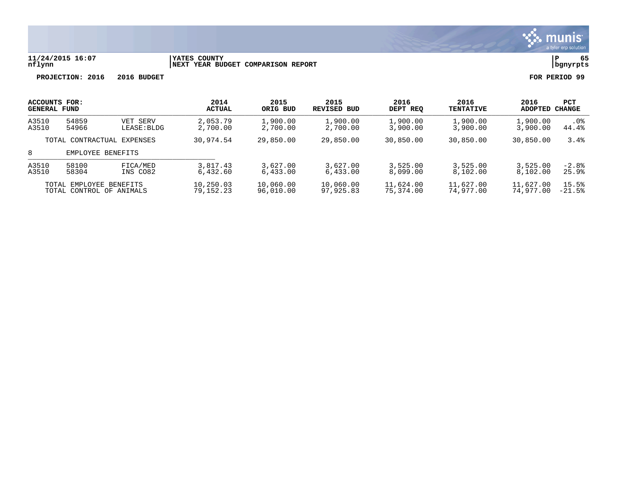

# **11/24/2015 16:07 |YATES COUNTY |P 65 nflynn |NEXT YEAR BUDGET COMPARISON REPORT |bgnyrpts**

|                            | <b>ACCOUNTS FOR:</b> |             | 2014          | 2015      | 2015        | 2016      | 2016             | 2016     | <b>PCT</b> |
|----------------------------|----------------------|-------------|---------------|-----------|-------------|-----------|------------------|----------|------------|
|                            | <b>GENERAL FUND</b>  |             | <b>ACTUAL</b> | ORIG BUD  | REVISED BUD | DEPT REO  | <b>TENTATIVE</b> | ADOPTED  | CHANGE     |
| A3510                      | 54859                | VET SERV    | 2,053.79      | 1,900.00  | 1,900.00    | 1,900.00  | 1,900.00         | 1,900.00 | $.0\%$     |
| A3510                      | 54966                | LEASE: BLDG | 2,700.00      | 2,700.00  | 2,700.00    | 3,900,00  | 3,900.00         | 3,900.00 | 44.4%      |
| TOTAL CONTRACTUAL EXPENSES |                      | 30,974.54   | 29,850.00     | 29,850.00 | 30,850.00   | 30,850.00 | 30,850.00        | 3.4%     |            |
| 8<br>EMPLOYEE BENEFITS     |                      |             |               |           |             |           |                  |          |            |
| A3510                      | 58100                | FICA/MED    | 3,817.43      | 3,627.00  | 3,627.00    | 3.525.00  | 3,525.00         | 3,525.00 | $-2.8%$    |
| A3510                      | 58304                | INS CO82    | 6.432.60      | 6,433.00  | 6.433.00    | 8,099.00  | 8.102.00         | 8,102.00 | 25.9%      |
| TOTAL EMPLOYEE BENEFITS    |                      | 10,250.03   | 10,060.00     | 10,060.00 | 11,624.00   | 11,627.00 | 11,627.00        | 15.5%    |            |
| TOTAL CONTROL OF ANIMALS   |                      | 79,152.23   | 96,010.00     | 97,925.83 | 75,374.00   | 74,977.00 | 74,977,00        | $-21.5%$ |            |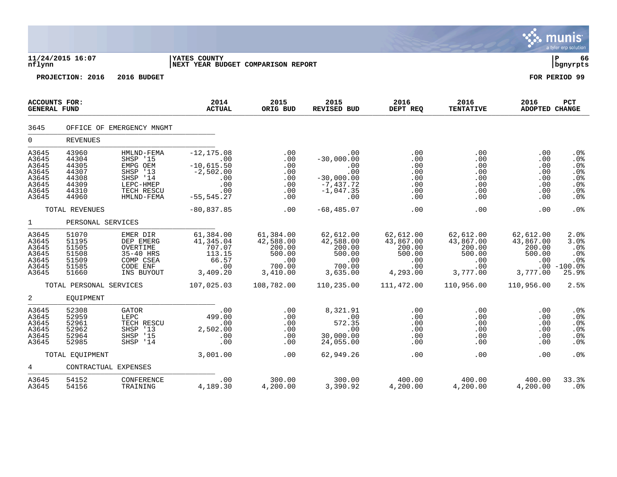|                                                                      |                                                                      |                                                                                                     |                                                                                           |                                                                         |                                                                                        |                                                                      |                                                                      |                                                               | a tyler erp solution                                             |
|----------------------------------------------------------------------|----------------------------------------------------------------------|-----------------------------------------------------------------------------------------------------|-------------------------------------------------------------------------------------------|-------------------------------------------------------------------------|----------------------------------------------------------------------------------------|----------------------------------------------------------------------|----------------------------------------------------------------------|---------------------------------------------------------------|------------------------------------------------------------------|
| nflynn                                                               | 11/24/2015 16:07                                                     |                                                                                                     | YATES COUNTY<br>NEXT YEAR BUDGET COMPARISON REPORT                                        |                                                                         |                                                                                        |                                                                      |                                                                      |                                                               | lР<br>66<br>  bgnyrpts                                           |
|                                                                      | PROJECTION: 2016                                                     | 2016 BUDGET                                                                                         |                                                                                           |                                                                         |                                                                                        |                                                                      |                                                                      |                                                               | FOR PERIOD 99                                                    |
| <b>ACCOUNTS FOR:</b><br><b>GENERAL FUND</b>                          |                                                                      |                                                                                                     | 2014<br><b>ACTUAL</b>                                                                     | 2015<br>ORIG BUD                                                        | 2015<br><b>REVISED BUD</b>                                                             | 2016<br>DEPT REQ                                                     | 2016<br><b>TENTATIVE</b>                                             | 2016<br><b>ADOPTED CHANGE</b>                                 | PCT                                                              |
| 3645                                                                 |                                                                      | OFFICE OF EMERGENCY MNGMT                                                                           |                                                                                           |                                                                         |                                                                                        |                                                                      |                                                                      |                                                               |                                                                  |
| $\mathbf 0$                                                          | <b>REVENUES</b>                                                      |                                                                                                     |                                                                                           |                                                                         |                                                                                        |                                                                      |                                                                      |                                                               |                                                                  |
| A3645<br>A3645<br>A3645<br>A3645<br>A3645<br>A3645<br>A3645<br>A3645 | 43960<br>44304<br>44305<br>44307<br>44308<br>44309<br>44310<br>44960 | HMLND-FEMA<br>SHSP '15<br>EMPG OEM<br>SHSP '13<br>SHSP '14<br>LEPC-HMEP<br>TECH RESCU<br>HMLND-FEMA | $-12, 175.08$<br>.00<br>$-10,615.50$<br>$-2,502.00$<br>.00<br>.00<br>.00<br>$-55, 545.27$ | .00<br>.00<br>.00<br>.00<br>.00<br>.00<br>.00<br>.00                    | .00<br>$-30,000.00$<br>.00<br>.00<br>$-30,000.00$<br>$-7,437.72$<br>$-1,047.35$<br>.00 | .00<br>.00<br>.00<br>.00<br>.00<br>.00<br>.00<br>.00                 | .00<br>.00<br>.00<br>.00<br>.00<br>.00<br>.00<br>.00                 | .00<br>.00<br>.00<br>.00<br>.00<br>.00<br>.00<br>.00          | .0 <sub>8</sub><br>.0%<br>.0%<br>.0%<br>.0%<br>.0%<br>.0%<br>.0% |
|                                                                      | TOTAL REVENUES                                                       |                                                                                                     | $-80,837.85$                                                                              | .00                                                                     | $-68, 485.07$                                                                          | .00                                                                  | .00                                                                  | .00                                                           | .0%                                                              |
| $\mathbf{1}$                                                         | PERSONAL SERVICES                                                    |                                                                                                     |                                                                                           |                                                                         |                                                                                        |                                                                      |                                                                      |                                                               |                                                                  |
| A3645<br>A3645<br>A3645<br>A3645<br>A3645<br>A3645<br>A3645          | 51070<br>51195<br>51505<br>51508<br>51509<br>51585<br>51660          | EMER DIR<br>DEP EMERG<br>OVERTIME<br>35-40 HRS<br>COMP CSEA<br>CODE ENF<br>INS BUYOUT               | 61,384.00<br>41,345.04<br>707.07<br>113.15<br>66.57<br>.00<br>3,409.20                    | 61,384.00<br>42,588.00<br>200.00<br>500.00<br>.00<br>700.00<br>3,410.00 | 62,612.00<br>42,588.00<br>200.00<br>500.00<br>.00<br>700.00<br>3,635.00                | 62,612.00<br>43,867.00<br>200.00<br>500.00<br>.00<br>.00<br>4,293.00 | 62,612.00<br>43,867.00<br>200.00<br>500.00<br>.00<br>.00<br>3,777.00 | 62,612.00<br>43,867.00<br>200.00<br>500.00<br>.00<br>3,777.00 | 2.0%<br>3.0%<br>.0%<br>.0%<br>.0%<br>$.00 - 100.08$<br>25.9%     |
|                                                                      | TOTAL PERSONAL SERVICES                                              |                                                                                                     | 107,025.03                                                                                | 108,782.00                                                              | 110,235.00                                                                             | 111,472.00                                                           | 110,956.00                                                           | 110,956.00                                                    | 2.5%                                                             |
| 2                                                                    | EQUIPMENT                                                            |                                                                                                     |                                                                                           |                                                                         |                                                                                        |                                                                      |                                                                      |                                                               |                                                                  |
| A3645<br>A3645<br>A3645<br>A3645<br>A3645<br>A3645                   | 52308<br>52959<br>52961<br>52962<br>52964<br>52985                   | <b>GATOR</b><br>LEPC<br>TECH RESCU<br>SHSP '13<br>SHSP '15<br>SHSP '14                              | .00<br>499.00<br>.00<br>2,502.00<br>.00<br>.00                                            | .00<br>.00<br>.00<br>.00<br>.00<br>.00                                  | 8,321.91<br>.00<br>572.35<br>.00<br>30,000.00<br>24,055.00                             | .00<br>.00<br>.00<br>.00<br>.00<br>.00                               | .00<br>.00<br>.00<br>.00<br>.00<br>.00                               | .00<br>.00<br>.00<br>.00<br>.00<br>.00                        | .0%<br>.0%<br>.0%<br>.0%<br>.0%<br>. 0%                          |
|                                                                      | TOTAL EQUIPMENT                                                      |                                                                                                     | 3,001.00                                                                                  | .00                                                                     | 62,949.26                                                                              | .00                                                                  | .00                                                                  | .00                                                           | .0%                                                              |
| 4                                                                    | CONTRACTUAL EXPENSES                                                 |                                                                                                     |                                                                                           |                                                                         |                                                                                        |                                                                      |                                                                      |                                                               |                                                                  |
| A3645<br>A3645                                                       | 54152<br>54156                                                       | CONFERENCE<br>TRAINING                                                                              | .00<br>4,189.30                                                                           | 300.00<br>4,200.00                                                      | 300.00<br>3,390.92                                                                     | 400.00<br>4,200.00                                                   | 400.00<br>4,200.00                                                   | 400.00<br>4,200.00                                            | 33.3%<br>. 0%                                                    |

 $\ddot{\mathbf{w}}$  munis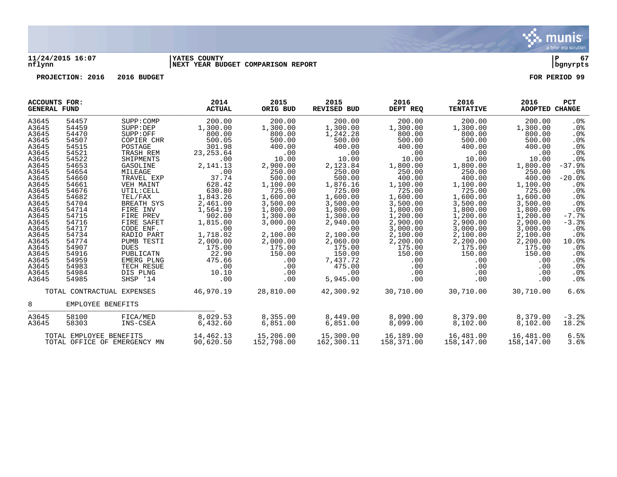

### **11/24/2015 16:07 |YATES COUNTY |P 67 nflynn |NEXT YEAR BUDGET COMPARISON REPORT |bgnyrpts**

| ACCOUNTS FOR:<br><b>GENERAL FUND</b>                                                                                                                                                                                 |                                                                                                                                                                                                                      |                                                                                                                                                                                                                                                                                                                         | 2014<br><b>ACTUAL</b>                                                                                                                                                                                                                                | 2015<br>ORIG BUD                                                                                                                                                                                                                                    | 2015<br><b>REVISED BUD</b>                                                                                                                                                                                                                                    | 2016<br>DEPT REQ                                                                                                                                                                                                                                         | 2016<br><b>TENTATIVE</b>                                                                                                                                                                                                                                 | 2016<br>ADOPTED CHANGE                                                                                                                                                                                                                                   | <b>PCT</b>                                                                                                                                                                                                                                                                                  |
|----------------------------------------------------------------------------------------------------------------------------------------------------------------------------------------------------------------------|----------------------------------------------------------------------------------------------------------------------------------------------------------------------------------------------------------------------|-------------------------------------------------------------------------------------------------------------------------------------------------------------------------------------------------------------------------------------------------------------------------------------------------------------------------|------------------------------------------------------------------------------------------------------------------------------------------------------------------------------------------------------------------------------------------------------|-----------------------------------------------------------------------------------------------------------------------------------------------------------------------------------------------------------------------------------------------------|---------------------------------------------------------------------------------------------------------------------------------------------------------------------------------------------------------------------------------------------------------------|----------------------------------------------------------------------------------------------------------------------------------------------------------------------------------------------------------------------------------------------------------|----------------------------------------------------------------------------------------------------------------------------------------------------------------------------------------------------------------------------------------------------------|----------------------------------------------------------------------------------------------------------------------------------------------------------------------------------------------------------------------------------------------------------|---------------------------------------------------------------------------------------------------------------------------------------------------------------------------------------------------------------------------------------------------------------------------------------------|
| A3645<br>A3645<br>A3645<br>A3645<br>A3645<br>A3645<br>A3645<br>A3645<br>A3645<br>A3645<br>A3645<br>A3645<br>A3645<br>A3645<br>A3645<br>A3645<br>A3645<br>A3645<br>A3645<br>A3645<br>A3645<br>A3645<br>A3645<br>A3645 | 54457<br>54459<br>54470<br>54507<br>54515<br>54521<br>54522<br>54653<br>54654<br>54660<br>54661<br>54676<br>54682<br>54704<br>54714<br>54715<br>54716<br>54717<br>54734<br>54774<br>54907<br>54916<br>54959<br>54983 | SUPP: COMP<br>SUPP: DEP<br>SUPP:OFF<br>COPIER CHR<br>POSTAGE<br>TRASH REM<br>SHIPMENTS<br>GASOLINE<br>MILEAGE<br>TRAVEL EXP<br>VEH MAINT<br>UTIL: CELL<br>TEL/FAX<br>BREATH SYS<br>FIRE INV<br>FIRE PREV<br>FIRE SAFET<br>CODE ENF.<br>RADIO PART<br>PUMB TESTI<br><b>DUES</b><br>PUBLICATN<br>EMERG PLNG<br>TECH RESUE | 200.00<br>1,300.00<br>800.00<br>500.05<br>301.98<br>23, 253.64<br>.00<br>2, 141. 13<br>.00<br>37.74<br>628.42<br>630.80<br>1,843.26<br>2,461.00<br>1,564.19<br>902.00<br>1,815.00<br>.00<br>1,718.02<br>2,000.00<br>175.00<br>22.90<br>475.66<br>.00 | 200.00<br>1,300.00<br>800.00<br>500.00<br>400.00<br>.00<br>10.00<br>2,900.00<br>250.00<br>500.00<br>1,100.00<br>725.00<br>1,600.00<br>3,500.00<br>1,800.00<br>1,300.00<br>3,000.00<br>.00<br>2,100.00<br>2,000.00<br>175.00<br>150.00<br>.00<br>.00 | 200.00<br>1,300.00<br>1,242.28<br>500.00<br>400.00<br>.00<br>10.00<br>2,123.84<br>250.00<br>500.00<br>1,876.16<br>725.00<br>1,600.00<br>3,500.00<br>1,800.00<br>1,300.00<br>2,940.00<br>.00<br>2,100.00<br>2,060.00<br>175.00<br>150.00<br>7,437.72<br>475.00 | 200.00<br>1,300.00<br>800.00<br>500.00<br>400.00<br>.00<br>10.00<br>1,800.00<br>250.00<br>400.00<br>1,100.00<br>725.00<br>1,600.00<br>3,500.00<br>1,800.00<br>1,200.00<br>2,900.00<br>3,000.00<br>2,100.00<br>2,200.00<br>175.00<br>150.00<br>.00<br>.00 | 200.00<br>1,300.00<br>800.00<br>500.00<br>400.00<br>.00<br>10.00<br>1,800.00<br>250.00<br>400.00<br>1,100.00<br>725.00<br>1,600.00<br>3,500.00<br>1,800.00<br>1,200.00<br>2,900.00<br>3,000.00<br>2,100.00<br>2,200.00<br>175.00<br>150.00<br>.00<br>.00 | 200.00<br>1,300.00<br>800.00<br>500.00<br>400.00<br>.00<br>10.00<br>1,800.00<br>250.00<br>400.00<br>1,100.00<br>725.00<br>1,600.00<br>3,500.00<br>1,800.00<br>1,200.00<br>2,900.00<br>3,000.00<br>2,100.00<br>2,200.00<br>175.00<br>150.00<br>.00<br>.00 | .0 <sub>8</sub><br>.0%<br>.0%<br>.0%<br>.0 <sub>8</sub><br>.0 <sub>8</sub><br>.0%<br>$-37.9%$<br>.0 <sub>8</sub><br>$-20.0%$<br>.0 <sub>8</sub><br>.0 <sub>8</sub><br>$.0\%$<br>.0%<br>$.0\%$<br>$-7.7%$<br>$-3.3%$<br>.0%<br>.0 <sub>8</sub><br>10.0%<br>$.0\%$<br>$.0\%$<br>.0%<br>$.0\%$ |
| A3645<br>A3645                                                                                                                                                                                                       | 54984<br>54985                                                                                                                                                                                                       | DIS PLNG<br>SHSP '14                                                                                                                                                                                                                                                                                                    | 10.10<br>.00                                                                                                                                                                                                                                         | .00<br>.00                                                                                                                                                                                                                                          | .00<br>5,945.00                                                                                                                                                                                                                                               | .00<br>.00                                                                                                                                                                                                                                               | .00<br>.00                                                                                                                                                                                                                                               | .00<br>.00                                                                                                                                                                                                                                               | $.0\%$<br>$.0\%$                                                                                                                                                                                                                                                                            |
|                                                                                                                                                                                                                      |                                                                                                                                                                                                                      | TOTAL CONTRACTUAL EXPENSES                                                                                                                                                                                                                                                                                              | 46,970.19                                                                                                                                                                                                                                            | 28,810.00                                                                                                                                                                                                                                           | 42,300.92                                                                                                                                                                                                                                                     | 30,710.00                                                                                                                                                                                                                                                | 30,710.00                                                                                                                                                                                                                                                | 30,710.00                                                                                                                                                                                                                                                | 6.6%                                                                                                                                                                                                                                                                                        |
| 8                                                                                                                                                                                                                    | EMPLOYEE BENEFITS                                                                                                                                                                                                    |                                                                                                                                                                                                                                                                                                                         |                                                                                                                                                                                                                                                      |                                                                                                                                                                                                                                                     |                                                                                                                                                                                                                                                               |                                                                                                                                                                                                                                                          |                                                                                                                                                                                                                                                          |                                                                                                                                                                                                                                                          |                                                                                                                                                                                                                                                                                             |
| A3645<br>A3645                                                                                                                                                                                                       | 58100<br>58303                                                                                                                                                                                                       | FICA/MED<br>INS-CSEA                                                                                                                                                                                                                                                                                                    | 8,029.53<br>6,432.60                                                                                                                                                                                                                                 | 8,355.00<br>6,851.00                                                                                                                                                                                                                                | 8,449.00<br>6,851.00                                                                                                                                                                                                                                          | 8,090.00<br>8,099.00                                                                                                                                                                                                                                     | 8,379.00<br>8,102.00                                                                                                                                                                                                                                     | 8,379.00<br>8,102.00                                                                                                                                                                                                                                     | $-3.2%$<br>18.2%                                                                                                                                                                                                                                                                            |
|                                                                                                                                                                                                                      | TOTAL EMPLOYEE BENEFITS                                                                                                                                                                                              | TOTAL OFFICE OF EMERGENCY MN                                                                                                                                                                                                                                                                                            | 14,462.13<br>90,620.50                                                                                                                                                                                                                               | 15,206.00<br>152,798.00                                                                                                                                                                                                                             | 15,300.00<br>162,300.11                                                                                                                                                                                                                                       | 16,189.00<br>158,371.00                                                                                                                                                                                                                                  | 16,481.00<br>158,147.00                                                                                                                                                                                                                                  | 16,481.00<br>158,147.00                                                                                                                                                                                                                                  | 6.5%<br>3.6%                                                                                                                                                                                                                                                                                |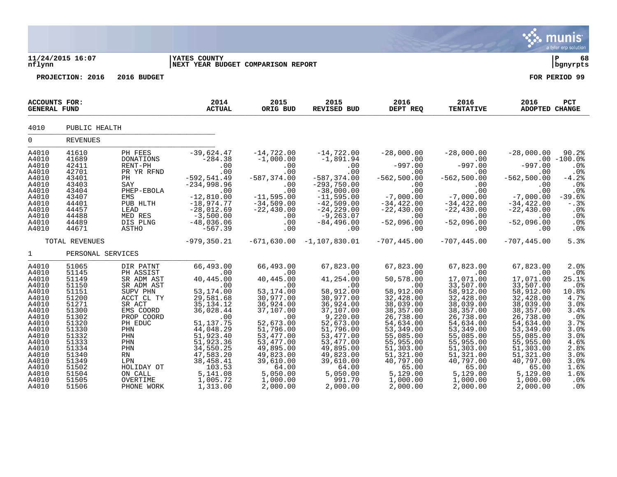|                                                                                                                                                                                  |                                                                                                                                                                                  |                                                                                                                                                                                                                          |                                                                                                                                                                                                                                                    |                                                                                                                                                                                                                                                |                                                                                                                                                                                                                                              |                                                                                                                                                                                                                                                            |                                                                                                                                                                                                                                                     |                                                                                                                                                                                                                                                      | munis<br>a tyler erp solution                                                                                                                                             |
|----------------------------------------------------------------------------------------------------------------------------------------------------------------------------------|----------------------------------------------------------------------------------------------------------------------------------------------------------------------------------|--------------------------------------------------------------------------------------------------------------------------------------------------------------------------------------------------------------------------|----------------------------------------------------------------------------------------------------------------------------------------------------------------------------------------------------------------------------------------------------|------------------------------------------------------------------------------------------------------------------------------------------------------------------------------------------------------------------------------------------------|----------------------------------------------------------------------------------------------------------------------------------------------------------------------------------------------------------------------------------------------|------------------------------------------------------------------------------------------------------------------------------------------------------------------------------------------------------------------------------------------------------------|-----------------------------------------------------------------------------------------------------------------------------------------------------------------------------------------------------------------------------------------------------|------------------------------------------------------------------------------------------------------------------------------------------------------------------------------------------------------------------------------------------------------|---------------------------------------------------------------------------------------------------------------------------------------------------------------------------|
| nflynn                                                                                                                                                                           | 11/24/2015 16:07                                                                                                                                                                 |                                                                                                                                                                                                                          | <b>IYATES COUNTY</b><br>NEXT YEAR BUDGET COMPARISON REPORT                                                                                                                                                                                         |                                                                                                                                                                                                                                                |                                                                                                                                                                                                                                              |                                                                                                                                                                                                                                                            |                                                                                                                                                                                                                                                     |                                                                                                                                                                                                                                                      | ∣ P<br>68<br>bgnyrpts                                                                                                                                                     |
|                                                                                                                                                                                  | PROJECTION: 2016                                                                                                                                                                 | 2016 BUDGET                                                                                                                                                                                                              |                                                                                                                                                                                                                                                    |                                                                                                                                                                                                                                                |                                                                                                                                                                                                                                              |                                                                                                                                                                                                                                                            |                                                                                                                                                                                                                                                     |                                                                                                                                                                                                                                                      | FOR PERIOD 99                                                                                                                                                             |
| <b>ACCOUNTS FOR:</b><br><b>GENERAL FUND</b>                                                                                                                                      |                                                                                                                                                                                  |                                                                                                                                                                                                                          | 2014<br><b>ACTUAL</b>                                                                                                                                                                                                                              | 2015<br>ORIG BUD                                                                                                                                                                                                                               | 2015<br>REVISED BUD                                                                                                                                                                                                                          | 2016<br>DEPT REQ                                                                                                                                                                                                                                           | 2016<br><b>TENTATIVE</b>                                                                                                                                                                                                                            | 2016<br><b>ADOPTED CHANGE</b>                                                                                                                                                                                                                        | <b>PCT</b>                                                                                                                                                                |
| 4010                                                                                                                                                                             | PUBLIC HEALTH                                                                                                                                                                    |                                                                                                                                                                                                                          |                                                                                                                                                                                                                                                    |                                                                                                                                                                                                                                                |                                                                                                                                                                                                                                              |                                                                                                                                                                                                                                                            |                                                                                                                                                                                                                                                     |                                                                                                                                                                                                                                                      |                                                                                                                                                                           |
| $\mathbf 0$                                                                                                                                                                      | <b>REVENUES</b>                                                                                                                                                                  |                                                                                                                                                                                                                          |                                                                                                                                                                                                                                                    |                                                                                                                                                                                                                                                |                                                                                                                                                                                                                                              |                                                                                                                                                                                                                                                            |                                                                                                                                                                                                                                                     |                                                                                                                                                                                                                                                      |                                                                                                                                                                           |
| A4010<br>A4010<br>A4010<br>A4010<br>A4010<br>A4010<br>A4010<br>A4010<br>A4010<br>A4010<br>A4010<br>A4010<br>A4010                                                                | 41610<br>41689<br>42411<br>42701<br>43401<br>43403<br>43404<br>43407<br>44401<br>44457<br>44488<br>44489<br>44671                                                                | PH FEES<br>DONATIONS<br>RENT-PH<br>PR YR RFND<br>PH<br>SAY<br>PHEP-EBOLA<br>EMS<br>PUB HLTH<br>LEAD<br>MED RES<br>DIS PLNG<br>ASTHO                                                                                      | $-39,624.47$<br>$-284.38$<br>.00<br>.00<br>$-592, 541.49$<br>$-234, 998.96$<br>$\sim$ 00<br>$-12,810.00$<br>$-18,974.77$<br>$-28,012.69$<br>$-3,500.00$<br>$-48,036.06$<br>$-567.39$                                                               | $-14,722.00$<br>$-1,000.00$<br>.00<br>.00<br>$-587, 374.00$<br>.00<br>.00<br>$-11,595.00$<br>$-34,509.00$<br>$-22,430.00$<br>.00<br>.00<br>.00                                                                                                 | $-14,722.00$<br>$-1,891.94$<br>.00<br>.00<br>$-587, 374.00$<br>$-293, 750.00$<br>$-38,000.00$<br>$-11,595.00$<br>$-42,509.00$<br>$-24, 229.00$<br>$-9, 263.07$<br>$-84, 496.00$<br>.00                                                       | $-28,000.00$<br>.00<br>$-997.00$<br>.00<br>$-562, 500.00$<br>.00<br>.00<br>$-7,000.00$<br>$-34,422.00$<br>$-22, 430.00$<br>.00<br>$-52,096.00$<br>.00                                                                                                      | $-28,000.00$<br>$.00 \,$<br>$-997.00$<br>.00<br>$-562,500.00$<br>.00<br>.00<br>$-7,000.00$<br>$-34, 422.00$<br>$-22, 430.00$<br>.00<br>$-52,096.00$<br>.00                                                                                          | $-28,000.00$<br>$-997.00$<br>.00<br>$-562, 500.00$<br>.00<br>.00<br>$-7,000.00$<br>$-34, 422.00$<br>$-22,430.00$<br>.00<br>$-52,096.00$<br>.00                                                                                                       | $90.2$ $%$<br>$.00 - 100.0$<br>.0%<br>.0%<br>$-4.2%$<br>.0%<br>.0%<br>$-39.6%$<br>$-.3%$<br>.0%<br>.0%<br>.0%<br>.0%                                                      |
|                                                                                                                                                                                  | TOTAL REVENUES                                                                                                                                                                   |                                                                                                                                                                                                                          | $-979, 350.21$                                                                                                                                                                                                                                     | $-671,630.00$                                                                                                                                                                                                                                  | $-1,107,830.01$                                                                                                                                                                                                                              | $-707, 445.00$                                                                                                                                                                                                                                             | $-707, 445.00$                                                                                                                                                                                                                                      | $-707, 445.00$                                                                                                                                                                                                                                       | 5.3%                                                                                                                                                                      |
| $\mathbf{1}$                                                                                                                                                                     | PERSONAL SERVICES                                                                                                                                                                |                                                                                                                                                                                                                          |                                                                                                                                                                                                                                                    |                                                                                                                                                                                                                                                |                                                                                                                                                                                                                                              |                                                                                                                                                                                                                                                            |                                                                                                                                                                                                                                                     |                                                                                                                                                                                                                                                      |                                                                                                                                                                           |
| A4010<br>A4010<br>A4010<br>A4010<br>A4010<br>A4010<br>A4010<br>A4010<br>A4010<br>A4010<br>A4010<br>A4010<br>A4010<br>A4010<br>A4010<br>A4010<br>A4010<br>A4010<br>A4010<br>A4010 | 51065<br>51145<br>51149<br>51150<br>51151<br>51200<br>51271<br>51300<br>51302<br>51320<br>51330<br>51332<br>51333<br>51334<br>51340<br>51349<br>51502<br>51504<br>51505<br>51506 | DIR PATNT<br>PH ASSIST<br>SR ADM AST<br>SR ADM AST<br>SUPV PHN<br>ACCT CL TY<br>SR ACT<br>EMS COORD<br>PROP COORD<br>PH EDUC<br>PHN<br>PHN<br>PHN<br>PHN<br>RN<br>LPN<br>HOLIDAY OT<br>ON CALL<br>OVERTIME<br>PHONE WORK | 66,493.00<br>.00<br>40,445.00<br>.00<br>53, 174.00<br>29,581.68<br>35, 134. 12<br>36, 028. 44<br>.00<br>51, 137.75<br>44, 048.29<br>51, 923.40<br>51, 923.36<br>34,550.25<br>47,583.20<br>38,458.41<br>103.53<br>5, 141.08<br>1,005.72<br>1,313.00 | 66,493.00<br>$\cdot$ 00<br>40,445.00<br>.00<br>53,174.00<br>30,977.00<br>36,924.00<br>37,107.00<br>.00<br>52,673.00<br>51,796.00<br>53,477.00<br>53,477.00<br>49,895.00<br>49,823.00<br>39,610.00<br>64.00<br>5,050.00<br>1,000.00<br>2,000.00 | 67,823.00<br>.00<br>41,254.00<br>.00<br>58,912.00<br>30,977.00<br>36,924.00<br>37,107.00<br>9,220.00<br>52,673.00<br>51,796.00<br>53, 477.00<br>53, 477.00<br>49,895.00<br>49,823.00<br>39,610.00<br>64.00<br>5,050.00<br>991.70<br>2,000.00 | 67,823.00<br>.00<br>50,578.00<br>$\overline{00}$<br>58,912.00<br>32,428.00<br>38,039.00<br>38, 357.00<br>26,738.00<br>54,634.00<br>53,349.00<br>55,085.00<br>55,955.00<br>51,303.00<br>51,321.00<br>40,797.00<br>65.00<br>5,129.00<br>1,000.00<br>2,000.00 | 67,823.00<br>.00<br>17,071.00<br>33,507.00<br>58,912.00<br>32,428.00<br>38,039.00<br>38,357.00<br>26,738.00<br>54,634.00<br>53,349.00<br>55,085.00<br>55,955.00<br>51,303.00<br>51,321.00<br>40,797.00<br>65.00<br>5,129.00<br>1,000.00<br>2,000.00 | 67,823.00<br>.00<br>17,071.00<br>33,507.00<br>58,912.00<br>32,428.00<br>38,039.00<br>38, 357.00<br>26,738.00<br>54,634.00<br>53,349.00<br>55,085.00<br>55,955.00<br>51,303.00<br>51,321.00<br>40,797.00<br>65.00<br>5,129.00<br>1,000.00<br>2,000.00 | 2.0%<br>.0%<br>25.1%<br>.0%<br>10.8%<br>4.7%<br>3.0%<br>3.4%<br>.0%<br>3.7%<br>3.0%<br>$3.0%$<br>$4.6%$<br>2.8%<br>3.0%<br>3.0%<br>1.6%<br>1.6%<br>.0%<br>.0 <sub>8</sub> |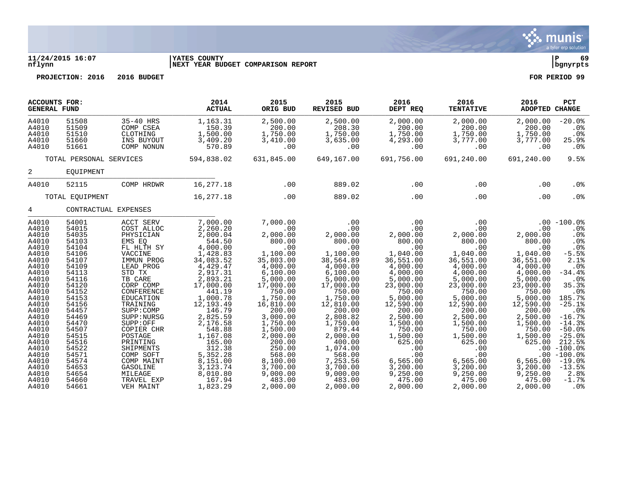

## **11/24/2015 16:07 |YATES COUNTY |P 69 nflynn |NEXT YEAR BUDGET COMPARISON REPORT |bgnyrpts**

| <b>ACCOUNTS FOR:</b><br><b>GENERAL FUND</b>                                                                                                                             |                                                                                                                                                                         |                                                                                                                                                                                                                                               | 2014<br><b>ACTUAL</b>                                                                                                                                                                                                       | 2015<br>ORIG BUD                                                                                                                                                                                                    | 2015<br><b>REVISED BUD</b>                                                                                                                                                                                    | 2016<br>DEPT REQ                                                                                                                                                                                             | 2016<br><b>TENTATIVE</b>                                                                                                                                                                                     | 2016<br>ADOPTED CHANGE                                                                                                                                                                                | PCT                                                                                                                                                                                                    |
|-------------------------------------------------------------------------------------------------------------------------------------------------------------------------|-------------------------------------------------------------------------------------------------------------------------------------------------------------------------|-----------------------------------------------------------------------------------------------------------------------------------------------------------------------------------------------------------------------------------------------|-----------------------------------------------------------------------------------------------------------------------------------------------------------------------------------------------------------------------------|---------------------------------------------------------------------------------------------------------------------------------------------------------------------------------------------------------------------|---------------------------------------------------------------------------------------------------------------------------------------------------------------------------------------------------------------|--------------------------------------------------------------------------------------------------------------------------------------------------------------------------------------------------------------|--------------------------------------------------------------------------------------------------------------------------------------------------------------------------------------------------------------|-------------------------------------------------------------------------------------------------------------------------------------------------------------------------------------------------------|--------------------------------------------------------------------------------------------------------------------------------------------------------------------------------------------------------|
| A4010<br>A4010<br>A4010<br>A4010<br>A4010                                                                                                                               | 51508<br>51509<br>51510<br>51660<br>51661                                                                                                                               | 35-40 HRS<br>COMP CSEA<br>CLOTHING<br>INS BUYOUT<br>COMP NONUN                                                                                                                                                                                | 1,163.31<br>150.39<br>1,500.00<br>3,409.20<br>570.89                                                                                                                                                                        | 2,500.00<br>200.00<br>1,750.00<br>3,410.00<br>.00                                                                                                                                                                   | 2,500.00<br>208.30<br>1,750.00<br>3,635.00<br>.00                                                                                                                                                             | 2,000.00<br>200.00<br>1,750.00<br>4,293.00<br>.00                                                                                                                                                            | 2,000.00<br>200.00<br>1,750.00<br>3,777.00<br>.00                                                                                                                                                            | 2,000.00<br>200.00<br>1,750.00<br>3,777.00<br>.00                                                                                                                                                     | $-20.0%$<br>.0 <sub>8</sub><br>.0%<br>25.9%<br>$.0\%$                                                                                                                                                  |
|                                                                                                                                                                         | TOTAL PERSONAL SERVICES                                                                                                                                                 |                                                                                                                                                                                                                                               | 594,838.02                                                                                                                                                                                                                  | 631,845.00                                                                                                                                                                                                          | 649,167.00                                                                                                                                                                                                    | 691,756.00                                                                                                                                                                                                   | 691,240.00                                                                                                                                                                                                   | 691,240.00                                                                                                                                                                                            | 9.5%                                                                                                                                                                                                   |
| $\overline{a}$                                                                                                                                                          | EQUIPMENT                                                                                                                                                               |                                                                                                                                                                                                                                               |                                                                                                                                                                                                                             |                                                                                                                                                                                                                     |                                                                                                                                                                                                               |                                                                                                                                                                                                              |                                                                                                                                                                                                              |                                                                                                                                                                                                       |                                                                                                                                                                                                        |
| A4010                                                                                                                                                                   | 52115                                                                                                                                                                   | COMP HRDWR                                                                                                                                                                                                                                    | 16,277.18                                                                                                                                                                                                                   | .00                                                                                                                                                                                                                 | 889.02                                                                                                                                                                                                        | .00                                                                                                                                                                                                          | .00                                                                                                                                                                                                          | .00                                                                                                                                                                                                   | .0 <sub>8</sub>                                                                                                                                                                                        |
|                                                                                                                                                                         | TOTAL EQUIPMENT                                                                                                                                                         |                                                                                                                                                                                                                                               | 16,277.18                                                                                                                                                                                                                   | .00                                                                                                                                                                                                                 | 889.02                                                                                                                                                                                                        | .00                                                                                                                                                                                                          | .00                                                                                                                                                                                                          | .00                                                                                                                                                                                                   | .0%                                                                                                                                                                                                    |
| $4\overline{ }$                                                                                                                                                         | CONTRACTUAL EXPENSES                                                                                                                                                    |                                                                                                                                                                                                                                               |                                                                                                                                                                                                                             |                                                                                                                                                                                                                     |                                                                                                                                                                                                               |                                                                                                                                                                                                              |                                                                                                                                                                                                              |                                                                                                                                                                                                       |                                                                                                                                                                                                        |
| A4010<br>A4010<br>A4010<br>A4010<br>A4010<br>A4010<br>A4010<br>A4010<br>A4010<br>A4010<br>A4010<br>A4010<br>A4010<br>A4010<br>A4010<br>A4010<br>A4010<br>A4010<br>A4010 | 54001<br>54015<br>54035<br>54103<br>54104<br>54106<br>54107<br>54109<br>54113<br>54116<br>54120<br>54152<br>54153<br>54156<br>54457<br>54469<br>54470<br>54507<br>54515 | ACCT SERV<br>COST ALLOC<br>PHYSICIAN<br>EMS EO<br>FL HLTH SY<br>VACCINE<br>IMMUN PROG<br>LEAD PROG<br>STD TX<br>TB CARE<br>CORP COMP<br>CONFERENCE<br>EDUCATION<br>TRAINING<br>SUPP: COMP<br>SUPP: NURSG<br>SUPP:OFF<br>COPIER CHR<br>POSTAGE | 7,000.00<br>2,260.20<br>2,000.04<br>544.50<br>4,000.00<br>1,428.83<br>34,083.52<br>4,429.47<br>2,917.31<br>2,893.21<br>17,000.00<br>441.19<br>1,000.78<br>12,193.49<br>146.79<br>2,825.59<br>2,176.58<br>548.88<br>1,167.08 | 7,000.00<br>.00<br>2,000.00<br>800.00<br>.00<br>1,100.00<br>35,803.00<br>4,000.00<br>6,100.00<br>5,000.00<br>17,000.00<br>750.00<br>1,750.00<br>16,810.00<br>200.00<br>3,000.00<br>1,750.00<br>1,500.00<br>2,000.00 | .00<br>.00<br>2,000.00<br>800.00<br>.00<br>1,100.00<br>38,564.89<br>4,000.00<br>6, 100.00<br>5,000.00<br>17,000.00<br>750.00<br>1,750.00<br>12,810.00<br>200.00<br>2,808.82<br>1,750.00<br>879.44<br>2,000.00 | .00<br>.00<br>2,000.00<br>800.00<br>.00<br>1,040.00<br>36,551.00<br>4,000.00<br>4,000.00<br>5,000.00<br>23,000.00<br>750.00<br>5,000.00<br>12,590.00<br>200.00<br>2,500.00<br>1,500.00<br>750.00<br>1,500.00 | .00<br>.00<br>2,000.00<br>800.00<br>.00<br>1,040.00<br>36,551.00<br>4,000.00<br>4,000.00<br>5,000.00<br>23,000.00<br>750.00<br>5,000.00<br>12,590.00<br>200.00<br>2,500.00<br>1,500.00<br>750.00<br>1,500.00 | .00<br>2,000.00<br>800.00<br>.00<br>1,040.00<br>36,551.00<br>4,000.00<br>4,000.00<br>5,000.00<br>23,000.00<br>750.00<br>5,000.00<br>12,590.00<br>200.00<br>2,500.00<br>1,500.00<br>750.00<br>1,500.00 | $.00 - 100.0%$<br>$.0\%$<br>.0%<br>.0 <sub>8</sub><br>.0%<br>$-5.5%$<br>2.1%<br>.0%<br>$-34.4%$<br>.0%<br>35.3%<br>.0%<br>185.7%<br>$-25.1%$<br>$.0\%$<br>$-16.7%$<br>$-14.3%$<br>$-50.0%$<br>$-25.0%$ |
| A4010<br>A4010<br>A4010<br>A4010<br>A4010<br>A4010<br>A4010<br>A4010                                                                                                    | 54516<br>54522<br>54571<br>54574<br>54653<br>54654<br>54660<br>54661                                                                                                    | PRINTING<br>SHIPMENTS<br>COMP SOFT<br>COMP MAINT<br><b>GASOLINE</b><br>MILEAGE<br>TRAVEL EXP<br>VEH MAINT                                                                                                                                     | 165.00<br>312.38<br>5,352.28<br>8,151.00<br>3, 123. 74<br>8,010.80<br>167.94<br>1,823.29                                                                                                                                    | 200.00<br>250.00<br>568.00<br>8,100.00<br>3,700.00<br>9,000.00<br>483.00<br>2,000.00                                                                                                                                | 400.00<br>1,074.00<br>568.00<br>7,253.56<br>3,700.00<br>9,000.00<br>483.00<br>2,000.00                                                                                                                        | 625.00<br>.00<br>.00<br>6, 565.00<br>3,200.00<br>9,250.00<br>475.00<br>2,000.00                                                                                                                              | 625.00<br>.00<br>.00<br>6,565.00<br>3,200.00<br>9,250.00<br>475.00<br>2,000.00                                                                                                                               | 625.00<br>6,565.00<br>3,200.00<br>9,250.00<br>475.00<br>2,000.00                                                                                                                                      | 212.5%<br>$.00 - 100.0$<br>$.00 - 100.0$<br>$-19.0%$<br>$-13.5%$<br>2.8%<br>$-1.7%$<br>.0%                                                                                                             |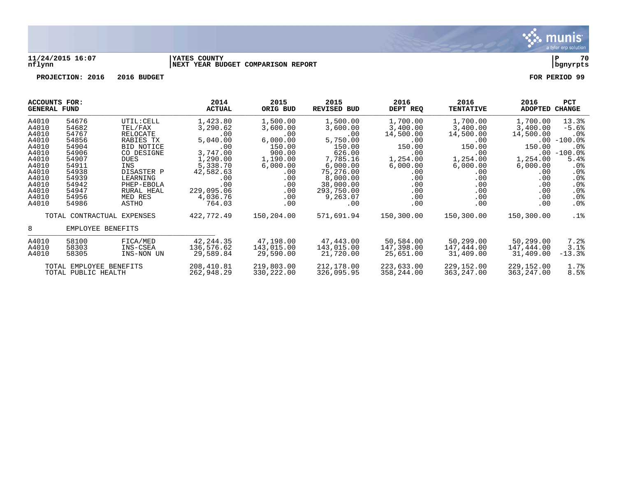

## **11/24/2015 16:07 |YATES COUNTY |P 70 nflynn |NEXT YEAR BUDGET COMPARISON REPORT |bgnyrpts**

| ACCOUNTS FOR:<br><b>GENERAL FUND</b>                                                                                       |                                                                                                                            |                                                                                                                                                                                   | 2014<br><b>ACTUAL</b>                                                                                                                             | 2015<br>ORIG BUD                                                                                                              | 2015<br><b>REVISED BUD</b>                                                                                                                                 | 2016<br>DEPT REQ                                                                                                            | 2016<br><b>TENTATIVE</b>                                                                                                                                              | 2016<br><b>ADOPTED</b>                                                                                                               | <b>PCT</b><br><b>CHANGE</b>                                                                                                                 |
|----------------------------------------------------------------------------------------------------------------------------|----------------------------------------------------------------------------------------------------------------------------|-----------------------------------------------------------------------------------------------------------------------------------------------------------------------------------|---------------------------------------------------------------------------------------------------------------------------------------------------|-------------------------------------------------------------------------------------------------------------------------------|------------------------------------------------------------------------------------------------------------------------------------------------------------|-----------------------------------------------------------------------------------------------------------------------------|-----------------------------------------------------------------------------------------------------------------------------------------------------------------------|--------------------------------------------------------------------------------------------------------------------------------------|---------------------------------------------------------------------------------------------------------------------------------------------|
| A4010<br>A4010<br>A4010<br>A4010<br>A4010<br>A4010<br>A4010<br>A4010<br>A4010<br>A4010<br>A4010<br>A4010<br>A4010<br>A4010 | 54676<br>54682<br>54767<br>54856<br>54904<br>54906<br>54907<br>54911<br>54938<br>54939<br>54942<br>54947<br>54956<br>54986 | UTIL: CELL<br>TEL/FAX<br>RELOCATE<br>RABIES TX<br><b>BID NOTICE</b><br>CO DESIGNE<br><b>DUES</b><br>INS<br>DISASTER P<br>LEARNING<br>PHEP-EBOLA<br>RURAL HEAL<br>MED RES<br>ASTHO | 1,423.80<br>3,290.62<br>.00<br>5,040.00<br>.00<br>3,747.00<br>1,290.00<br>5,338.70<br>42,582.63<br>.00<br>.00<br>229,095.06<br>4,036.76<br>764.03 | 1,500.00<br>3,600.00<br>.00<br>6,000.00<br>150.00<br>900.00<br>1,190.00<br>6,000.00<br>.00<br>.00<br>.00<br>.00<br>.00<br>.00 | 1,500.00<br>3,600.00<br>.00<br>5,750.00<br>150.00<br>626.00<br>7,785.16<br>6,000.00<br>75,276.00<br>8,000.00<br>38,000.00<br>293,750.00<br>9,263.07<br>.00 | 1,700.00<br>3,400.00<br>14,500.00<br>.00<br>150.00<br>.00<br>1,254.00<br>6,000.00<br>.00<br>.00<br>.00<br>.00<br>.00<br>.00 | 1,700.00<br>3,400.00<br>14,500.00<br>$.00 \ \rm$<br>150.00<br>.00<br>1,254.00<br>6,000.00<br>$.00 \ \rm$<br>$.00 \ \rm$<br>.00<br>$.00 \,$<br>$.00 \,$<br>$.00 \ \rm$ | 1,700.00<br>3,400.00<br>14,500.00<br>$.00\,$<br>150.00<br>$.00 \,$<br>1,254.00<br>6,000.00<br>.00<br>.00<br>.00<br>.00<br>.00<br>.00 | 13.3%<br>$-5.6%$<br>$.0\%$<br>$-100.0\%$<br>.0 <sub>8</sub><br>$-100.0$ %<br>5.4%<br>$.0\%$<br>$.0\%$<br>.0%<br>.0%<br>.0%<br>.0%<br>$.0\%$ |
|                                                                                                                            |                                                                                                                            | TOTAL CONTRACTUAL EXPENSES                                                                                                                                                        | 422,772.49                                                                                                                                        | 150,204.00                                                                                                                    | 571,691.94                                                                                                                                                 | 150,300.00                                                                                                                  | 150,300.00                                                                                                                                                            | 150,300.00                                                                                                                           | .1%                                                                                                                                         |
| 8                                                                                                                          | EMPLOYEE BENEFITS                                                                                                          |                                                                                                                                                                                   |                                                                                                                                                   |                                                                                                                               |                                                                                                                                                            |                                                                                                                             |                                                                                                                                                                       |                                                                                                                                      |                                                                                                                                             |
| A4010<br>A4010<br>A4010                                                                                                    | 58100<br>58303<br>58305                                                                                                    | FICA/MED<br>INS-CSEA<br>INS-NON UN                                                                                                                                                | 42, 244.35<br>136,576.62<br>29,589.84                                                                                                             | 47,198.00<br>143,015.00<br>29,590.00                                                                                          | 47,443.00<br>143,015.00<br>21,720.00                                                                                                                       | 50,584.00<br>147,398.00<br>25,651.00                                                                                        | 50,299.00<br>147,444.00<br>31,409.00                                                                                                                                  | 50,299.00<br>147,444.00<br>31,409.00                                                                                                 | 7.2%<br>3.1%<br>$-13.3%$                                                                                                                    |
|                                                                                                                            | TOTAL EMPLOYEE BENEFITS<br>TOTAL PUBLIC HEALTH                                                                             |                                                                                                                                                                                   | 208,410.81<br>262,948.29                                                                                                                          | 219,803.00<br>330,222.00                                                                                                      | 212,178.00<br>326,095.95                                                                                                                                   | 223,633.00<br>358,244.00                                                                                                    | 229,152.00<br>363,247.00                                                                                                                                              | 229,152.00<br>363,247.00                                                                                                             | 1.7%<br>8.5%                                                                                                                                |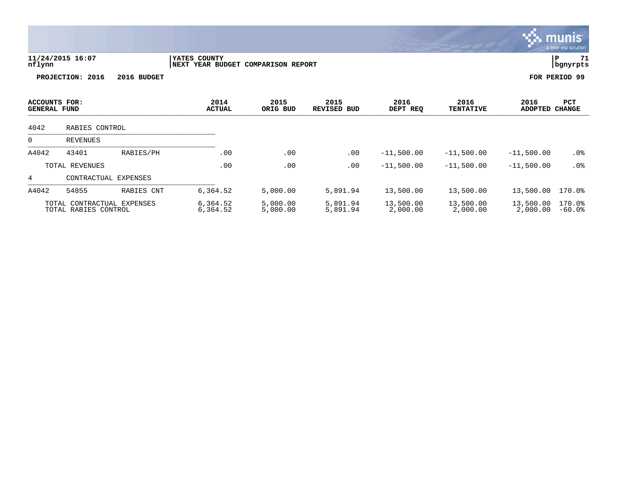|                                      |                                                    |                      |                                                    |                      |                      |                       |                          |                        | <b>munis</b><br>a tyler erp solution |
|--------------------------------------|----------------------------------------------------|----------------------|----------------------------------------------------|----------------------|----------------------|-----------------------|--------------------------|------------------------|--------------------------------------|
| nflynn                               | 11/24/2015 16:07                                   |                      | YATES COUNTY<br>NEXT YEAR BUDGET COMPARISON REPORT |                      |                      |                       |                          |                        | 71<br>∣P<br>  bgnyrpts               |
|                                      | PROJECTION: 2016                                   | 2016 BUDGET          |                                                    |                      |                      |                       |                          |                        | FOR PERIOD 99                        |
| ACCOUNTS FOR:<br><b>GENERAL FUND</b> |                                                    |                      | 2014<br><b>ACTUAL</b>                              | 2015<br>ORIG BUD     | 2015<br>REVISED BUD  | 2016<br>DEPT REQ      | 2016<br><b>TENTATIVE</b> | 2016<br><b>ADOPTED</b> | PCT<br><b>CHANGE</b>                 |
| 4042                                 | RABIES CONTROL                                     |                      |                                                    |                      |                      |                       |                          |                        |                                      |
| 0                                    | <b>REVENUES</b>                                    |                      |                                                    |                      |                      |                       |                          |                        |                                      |
| A4042                                | 43401                                              | RABIES/PH            | .00                                                | .00                  | .00                  | $-11,500.00$          | $-11,500.00$             | $-11,500.00$           | .0%                                  |
|                                      | TOTAL REVENUES                                     |                      | .00                                                | .00                  | .00                  | $-11,500.00$          | $-11,500.00$             | $-11,500.00$           | .0%                                  |
| $\overline{4}$                       |                                                    | CONTRACTUAL EXPENSES |                                                    |                      |                      |                       |                          |                        |                                      |
| A4042                                | 54855                                              | RABIES CNT           | 6,364.52                                           | 5,000.00             | 5,891.94             | 13,500.00             | 13,500.00                | 13,500.00              | 170.0%                               |
|                                      | TOTAL CONTRACTUAL EXPENSES<br>TOTAL RABIES CONTROL |                      | 6,364.52<br>6,364.52                               | 5,000.00<br>5,000.00 | 5,891.94<br>5,891.94 | 13,500.00<br>2,000.00 | 13,500.00<br>2,000.00    | 13,500.00<br>2,000.00  | 170.0%<br>$-60.0$ °                  |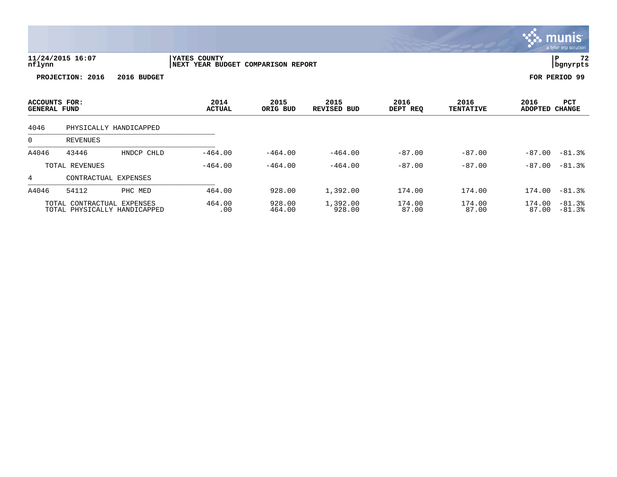|                                      |                            |                              |                                                           |                  |                     |                  |                          |                        | <u>munis l</u><br>a tyler erp solution |
|--------------------------------------|----------------------------|------------------------------|-----------------------------------------------------------|------------------|---------------------|------------------|--------------------------|------------------------|----------------------------------------|
| nflynn                               | 11/24/2015 16:07           |                              | <b>YATES COUNTY</b><br>NEXT YEAR BUDGET COMPARISON REPORT |                  |                     |                  |                          |                        | 72<br> P<br>  bgnyrpts                 |
|                                      | PROJECTION: 2016           | 2016 BUDGET                  |                                                           |                  |                     |                  |                          |                        | FOR PERIOD 99                          |
| ACCOUNTS FOR:<br><b>GENERAL FUND</b> |                            |                              | 2014<br><b>ACTUAL</b>                                     | 2015<br>ORIG BUD | 2015<br>REVISED BUD | 2016<br>DEPT REQ | 2016<br><b>TENTATIVE</b> | 2016<br><b>ADOPTED</b> | PCT<br><b>CHANGE</b>                   |
| 4046                                 |                            | PHYSICALLY HANDICAPPED       |                                                           |                  |                     |                  |                          |                        |                                        |
| 0                                    | REVENUES                   |                              |                                                           |                  |                     |                  |                          |                        |                                        |
| A4046                                | 43446                      | HNDCP CHLD                   | $-464.00$                                                 | $-464.00$        | $-464.00$           | $-87.00$         | $-87.00$                 | $-87.00$               | $-81.3%$                               |
|                                      | TOTAL REVENUES             |                              | $-464.00$                                                 | $-464.00$        | $-464.00$           | $-87.00$         | $-87.00$                 |                        | $-87.00 - 81.3$                        |
| 4                                    | CONTRACTUAL EXPENSES       |                              |                                                           |                  |                     |                  |                          |                        |                                        |
| A4046                                | 54112                      | PHC MED                      | 464.00                                                    | 928.00           | 1,392.00            | 174.00           | 174.00                   | 174.00                 | $-81.3%$                               |
|                                      | TOTAL CONTRACTUAL EXPENSES | TOTAL PHYSICALLY HANDICAPPED | 464.00<br>.00                                             | 928.00<br>464.00 | 1,392.00<br>928.00  | 174.00<br>87.00  | 174.00<br>87.00          | 174.00<br>87.00        | $-81.3%$<br>$-81.3%$                   |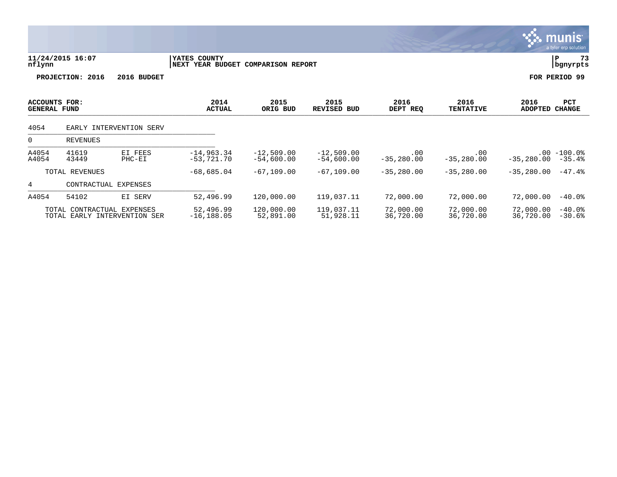|                                      |                            |                              |                                                    |                              |                              |                           |                             |                        | munis <sup>.</sup><br>a tyler erp solution |
|--------------------------------------|----------------------------|------------------------------|----------------------------------------------------|------------------------------|------------------------------|---------------------------|-----------------------------|------------------------|--------------------------------------------|
| nflynn                               | 11/24/2015 16:07           |                              | YATES COUNTY<br>NEXT YEAR BUDGET COMPARISON REPORT |                              |                              |                           |                             |                        | 73<br>∣P<br>bgnyrpts                       |
|                                      | PROJECTION: 2016           | 2016 BUDGET                  |                                                    |                              |                              |                           |                             |                        | FOR PERIOD 99                              |
| ACCOUNTS FOR:<br><b>GENERAL FUND</b> |                            |                              | 2014<br><b>ACTUAL</b>                              | 2015<br>ORIG BUD             | 2015<br>REVISED BUD          | 2016<br>DEPT REQ          | 2016<br><b>TENTATIVE</b>    | 2016<br><b>ADOPTED</b> | PCT<br><b>CHANGE</b>                       |
| 4054                                 |                            | EARLY INTERVENTION SERV      |                                                    |                              |                              |                           |                             |                        |                                            |
| 0                                    | REVENUES                   |                              |                                                    |                              |                              |                           |                             |                        |                                            |
| A4054<br>A4054                       | 41619<br>43449             | EI FEES<br>PHC-EI            | $-14,963.34$<br>$-53,721.70$                       | $-12,509.00$<br>$-54,600.00$ | $-12,509.00$<br>$-54,600.00$ | $.00 \,$<br>$-35, 280.00$ | $.00 \ \rm$<br>$-35,280.00$ | $-35,280.00$           | $.00 - 100.0$<br>$-35.4%$                  |
|                                      | TOTAL REVENUES             |                              | $-68,685.04$                                       | $-67, 109.00$                | $-67, 109.00$                | $-35,280.00$              | $-35,280.00$                | $-35,280.00$           | $-47.4%$                                   |
| 4                                    | CONTRACTUAL EXPENSES       |                              |                                                    |                              |                              |                           |                             |                        |                                            |
| A4054                                | 54102                      | EI SERV                      | 52,496.99                                          | 120,000.00                   | 119,037.11                   | 72,000.00                 | 72,000.00                   | 72,000.00              | $-40.0$ °                                  |
|                                      | TOTAL CONTRACTUAL EXPENSES | TOTAL EARLY INTERVENTION SER | 52,496.99<br>$-16, 188.05$                         | 120,000.00<br>52,891.00      | 119,037.11<br>51,928.11      | 72,000.00<br>36,720.00    | 72,000.00<br>36,720.00      | 72,000.00<br>36,720.00 | $-40.0%$<br>$-30.6%$                       |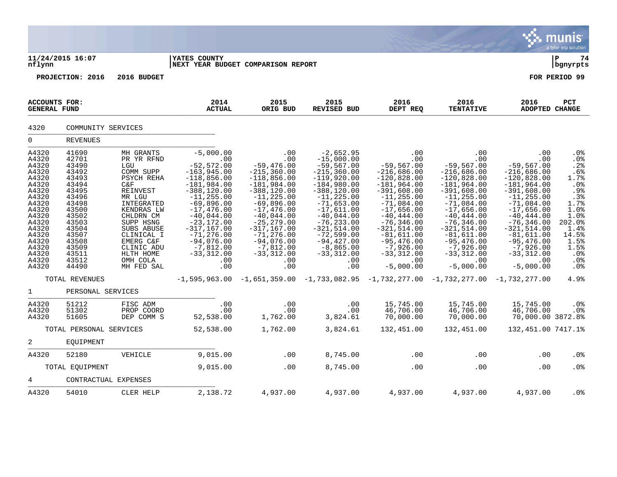|                                                                                                                                                                         |                                                                                                                                                                         |                                                                                                                                                                                                                                                   |                                                                                                                                                                                                                                                                                            |                                                                                                                                                                                                                                                                                    |                                                                                                                                                                                                                                                                                                     |                                                                                                                                                                                                                                                                                           |                                                                                                                                                                                                                                                                                           |                                                                                                                                                                                                                                                                                          | munis<br>a tyler erp solution                                                                                                                               |
|-------------------------------------------------------------------------------------------------------------------------------------------------------------------------|-------------------------------------------------------------------------------------------------------------------------------------------------------------------------|---------------------------------------------------------------------------------------------------------------------------------------------------------------------------------------------------------------------------------------------------|--------------------------------------------------------------------------------------------------------------------------------------------------------------------------------------------------------------------------------------------------------------------------------------------|------------------------------------------------------------------------------------------------------------------------------------------------------------------------------------------------------------------------------------------------------------------------------------|-----------------------------------------------------------------------------------------------------------------------------------------------------------------------------------------------------------------------------------------------------------------------------------------------------|-------------------------------------------------------------------------------------------------------------------------------------------------------------------------------------------------------------------------------------------------------------------------------------------|-------------------------------------------------------------------------------------------------------------------------------------------------------------------------------------------------------------------------------------------------------------------------------------------|------------------------------------------------------------------------------------------------------------------------------------------------------------------------------------------------------------------------------------------------------------------------------------------|-------------------------------------------------------------------------------------------------------------------------------------------------------------|
| nflynn                                                                                                                                                                  | 11/24/2015 16:07                                                                                                                                                        |                                                                                                                                                                                                                                                   | <b>YATES COUNTY</b><br>NEXT YEAR BUDGET COMPARISON REPORT                                                                                                                                                                                                                                  |                                                                                                                                                                                                                                                                                    |                                                                                                                                                                                                                                                                                                     |                                                                                                                                                                                                                                                                                           |                                                                                                                                                                                                                                                                                           |                                                                                                                                                                                                                                                                                          | ∣ P<br>74<br>  bgnyrpts                                                                                                                                     |
|                                                                                                                                                                         | PROJECTION: 2016                                                                                                                                                        | 2016 BUDGET                                                                                                                                                                                                                                       |                                                                                                                                                                                                                                                                                            |                                                                                                                                                                                                                                                                                    |                                                                                                                                                                                                                                                                                                     |                                                                                                                                                                                                                                                                                           |                                                                                                                                                                                                                                                                                           |                                                                                                                                                                                                                                                                                          | FOR PERIOD 99                                                                                                                                               |
| ACCOUNTS FOR:<br><b>GENERAL FUND</b>                                                                                                                                    |                                                                                                                                                                         |                                                                                                                                                                                                                                                   | 2014<br><b>ACTUAL</b>                                                                                                                                                                                                                                                                      | 2015<br>ORIG BUD                                                                                                                                                                                                                                                                   | 2015<br><b>REVISED BUD</b>                                                                                                                                                                                                                                                                          | 2016<br>DEPT REQ                                                                                                                                                                                                                                                                          | 2016<br><b>TENTATIVE</b>                                                                                                                                                                                                                                                                  | 2016<br><b>ADOPTED CHANGE</b>                                                                                                                                                                                                                                                            | PCT                                                                                                                                                         |
| 4320                                                                                                                                                                    | COMMUNITY SERVICES                                                                                                                                                      |                                                                                                                                                                                                                                                   |                                                                                                                                                                                                                                                                                            |                                                                                                                                                                                                                                                                                    |                                                                                                                                                                                                                                                                                                     |                                                                                                                                                                                                                                                                                           |                                                                                                                                                                                                                                                                                           |                                                                                                                                                                                                                                                                                          |                                                                                                                                                             |
| $\mathbf 0$                                                                                                                                                             | <b>REVENUES</b>                                                                                                                                                         |                                                                                                                                                                                                                                                   |                                                                                                                                                                                                                                                                                            |                                                                                                                                                                                                                                                                                    |                                                                                                                                                                                                                                                                                                     |                                                                                                                                                                                                                                                                                           |                                                                                                                                                                                                                                                                                           |                                                                                                                                                                                                                                                                                          |                                                                                                                                                             |
| A4320<br>A4320<br>A4320<br>A4320<br>A4320<br>A4320<br>A4320<br>A4320<br>A4320<br>A4320<br>A4320<br>A4320<br>A4320<br>A4320<br>A4320<br>A4320<br>A4320<br>A4320<br>A4320 | 41690<br>42701<br>43490<br>43492<br>43493<br>43494<br>43495<br>43496<br>43498<br>43500<br>43502<br>43503<br>43504<br>43507<br>43508<br>43509<br>43511<br>43512<br>44490 | MH GRANTS<br>PR YR RFND<br>LGU<br>COMM SUPP<br>PSYCH REHA<br>C&F<br>REINVEST<br>MR LGU<br>INTEGRATED<br>KENDRAS LW<br>CHLDRN CM<br>SUPP HSNG<br><b>SUBS ABUSE</b><br>CLINICAL I<br>EMERG C&F<br>CLINIC ADU<br>HLTH HOME<br>OMH COLA<br>MH FED SAL | $-5,000.00$<br>.00<br>$-52, 572.00$<br>$-163,945.00$<br>$-118,856.00$<br>$-181,984.00$<br>$-388, 120.00$<br>$-11, 255.00$<br>$-69,896.00$<br>$-17,476.00$<br>$-40,044.00$<br>$-23, 172.00$<br>$-317, 167.00$<br>$-71, 276.00$<br>$-94,076.00$<br>$-7,812.00$<br>$-33,312.00$<br>.00<br>.00 | .00<br>.00<br>$-59,476.00$<br>$-215, 360.00$<br>$-118,856.00$<br>$-181,984.00$<br>$-388, 120.00$<br>$-11, 225.00$<br>$-69,896.00$<br>$-17,476.00$<br>$-40,044.00$<br>$-25, 279.00$<br>$-317, 167.00$<br>$-71, 276.00$<br>$-94,076.00$<br>$-7,812.00$<br>$-33,312.00$<br>.00<br>.00 | $-2,652.95$<br>$-15,000.00$<br>$-59, 567.00$<br>$-215, 360.00$<br>$-119,920.00$<br>$-184,980.00$<br>$-388, 120.00$<br>$-11, 225.00$<br>$-71,653.00$<br>$-17,611.00$<br>$-40,044.00$<br>$-76, 233.00$<br>$-321, 514.00$<br>$-72,599.00$<br>$-94,427.00$<br>$-8,865.00$<br>$-33,312.00$<br>.00<br>.00 | .00<br>.00<br>$-59, 567.00$<br>$-216,686.00$<br>$-120,828.00$<br>$-181,964.00$<br>$-391,608.00$<br>$-11, 255.00$<br>$-71,084.00$<br>$-17,656.00$<br>$-40, 444.00$<br>$-76, 346.00$<br>$-321, 514.00$<br>$-81,611.00$<br>$-95,476.00$<br>$-7,926.00$<br>$-33,312.00$<br>.00<br>$-5,000.00$ | .00<br>.00<br>$-59, 567.00$<br>$-216,686.00$<br>$-120,828.00$<br>$-181,964.00$<br>$-391,608.00$<br>$-11, 255.00$<br>$-71,084.00$<br>$-17,656.00$<br>$-40, 444.00$<br>$-76, 346.00$<br>$-321, 514.00$<br>$-81,611.00$<br>$-95,476.00$<br>$-7,926.00$<br>$-33,312.00$<br>.00<br>$-5,000.00$ | .00<br>.00<br>$-59, 567.00$<br>$-216,686.00$<br>$-120,828.00$<br>$-181,964.00$<br>$-391,608.00$<br>$-11, 255.00$<br>$-71,084.00$<br>$-17,656.00$<br>$-40, 444.00$<br>$-76, 346.00$<br>$-321,514.00$<br>$-81,611.00$<br>$-95,476.00$<br>$-7,926.00$<br>$-33,312.00$<br>.00<br>$-5,000.00$ | .0%<br>.0%<br>.2%<br>.6%<br>1.7%<br>.0%<br>.9%<br>$.3%$<br>1.7%<br>1.0%<br>1.0%<br>202.0%<br>1.4%<br>14.5%<br>1.5%<br>1.5%<br>.0%<br>.0%<br>.0 <sub>8</sub> |
|                                                                                                                                                                         | TOTAL REVENUES                                                                                                                                                          |                                                                                                                                                                                                                                                   | $-1,595,963.00$                                                                                                                                                                                                                                                                            |                                                                                                                                                                                                                                                                                    | $-1,651,359.00$ $-1,733,082.95$ $-1,732,277.00$ $-1,732,277.00$ $-1,732,277.00$                                                                                                                                                                                                                     |                                                                                                                                                                                                                                                                                           |                                                                                                                                                                                                                                                                                           |                                                                                                                                                                                                                                                                                          | 4.9%                                                                                                                                                        |
| $\mathbf{1}$                                                                                                                                                            | PERSONAL SERVICES                                                                                                                                                       |                                                                                                                                                                                                                                                   |                                                                                                                                                                                                                                                                                            |                                                                                                                                                                                                                                                                                    |                                                                                                                                                                                                                                                                                                     |                                                                                                                                                                                                                                                                                           |                                                                                                                                                                                                                                                                                           |                                                                                                                                                                                                                                                                                          |                                                                                                                                                             |
| A4320<br>A4320<br>A4320                                                                                                                                                 | 51212<br>51302<br>51605                                                                                                                                                 | FISC ADM<br>PROP COORD<br>DEP COMM S                                                                                                                                                                                                              | .00<br>.00<br>52,538.00                                                                                                                                                                                                                                                                    | .00<br>.00<br>1,762.00                                                                                                                                                                                                                                                             | .00<br>.00<br>3,824.61                                                                                                                                                                                                                                                                              | 15,745.00<br>46,706.00<br>70,000.00                                                                                                                                                                                                                                                       | 15,745.00<br>46,706.00<br>70,000.00                                                                                                                                                                                                                                                       | 15,745.00<br>46,706.00<br>70,000.00 3872.8%                                                                                                                                                                                                                                              | .0%<br>.0%                                                                                                                                                  |
|                                                                                                                                                                         | TOTAL PERSONAL SERVICES                                                                                                                                                 |                                                                                                                                                                                                                                                   | 52,538.00                                                                                                                                                                                                                                                                                  | 1,762.00                                                                                                                                                                                                                                                                           | 3,824.61                                                                                                                                                                                                                                                                                            | 132,451.00                                                                                                                                                                                                                                                                                | 132,451.00                                                                                                                                                                                                                                                                                | 132, 451.00 7417.1%                                                                                                                                                                                                                                                                      |                                                                                                                                                             |
| 2                                                                                                                                                                       | EQUIPMENT                                                                                                                                                               |                                                                                                                                                                                                                                                   |                                                                                                                                                                                                                                                                                            |                                                                                                                                                                                                                                                                                    |                                                                                                                                                                                                                                                                                                     |                                                                                                                                                                                                                                                                                           |                                                                                                                                                                                                                                                                                           |                                                                                                                                                                                                                                                                                          |                                                                                                                                                             |
| A4320                                                                                                                                                                   | 52180                                                                                                                                                                   | VEHICLE                                                                                                                                                                                                                                           | 9,015.00                                                                                                                                                                                                                                                                                   | .00                                                                                                                                                                                                                                                                                | 8,745.00                                                                                                                                                                                                                                                                                            | .00                                                                                                                                                                                                                                                                                       | .00                                                                                                                                                                                                                                                                                       | .00                                                                                                                                                                                                                                                                                      | .0%                                                                                                                                                         |
|                                                                                                                                                                         | TOTAL EQUIPMENT                                                                                                                                                         |                                                                                                                                                                                                                                                   | 9,015.00                                                                                                                                                                                                                                                                                   | .00                                                                                                                                                                                                                                                                                | 8,745.00                                                                                                                                                                                                                                                                                            | .00                                                                                                                                                                                                                                                                                       | .00                                                                                                                                                                                                                                                                                       | .00                                                                                                                                                                                                                                                                                      | .0 <sub>8</sub>                                                                                                                                             |
| 4                                                                                                                                                                       | CONTRACTUAL EXPENSES                                                                                                                                                    |                                                                                                                                                                                                                                                   |                                                                                                                                                                                                                                                                                            |                                                                                                                                                                                                                                                                                    |                                                                                                                                                                                                                                                                                                     |                                                                                                                                                                                                                                                                                           |                                                                                                                                                                                                                                                                                           |                                                                                                                                                                                                                                                                                          |                                                                                                                                                             |
| A4320                                                                                                                                                                   | 54010                                                                                                                                                                   | CLER HELP                                                                                                                                                                                                                                         | 2,138.72                                                                                                                                                                                                                                                                                   | 4,937.00                                                                                                                                                                                                                                                                           | 4,937.00                                                                                                                                                                                                                                                                                            | 4,937.00                                                                                                                                                                                                                                                                                  | 4,937.00                                                                                                                                                                                                                                                                                  | 4,937.00                                                                                                                                                                                                                                                                                 | .0%                                                                                                                                                         |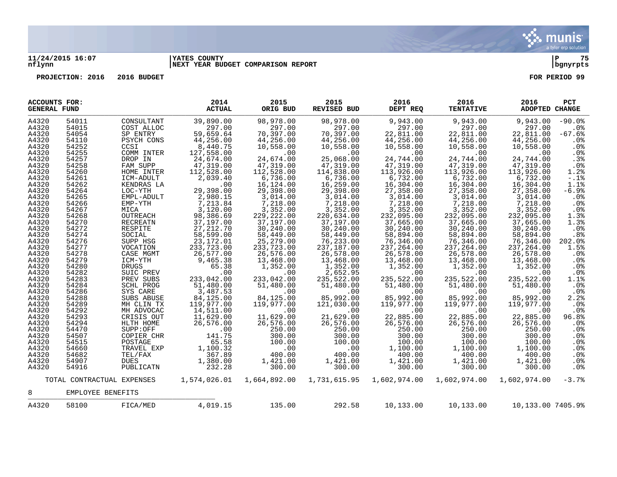

## **11/24/2015 16:07 |YATES COUNTY |P 75 nflynn |NEXT YEAR BUDGET COMPARISON REPORT |bgnyrpts**

| <b>ACCOUNTS FOR:</b><br><b>GENERAL FUND</b> |                            |                  | 2014<br><b>ACTUAL</b>                                    | 2015<br>ORIG BUD         | 2015<br>REVISED BUD      | 2016<br>DEPT REQ         | 2016<br><b>TENTATIVE</b> | 2016<br><b>ADOPTED CHANGE</b>   | PCT             |
|---------------------------------------------|----------------------------|------------------|----------------------------------------------------------|--------------------------|--------------------------|--------------------------|--------------------------|---------------------------------|-----------------|
| A4320                                       | 54011                      | CONSULTANT       | 39,890.00                                                | 98,978.00                | 98,978.00                | 9,943.00                 | 9,943.00                 | 9,943.00                        | $-90.0%$        |
| A4320                                       | 54015                      | COST ALLOC       | 297.00                                                   | 297.00                   | 297.00                   | 297.00                   | 297.00                   | 297.00                          | $.0\%$          |
| A4320                                       | 54054                      | SP ENTRY         | 59,659.64                                                | 70,397.00                | 70,397.00                | 22,811.00                | 22,811.00                | 22,811.00                       | $-67.6%$        |
| A4320                                       | 54110                      | PSYCH CONS       | 44,256.00                                                | 44,256.00                | 44,256.00                | 44,256.00                | 44,256.00                | 44,256.00                       | .0 <sub>8</sub> |
| A4320                                       | 54252                      | CCSI             |                                                          | 10,558.00                | 10,558.00                | 10,558.00                | 10,558.00                | 10,558.00                       | .0%             |
| A4320                                       | 54255                      | COMM INTER       | 8,440.75<br>127,558.00                                   | .00                      | .00                      | .00                      | $.00 \,$                 | $.00 \,$                        | .0%             |
| A4320                                       | 54257                      | DROP IN          |                                                          | 24,674.00                | 25,068.00                | 24,744.00                | 24,744.00                | 24,744.00                       | .3%             |
| A4320                                       | 54258                      | FAM SUPP         | $24,674.00$<br>$47,319.00$                               | 47,319.00                | 47,319.00                | 47,319.00                | 47,319.00                | 47,319.00                       | .0%             |
| A4320                                       | 54260                      | HOME INTER       | 112,528.00                                               | 112,528.00               | 114,838.00               | 113,926.00               | 113,926.00               | 113,926.00                      | 1.2%            |
| A4320                                       | 54261                      | ICM-ADULT        | 2,039.40                                                 | 6,736.00                 | 6,736.00<br>16,259.00    | 6,732.00                 | 6,732.00                 | 6,732.00                        | $-.1$ %         |
| A4320                                       | 54262                      | KENDRAS LA       | .00                                                      | 16,124.00                |                          | 16,304.00                | 16, 304.00               | 16,304.00                       | 1.1%            |
| A4320                                       | 54264                      | LOC-YTH          | 29,398.00                                                | 29,398.00                | 29,398.00                | 27,358.00                | 27,358.00                | 27,358.00                       | $-6.9%$         |
| A4320                                       | 54265                      | EMPL-ADULT       | 2,980.15                                                 | 3,014.00                 | 3,014.00                 |                          | 3,014.00                 | 3,014.00                        | $.0\%$          |
| A4320                                       | 54266                      | EMP-YTH          | 7,213.84                                                 | 7,218.00                 | 7,218.00                 | 3,014.00<br>7,218.00     | 7,218.00                 | 7,218.00                        | .0%             |
| A4320                                       | 54267                      | MICA             | 3,120.00<br>98,386.69                                    |                          |                          | 3, 352.00<br>232, 095.00 |                          | 3,352.00                        | .0%             |
| A4320                                       | 54268                      | OUTREACH         |                                                          | 3, 352.00<br>229, 222.00 | 3, 352.00<br>220, 634.00 |                          | 3, 352.00<br>232, 095.00 | 232,095.00                      | 1.3%            |
| A4320                                       | 54270                      | RECREATN         | 37,197.00                                                | 37,197.00                | 37,197.00                | 37,665.00                | 37,665.00                | 37,665.00                       | 1.3%            |
| A4320                                       | 54272                      | RESPITE          | 27, 212.70<br>58, 599.00                                 | 30,240.00                | 30,240.00                | 30,240.00                | 30,240.00                | 30,240.00                       | .0%             |
| A4320                                       | 54274                      | SOCIAL           |                                                          | 58,449.00                | 58,449.00                | 58,894.00                | 58,894.00                | 58,894.00                       | .8%             |
| A4320                                       | 54276                      | SUPP HSG         | 23, 172.01                                               | 25,279.00                | 76, 233.00               | 76,346.00                | 76, 346.00               | 76,346.00                       | 202.0%          |
| A4320                                       | 54277                      | VOCATION         | 233, 723.00                                              | 233,723.00               | 237,187.00               | 237,264.00               | 237, 264.00              | 237,264.00                      | 1.5%            |
| A4320                                       | 54278                      | CASE MGMT        | 26,577.00                                                | 26,576.00                | 26,578.00                | 26,578.00                |                          | 26,578.00                       | .0%             |
| A4320                                       | 54279                      | ICM-YTH          | 9,465.38                                                 | 13,468.00                | 13,468.00                | 13,468.00                | 26,578.00<br>13,468.00   | 13,468.00                       | .0%             |
| A4320                                       | 54280                      | <b>DRUGS</b>     | 65.38                                                    | 1,352.00                 | 1,352.00                 | 1,352.00                 | 1,352.00                 | 1,352.00                        | .0%             |
| A4320                                       | 54282                      | SUIC PREV        | .00                                                      | .00                      | 2,652.95                 | .00                      | .00                      | .00                             | .0%             |
| A4320                                       | 54283                      | PREV SUBS        | 233,042.00                                               | 233,042.00               | 235,522.00               | 235,522.00               | 235,522.00               | 235,522.00                      | 1.1%            |
| A4320                                       | 54284                      | <b>SCHL PROG</b> | 51,480.00                                                | 51,480.00                | 51,480.00                | 51,480.00                | 51,480.00                | 51,480.00                       | .0%             |
| A4320                                       | 54286                      | SYS CARE         | $3,487.53$<br>$84,125.00$<br>$119,977.00$<br>$14,511.00$ | .00                      | .00                      | .00                      | .00                      | .00                             | .0%             |
| A4320                                       | 54288                      | SUBS ABUSE       |                                                          | 84,125.00                | 85,992.00                | 85,992.00                | 85,992.00                | 85,992.00                       | 2.2%            |
| A4320                                       | 54289                      | MH CLIN TX       |                                                          | 119,977.00               | 121,030.00               | 119,977.00               | 119,977.00               | 119,977.00                      | .0%             |
| A4320                                       | 54292                      | MH ADVOCAC       |                                                          | .00                      | .00                      | .00                      | .00                      | .00                             | $.0\%$          |
| A4320                                       | 54293                      | CRISIS OUT       | 11,629.00                                                | 11,629.00                | 21,629.00                | 22,885.00                | 22,885.00                | 22,885.00                       | 96.8%           |
| A4320                                       | 54294                      | HLTH HOME        | 26,576.00                                                |                          | 26,576.00                | 26,576.00                | 26,576.00                | 26,576.00                       | .0%             |
| A4320                                       | 54470                      | SUPP:OFF         | .00                                                      | 26,576.00<br>250.00      | 250.00                   | 250.00                   | 250.00                   | 250.00                          | .0%             |
| A4320                                       | 54507                      | COPIER CHR       | 141.75                                                   | 300.00                   | 300.00                   | 300.00                   | 300.00                   | 300.00                          | .0%             |
| A4320                                       | 54515                      | POSTAGE          | 65.58                                                    | 100.00                   | 100.00                   | 100.00                   | 100.00                   | 100.00                          | .0%             |
| A4320                                       | 54660                      | TRAVEL EXP       | 1,100.32                                                 | .00                      | .00                      | 1,100.00                 | 1,100.00                 | 1,100.00                        | .0%             |
| A4320                                       | 54682                      | TEL/FAX          | 367.89                                                   | 400.00                   | 400.00                   | 400.00                   | 400.00                   | 400.00                          | .0%             |
| A4320                                       | 54907                      | <b>DUES</b>      | 1,380.00                                                 | 1,421.00                 | 1,421.00                 | 1,421.00                 | 1,421.00                 | 1,421.00                        | .0%             |
| A4320                                       | 54916                      | PUBLICATN        | 232.28                                                   | 300.00                   | 300.00                   | 300.00                   | 300.00                   | 300.00                          | .0%             |
|                                             | TOTAL CONTRACTUAL EXPENSES |                  |                                                          |                          |                          |                          | 1,602,974.00             | 1,602,974.00                    | $-3.7%$         |
| 8                                           | EMPLOYEE BENEFITS          |                  |                                                          |                          |                          |                          |                          |                                 |                 |
| A4320                                       | 58100                      | FICA/MED         | 4,019.15                                                 | 135.00                   | 292.58                   | 10,133.00                |                          | 10,133.00   10,133.00   7405.9% |                 |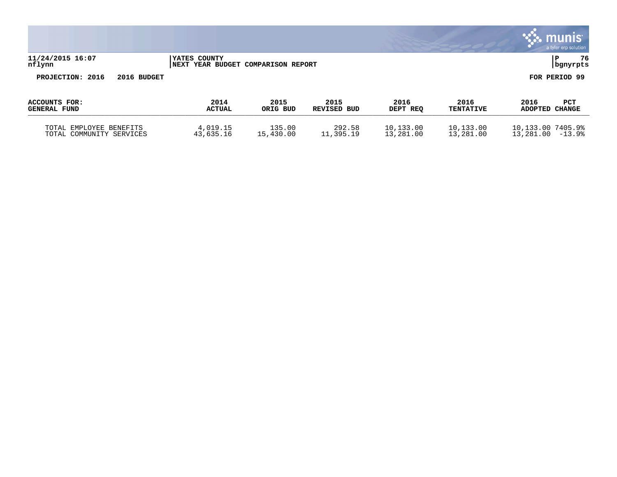|                                      |             |                        |                               |                            |                  |                          |                        | munis<br>a tyler erp solution |
|--------------------------------------|-------------|------------------------|-------------------------------|----------------------------|------------------|--------------------------|------------------------|-------------------------------|
| 11/24/2015 16:07<br>nflynn           |             | YATES COUNTY<br>  NEXT | YEAR BUDGET COMPARISON REPORT |                            |                  |                          |                        | 76<br>P<br>bgnyrpts           |
| PROJECTION: 2016                     | 2016 BUDGET |                        |                               |                            |                  |                          |                        | FOR PERIOD 99                 |
| ACCOUNTS FOR:<br><b>GENERAL FUND</b> |             | 2014<br><b>ACTUAL</b>  | 2015<br>ORIG BUD              | 2015<br><b>REVISED BUD</b> | 2016<br>DEPT REQ | 2016<br><b>TENTATIVE</b> | 2016<br>ADOPTED CHANGE | PCT                           |
| TOTAL EMPLOYEE BENEFITS              |             | 4,019.15               | 135.00                        | 292.58                     | 10,133.00        | 10,133.00                | 10,133.00 7405.9%      |                               |

TOTAL COMMUNITY SERVICES 43,635.16 15,430.00 11,395.19 13,281.00 13,281.00 13,281.00 -13.9%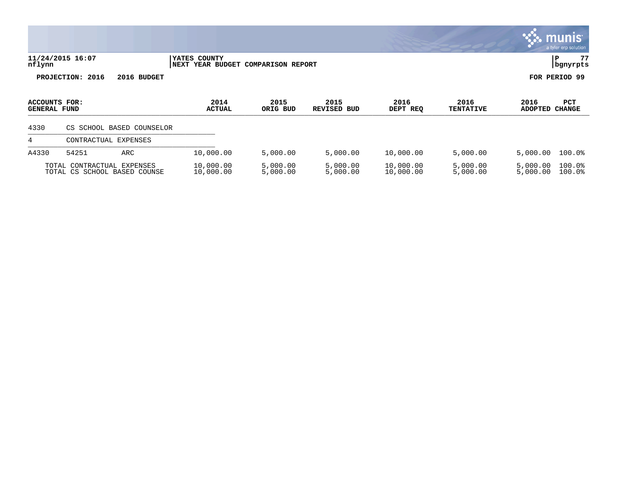|                                             |                                                            |                                            |                          |                            |                        |                          |                        | <u>munis l</u><br>a tyler erp solution |
|---------------------------------------------|------------------------------------------------------------|--------------------------------------------|--------------------------|----------------------------|------------------------|--------------------------|------------------------|----------------------------------------|
| nflynn                                      | 11/24/2015 16:07                                           | YATES COUNTY<br>NEXT<br><b>YEAR BUDGET</b> | <b>COMPARISON REPORT</b> |                            |                        |                          |                        | 77<br>PΡ<br>bgnyrpts                   |
|                                             | PROJECTION: 2016<br>2016 BUDGET                            |                                            |                          |                            |                        |                          |                        | FOR PERIOD 99                          |
| <b>ACCOUNTS FOR:</b><br><b>GENERAL FUND</b> |                                                            | 2014<br><b>ACTUAL</b>                      | 2015<br>ORIG BUD         | 2015<br><b>REVISED BUD</b> | 2016<br>DEPT REQ       | 2016<br><b>TENTATIVE</b> | 2016<br><b>ADOPTED</b> | PCT<br><b>CHANGE</b>                   |
| 4330                                        | CS SCHOOL BASED COUNSELOR                                  |                                            |                          |                            |                        |                          |                        |                                        |
| 4                                           | CONTRACTUAL<br>EXPENSES                                    |                                            |                          |                            |                        |                          |                        |                                        |
| A4330                                       | 54251<br>ARC                                               | 10,000.00                                  | 5,000.00                 | 5,000.00                   | 10,000.00              | 5,000.00                 | 5,000.00               | $100.0$ <sup>8</sup>                   |
|                                             | TOTAL CONTRACTUAL EXPENSES<br>TOTAL CS SCHOOL BASED COUNSE | 10,000.00<br>10,000.00                     | 5,000.00<br>5,000.00     | 5,000.00<br>5,000.00       | 10,000.00<br>10,000.00 | 5,000.00<br>5,000.00     | 5,000.00<br>5,000.00   | 100.0%<br>100.0%                       |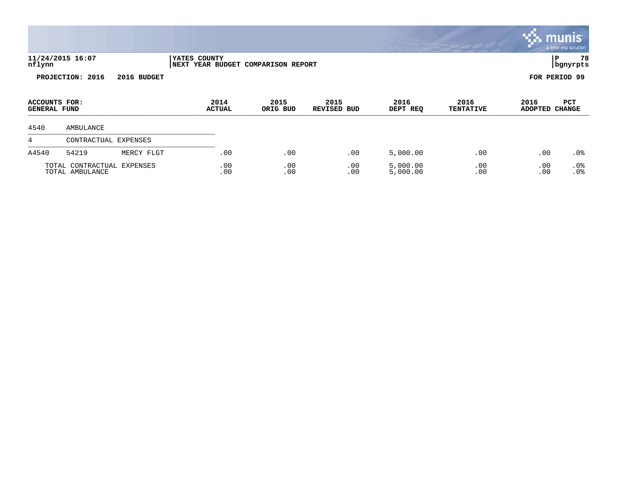|                                      |                                               |             |                                         |            |                          |                     |                      |                          |                        | <b>munis</b><br>a tyler erp solution |
|--------------------------------------|-----------------------------------------------|-------------|-----------------------------------------|------------|--------------------------|---------------------|----------------------|--------------------------|------------------------|--------------------------------------|
| nflynn                               | 11/24/2015 16:07                              |             | YATES COUNTY<br><b>NEXT YEAR BUDGET</b> |            | <b>COMPARISON REPORT</b> |                     |                      |                          |                        | 78<br>l P<br>  bgnyrpts              |
|                                      | PROJECTION: 2016                              | 2016 BUDGET |                                         |            |                          |                     |                      |                          |                        | FOR PERIOD 99                        |
| ACCOUNTS FOR:<br><b>GENERAL FUND</b> |                                               |             | 2014<br><b>ACTUAL</b>                   |            | 2015<br>ORIG BUD         | 2015<br>REVISED BUD | 2016<br>DEPT REQ     | 2016<br><b>TENTATIVE</b> | 2016<br>ADOPTED CHANGE | PCT                                  |
| 4540                                 | AMBULANCE                                     |             |                                         |            |                          |                     |                      |                          |                        |                                      |
| 4                                    | CONTRACTUAL EXPENSES                          |             |                                         |            |                          |                     |                      |                          |                        |                                      |
| A4540                                | 54219                                         | MERCY FLGT  |                                         | .00        | .00                      | .00                 | 5,000.00             | .00                      | .00                    | .0%                                  |
|                                      | TOTAL CONTRACTUAL EXPENSES<br>TOTAL AMBULANCE |             |                                         | .00<br>.00 | .00<br>.00               | .00<br>.00          | 5,000.00<br>5,000.00 | .00<br>.00               | .00<br>.00             | .0%<br>.0%                           |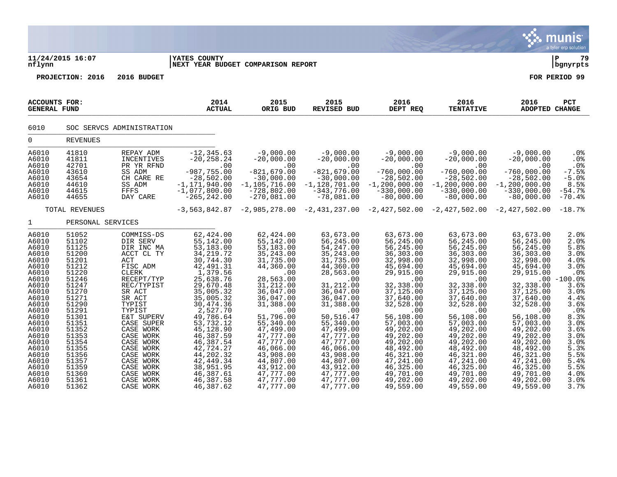|                                                                                                                                                                                                                               |                                                                                                                                                                                                                               |                                                                                                                                                                                                                                                                                                                         |                                                                                                                                                                                                                                                                                                                                      |                                                                                                                                                                                                                                                                                                                        |                                                                                                                                                                                                                                                                                                                         |                                                                                                                                                                                                                                                                                                                       |                                                                                                                                                                                                                                                                                                                       |                                                                                                                                                                                                                                                                                                                | a tyler erp solution                                                                                                                                                                                           |
|-------------------------------------------------------------------------------------------------------------------------------------------------------------------------------------------------------------------------------|-------------------------------------------------------------------------------------------------------------------------------------------------------------------------------------------------------------------------------|-------------------------------------------------------------------------------------------------------------------------------------------------------------------------------------------------------------------------------------------------------------------------------------------------------------------------|--------------------------------------------------------------------------------------------------------------------------------------------------------------------------------------------------------------------------------------------------------------------------------------------------------------------------------------|------------------------------------------------------------------------------------------------------------------------------------------------------------------------------------------------------------------------------------------------------------------------------------------------------------------------|-------------------------------------------------------------------------------------------------------------------------------------------------------------------------------------------------------------------------------------------------------------------------------------------------------------------------|-----------------------------------------------------------------------------------------------------------------------------------------------------------------------------------------------------------------------------------------------------------------------------------------------------------------------|-----------------------------------------------------------------------------------------------------------------------------------------------------------------------------------------------------------------------------------------------------------------------------------------------------------------------|----------------------------------------------------------------------------------------------------------------------------------------------------------------------------------------------------------------------------------------------------------------------------------------------------------------|----------------------------------------------------------------------------------------------------------------------------------------------------------------------------------------------------------------|
| nflynn                                                                                                                                                                                                                        | 11/24/2015 16:07                                                                                                                                                                                                              |                                                                                                                                                                                                                                                                                                                         | <b>YATES COUNTY</b><br>NEXT YEAR BUDGET COMPARISON REPORT                                                                                                                                                                                                                                                                            |                                                                                                                                                                                                                                                                                                                        |                                                                                                                                                                                                                                                                                                                         |                                                                                                                                                                                                                                                                                                                       |                                                                                                                                                                                                                                                                                                                       |                                                                                                                                                                                                                                                                                                                | l P<br>79<br>  bgnyrpts                                                                                                                                                                                        |
|                                                                                                                                                                                                                               | PROJECTION: 2016                                                                                                                                                                                                              | 2016 BUDGET                                                                                                                                                                                                                                                                                                             |                                                                                                                                                                                                                                                                                                                                      |                                                                                                                                                                                                                                                                                                                        |                                                                                                                                                                                                                                                                                                                         |                                                                                                                                                                                                                                                                                                                       |                                                                                                                                                                                                                                                                                                                       |                                                                                                                                                                                                                                                                                                                | FOR PERIOD 99                                                                                                                                                                                                  |
| <b>ACCOUNTS FOR:</b><br><b>GENERAL FUND</b>                                                                                                                                                                                   |                                                                                                                                                                                                                               |                                                                                                                                                                                                                                                                                                                         | 2014<br><b>ACTUAL</b>                                                                                                                                                                                                                                                                                                                | 2015<br>ORIG BUD                                                                                                                                                                                                                                                                                                       | 2015<br><b>REVISED BUD</b>                                                                                                                                                                                                                                                                                              | 2016<br>DEPT REQ                                                                                                                                                                                                                                                                                                      | 2016<br><b>TENTATIVE</b>                                                                                                                                                                                                                                                                                              | 2016<br>ADOPTED CHANGE                                                                                                                                                                                                                                                                                         | PCT                                                                                                                                                                                                            |
| 6010                                                                                                                                                                                                                          |                                                                                                                                                                                                                               | SOC SERVCS ADMINISTRATION                                                                                                                                                                                                                                                                                               |                                                                                                                                                                                                                                                                                                                                      |                                                                                                                                                                                                                                                                                                                        |                                                                                                                                                                                                                                                                                                                         |                                                                                                                                                                                                                                                                                                                       |                                                                                                                                                                                                                                                                                                                       |                                                                                                                                                                                                                                                                                                                |                                                                                                                                                                                                                |
| $\mathbf 0$                                                                                                                                                                                                                   | <b>REVENUES</b>                                                                                                                                                                                                               |                                                                                                                                                                                                                                                                                                                         |                                                                                                                                                                                                                                                                                                                                      |                                                                                                                                                                                                                                                                                                                        |                                                                                                                                                                                                                                                                                                                         |                                                                                                                                                                                                                                                                                                                       |                                                                                                                                                                                                                                                                                                                       |                                                                                                                                                                                                                                                                                                                |                                                                                                                                                                                                                |
| A6010<br>A6010<br>A6010<br>A6010<br>A6010<br>A6010<br>A6010<br>A6010                                                                                                                                                          | 41810<br>41811<br>42701<br>43610<br>43654<br>44610<br>44615<br>44655                                                                                                                                                          | REPAY ADM<br>INCENTIVES<br>PR YR RFND<br>SS ADM<br>CH CARE RE<br>SS ADM<br>FFFS<br>DAY CARE                                                                                                                                                                                                                             | $-12, 345.63$<br>$-20, 258.24$<br>.00<br>$-987,755.00$<br>$-28,502.00$<br>$-1, 171, 940.00$<br>$-1,077,800.00$<br>$-265, 242.00$                                                                                                                                                                                                     | $-9,000.00$<br>$-20,000.00$<br>.00<br>$-821,679.00$<br>$-30,000.00$<br>$-1, 105, 716.00$<br>$-728,802.00$<br>$-270,081.00$                                                                                                                                                                                             | $-9,000.00$<br>$-20,000.00$<br>.00<br>$-821, 679.00$<br>$-30,000.00$<br>$-1,128,701.00$<br>$-343,776.00$<br>$-78,081.00$                                                                                                                                                                                                | $-9,000.00$<br>$-20,000.00$<br>.00<br>$-760,000.00$<br>$-28,502.00$<br>$-1, 200, 000.00$<br>$-330,000.00$<br>$-80,000.00$                                                                                                                                                                                             | $-9,000.00$<br>$-20,000.00$<br>.00<br>$-760,000.00$<br>$-28,502.00$<br>$-1, 200, 000.00$<br>$-330,000.00$<br>$-80,000.00$                                                                                                                                                                                             | $-9,000.00$<br>$-20,000.00$<br>$.00 \,$<br>$-760,000.00$<br>$-28,502.00$<br>$-1, 200, 000.00$<br>$-330.000.00$<br>$-80,000.00$                                                                                                                                                                                 | .0%<br>.0%<br>.0%<br>$-7.5%$<br>$-5.0%$<br>8.5%<br>$-54.7%$<br>$-70.4%$                                                                                                                                        |
|                                                                                                                                                                                                                               | TOTAL REVENUES                                                                                                                                                                                                                |                                                                                                                                                                                                                                                                                                                         |                                                                                                                                                                                                                                                                                                                                      |                                                                                                                                                                                                                                                                                                                        |                                                                                                                                                                                                                                                                                                                         | $-3,563,842.87$ $-2,985,278.00$ $-2,431,237.00$ $-2,427,502.00$ $-2,427,502.00$ $-2,427,502.00$                                                                                                                                                                                                                       |                                                                                                                                                                                                                                                                                                                       |                                                                                                                                                                                                                                                                                                                | $-18.7%$                                                                                                                                                                                                       |
| $\mathbf{1}$                                                                                                                                                                                                                  | PERSONAL SERVICES                                                                                                                                                                                                             |                                                                                                                                                                                                                                                                                                                         |                                                                                                                                                                                                                                                                                                                                      |                                                                                                                                                                                                                                                                                                                        |                                                                                                                                                                                                                                                                                                                         |                                                                                                                                                                                                                                                                                                                       |                                                                                                                                                                                                                                                                                                                       |                                                                                                                                                                                                                                                                                                                |                                                                                                                                                                                                                |
| A6010<br>A6010<br>A6010<br>A6010<br>A6010<br>A6010<br>A6010<br>A6010<br>A6010<br>A6010<br>A6010<br>A6010<br>A6010<br>A6010<br>A6010<br>A6010<br>A6010<br>A6010<br>A6010<br>A6010<br>A6010<br>A6010<br>A6010<br>A6010<br>A6010 | 51052<br>51102<br>51125<br>51200<br>51201<br>51212<br>51220<br>51246<br>51247<br>51270<br>51271<br>51290<br>51291<br>51301<br>51351<br>51352<br>51353<br>51354<br>51355<br>51356<br>51357<br>51359<br>51360<br>51361<br>51362 | COMMISS-DS<br>DIR SERV<br>DIR INC MA<br>ACCT CL TY<br>ACT<br>FISC ADM<br><b>CLERK</b><br>RECEPT/TYP<br>REC/TYPIST<br>SR ACT<br>SR ACT<br>TYPIST<br>TYPIST<br>E&T SUPERV<br>CASE SUPER<br>CASE WORK<br>CASE WORK<br>CASE WORK<br>CASE WORK<br>CASE WORK<br>CASE WORK<br>CASE WORK<br>CASE WORK<br>CASE WORK<br>CASE WORK | 62, 424.00<br>55,142.00<br>53,183.00<br>34, 219.72<br>30,744.30<br>42, 491.31<br>1,379.56<br>25,638.76<br>29,670.48<br>35,005.32<br>35,005.32<br>30, 474.36<br>2,527.70<br>49,786.64<br>53,732.12<br>45,128.90<br>46,387.59<br>46,387.54<br>42,724.27<br>44,202.32<br>42, 449.34<br>38,951.95<br>46,387.61<br>46,387.58<br>46,387.62 | 62,424.00<br>55,142.00<br>53,183.00<br>35, 243.00<br>31,735.00<br>44,360.00<br>.00<br>28,563.00<br>31,212.00<br>36,047.00<br>36,047.00<br>31,388.00<br>.00<br>51,796.00<br>55,340.00<br>47,499.00<br>47,777.00<br>47,777.00<br>46,066.00<br>43,908.00<br>44,807.00<br>43,912.00<br>47,777.00<br>47,777.00<br>47,777.00 | 63,673.00<br>56,245.00<br>54, 247.00<br>35, 243.00<br>31,735.00<br>44,360.00<br>28,563.00<br>.00<br>31,212.00<br>36,047.00<br>36,047.00<br>31,388.00<br>.00<br>50,516.47<br>55,340.00<br>47,499.00<br>47,777.00<br>47,777.00<br>46,066.00<br>43,908.00<br>44,807.00<br>43,912.00<br>47,777.00<br>47,777.00<br>47,777.00 | 63,673.00<br>56,245.00<br>56,245.00<br>36,303.00<br>32,998.00<br>45,694.00<br>29,915.00<br>.00<br>32,338.00<br>37,125.00<br>37,640.00<br>32,528.00<br>.00<br>56,108.00<br>57,003.00<br>49,202.00<br>49,202.00<br>49,202.00<br>48,492.00<br>46,321.00<br>47,241.00<br>46,325.00<br>49,701.00<br>49,202.00<br>49,559.00 | 63,673.00<br>56,245.00<br>56,245.00<br>36,303.00<br>32,998.00<br>45,694.00<br>29,915.00<br>.00<br>32,338.00<br>37,125.00<br>37,640.00<br>32,528.00<br>.00<br>56,108.00<br>57,003.00<br>49,202.00<br>49,202.00<br>49,202.00<br>48,492.00<br>46,321.00<br>47,241.00<br>46,325.00<br>49,701.00<br>49,202.00<br>49,559.00 | 63,673.00<br>56,245.00<br>56,245.00<br>36,303.00<br>32,998.00<br>45,694.00<br>29,915.00<br>32,338.00<br>37,125.00<br>37,640.00<br>32,528.00<br>.00<br>56,108.00<br>57,003.00<br>49,202.00<br>49,202.00<br>49,202.00<br>48,492.00<br>46,321.00<br>47,241.00<br>46,325.00<br>49,701.00<br>49,202.00<br>49,559.00 | 2.0%<br>2.0%<br>5.8%<br>3.0%<br>4.0%<br>3.0%<br>.0%<br>$.00 - 100.0$<br>3.6%<br>3.0%<br>4.4%<br>3.6%<br>$.0\%$<br>8.3%<br>3.0%<br>3.6%<br>3.0%<br>3.0%<br>5.3%<br>5.5%<br>5.4%<br>5.5%<br>4.0%<br>3.0%<br>3.7% |

 $\ddot{\mathbf{w}}$  munis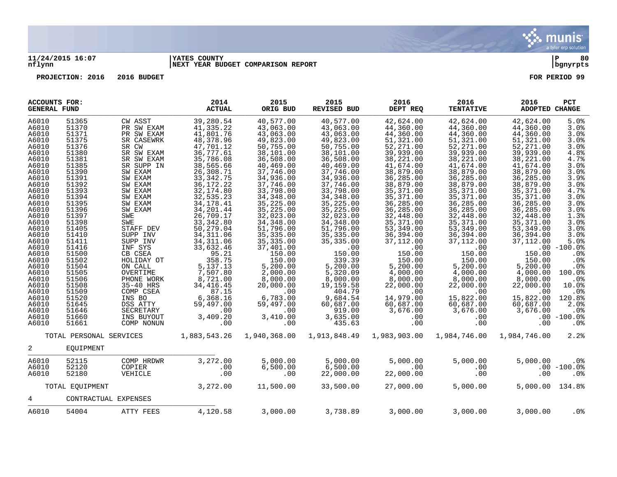

## **11/24/2015 16:07 |YATES COUNTY |P 80 nflynn |NEXT YEAR BUDGET COMPARISON REPORT |bgnyrpts**

| ACCOUNTS FOR:<br><b>GENERAL FUND</b>                                                                                                                           |                                                                                                                                                                |                                                                                                                                                                                                              | 2014<br><b>ACTUAL</b>                                                                                                                                                                                                                            | 2015<br>ORIG BUD                                                                                                                                                                                                                        | 2015<br>REVISED BUD                                                                                                                                                                                                                     | 2016<br>DEPT REQ                                                                                                                                                                                                                        | 2016<br><b>TENTATIVE</b>                                                                                                                                                                                                                | 2016<br>ADOPTED CHANGE                                                                                                                                                                                                                 | PCT                                                                                                                                                           |
|----------------------------------------------------------------------------------------------------------------------------------------------------------------|----------------------------------------------------------------------------------------------------------------------------------------------------------------|--------------------------------------------------------------------------------------------------------------------------------------------------------------------------------------------------------------|--------------------------------------------------------------------------------------------------------------------------------------------------------------------------------------------------------------------------------------------------|-----------------------------------------------------------------------------------------------------------------------------------------------------------------------------------------------------------------------------------------|-----------------------------------------------------------------------------------------------------------------------------------------------------------------------------------------------------------------------------------------|-----------------------------------------------------------------------------------------------------------------------------------------------------------------------------------------------------------------------------------------|-----------------------------------------------------------------------------------------------------------------------------------------------------------------------------------------------------------------------------------------|----------------------------------------------------------------------------------------------------------------------------------------------------------------------------------------------------------------------------------------|---------------------------------------------------------------------------------------------------------------------------------------------------------------|
| A6010<br>A6010<br>A6010<br>A6010<br>A6010<br>A6010<br>A6010<br>A6010<br>A6010<br>A6010<br>A6010<br>A6010<br>A6010<br>A6010<br>A6010<br>A6010<br>A6010<br>A6010 | 51365<br>51370<br>51371<br>51375<br>51376<br>51380<br>51381<br>51385<br>51390<br>51391<br>51392<br>51393<br>51394<br>51395<br>51396<br>51397<br>51398<br>51405 | CW ASST<br>PR SW EXAM<br>PR SW EXAM<br>SR CASEWRK<br>SR CW<br>SR SW EXAM<br>SR SW EXAM<br>SR SUPP IN<br>SW EXAM<br>SW EXAM<br>SW EXAM<br>SW EXAM<br>SW EXAM<br>SW EXAM<br>SW EXAM<br>SWE<br>SWE<br>STAFF DEV | 39,280.54<br>41, 335.22<br>41,801.76<br>48,378.96<br>47,701.12<br>36,777.61<br>35,786.08<br>38,565.66<br>26,308.71<br>33, 342. 75<br>36, 172. 22<br>32, 174.80<br>32,535.23<br>34, 178. 41<br>34, 201.44<br>26,709.17<br>33, 342.80<br>50,279.04 | 40,577.00<br>43,063.00<br>43,063.00<br>49,823.00<br>50,755.00<br>38,101.00<br>36,508.00<br>40,469.00<br>37,746.00<br>34,936.00<br>37,746.00<br>33,798.00<br>34,348.00<br>35,225.00<br>35,225.00<br>32,023.00<br>34, 348.00<br>51,796.00 | 40,577.00<br>43,063.00<br>43,063.00<br>49,823.00<br>50,755.00<br>38,101.00<br>36,508.00<br>40,469.00<br>37,746.00<br>34,936.00<br>37,746.00<br>33,798.00<br>34,348.00<br>35,225.00<br>35,225.00<br>32,023.00<br>34, 348.00<br>51,796.00 | 42,624.00<br>44,360.00<br>44,360.00<br>51,321.00<br>52,271.00<br>39,939.00<br>38,221.00<br>41,674.00<br>38,879.00<br>36,285.00<br>38,879.00<br>35,371.00<br>35,371.00<br>36,285.00<br>36,285.00<br>32,448.00<br>35, 371.00<br>53,349.00 | 42,624.00<br>44,360.00<br>44,360.00<br>51,321.00<br>52, 271.00<br>39,939.00<br>38,221.00<br>41,674.00<br>38,879.00<br>36,285.00<br>38,879.00<br>35,371.00<br>35,371.00<br>36,285.00<br>36,285.00<br>32,448.00<br>35,371.00<br>53,349.00 | 42,624.00<br>44,360.00<br>44,360.00<br>51,321.00<br>52,271.00<br>39,939.00<br>38,221.00<br>41,674.00<br>38,879.00<br>36,285.00<br>38,879.00<br>35,371.00<br>35,371.00<br>36,285.00<br>36,285.00<br>32,448.00<br>35,371.00<br>53,349.00 | 5.0%<br>3.0%<br>3.0%<br>3.0%<br>3.0%<br>4.8%<br>4.7%<br>3.0%<br>3.0%<br>3.9%<br>3.0%<br>4.7%<br>3.0%<br>3.0%<br>3.0%<br>1.3%<br>3.0%<br>3.0%                  |
| A6010<br>A6010<br>A6010<br>A6010<br>A6010<br>A6010<br>A6010<br>A6010<br>A6010<br>A6010<br>A6010<br>A6010<br>A6010<br>A6010<br>A6010                            | 51410<br>51411<br>51416<br>51500<br>51502<br>51504<br>51505<br>51506<br>51508<br>51509<br>51520<br>51645<br>51646<br>51660<br>51661                            | SUPP INV<br>SUPP INV<br>INF SYS<br>CB CSEA<br>HOLIDAY OT<br>ON CALL<br>OVERTIME<br>PHONE WORK<br>35-40 HRS<br>COMP CSEA<br>INS BO<br>DSS ATTY<br>SECRETARY<br>INS BUYOUT<br>COMP NONUN                       | 34, 311.06<br>34, 311.06<br>33,632.46<br>95.21<br>358.75<br>5,137.13<br>7,507.80<br>8,721.00<br>34, 416. 45<br>87.15<br>6,368.16<br>59,497.00<br>.00<br>3,409.20<br>.00                                                                          | 35,335.00<br>35,335.00<br>37,401.00<br>150.00<br>150.00<br>5,200.00<br>2,000.00<br>8,000.00<br>20,000.00<br>.00<br>6,783.00<br>59,497.00<br>.00<br>3,410.00<br>.00                                                                      | 35, 335.00<br>35, 335.00<br>.00<br>150.00<br>339.39<br>5,200.00<br>5,320.09<br>8,000.00<br>19,159.58<br>404.79<br>9,684.54<br>60,687.00<br>919.00<br>3,635.00<br>435.63                                                                 | 36,394.00<br>37,112.00<br>.00<br>150.00<br>150.00<br>5,200.00<br>4,000.00<br>8,000.00<br>22,000.00<br>.00<br>14,979.00<br>60,687.00<br>3,676.00<br>.00<br>.00                                                                           | 36,394.00<br>37,112.00<br>.00<br>150.00<br>150.00<br>5,200.00<br>4,000.00<br>8,000.00<br>22,000.00<br>.00<br>15,822.00<br>60,687.00<br>3,676.00<br>.00<br>.00                                                                           | 36,394.00<br>37, 112.00<br>150.00<br>150.00<br>5,200.00<br>4,000.00<br>8,000.00<br>22,000.00<br>.00<br>15,822.00<br>60,687.00<br>3,676.00<br>.00                                                                                       | 3.0%<br>5.0%<br>$.00 - 100.0$<br>.0 <sup>8</sup><br>.0%<br>.0%<br>100.0%<br>.0%<br>10.0%<br>.0 <sub>8</sub><br>120.8%<br>2.0%<br>.0%<br>$.00 - 100.0%$<br>.0% |
|                                                                                                                                                                | TOTAL PERSONAL SERVICES                                                                                                                                        |                                                                                                                                                                                                              | 1,883,543.26                                                                                                                                                                                                                                     | 1,940,368.00                                                                                                                                                                                                                            | 1,913,848.49                                                                                                                                                                                                                            | 1,983,903.00                                                                                                                                                                                                                            | 1,984,746.00                                                                                                                                                                                                                            | 1,984,746.00                                                                                                                                                                                                                           | 2.2%                                                                                                                                                          |
| 2                                                                                                                                                              | EQUIPMENT                                                                                                                                                      |                                                                                                                                                                                                              |                                                                                                                                                                                                                                                  |                                                                                                                                                                                                                                         |                                                                                                                                                                                                                                         |                                                                                                                                                                                                                                         |                                                                                                                                                                                                                                         |                                                                                                                                                                                                                                        |                                                                                                                                                               |
| A6010<br>A6010<br>A6010                                                                                                                                        | 52115<br>52120<br>52180                                                                                                                                        | COMP HRDWR<br>COPIER<br>VEHICLE                                                                                                                                                                              | 3,272.00<br>.00<br>.00                                                                                                                                                                                                                           | 5,000.00<br>6,500.00<br>.00                                                                                                                                                                                                             | 5,000.00<br>6,500.00<br>22,000.00                                                                                                                                                                                                       | 5,000.00<br>.00.<br>22,000.00                                                                                                                                                                                                           | 5,000.00<br>.00<br>.00                                                                                                                                                                                                                  | 5,000.00<br>.00                                                                                                                                                                                                                        | .0 <sub>8</sub><br>$.00 - 100.0$<br>.0%                                                                                                                       |
|                                                                                                                                                                | TOTAL EQUIPMENT                                                                                                                                                |                                                                                                                                                                                                              | 3,272.00                                                                                                                                                                                                                                         | 11,500.00                                                                                                                                                                                                                               | 33,500.00                                                                                                                                                                                                                               | 27,000.00                                                                                                                                                                                                                               | 5,000.00                                                                                                                                                                                                                                | 5,000.00                                                                                                                                                                                                                               | 134.8%                                                                                                                                                        |
| 4                                                                                                                                                              |                                                                                                                                                                | CONTRACTUAL EXPENSES                                                                                                                                                                                         |                                                                                                                                                                                                                                                  |                                                                                                                                                                                                                                         |                                                                                                                                                                                                                                         |                                                                                                                                                                                                                                         |                                                                                                                                                                                                                                         |                                                                                                                                                                                                                                        |                                                                                                                                                               |
| A6010                                                                                                                                                          | 54004                                                                                                                                                          | ATTY FEES                                                                                                                                                                                                    | 4,120.58                                                                                                                                                                                                                                         | 3,000.00                                                                                                                                                                                                                                | 3,738.89                                                                                                                                                                                                                                | 3,000.00                                                                                                                                                                                                                                | 3,000.00                                                                                                                                                                                                                                | 3,000.00                                                                                                                                                                                                                               | .0%                                                                                                                                                           |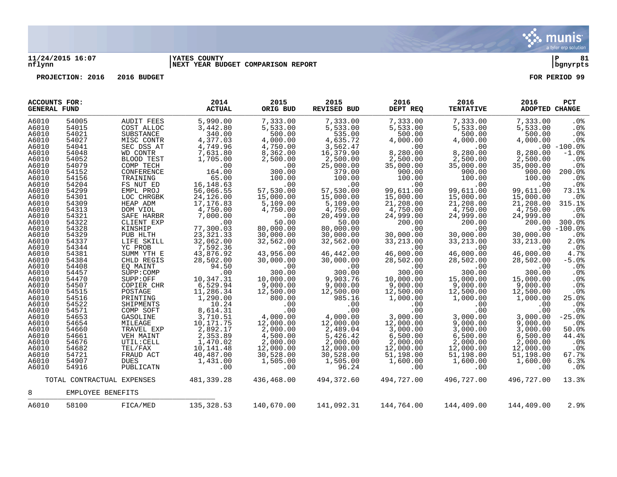

## **11/24/2015 16:07 |YATES COUNTY |P 81 nflynn |NEXT YEAR BUDGET COMPARISON REPORT |bgnyrpts**

| <b>ACCOUNTS FOR:</b><br><b>GENERAL FUND</b> |                   |                            | 2014<br><b>ACTUAL</b> | 2015<br>ORIG BUD | 2015<br><b>REVISED BUD</b> | 2016<br>DEPT REQ | 2016<br><b>TENTATIVE</b> | 2016<br>ADOPTED CHANGE | PCT             |
|---------------------------------------------|-------------------|----------------------------|-----------------------|------------------|----------------------------|------------------|--------------------------|------------------------|-----------------|
| A6010                                       | 54005             | AUDIT FEES                 | 5,990.00              | 7,333.00         | 7,333.00                   | 7,333.00         | 7,333.00                 | 7,333.00               | . 0 %           |
| A6010                                       | 54015             | COST ALLOC                 | 3,442.80              | 5,533.00         | 5,533.00                   | 5,533.00         | 5,533.00                 | 5,533.00               | .0 <sub>8</sub> |
| A6010                                       | 54021             | SUBSTANCE                  | 340.00                | 500.00           | 535.00                     | 500.00           | 500.00                   | 500.00                 | .0%             |
| A6010                                       | 54027             | MISC CONTR                 | 4,377.03              | 4,000.00         | 4,635.72                   | 4,000.00         | 4,000.00                 | 4,000.00               | .0%             |
| A6010                                       | 54041             | SEC DSS AT                 | 4,749.96              | 4,750.00         | 3,562.47                   | .00              | .00                      |                        | $.00 - 100.0$   |
| A6010                                       | 54048             | WD CONTR                   | 7,631.80              | 8,362.00         | 16,379.90                  | 8,280.00         | 8,280.00                 | 8,280.00               | $-1.0%$         |
| A6010                                       | 54052             | BLOOD TEST                 | 1,705.00              | 2,500.00         | 2,500.00                   | 2,500.00         | 2,500.00                 | 2,500.00               | .0%             |
| A6010                                       | 54079             | COMP TECH                  | $.00 \,$              | .00              | 25,000.00                  | 35,000.00        | 35,000.00                | 35,000.00              | .0%             |
| A6010                                       | 54152             | CONFERENCE                 | 164.00                | 300.00           | 379.00                     | 900.00           | 900.00                   | 900.00                 | 200.0%          |
| A6010                                       | 54156             | TRAINING                   | 65.00                 | 100.00           | 100.00                     | 100.00           | 100.00                   | 100.00                 | .0 <sub>8</sub> |
| A6010                                       | 54204             | FS NUT ED                  | 16, 148.63            | .00              | .00                        | .00              | .00                      | .00                    | .0%             |
| A6010                                       | 54299             | EMPL PROJ                  | 56,066.55             | 57,530.00        | 57,530.00                  | 99,611.00        | 99,611.00                | 99,611.00              | 73.1%           |
| A6010                                       | 54301             | LOC CHRGBK                 | 24,126.00             | 15,000.00        | 15,000.00                  | 15,000.00        | 15,000.00                | 15,000.00              | .0 <sup>8</sup> |
| A6010                                       | 54309             | HEAP ADM                   | 17, 176.83            | 5,109.00         | 5,109.00                   | 21,208.00        | 21,208.00                | 21,208.00              | 315.1%          |
| A6010                                       | 54313             | DOM VIOL                   | 4,750.00              | 4,750.00         | 4,750.00                   | 4,750.00         | 4,750.00                 | 4,750.00               | .0 <sup>8</sup> |
| A6010                                       | 54321             | SAFE HARBR                 | 7,000.00              | $.00 \,$         | 20,499.00                  | 24,999.00        | 24,999.00                | 24,999.00              | .0 <sup>8</sup> |
| A6010                                       | 54322             | CLIENT EXP                 | .00                   | 50.00            | 50.00                      | 200.00           | 200.00                   | 200.00                 | 300.0%          |
| A6010                                       | 54328             | KINSHIP                    | 77,300.03             | 80,000.00        | 80,000.00                  | .00              | .00                      |                        | $.00 - 100.0$   |
| A6010                                       | 54329             | PUB HLTH                   | 23, 321.33            | 30,000.00        | 30,000.00                  | 30,000.00        | 30,000.00                | 30,000.00              | .0%             |
| A6010                                       | 54337             | LIFE SKILL                 | 32,062.00             | 32,562.00        | 32,562.00                  | 33, 213.00       | 33, 213.00               | 33, 213.00             | 2.0%            |
| A6010                                       | 54344             | YC PROB                    | 7,592.36              | .00              | .00                        | .00              | .00                      | .00                    | $.0\%$          |
| A6010                                       | 54381             | SUMM YTH E                 | 43,876.92             | 43,956.00        | 46,442.00                  | 46,000.00        | 46,000.00                | 46,000.00              | 4.7%            |
| A6010                                       | 54384             | CHLD REGIS                 | 28,502.00             | 30,000.00        | 30,000.00                  | 28,502.00        | 28,502.00                | 28,502.00              | $-5.0%$         |
| A6010                                       | 54408             | EQ MAINT                   | 94.50                 | .00              | .00                        | .00              | .00                      | .00                    | .0%             |
| A6010                                       | 54457             | SUPP: COMP                 | .00                   | 300.00           | 300.00                     | 300.00           | 300.00                   | 300.00                 | .0%             |
| A6010                                       | 54470             | SUPP:OFF                   | 10,347.31             | 10,000.00        | 9,903.76                   | 10,000.00        | 15,000.00                | 15,000.00              | .0 <sub>8</sub> |
| A6010                                       | 54507             | COPIER CHR                 | 6,529.94              | 9,000.00         | 9,000.00                   | 9,000.00         | 9,000.00                 | 9,000.00               | .0%             |
| A6010                                       | 54515             | POSTAGE                    | 11,286.34             | 12,500.00        | 12,500.00                  | 12,500.00        | 12,500.00                | 12,500.00              | .0%             |
| A6010                                       | 54516             | PRINTING                   | 1,290.00              | 800.00           | 985.16                     | 1,000.00         | 1,000.00                 | 1,000.00               | 25.0%           |
| A6010                                       | 54522             | SHIPMENTS                  | 10.24                 | .00              | .00                        | .00              | .00                      | .00                    | .0%             |
| A6010                                       | 54571             | COMP SOFT                  | 8,614.31              | .00              | .00                        | .00              | .00                      | .00                    | .0%             |
| A6010                                       | 54653             | GASOLINE                   | 3,710.51              | 4,000.00         | 4,000.00                   | 3,000.00         | 3,000.00                 | 3,000.00               | $-25.0%$        |
| A6010                                       | 54654             | MILEAGE                    | 10,171.75             | 12,000.00        | 12,000.00                  | 12,000.00        | 9,000.00                 | 9,000.00               | .0%             |
| A6010                                       | 54660             | TRAVEL EXP                 | 2,892.17              | 2,000.00         | 2,489.04                   | 3,000.00         | 3,000.00                 | 3,000.00               | 50.0%           |
| A6010                                       | 54661             | VEH MAINT                  | 2,353.89              | 4,500.00         | 5,426.42                   | 6,500.00         | 6,500.00                 | 6,500.00               | 44.4%           |
| A6010                                       | 54676             | UTIL: CELL                 | 1,470.02              | 2,000.00         | 2,000.00                   | 2,000.00         | 2,000.00                 | 2,000.00               | .0%             |
| A6010                                       | 54682             | TEL/FAX                    | 10,141.48             | 12,000.00        | 12,000.00                  | 12,000.00        | 12,000.00                | 12,000.00              | .0%             |
| A6010                                       | 54721             | FRAUD ACT                  | 40,487.00             | 30,528.00        | 30,528.00                  | 51,198.00        | 51,198.00                | 51,198.00              | 67.7%           |
| A6010                                       | 54907             | <b>DUES</b>                | 1,431.00              | 1,505.00         | 1,505.00                   | 1,600.00         | 1,600.00                 | 1,600.00               | 6.3%            |
| A6010                                       | 54916             | PUBLICATN                  | .00                   | .00              | 96.24                      | .00              | .00                      | .00                    | .0%             |
|                                             |                   | TOTAL CONTRACTUAL EXPENSES | 481,339.28            | 436,468.00       | 494,372.60                 | 494,727.00       | 496,727.00               | 496,727.00             | 13.3%           |
| 8                                           | EMPLOYEE BENEFITS |                            |                       |                  |                            |                  |                          |                        |                 |
| A6010                                       | 58100             | FICA/MED                   | 135,328.53            | 140,670.00       | 141,092.31                 | 144,764.00       | 144,409.00               | 144,409.00             | 2.9%            |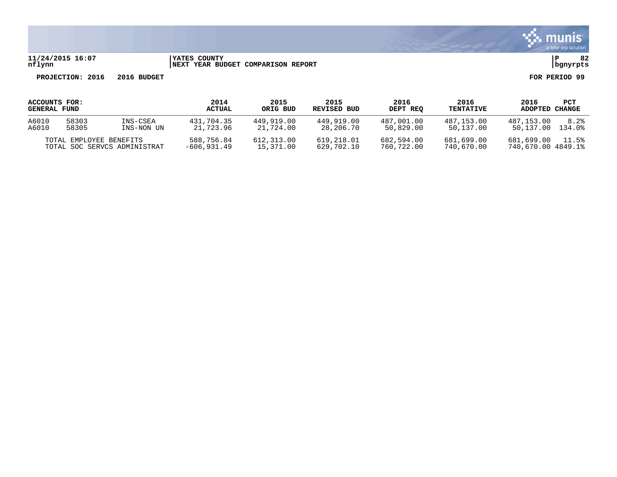

# **11/24/2015 16:07 |YATES COUNTY |P 82 nflynn |NEXT YEAR BUDGET COMPARISON REPORT |bgnyrpts**

| ACCOUNTS FOR:<br><b>GENERAL FUND</b> |                                                         |                        | 2014<br><b>ACTUAL</b>       | 2015<br>ORIG BUD        | 2015<br>REVISED BUD      | 2016<br>DEPT REQ         | 2016<br><b>TENTATIVE</b> | 2016<br>ADOPTED                  | PCT<br>CHANGE  |
|--------------------------------------|---------------------------------------------------------|------------------------|-----------------------------|-------------------------|--------------------------|--------------------------|--------------------------|----------------------------------|----------------|
| A6010<br>A6010                       | 58303<br>58305                                          | INS-CSEA<br>INS-NON UN | 431,704.35<br>21,723.96     | 449,919.00<br>21,724.00 | 449,919.00<br>28,206.70  | 487.001.00<br>50,829.00  | 487,153.00<br>50,137.00  | 487.153.00<br>50,137.00          | 8.2%<br>134.0% |
|                                      | TOTAL EMPLOYEE BENEFITS<br>TOTAL SOC SERVCS ADMINISTRAT |                        | 588,756.84<br>$-606.931.49$ | 612,313.00<br>15,371.00 | 619,218.01<br>629,702.10 | 682,594.00<br>760,722.00 | 681,699.00<br>740,670.00 | 681,699.00<br>740,670.00 4849.1% | 11.5%          |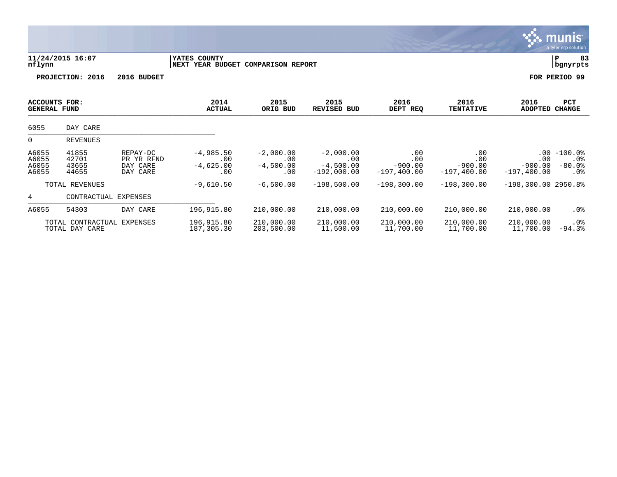|                                             |                                              |                                                |                                                                  |                                          |                                                    |                                           |                                           | n                                              | a tyler erp solution                      |
|---------------------------------------------|----------------------------------------------|------------------------------------------------|------------------------------------------------------------------|------------------------------------------|----------------------------------------------------|-------------------------------------------|-------------------------------------------|------------------------------------------------|-------------------------------------------|
| nflynn                                      | 11/24/2015 16:07                             |                                                | <b>YATES COUNTY</b><br><b>NEXT YEAR BUDGET COMPARISON REPORT</b> |                                          |                                                    |                                           |                                           |                                                | 83<br>P<br>bgnyrpts                       |
|                                             | PROJECTION: 2016                             | 2016 BUDGET                                    |                                                                  |                                          |                                                    |                                           |                                           |                                                | FOR PERIOD 99                             |
| <b>ACCOUNTS FOR:</b><br><b>GENERAL FUND</b> |                                              |                                                | 2014<br><b>ACTUAL</b>                                            | 2015<br>ORIG BUD                         | 2015<br>REVISED BUD                                | 2016<br>DEPT REQ                          | 2016<br><b>TENTATIVE</b>                  | 2016<br><b>ADOPTED</b>                         | <b>PCT</b><br><b>CHANGE</b>               |
| 6055                                        | DAY CARE                                     |                                                |                                                                  |                                          |                                                    |                                           |                                           |                                                |                                           |
| 0                                           | REVENUES                                     |                                                |                                                                  |                                          |                                                    |                                           |                                           |                                                |                                           |
| A6055<br>A6055<br>A6055<br>A6055            | 41855<br>42701<br>43655<br>44655             | REPAY-DC<br>PR YR RFND<br>DAY CARE<br>DAY CARE | $-4,985.50$<br>.00<br>$-4,625.00$<br>.00                         | $-2,000.00$<br>.00<br>$-4,500.00$<br>.00 | $-2,000.00$<br>.00<br>$-4,500.00$<br>$-192,000.00$ | .00<br>.00<br>$-900.00$<br>$-197, 400.00$ | .00<br>.00<br>$-900.00$<br>$-197, 400.00$ | $.00 \,$<br>.00<br>$-900.00$<br>$-197, 400.00$ | $-100.0%$<br>$.0\%$<br>$-80.0%$<br>$.0\%$ |
|                                             | TOTAL REVENUES                               |                                                | $-9,610.50$                                                      | $-6,500.00$                              | $-198,500.00$                                      | $-198,300.00$                             | $-198,300.00$                             | $-198,300.00$ 2950.8%                          |                                           |
| 4                                           | CONTRACTUAL EXPENSES                         |                                                |                                                                  |                                          |                                                    |                                           |                                           |                                                |                                           |
| A6055                                       | 54303                                        | DAY CARE                                       | 196,915.80                                                       | 210,000.00                               | 210,000.00                                         | 210,000.00                                | 210,000.00                                | 210,000.00                                     | $.0\%$                                    |
|                                             | TOTAL CONTRACTUAL EXPENSES<br>TOTAL DAY CARE |                                                | 196,915.80<br>187,305.30                                         | 210,000.00<br>203,500.00                 | 210,000.00<br>11,500.00                            | 210,000.00<br>11,700.00                   | 210,000.00<br>11,700.00                   | 210,000.00<br>11,700.00                        | $.0\%$<br>$-94.3%$                        |

 $\ddot{\mathbf{w}}$  munis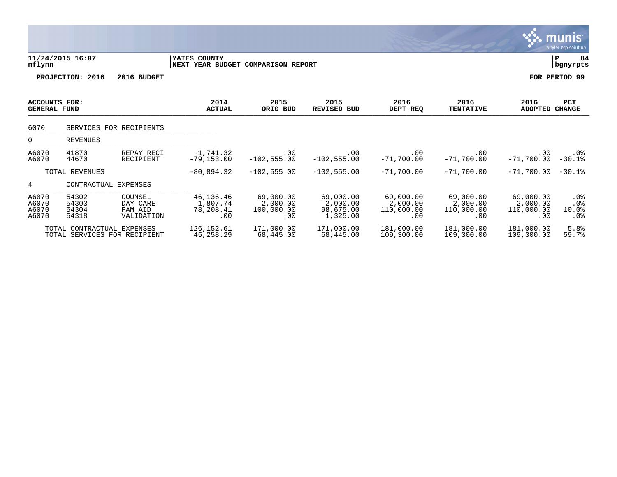|                                             |                                                            |                                              |                                           |                                            |                                                |                                            |                                            |                                            | munis<br>a tyler erp solution    |
|---------------------------------------------|------------------------------------------------------------|----------------------------------------------|-------------------------------------------|--------------------------------------------|------------------------------------------------|--------------------------------------------|--------------------------------------------|--------------------------------------------|----------------------------------|
| nflynn                                      | 11/24/2015 16:07                                           |                                              | YATES COUNTY<br>NEXT YEAR BUDGET          | <b>COMPARISON REPORT</b>                   |                                                |                                            |                                            |                                            | ΙP<br>84<br>bgnyrpts             |
|                                             | PROJECTION: 2016                                           | 2016 BUDGET                                  |                                           |                                            |                                                |                                            |                                            |                                            | FOR PERIOD 99                    |
| <b>ACCOUNTS FOR:</b><br><b>GENERAL FUND</b> |                                                            |                                              | 2014<br><b>ACTUAL</b>                     | 2015<br>ORIG BUD                           | 2015<br><b>REVISED BUD</b>                     | 2016<br>DEPT REQ                           | 2016<br><b>TENTATIVE</b>                   | 2016<br><b>ADOPTED</b>                     | <b>PCT</b><br><b>CHANGE</b>      |
| 6070                                        |                                                            | SERVICES FOR RECIPIENTS                      |                                           |                                            |                                                |                                            |                                            |                                            |                                  |
| 0                                           | <b>REVENUES</b>                                            |                                              |                                           |                                            |                                                |                                            |                                            |                                            |                                  |
| A6070<br>A6070                              | 41870<br>44670                                             | REPAY RECI<br>RECIPIENT                      | $-1,741.32$<br>$-79, 153.00$              | .00<br>$-102, 555.00$                      | .00<br>$-102, 555.00$                          | .00<br>$-71,700.00$                        | .00<br>$-71,700.00$                        | .00<br>$-71,700.00$                        | $.0\%$<br>$-30.1%$               |
|                                             | TOTAL REVENUES                                             |                                              | $-80,894.32$                              | $-102, 555.00$                             | $-102,555.00$                                  | $-71,700.00$                               | $-71,700.00$                               | $-71,700,00$                               | $-30.1%$                         |
| 4                                           | CONTRACTUAL EXPENSES                                       |                                              |                                           |                                            |                                                |                                            |                                            |                                            |                                  |
| A6070<br>A6070<br>A6070<br>A6070            | 54302<br>54303<br>54304<br>54318                           | COUNSEL<br>DAY CARE<br>FAM AID<br>VALIDATION | 46,136.46<br>1,807.74<br>78,208.41<br>.00 | 69,000.00<br>2,000.00<br>100,000.00<br>.00 | 69,000.00<br>2,000.00<br>98,675.00<br>1,325.00 | 69,000.00<br>2,000.00<br>110,000.00<br>.00 | 69,000.00<br>2,000.00<br>110,000.00<br>.00 | 69,000.00<br>2,000.00<br>110,000.00<br>.00 | $.0\%$<br>$.0\%$<br>10.0%<br>.0% |
|                                             | TOTAL CONTRACTUAL EXPENSES<br>TOTAL SERVICES FOR RECIPIENT |                                              | 126, 152.61<br>45, 258. 29                | 171,000.00<br>68,445.00                    | 171,000.00<br>68,445.00                        | 181,000.00<br>109,300.00                   | 181,000.00<br>109,300.00                   | 181,000.00<br>109,300.00                   | 5.8%<br>59.7%                    |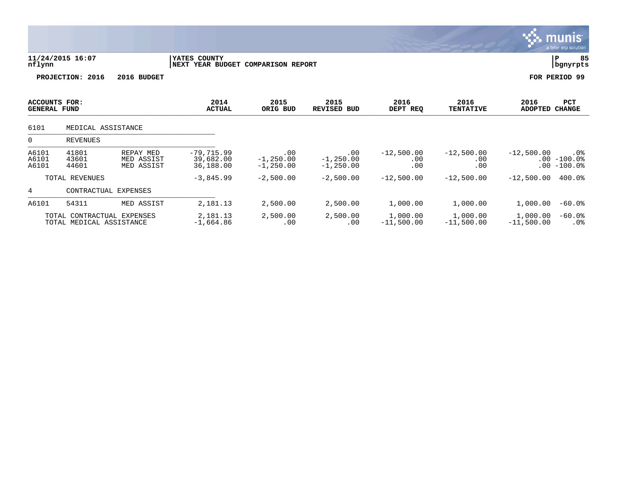|                                      |                                                        |                                       |                                                    |                                    |                                   |                            |                            |                          | munis <sup>.</sup><br>a tyler erp solution |
|--------------------------------------|--------------------------------------------------------|---------------------------------------|----------------------------------------------------|------------------------------------|-----------------------------------|----------------------------|----------------------------|--------------------------|--------------------------------------------|
| nflynn                               | 11/24/2015 16:07                                       |                                       | YATES COUNTY<br>NEXT YEAR BUDGET COMPARISON REPORT |                                    |                                   |                            |                            |                          | 85<br>P<br>  bgnyrpts                      |
|                                      | PROJECTION: 2016                                       | 2016 BUDGET                           |                                                    |                                    |                                   |                            |                            |                          | FOR PERIOD 99                              |
| ACCOUNTS FOR:<br><b>GENERAL FUND</b> |                                                        |                                       | 2014<br><b>ACTUAL</b>                              | 2015<br>ORIG BUD                   | 2015<br><b>REVISED BUD</b>        | 2016<br>DEPT REQ           | 2016<br><b>TENTATIVE</b>   | 2016<br><b>ADOPTED</b>   | PCT<br><b>CHANGE</b>                       |
| 6101                                 | MEDICAL ASSISTANCE                                     |                                       |                                                    |                                    |                                   |                            |                            |                          |                                            |
| $\Omega$                             | <b>REVENUES</b>                                        |                                       |                                                    |                                    |                                   |                            |                            |                          |                                            |
| A6101<br>A6101<br>A6101              | 41801<br>43601<br>44601                                | REPAY MED<br>MED ASSIST<br>MED ASSIST | $-79,715.99$<br>39,682.00<br>36,188.00             | .00<br>$-1, 250.00$<br>$-1,250.00$ | .00<br>$-1,250.00$<br>$-1,250.00$ | $-12,500.00$<br>.00<br>.00 | $-12,500.00$<br>.00<br>.00 | $-12,500.00$<br>$.00 \,$ | .0%<br>$.00 - 100.0$<br>$-100.0$ °         |
|                                      | TOTAL REVENUES                                         |                                       | $-3,845.99$                                        | $-2,500.00$                        | $-2,500.00$                       | $-12,500.00$               | $-12,500.00$               | $-12,500.00$             | 400.0%                                     |
| 4                                    | CONTRACTUAL EXPENSES                                   |                                       |                                                    |                                    |                                   |                            |                            |                          |                                            |
| A6101                                | 54311                                                  | MED ASSIST                            | 2,181.13                                           | 2,500.00                           | 2,500.00                          | 1,000.00                   | 1,000.00                   | 1,000.00                 | $-60.0$ %                                  |
|                                      | TOTAL CONTRACTUAL EXPENSES<br>TOTAL MEDICAL ASSISTANCE |                                       | 2,181.13<br>$-1,664.86$                            | 2,500.00<br>.00                    | 2,500.00<br>.00                   | 1,000.00<br>$-11,500.00$   | 1,000.00<br>$-11,500.00$   | 1,000.00<br>$-11,500.00$ | $-60.0$ %<br>$.0\%$                        |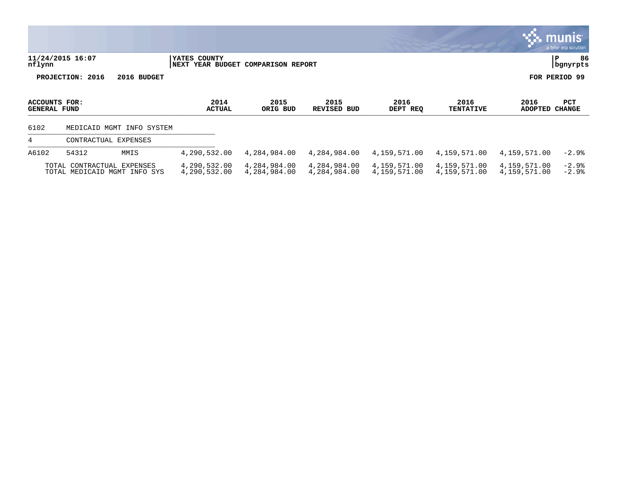|                               |                            |                              |                                                            |                              |                              |                              |                              |                              | <u>есе пішніз і</u><br>a tyler erp solution |
|-------------------------------|----------------------------|------------------------------|------------------------------------------------------------|------------------------------|------------------------------|------------------------------|------------------------------|------------------------------|---------------------------------------------|
| nflynn                        | 11/24/2015 16:07           |                              | <b>IYATES COUNTY</b><br>NEXT YEAR BUDGET COMPARISON REPORT |                              |                              |                              |                              |                              | 86<br>P<br>  bgnyrpts                       |
|                               | PROJECTION: 2016           | 2016 BUDGET                  |                                                            |                              |                              |                              |                              |                              | FOR PERIOD 99                               |
| ACCOUNTS FOR:<br>GENERAL FUND |                            |                              | 2014<br><b>ACTUAL</b>                                      | 2015<br>ORIG BUD             | 2015<br>REVISED BUD          | 2016<br>DEPT REQ             | 2016<br><b>TENTATIVE</b>     | 2016<br>ADOPTED CHANGE       | PCT                                         |
| 6102                          |                            | MEDICAID MGMT INFO SYSTEM    |                                                            |                              |                              |                              |                              |                              |                                             |
| 4                             | CONTRACTUAL EXPENSES       |                              |                                                            |                              |                              |                              |                              |                              |                                             |
| A6102                         | 54312                      | MMIS                         | 4,290,532.00                                               | 4,284,984.00                 | 4,284,984.00                 | 4,159,571.00                 | 4,159,571.00                 | 4,159,571.00                 | $-2.9%$                                     |
|                               | TOTAL CONTRACTUAL EXPENSES | TOTAL MEDICAID MGMT INFO SYS | 4,290,532.00<br>4,290,532.00                               | 4,284,984.00<br>4,284,984.00 | 4,284,984.00<br>4,284,984.00 | 4,159,571.00<br>4,159,571.00 | 4,159,571.00<br>4,159,571.00 | 4,159,571.00<br>4,159,571.00 | $-2.9%$<br>$-2.9%$                          |

 $\sim$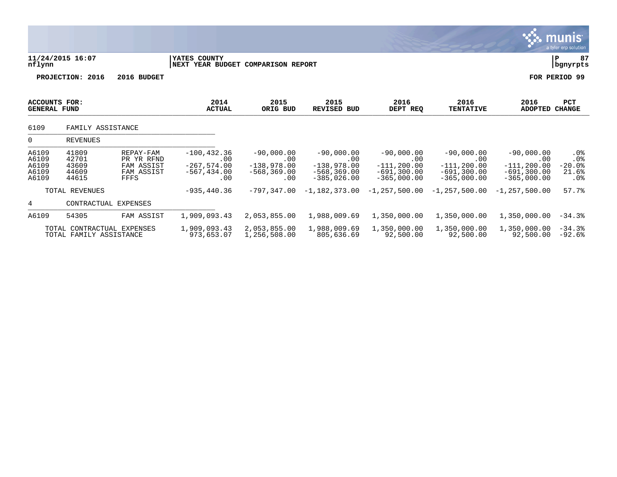|                                             |                                                       |                                                             |                                                                 |                                                               |                                                                                |                                                                         |                                                                            |                                                                          | a tyler erp solution                             |
|---------------------------------------------|-------------------------------------------------------|-------------------------------------------------------------|-----------------------------------------------------------------|---------------------------------------------------------------|--------------------------------------------------------------------------------|-------------------------------------------------------------------------|----------------------------------------------------------------------------|--------------------------------------------------------------------------|--------------------------------------------------|
| nflynn                                      | 11/24/2015 16:07                                      |                                                             | YATES COUNTY                                                    | NEXT YEAR BUDGET COMPARISON REPORT                            |                                                                                |                                                                         |                                                                            |                                                                          |                                                  |
|                                             | PROJECTION: 2016                                      | 2016 BUDGET                                                 |                                                                 |                                                               |                                                                                |                                                                         |                                                                            |                                                                          | FOR PERIOD 99                                    |
| <b>ACCOUNTS FOR:</b><br><b>GENERAL FUND</b> |                                                       |                                                             | 2014<br><b>ACTUAL</b>                                           | 2015<br>ORIG BUD                                              | 2015<br><b>REVISED BUD</b>                                                     | 2016<br>DEPT REQ                                                        | 2016<br><b>TENTATIVE</b>                                                   | 2016<br><b>ADOPTED</b>                                                   | PCT<br><b>CHANGE</b>                             |
| 6109                                        | FAMILY ASSISTANCE                                     |                                                             |                                                                 |                                                               |                                                                                |                                                                         |                                                                            |                                                                          |                                                  |
| 0                                           | <b>REVENUES</b>                                       |                                                             |                                                                 |                                                               |                                                                                |                                                                         |                                                                            |                                                                          |                                                  |
| A6109<br>A6109<br>A6109<br>A6109<br>A6109   | 41809<br>42701<br>43609<br>44609<br>44615             | REPAY-FAM<br>PR YR RFND<br>FAM ASSIST<br>FAM ASSIST<br>FFFS | $-100, 432.36$<br>.00<br>$-267,574.00$<br>$-567, 434.00$<br>.00 | $-90,000.00$<br>.00<br>$-138,978.00$<br>$-568, 369.00$<br>.00 | $-90,000.00$<br>$.00 \ \,$<br>$-138,978.00$<br>$-568, 369.00$<br>$-385,026.00$ | $-90,000.00$<br>.00<br>$-111, 200.00$<br>$-691,300.00$<br>$-365,000.00$ | $-90,000.00$<br>$.00 \,$<br>$-111, 200.00$<br>-691,300.00<br>$-365,000.00$ | $-90,000.00$<br>.00<br>$-111, 200.00$<br>$-691, 300.00$<br>$-365,000.00$ | $.0\%$<br>$.0\%$<br>$-20.0$ °<br>21.6%<br>$.0\%$ |
|                                             | TOTAL REVENUES                                        |                                                             | $-935, 440.36$                                                  | $-797,347.00$                                                 | $-1,182,373.00$                                                                | $-1, 257, 500.00$                                                       | $-1,257,500.00$                                                            | $-1, 257, 500.00$                                                        | 57.7%                                            |
| 4                                           | CONTRACTUAL EXPENSES                                  |                                                             |                                                                 |                                                               |                                                                                |                                                                         |                                                                            |                                                                          |                                                  |
| A6109                                       | 54305                                                 | FAM ASSIST                                                  | 1,909,093.43                                                    | 2,053,855.00                                                  | 1,988,009.69                                                                   | 1,350,000.00                                                            | 1,350,000.00                                                               | 1,350,000.00                                                             | $-34.3%$                                         |
|                                             | TOTAL CONTRACTUAL EXPENSES<br>TOTAL FAMILY ASSISTANCE |                                                             | 1,909,093.43<br>973,653.07                                      | 2,053,855.00<br>1,256,508.00                                  | 1,988,009.69<br>805,636.69                                                     | 1,350,000.00<br>92,500.00                                               | 1,350,000.00<br>92,500.00                                                  | 1,350,000.00<br>92,500.00                                                | $-34.3%$<br>$-92.6%$                             |

 $\sqrt{2}$  munis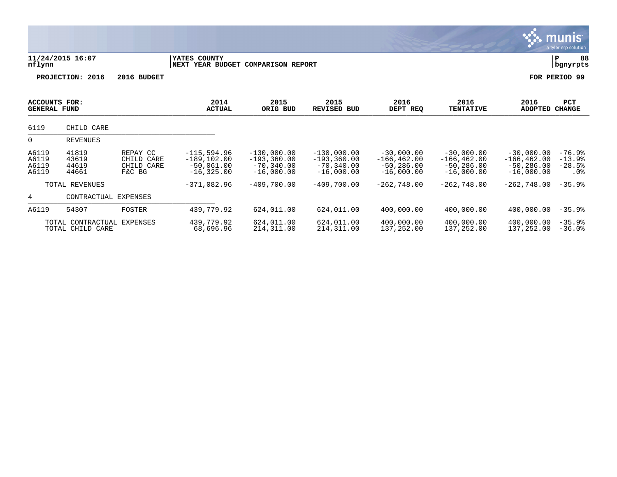|                                      |                                       |                                                |                                                                   |                                                                  |                                                                  |                                                                |                                                                |                                                                | munis <sup>.</sup><br>a tyler erp solution |
|--------------------------------------|---------------------------------------|------------------------------------------------|-------------------------------------------------------------------|------------------------------------------------------------------|------------------------------------------------------------------|----------------------------------------------------------------|----------------------------------------------------------------|----------------------------------------------------------------|--------------------------------------------|
| nflynn                               | 11/24/2015 16:07                      |                                                | YATES COUNTY<br>NEXT YEAR BUDGET COMPARISON REPORT                |                                                                  |                                                                  |                                                                |                                                                |                                                                | 88<br>P<br>bgnyrpts                        |
|                                      | PROJECTION: 2016                      | 2016 BUDGET                                    |                                                                   |                                                                  |                                                                  |                                                                |                                                                |                                                                | FOR PERIOD 99                              |
| ACCOUNTS FOR:<br><b>GENERAL FUND</b> |                                       |                                                | 2014<br><b>ACTUAL</b>                                             | 2015<br>ORIG BUD                                                 | 2015<br><b>REVISED BUD</b>                                       | 2016<br>DEPT REQ                                               | 2016<br><b>TENTATIVE</b>                                       | 2016<br><b>ADOPTED</b>                                         | <b>PCT</b><br><b>CHANGE</b>                |
| 6119                                 | CHILD CARE                            |                                                |                                                                   |                                                                  |                                                                  |                                                                |                                                                |                                                                |                                            |
| 0                                    | <b>REVENUES</b>                       |                                                |                                                                   |                                                                  |                                                                  |                                                                |                                                                |                                                                |                                            |
| A6119<br>A6119<br>A6119<br>A6119     | 41819<br>43619<br>44619<br>44661      | REPAY CC<br>CHILD CARE<br>CHILD CARE<br>F&C BG | $-115, 594.96$<br>$-189, 102.00$<br>$-50,061.00$<br>$-16, 325.00$ | $-130,000.00$<br>$-193, 360.00$<br>$-70, 340.00$<br>$-16,000.00$ | $-130,000.00$<br>$-193, 360.00$<br>$-70, 340.00$<br>$-16,000.00$ | $-30,000.00$<br>$-166, 462.00$<br>$-50,286.00$<br>$-16,000.00$ | $-30.000.00$<br>$-166, 462.00$<br>$-50,286.00$<br>$-16,000.00$ | $-30,000.00$<br>$-166, 462.00$<br>$-50.286.00$<br>$-16,000.00$ | $-76.9%$<br>$-13.9%$<br>$-28.5%$<br>$.0\%$ |
|                                      | TOTAL REVENUES                        |                                                | $-371,082.96$                                                     | $-409,700.00$                                                    | $-409,700.00$                                                    | $-262,748.00$                                                  | $-262,748.00$                                                  | $-262,748.00$                                                  | $-35.9%$                                   |
| 4                                    | CONTRACTUAL EXPENSES                  |                                                |                                                                   |                                                                  |                                                                  |                                                                |                                                                |                                                                |                                            |
| A6119                                | 54307                                 | FOSTER                                         | 439,779.92                                                        | 624,011.00                                                       | 624,011.00                                                       | 400,000.00                                                     | 400,000.00                                                     | 400,000.00                                                     | $-35.9%$                                   |
|                                      | TOTAL CONTRACTUAL<br>TOTAL CHILD CARE | EXPENSES                                       | 439,779.92<br>68,696.96                                           | 624,011.00<br>214, 311.00                                        | 624,011.00<br>214, 311.00                                        | 400,000.00<br>137,252.00                                       | 400,000.00<br>137,252.00                                       | 400,000,00<br>137,252.00                                       | $-35.9%$<br>$-36.0%$                       |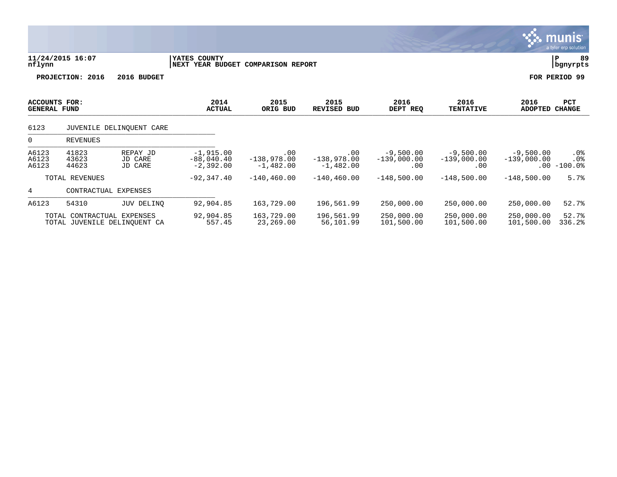|                                      |                            |                                |                                                    |                                     |                                     |                                     |                                     |                              | <b>munis</b><br>a tyler erp solution. |
|--------------------------------------|----------------------------|--------------------------------|----------------------------------------------------|-------------------------------------|-------------------------------------|-------------------------------------|-------------------------------------|------------------------------|---------------------------------------|
| nflynn                               | 11/24/2015 16:07           |                                | YATES COUNTY<br>NEXT YEAR BUDGET COMPARISON REPORT |                                     |                                     |                                     |                                     |                              | $\, {\bf P}$<br>89<br>bgnyrpts        |
|                                      | PROJECTION: 2016           | 2016 BUDGET                    |                                                    |                                     |                                     |                                     |                                     |                              | FOR PERIOD 99                         |
| ACCOUNTS FOR:<br><b>GENERAL FUND</b> |                            |                                | 2014<br><b>ACTUAL</b>                              | 2015<br>ORIG BUD                    | 2015<br>REVISED BUD                 | 2016<br>DEPT REQ                    | 2016<br><b>TENTATIVE</b>            | 2016<br>ADOPTED              | <b>PCT</b><br><b>CHANGE</b>           |
| 6123                                 |                            | JUVENILE DELINQUENT CARE       |                                                    |                                     |                                     |                                     |                                     |                              |                                       |
| $\Omega$                             | <b>REVENUES</b>            |                                |                                                    |                                     |                                     |                                     |                                     |                              |                                       |
| A6123<br>A6123<br>A6123              | 41823<br>43623<br>44623    | REPAY JD<br>JD CARE<br>JD CARE | $-1,915.00$<br>$-88,040.40$<br>$-2,392.00$         | .00<br>$-138,978.00$<br>$-1,482.00$ | .00<br>$-138,978.00$<br>$-1,482.00$ | $-9,500.00$<br>$-139,000.00$<br>.00 | $-9,500.00$<br>$-139,000.00$<br>.00 | $-9,500.00$<br>$-139,000.00$ | $.0\%$<br>$.0\%$<br>$.00 - 100.0%$    |
|                                      | TOTAL REVENUES             |                                | $-92,347.40$                                       | $-140, 460.00$                      | $-140, 460.00$                      | $-148,500.00$                       | $-148,500.00$                       | $-148,500.00$                | 5.7%                                  |
| 4                                    |                            | CONTRACTUAL EXPENSES           |                                                    |                                     |                                     |                                     |                                     |                              |                                       |
| A6123                                | 54310                      | JUV DELINO                     | 92,904.85                                          | 163,729.00                          | 196,561.99                          | 250,000.00                          | 250,000.00                          | 250,000.00                   | 52.7%                                 |
|                                      | TOTAL CONTRACTUAL EXPENSES | TOTAL JUVENILE DELINOUENT CA   | 92,904.85<br>557.45                                | 163,729.00<br>23,269.00             | 196,561.99<br>56,101.99             | 250,000.00<br>101,500.00            | 250,000.00<br>101,500.00            | 250,000.00<br>101,500.00     | 52.7%<br>336.2%                       |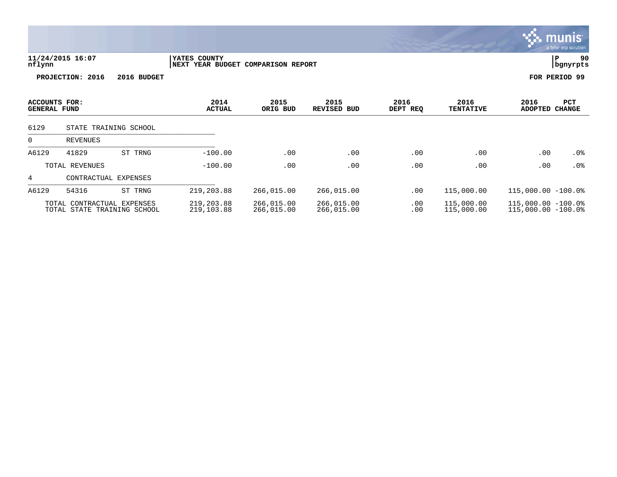|                                      |                            |                             |                                                    |                          |                          |                  |                          |                                                | <u>munis l</u><br>a tyler erp solution |
|--------------------------------------|----------------------------|-----------------------------|----------------------------------------------------|--------------------------|--------------------------|------------------|--------------------------|------------------------------------------------|----------------------------------------|
| nflynn                               | 11/24/2015 16:07           |                             | YATES COUNTY<br>NEXT YEAR BUDGET COMPARISON REPORT |                          |                          |                  |                          |                                                | 90<br>lР<br>  bgnyrpts                 |
|                                      | PROJECTION: 2016           | 2016 BUDGET                 |                                                    |                          |                          |                  |                          |                                                | FOR PERIOD 99                          |
| ACCOUNTS FOR:<br><b>GENERAL FUND</b> |                            |                             | 2014<br><b>ACTUAL</b>                              | 2015<br>ORIG BUD         | 2015<br>REVISED BUD      | 2016<br>DEPT REQ | 2016<br><b>TENTATIVE</b> | 2016<br>ADOPTED                                | PCT<br><b>CHANGE</b>                   |
| 6129                                 |                            | STATE TRAINING SCHOOL       |                                                    |                          |                          |                  |                          |                                                |                                        |
| 0                                    | <b>REVENUES</b>            |                             |                                                    |                          |                          |                  |                          |                                                |                                        |
| A6129                                | 41829                      | ST TRNG                     | $-100.00$                                          | .00                      | .00                      | .00              | .00                      | .00                                            | .0%                                    |
|                                      | TOTAL REVENUES             |                             | $-100.00$                                          | .00                      | .00                      | .00              | .00                      | .00                                            | $.0\%$                                 |
| 4                                    |                            | CONTRACTUAL EXPENSES        |                                                    |                          |                          |                  |                          |                                                |                                        |
| A6129                                | 54316                      | ST TRNG                     | 219,203.88                                         | 266,015.00               | 266,015.00               | .00              | 115,000.00               | $115,000.00 - 100.08$                          |                                        |
|                                      | TOTAL CONTRACTUAL EXPENSES | TOTAL STATE TRAINING SCHOOL | 219,203.88<br>219,103.88                           | 266,015.00<br>266,015.00 | 266,015.00<br>266,015.00 | .00<br>.00       | 115,000.00<br>115,000.00 | $115,000.00 - 100.08$<br>$115,000.00 - 100.08$ |                                        |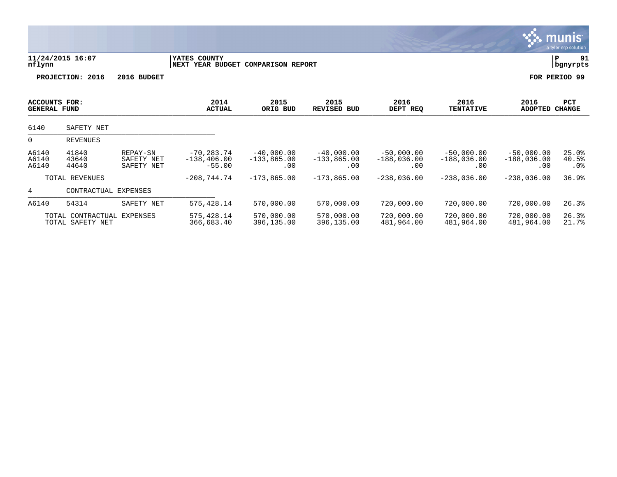|                                             |                                                |                                      |                                                    |                                      |                                      |                                      |                                      |                                      | munis <sup>.</sup><br>a tyler erp solution |
|---------------------------------------------|------------------------------------------------|--------------------------------------|----------------------------------------------------|--------------------------------------|--------------------------------------|--------------------------------------|--------------------------------------|--------------------------------------|--------------------------------------------|
| nflynn                                      | 11/24/2015 16:07                               |                                      | YATES COUNTY<br>NEXT YEAR BUDGET COMPARISON REPORT |                                      |                                      |                                      |                                      |                                      | $\, {\bf P}$<br>91<br>bgnyrpts             |
|                                             | PROJECTION: 2016                               | 2016 BUDGET                          |                                                    |                                      |                                      |                                      |                                      |                                      | FOR PERIOD 99                              |
| <b>ACCOUNTS FOR:</b><br><b>GENERAL FUND</b> |                                                |                                      | 2014<br><b>ACTUAL</b>                              | 2015<br>ORIG BUD                     | 2015<br><b>REVISED BUD</b>           | 2016<br>DEPT REQ                     | 2016<br><b>TENTATIVE</b>             | 2016<br><b>ADOPTED</b>               | <b>PCT</b><br><b>CHANGE</b>                |
| 6140                                        | SAFETY NET                                     |                                      |                                                    |                                      |                                      |                                      |                                      |                                      |                                            |
| $\Omega$                                    | <b>REVENUES</b>                                |                                      |                                                    |                                      |                                      |                                      |                                      |                                      |                                            |
| A6140<br>A6140<br>A6140                     | 41840<br>43640<br>44640                        | REPAY-SN<br>SAFETY NET<br>SAFETY NET | $-70, 283.74$<br>$-138, 406.00$<br>$-55.00$        | $-40,000.00$<br>$-133,865.00$<br>.00 | $-40,000.00$<br>$-133,865.00$<br>.00 | $-50,000.00$<br>$-188,036.00$<br>.00 | $-50,000.00$<br>$-188,036.00$<br>.00 | $-50,000.00$<br>$-188,036.00$<br>.00 | 25.0%<br>40.5%<br>. 0 %                    |
|                                             | TOTAL REVENUES                                 |                                      | $-208, 744.74$                                     | $-173,865.00$                        | $-173,865.00$                        | $-238,036.00$                        | $-238,036.00$                        | $-238,036.00$                        | 36.9%                                      |
| 4                                           | CONTRACTUAL EXPENSES                           |                                      |                                                    |                                      |                                      |                                      |                                      |                                      |                                            |
| A6140                                       | 54314                                          | SAFETY NET                           | 575, 428.14                                        | 570,000.00                           | 570,000.00                           | 720,000.00                           | 720,000.00                           | 720,000.00                           | 26.3%                                      |
|                                             | TOTAL CONTRACTUAL EXPENSES<br>TOTAL SAFETY NET |                                      | 575,428.14<br>366,683.40                           | 570,000.00<br>396,135.00             | 570,000.00<br>396,135.00             | 720,000.00<br>481,964.00             | 720,000.00<br>481,964.00             | 720,000.00<br>481,964.00             | 26.3%<br>21.7%                             |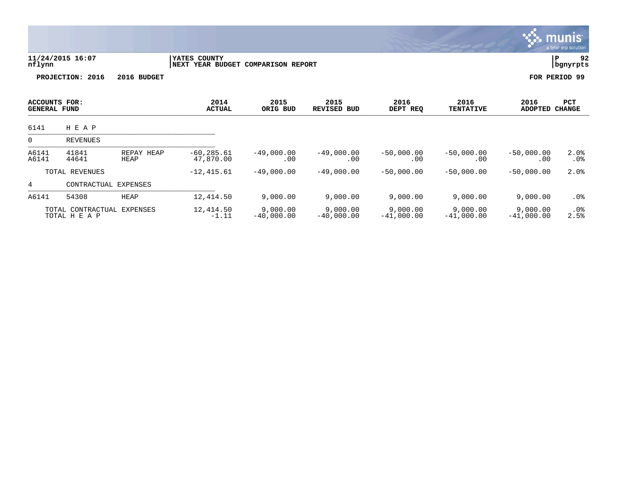|                                             |                                    |                           |                                                    |                          |                          |                          |                          |                          | munis'<br>a tyler erp solution |
|---------------------------------------------|------------------------------------|---------------------------|----------------------------------------------------|--------------------------|--------------------------|--------------------------|--------------------------|--------------------------|--------------------------------|
| nflynn                                      | 11/24/2015 16:07                   |                           | YATES COUNTY<br>NEXT YEAR BUDGET COMPARISON REPORT |                          |                          |                          |                          |                          | ΙP<br>92<br>  bgnyrpts         |
|                                             | PROJECTION: 2016                   | 2016 BUDGET               |                                                    |                          |                          |                          |                          |                          | FOR PERIOD 99                  |
| <b>ACCOUNTS FOR:</b><br><b>GENERAL FUND</b> |                                    |                           | 2014<br><b>ACTUAL</b>                              | 2015<br>ORIG BUD         | 2015<br>REVISED BUD      | 2016<br>DEPT REQ         | 2016<br><b>TENTATIVE</b> | 2016<br><b>ADOPTED</b>   | PCT<br><b>CHANGE</b>           |
| 6141                                        | H E A P                            |                           |                                                    |                          |                          |                          |                          |                          |                                |
| 0                                           | <b>REVENUES</b>                    |                           |                                                    |                          |                          |                          |                          |                          |                                |
| A6141<br>A6141                              | 41841<br>44641                     | REPAY HEAP<br><b>HEAP</b> | $-60, 285.61$<br>47,870.00                         | $-49,000.00$<br>.00      | $-49,000.00$<br>.00      | $-50,000.00$<br>.00      | $-50,000.00$<br>.00      | $-50,000.00$<br>.00      | 2.0%<br>.0%                    |
|                                             | TOTAL REVENUES                     |                           | $-12, 415.61$                                      | $-49,000.00$             | $-49,000.00$             | $-50,000.00$             | $-50,000.00$             | $-50,000.00$             | 2.0%                           |
| 4                                           | CONTRACTUAL EXPENSES               |                           |                                                    |                          |                          |                          |                          |                          |                                |
| A6141                                       | 54308                              | <b>HEAP</b>               | 12, 414.50                                         | 9,000.00                 | 9,000.00                 | 9,000.00                 | 9,000.00                 | 9,000.00                 | $.0\%$                         |
|                                             | TOTAL CONTRACTUAL<br>TOTAL H E A P | EXPENSES                  | 12,414.50<br>$-1.11$                               | 9,000.00<br>$-40,000.00$ | 9,000.00<br>$-40,000.00$ | 9,000.00<br>$-41,000.00$ | 9,000.00<br>$-41,000.00$ | 9,000.00<br>$-41,000.00$ | .0%<br>2.5%                    |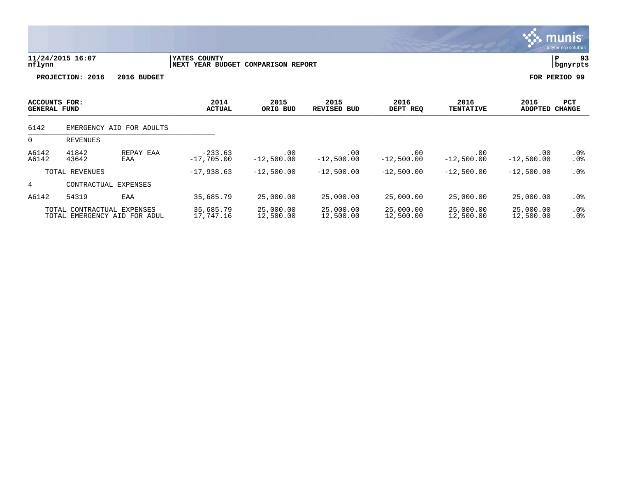|                                             |                            |                              |                                                    |                        |                            |                        |                          |                        | <b>munis</b><br>a tyler erp solution, |
|---------------------------------------------|----------------------------|------------------------------|----------------------------------------------------|------------------------|----------------------------|------------------------|--------------------------|------------------------|---------------------------------------|
| nflynn                                      | 11/24/2015 16:07           |                              | YATES COUNTY<br>NEXT YEAR BUDGET COMPARISON REPORT |                        |                            |                        |                          |                        | 93<br>ΙP<br>bgnyrpts                  |
|                                             | PROJECTION: 2016           | 2016 BUDGET                  |                                                    |                        |                            |                        |                          |                        | FOR PERIOD 99                         |
| <b>ACCOUNTS FOR:</b><br><b>GENERAL FUND</b> |                            |                              | 2014<br><b>ACTUAL</b>                              | 2015<br>ORIG BUD       | 2015<br><b>REVISED BUD</b> | 2016<br>DEPT REQ       | 2016<br><b>TENTATIVE</b> | 2016<br><b>ADOPTED</b> | <b>PCT</b><br><b>CHANGE</b>           |
| 6142                                        |                            | EMERGENCY AID FOR ADULTS     |                                                    |                        |                            |                        |                          |                        |                                       |
| 0                                           | REVENUES                   |                              |                                                    |                        |                            |                        |                          |                        |                                       |
| A6142<br>A6142                              | 41842<br>43642             | REPAY EAA<br>EAA             | $-233.63$<br>$-17,705.00$                          | .00<br>$-12,500.00$    | .00<br>$-12,500.00$        | .00<br>$-12,500.00$    | .00<br>$-12,500.00$      | .00<br>$-12,500.00$    | .0%<br>$.0\%$                         |
|                                             | TOTAL REVENUES             |                              | $-17,938.63$                                       | $-12,500.00$           | $-12,500.00$               | $-12,500.00$           | $-12,500.00$             | $-12,500.00$           | $.0\%$                                |
| 4                                           | CONTRACTUAL EXPENSES       |                              |                                                    |                        |                            |                        |                          |                        |                                       |
| A6142                                       | 54319                      | EAA                          | 35,685.79                                          | 25,000.00              | 25,000.00                  | 25,000.00              | 25,000.00                | 25,000.00              | $.0\%$                                |
|                                             | TOTAL CONTRACTUAL EXPENSES | TOTAL EMERGENCY AID FOR ADUL | 35,685.79<br>17,747.16                             | 25,000.00<br>12,500.00 | 25,000.00<br>12,500.00     | 25,000.00<br>12,500.00 | 25,000.00<br>12,500.00   | 25,000.00<br>12,500.00 | $.0\%$<br>.0%                         |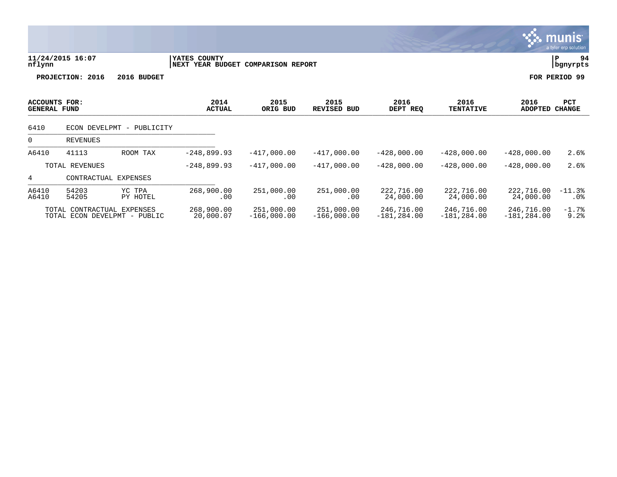| nflynn                               | 11/24/2015 16:07           |                    | YATES COUNTY<br>NEXT YEAR BUDGET |                   | 94<br>ΙP<br>bgnyrpts       |                         |                          |                         |                      |
|--------------------------------------|----------------------------|--------------------|----------------------------------|-------------------|----------------------------|-------------------------|--------------------------|-------------------------|----------------------|
|                                      | PROJECTION: 2016           | 2016 BUDGET        |                                  |                   |                            |                         |                          |                         | FOR PERIOD 99        |
| ACCOUNTS FOR:<br><b>GENERAL FUND</b> |                            |                    | 2014<br><b>ACTUAL</b>            | 2015<br>ORIG BUD  | 2015<br><b>REVISED BUD</b> | 2016<br>DEPT REQ        | 2016<br><b>TENTATIVE</b> | 2016<br><b>ADOPTED</b>  | PCT<br><b>CHANGE</b> |
| 6410                                 | ECON DEVELPMT - PUBLICITY  |                    |                                  |                   |                            |                         |                          |                         |                      |
| 0                                    | REVENUES                   |                    |                                  |                   |                            |                         |                          |                         |                      |
| A6410                                | 41113                      | ROOM TAX           | $-248,899.93$                    | $-417,000.00$     | $-417,000.00$              | $-428,000.00$           | $-428,000.00$            | $-428,000.00$           | 2.6%                 |
|                                      | TOTAL REVENUES             |                    | $-248,899.93$                    | $-417,000.00$     | $-417,000.00$              | $-428,000.00$           | $-428,000.00$            | $-428,000.00$           | 2.6%                 |
| 4                                    | CONTRACTUAL EXPENSES       |                    |                                  |                   |                            |                         |                          |                         |                      |
| A6410<br>A6410                       | 54203<br>54205             | YC TPA<br>PY HOTEL | 268,900.00<br>.00                | 251,000.00<br>.00 | 251,000.00<br>$.00 \,$     | 222,716.00<br>24,000.00 | 222,716.00<br>24,000.00  | 222,716.00<br>24,000.00 | $-11.3%$<br>$.0\%$   |
|                                      | TOTAL CONTRACTUAL EXPENSES |                    | 268,900.00                       | 251,000.00        | 251,000.00                 | 246,716.00              | 246,716.00               | 246,716.00              | $-1.7%$              |

**munis** 

TOTAL ECON DEVELPMT - PUBLIC 20,000.07 -166,000.00 -166,000.00 -181,284.00 -181,284.00 -181,284.00 9.2%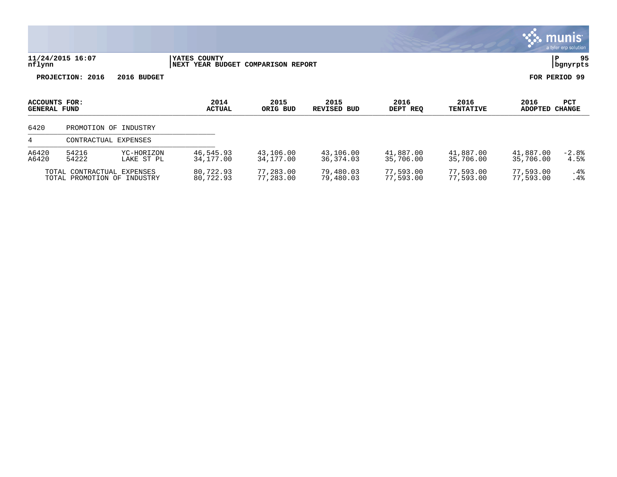|                               |                                                           |                          |                                                    |                        |                            |                        |                          |                        | munis <sup>.</sup><br>a tyler erp solution |
|-------------------------------|-----------------------------------------------------------|--------------------------|----------------------------------------------------|------------------------|----------------------------|------------------------|--------------------------|------------------------|--------------------------------------------|
| nflynn                        | 11/24/2015 16:07                                          |                          | YATES COUNTY<br>NEXT YEAR BUDGET COMPARISON REPORT |                        |                            |                        |                          |                        | 95<br>P<br>bgnyrpts                        |
|                               | PROJECTION: 2016                                          | 2016 BUDGET              |                                                    |                        |                            |                        |                          |                        | FOR PERIOD 99                              |
| ACCOUNTS FOR:<br>GENERAL FUND |                                                           |                          | 2014<br><b>ACTUAL</b>                              | 2015<br>ORIG BUD       | 2015<br><b>REVISED BUD</b> | 2016<br>DEPT REQ       | 2016<br><b>TENTATIVE</b> | 2016<br><b>ADOPTED</b> | PCT<br><b>CHANGE</b>                       |
| 6420                          |                                                           | PROMOTION OF INDUSTRY    |                                                    |                        |                            |                        |                          |                        |                                            |
| 4                             | CONTRACTUAL EXPENSES                                      |                          |                                                    |                        |                            |                        |                          |                        |                                            |
| A6420<br>A6420                | 54216<br>54222                                            | YC-HORIZON<br>LAKE ST PL | 46,545.93<br>34,177.00                             | 43,106.00<br>34,177.00 | 43,106.00<br>36, 374.03    | 41,887.00<br>35,706.00 | 41,887.00<br>35,706.00   | 41,887.00<br>35,706.00 | $-2.8%$<br>4.5%                            |
|                               | TOTAL CONTRACTUAL EXPENSES<br>TOTAL PROMOTION OF INDUSTRY |                          | 80,722.93<br>80,722.93                             | 77,283.00<br>77,283.00 | 79,480.03<br>79,480.03     | 77,593.00<br>77,593.00 | 77,593.00<br>77,593.00   | 77,593.00<br>77,593.00 | $.4\%$<br>.4%                              |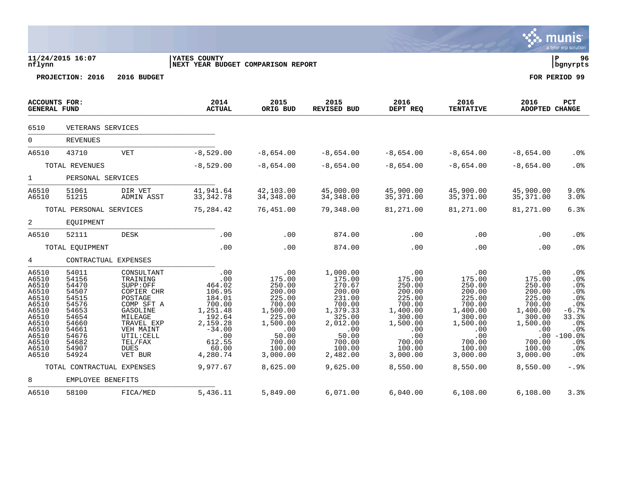|                                                                                                                            |                                                                                                                                                          |                                                                                                                                                                                |                                                                                                                                                    |                                                                                                                                                     |                                                                                                                                                          |                                                                                                                                                   |                                                                                                                                                   |                                                                                                                                                   | a tyler erp solution                                                                                                                                      |
|----------------------------------------------------------------------------------------------------------------------------|----------------------------------------------------------------------------------------------------------------------------------------------------------|--------------------------------------------------------------------------------------------------------------------------------------------------------------------------------|----------------------------------------------------------------------------------------------------------------------------------------------------|-----------------------------------------------------------------------------------------------------------------------------------------------------|----------------------------------------------------------------------------------------------------------------------------------------------------------|---------------------------------------------------------------------------------------------------------------------------------------------------|---------------------------------------------------------------------------------------------------------------------------------------------------|---------------------------------------------------------------------------------------------------------------------------------------------------|-----------------------------------------------------------------------------------------------------------------------------------------------------------|
| nflynn                                                                                                                     | 11/24/2015 16:07                                                                                                                                         |                                                                                                                                                                                | <b>IYATES COUNTY</b><br>NEXT YEAR BUDGET COMPARISON REPORT                                                                                         |                                                                                                                                                     |                                                                                                                                                          |                                                                                                                                                   |                                                                                                                                                   |                                                                                                                                                   | l P<br>96<br>  bgnyrpts                                                                                                                                   |
|                                                                                                                            | PROJECTION: 2016                                                                                                                                         | 2016 BUDGET                                                                                                                                                                    |                                                                                                                                                    |                                                                                                                                                     |                                                                                                                                                          |                                                                                                                                                   |                                                                                                                                                   |                                                                                                                                                   | FOR PERIOD 99                                                                                                                                             |
| <b>GENERAL FUND</b>                                                                                                        | <b>ACCOUNTS FOR:</b>                                                                                                                                     |                                                                                                                                                                                | 2014<br><b>ACTUAL</b>                                                                                                                              | 2015<br>ORIG BUD                                                                                                                                    | 2015<br><b>REVISED BUD</b>                                                                                                                               | 2016<br>DEPT REQ                                                                                                                                  | 2016<br><b>TENTATIVE</b>                                                                                                                          | 2016<br><b>ADOPTED CHANGE</b>                                                                                                                     | PCT                                                                                                                                                       |
| 6510                                                                                                                       | VETERANS SERVICES                                                                                                                                        |                                                                                                                                                                                |                                                                                                                                                    |                                                                                                                                                     |                                                                                                                                                          |                                                                                                                                                   |                                                                                                                                                   |                                                                                                                                                   |                                                                                                                                                           |
| $\mathsf{O}$                                                                                                               | <b>REVENUES</b>                                                                                                                                          |                                                                                                                                                                                |                                                                                                                                                    |                                                                                                                                                     |                                                                                                                                                          |                                                                                                                                                   |                                                                                                                                                   |                                                                                                                                                   |                                                                                                                                                           |
| A6510                                                                                                                      | 43710                                                                                                                                                    | <b>VET</b>                                                                                                                                                                     | $-8,529.00$                                                                                                                                        | $-8,654.00$                                                                                                                                         | $-8,654.00$                                                                                                                                              | $-8,654.00$                                                                                                                                       | $-8,654.00$                                                                                                                                       | $-8,654.00$                                                                                                                                       | $.0\%$                                                                                                                                                    |
|                                                                                                                            | TOTAL REVENUES                                                                                                                                           |                                                                                                                                                                                | $-8,529.00$                                                                                                                                        | $-8,654.00$                                                                                                                                         | $-8,654.00$                                                                                                                                              | $-8,654.00$                                                                                                                                       | $-8,654.00$                                                                                                                                       | $-8,654.00$                                                                                                                                       | .0%                                                                                                                                                       |
| $1 \quad$                                                                                                                  | PERSONAL SERVICES                                                                                                                                        |                                                                                                                                                                                |                                                                                                                                                    |                                                                                                                                                     |                                                                                                                                                          |                                                                                                                                                   |                                                                                                                                                   |                                                                                                                                                   |                                                                                                                                                           |
| A6510<br>A6510                                                                                                             | 51061<br>51215                                                                                                                                           | DIR VET<br>ADMIN ASST                                                                                                                                                          | 41,941.64<br>33, 342. 78                                                                                                                           | 42,103.00<br>34, 348.00                                                                                                                             | 45,000.00<br>34, 348.00                                                                                                                                  | 45,900.00<br>35, 371.00                                                                                                                           | 45,900.00<br>35, 371.00                                                                                                                           | 45,900.00<br>35, 371.00                                                                                                                           | 9.0%<br>3.0%                                                                                                                                              |
|                                                                                                                            | TOTAL PERSONAL SERVICES                                                                                                                                  |                                                                                                                                                                                | 75,284.42                                                                                                                                          | 76,451.00                                                                                                                                           | 79,348.00                                                                                                                                                | 81,271.00                                                                                                                                         | 81,271.00                                                                                                                                         | 81,271.00                                                                                                                                         | 6.3%                                                                                                                                                      |
| 2                                                                                                                          | EQUIPMENT                                                                                                                                                |                                                                                                                                                                                |                                                                                                                                                    |                                                                                                                                                     |                                                                                                                                                          |                                                                                                                                                   |                                                                                                                                                   |                                                                                                                                                   |                                                                                                                                                           |
| A6510                                                                                                                      | 52111                                                                                                                                                    | <b>DESK</b>                                                                                                                                                                    | .00                                                                                                                                                | .00                                                                                                                                                 | 874.00                                                                                                                                                   | .00                                                                                                                                               | .00                                                                                                                                               | .00                                                                                                                                               | .0%                                                                                                                                                       |
|                                                                                                                            | TOTAL EQUIPMENT                                                                                                                                          |                                                                                                                                                                                | .00                                                                                                                                                | .00                                                                                                                                                 | 874.00                                                                                                                                                   | .00                                                                                                                                               | .00                                                                                                                                               | .00                                                                                                                                               | .0 <sub>8</sub>                                                                                                                                           |
| 4                                                                                                                          | CONTRACTUAL EXPENSES                                                                                                                                     |                                                                                                                                                                                |                                                                                                                                                    |                                                                                                                                                     |                                                                                                                                                          |                                                                                                                                                   |                                                                                                                                                   |                                                                                                                                                   |                                                                                                                                                           |
| A6510<br>A6510<br>A6510<br>A6510<br>A6510<br>A6510<br>A6510<br>A6510<br>A6510<br>A6510<br>A6510<br>A6510<br>A6510<br>A6510 | 54011<br>54156<br>54470<br>54507<br>54515<br>54576<br>54653<br>54654<br>54660<br>54661<br>54676<br>54682<br>54907<br>54924<br>TOTAL CONTRACTUAL EXPENSES | CONSULTANT<br>TRAINING<br>SUPP:OFF<br>COPIER CHR<br>POSTAGE<br>COMP SFT A<br>GASOLINE<br>MILEAGE<br>TRAVEL EXP<br>VEH MAINT<br>UTIL: CELL<br>TEL/FAX<br><b>DUES</b><br>VET BUR | .00<br>.00<br>464.02<br>106.95<br>184.01<br>700.00<br>1,251.48<br>192.64<br>2,159.28<br>$-34.00$<br>.00<br>612.55<br>60.00<br>4,280.74<br>9,977.67 | .00<br>175.00<br>250.00<br>200.00<br>225.00<br>700.00<br>1,500.00<br>225.00<br>1,500.00<br>.00<br>50.00<br>700.00<br>100.00<br>3,000.00<br>8,625.00 | 1,000.00<br>175.00<br>270.67<br>200.00<br>231.00<br>700.00<br>1,379.33<br>325.00<br>2,012.00<br>.00<br>50.00<br>700.00<br>100.00<br>2,482.00<br>9,625.00 | .00<br>175.00<br>250.00<br>200.00<br>225.00<br>700.00<br>1,400.00<br>300.00<br>1,500.00<br>.00<br>.00<br>700.00<br>100.00<br>3,000.00<br>8,550.00 | .00<br>175.00<br>250.00<br>200.00<br>225.00<br>700.00<br>1,400.00<br>300.00<br>1,500.00<br>.00<br>.00<br>700.00<br>100.00<br>3,000.00<br>8,550.00 | .00<br>175.00<br>250.00<br>200.00<br>225.00<br>700.00<br>1,400.00<br>300.00<br>1,500.00<br>.00<br>.00<br>700.00<br>100.00<br>3,000.00<br>8,550.00 | .0%<br>.0%<br>.0 <sub>8</sub><br>.0%<br>.0%<br>.0%<br>$-6.7%$<br>33.3%<br>.0 <sub>8</sub><br>.0%<br>$-100.0%$<br>.0%<br>.0 <sub>8</sub><br>.0%<br>$-.9$ . |
| 8                                                                                                                          | EMPLOYEE BENEFITS                                                                                                                                        |                                                                                                                                                                                |                                                                                                                                                    |                                                                                                                                                     |                                                                                                                                                          |                                                                                                                                                   |                                                                                                                                                   |                                                                                                                                                   |                                                                                                                                                           |
| A6510                                                                                                                      | 58100                                                                                                                                                    | FICA/MED                                                                                                                                                                       | 5,436.11                                                                                                                                           | 5,849.00                                                                                                                                            | 6,071.00                                                                                                                                                 | 6,040.00                                                                                                                                          | 6,108.00                                                                                                                                          | 6,108.00                                                                                                                                          | 3.3%                                                                                                                                                      |

**Execution**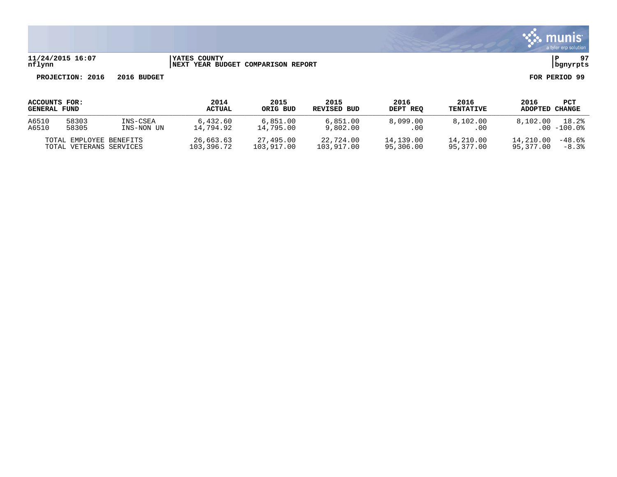

# **11/24/2015 16:07 |YATES COUNTY |P 97 nflynn |NEXT YEAR BUDGET COMPARISON REPORT |bgnyrpts**

| ACCOUNTS FOR:       |                                                    |            | 2014                    | 2015                    | 2015                    | 2016                   | 2016                   | 2016                   | PCT                 |
|---------------------|----------------------------------------------------|------------|-------------------------|-------------------------|-------------------------|------------------------|------------------------|------------------------|---------------------|
| <b>GENERAL FUND</b> |                                                    |            | <b>ACTUAL</b>           | ORIG BUD                | REVISED BUD             | DEPT REO               | <b>TENTATIVE</b>       | <b>ADOPTED</b>         | CHANGE              |
| A6510               | 58303                                              | INS-CSEA   | 6,432.60                | 6,851.00                | 6.851.00                | 8.099.00               | 8,102.00               | 8,102.00               | 18.2%               |
| A6510               | 58305                                              | INS-NON UN | 14,794.92               | 14,795.00               | 9,802.00                | .00                    | . 00                   |                        | $.00 - 100.0$       |
|                     | TOTAL EMPLOYEE BENEFITS<br>TOTAL VETERANS SERVICES |            | 26,663.63<br>103,396.72 | 27,495.00<br>103,917.00 | 22,724.00<br>103,917.00 | 14,139.00<br>95,306.00 | 14,210.00<br>95,377.00 | 14,210.00<br>95,377.00 | $-48.6%$<br>$-8.3%$ |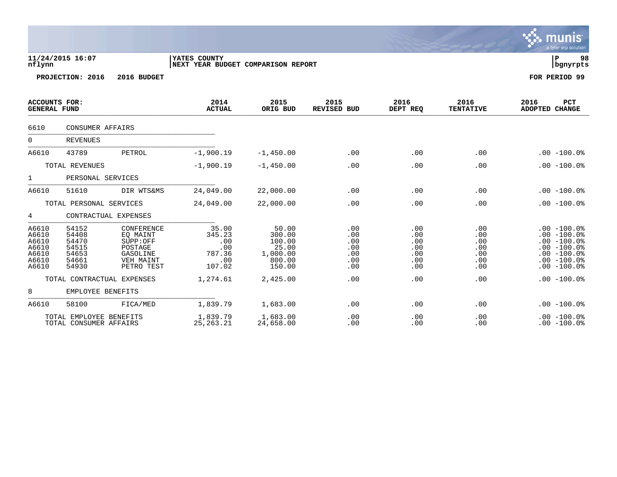| nflynn                                                      | 11/24/2015 16:07                                            |                                                                                      | YATES COUNTY<br>NEXT YEAR BUDGET COMPARISON REPORT       | 98<br> P<br>  bgnyrpts                                             |                                               |                                               |                                               |                                                                                                                      |
|-------------------------------------------------------------|-------------------------------------------------------------|--------------------------------------------------------------------------------------|----------------------------------------------------------|--------------------------------------------------------------------|-----------------------------------------------|-----------------------------------------------|-----------------------------------------------|----------------------------------------------------------------------------------------------------------------------|
|                                                             | PROJECTION: 2016                                            | 2016 BUDGET                                                                          |                                                          |                                                                    |                                               |                                               |                                               | FOR PERIOD 99                                                                                                        |
| <b>ACCOUNTS FOR:</b><br><b>GENERAL FUND</b>                 |                                                             |                                                                                      | 2014<br><b>ACTUAL</b>                                    | 2015<br>ORIG BUD                                                   | 2015<br><b>REVISED BUD</b>                    | 2016<br>DEPT REQ                              | 2016<br><b>TENTATIVE</b>                      | 2016<br>PCT<br>ADOPTED<br><b>CHANGE</b>                                                                              |
| 6610                                                        | <b>CONSUMER AFFAIRS</b>                                     |                                                                                      |                                                          |                                                                    |                                               |                                               |                                               |                                                                                                                      |
| $\mathbf 0$                                                 | <b>REVENUES</b>                                             |                                                                                      |                                                          |                                                                    |                                               |                                               |                                               |                                                                                                                      |
| A6610                                                       | 43789                                                       | PETROL                                                                               | $-1,900.19$                                              | $-1,450.00$                                                        | .00                                           | .00                                           | .00                                           | $.00 - 100.0%$                                                                                                       |
|                                                             | TOTAL REVENUES                                              |                                                                                      | $-1,900.19$                                              | $-1,450.00$                                                        | .00                                           | .00                                           | .00                                           | $.00 - 100.0%$                                                                                                       |
| $\mathbf 1$                                                 | PERSONAL SERVICES                                           |                                                                                      |                                                          |                                                                    |                                               |                                               |                                               |                                                                                                                      |
| A6610                                                       | 51610                                                       | DIR WTS&MS                                                                           | 24,049.00                                                | 22,000.00                                                          | .00                                           | .00                                           | .00                                           | $.00 - 100.0%$                                                                                                       |
|                                                             | TOTAL PERSONAL SERVICES                                     |                                                                                      | 24,049.00                                                | 22,000.00                                                          | .00                                           | .00                                           | .00                                           | $.00 - 100.0$                                                                                                        |
| 4                                                           | CONTRACTUAL EXPENSES                                        |                                                                                      |                                                          |                                                                    |                                               |                                               |                                               |                                                                                                                      |
| A6610<br>A6610<br>A6610<br>A6610<br>A6610<br>A6610<br>A6610 | 54152<br>54408<br>54470<br>54515<br>54653<br>54661<br>54930 | CONFERENCE<br>EQ MAINT<br>SUPP:OFF<br>POSTAGE<br>GASOLINE<br>VEH MAINT<br>PETRO TEST | 35.00<br>345.23<br>.00<br>.00<br>787.36<br>.00<br>107.02 | 50.00<br>300.00<br>100.00<br>25.00<br>1,000.00<br>800.00<br>150.00 | .00<br>.00<br>.00<br>.00<br>.00<br>.00<br>.00 | .00<br>.00<br>.00<br>.00<br>.00<br>.00<br>.00 | .00<br>.00<br>.00<br>.00<br>.00<br>.00<br>.00 | $.00 - 100.0$<br>$.00 - 100.0$<br>$.00 - 100.0%$<br>$.00 - 100.0$<br>$.00 - 100.0$<br>$.00 - 100.0$<br>$.00 - 100.0$ |
|                                                             | TOTAL CONTRACTUAL EXPENSES                                  |                                                                                      | 1,274.61                                                 | 2,425.00                                                           | .00                                           | .00                                           | .00                                           | $.00 - 100.0$                                                                                                        |
| 8                                                           | EMPLOYEE BENEFITS                                           |                                                                                      |                                                          |                                                                    |                                               |                                               |                                               |                                                                                                                      |
| A6610                                                       | 58100                                                       | FICA/MED                                                                             | 1,839.79                                                 | 1,683.00                                                           | .00                                           | .00                                           | .00                                           | $.00 - 100.0%$                                                                                                       |
|                                                             | TOTAL EMPLOYEE BENEFITS<br>TOTAL CONSUMER AFFAIRS           |                                                                                      | 1,839.79<br>25, 263. 21                                  | 1,683.00<br>24,658.00                                              | .00<br>.00                                    | .00<br>.00                                    | .00<br>.00                                    | $.00 - 100.0$<br>$.00 - 100.0$                                                                                       |

 $\sqrt{3}$  munis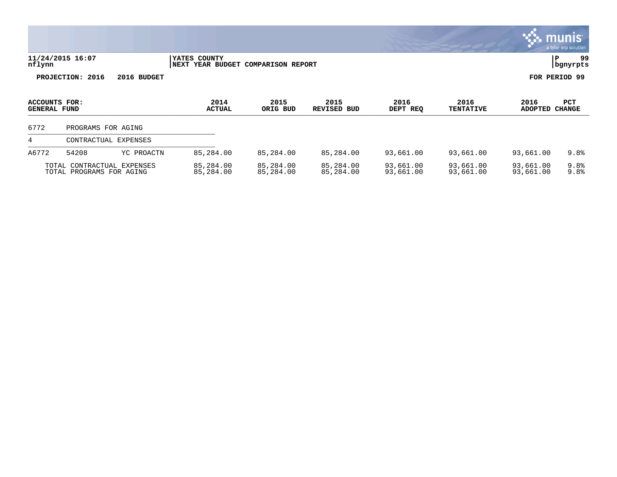|                                             |                                                        |                                                    |                        |                               |                        |                          |                        | munis <sup>®</sup><br>a tyler erp solution |
|---------------------------------------------|--------------------------------------------------------|----------------------------------------------------|------------------------|-------------------------------|------------------------|--------------------------|------------------------|--------------------------------------------|
| nflynn                                      | 11/24/2015 16:07                                       | YATES COUNTY<br>NEXT YEAR BUDGET COMPARISON REPORT |                        |                               |                        |                          | ∣P                     | 99<br>bgnyrpts                             |
|                                             | PROJECTION: 2016<br>2016 BUDGET                        |                                                    |                        |                               |                        |                          |                        | FOR PERIOD 99                              |
| <b>ACCOUNTS FOR:</b><br><b>GENERAL FUND</b> |                                                        | 2014<br><b>ACTUAL</b>                              | 2015<br>ORIG BUD       | 2015<br><b>REVISED</b><br>BUD | 2016<br>DEPT REQ       | 2016<br><b>TENTATIVE</b> | 2016<br>ADOPTED CHANGE | PCT                                        |
| 6772                                        | PROGRAMS FOR AGING                                     |                                                    |                        |                               |                        |                          |                        |                                            |
| 4                                           | CONTRACTUAL EXPENSES                                   |                                                    |                        |                               |                        |                          |                        |                                            |
| A6772                                       | 54208<br>YC PROACTN                                    | 85,284.00                                          | 85,284.00              | 85,284.00                     | 93,661.00              | 93,661.00                | 93,661.00              | 9.8%                                       |
|                                             | TOTAL CONTRACTUAL EXPENSES<br>TOTAL PROGRAMS FOR AGING | 85,284.00<br>85,284.00                             | 85,284.00<br>85,284.00 | 85,284.00<br>85,284.00        | 93,661.00<br>93,661.00 | 93,661.00<br>93,661.00   | 93,661.00<br>93,661.00 | 9.8%<br>9.8%                               |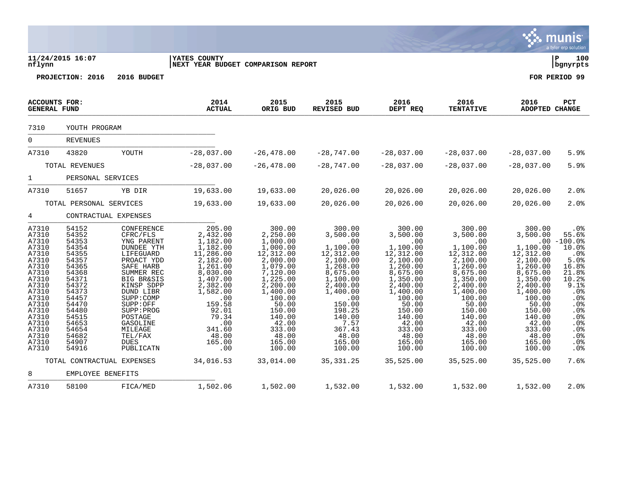|                                                                                                                                                                                  |                                                                                                                                                                                  |                                                                                                                                                                                                                                                                                     |                                                                                                                                                                                                               |                                                                                                                                                                                                                        |                                                                                                                                                                                                                |                                                                                                                                                                                                                    |                                                                                                                                                                                                                   |                                                                                                                                                                                                                   | munis<br>a tyler erp solution                                                                                                                                                                     |
|----------------------------------------------------------------------------------------------------------------------------------------------------------------------------------|----------------------------------------------------------------------------------------------------------------------------------------------------------------------------------|-------------------------------------------------------------------------------------------------------------------------------------------------------------------------------------------------------------------------------------------------------------------------------------|---------------------------------------------------------------------------------------------------------------------------------------------------------------------------------------------------------------|------------------------------------------------------------------------------------------------------------------------------------------------------------------------------------------------------------------------|----------------------------------------------------------------------------------------------------------------------------------------------------------------------------------------------------------------|--------------------------------------------------------------------------------------------------------------------------------------------------------------------------------------------------------------------|-------------------------------------------------------------------------------------------------------------------------------------------------------------------------------------------------------------------|-------------------------------------------------------------------------------------------------------------------------------------------------------------------------------------------------------------------|---------------------------------------------------------------------------------------------------------------------------------------------------------------------------------------------------|
| nflynn                                                                                                                                                                           | 11/24/2015 16:07                                                                                                                                                                 |                                                                                                                                                                                                                                                                                     | YATES COUNTY<br>NEXT YEAR BUDGET COMPARISON REPORT                                                                                                                                                            |                                                                                                                                                                                                                        |                                                                                                                                                                                                                |                                                                                                                                                                                                                    |                                                                                                                                                                                                                   |                                                                                                                                                                                                                   | l P<br>100<br>bgnyrpts                                                                                                                                                                            |
|                                                                                                                                                                                  | PROJECTION: 2016                                                                                                                                                                 | 2016 BUDGET                                                                                                                                                                                                                                                                         |                                                                                                                                                                                                               |                                                                                                                                                                                                                        |                                                                                                                                                                                                                |                                                                                                                                                                                                                    |                                                                                                                                                                                                                   |                                                                                                                                                                                                                   | FOR PERIOD 99                                                                                                                                                                                     |
| <b>ACCOUNTS FOR:</b><br><b>GENERAL FUND</b>                                                                                                                                      |                                                                                                                                                                                  |                                                                                                                                                                                                                                                                                     | 2014<br><b>ACTUAL</b>                                                                                                                                                                                         | 2015<br>ORIG BUD                                                                                                                                                                                                       | 2015<br>REVISED BUD                                                                                                                                                                                            | 2016<br>DEPT REQ                                                                                                                                                                                                   | 2016<br><b>TENTATIVE</b>                                                                                                                                                                                          | 2016<br>ADOPTED CHANGE                                                                                                                                                                                            | PCT                                                                                                                                                                                               |
| 7310                                                                                                                                                                             | YOUTH PROGRAM                                                                                                                                                                    |                                                                                                                                                                                                                                                                                     |                                                                                                                                                                                                               |                                                                                                                                                                                                                        |                                                                                                                                                                                                                |                                                                                                                                                                                                                    |                                                                                                                                                                                                                   |                                                                                                                                                                                                                   |                                                                                                                                                                                                   |
| 0                                                                                                                                                                                | <b>REVENUES</b>                                                                                                                                                                  |                                                                                                                                                                                                                                                                                     |                                                                                                                                                                                                               |                                                                                                                                                                                                                        |                                                                                                                                                                                                                |                                                                                                                                                                                                                    |                                                                                                                                                                                                                   |                                                                                                                                                                                                                   |                                                                                                                                                                                                   |
| A7310                                                                                                                                                                            | 43820                                                                                                                                                                            | YOUTH                                                                                                                                                                                                                                                                               | $-28,037.00$                                                                                                                                                                                                  | $-26, 478.00$                                                                                                                                                                                                          | $-28,747.00$                                                                                                                                                                                                   | $-28,037.00$                                                                                                                                                                                                       | $-28,037.00$                                                                                                                                                                                                      | $-28,037.00$                                                                                                                                                                                                      | 5.9%                                                                                                                                                                                              |
|                                                                                                                                                                                  | TOTAL REVENUES                                                                                                                                                                   |                                                                                                                                                                                                                                                                                     | $-28,037.00$                                                                                                                                                                                                  | $-26, 478.00$                                                                                                                                                                                                          | $-28,747.00$                                                                                                                                                                                                   | $-28,037.00$                                                                                                                                                                                                       | $-28,037.00$                                                                                                                                                                                                      | $-28,037.00$                                                                                                                                                                                                      | 5.9%                                                                                                                                                                                              |
| $\mathbf{1}$                                                                                                                                                                     | PERSONAL SERVICES                                                                                                                                                                |                                                                                                                                                                                                                                                                                     |                                                                                                                                                                                                               |                                                                                                                                                                                                                        |                                                                                                                                                                                                                |                                                                                                                                                                                                                    |                                                                                                                                                                                                                   |                                                                                                                                                                                                                   |                                                                                                                                                                                                   |
| A7310                                                                                                                                                                            | 51657                                                                                                                                                                            | YB DIR                                                                                                                                                                                                                                                                              | 19,633.00                                                                                                                                                                                                     | 19,633.00                                                                                                                                                                                                              | 20,026.00                                                                                                                                                                                                      | 20,026.00                                                                                                                                                                                                          | 20,026.00                                                                                                                                                                                                         | 20,026.00                                                                                                                                                                                                         | 2.0%                                                                                                                                                                                              |
|                                                                                                                                                                                  | TOTAL PERSONAL SERVICES                                                                                                                                                          |                                                                                                                                                                                                                                                                                     | 19,633.00                                                                                                                                                                                                     | 19,633.00                                                                                                                                                                                                              | 20,026.00                                                                                                                                                                                                      | 20,026.00                                                                                                                                                                                                          | 20,026.00                                                                                                                                                                                                         | 20,026.00                                                                                                                                                                                                         | 2.0%                                                                                                                                                                                              |
| 4                                                                                                                                                                                | CONTRACTUAL EXPENSES                                                                                                                                                             |                                                                                                                                                                                                                                                                                     |                                                                                                                                                                                                               |                                                                                                                                                                                                                        |                                                                                                                                                                                                                |                                                                                                                                                                                                                    |                                                                                                                                                                                                                   |                                                                                                                                                                                                                   |                                                                                                                                                                                                   |
| A7310<br>A7310<br>A7310<br>A7310<br>A7310<br>A7310<br>A7310<br>A7310<br>A7310<br>A7310<br>A7310<br>A7310<br>A7310<br>A7310<br>A7310<br>A7310<br>A7310<br>A7310<br>A7310<br>A7310 | 54152<br>54352<br>54353<br>54354<br>54355<br>54357<br>54365<br>54368<br>54371<br>54372<br>54373<br>54457<br>54470<br>54480<br>54515<br>54653<br>54654<br>54682<br>54907<br>54916 | CONFERENCE<br>CFRC/FLS<br>YNG PARENT<br><b>DUNDEE YTH</b><br>LIFEGUARD<br>PROACT YDD<br>SAFE HARB<br>SUMMER REC<br><b>BIG BR&amp;SIS</b><br>KINSP SDPP<br>DUND LIBR<br>SUPP:COMP<br>SUPP:OFF<br>SUPP: PROG<br>POSTAGE<br>GASOLINE<br>MILEAGE<br>TEL/FAX<br><b>DUES</b><br>PUBLICATN | 205.00<br>2,432.00<br>1,182.00<br>1,182.00<br>11,286.00<br>2,182.00<br>1,261.00<br>8,030.00<br>1,407.00<br>2,382.00<br>1,582.00<br>.00<br>159.58<br>92.01<br>79.34<br>.00<br>341.60<br>48.00<br>165.00<br>.00 | 300.00<br>2,250.00<br>1,000.00<br>1,000.00<br>12,312.00<br>2,000.00<br>1,079.00<br>7,120.00<br>1,225.00<br>2,200.00<br>1,400.00<br>100.00<br>50.00<br>150.00<br>140.00<br>42.00<br>333.00<br>48.00<br>165.00<br>100.00 | 300.00<br>3,500.00<br>.00<br>1,100.00<br>12,312.00<br>2,100.00<br>1,268.00<br>8,675.00<br>1,100.00<br>2,400.00<br>1,400.00<br>.00<br>150.00<br>198.25<br>140.00<br>7.57<br>367.43<br>48.00<br>165.00<br>100.00 | 300.00<br>3,500.00<br>.00<br>1,100.00<br>12, 312.00<br>2,100.00<br>1,260.00<br>8,675.00<br>1,350.00<br>2,400.00<br>1,400.00<br>100.00<br>50.00<br>150.00<br>140.00<br>42.00<br>333.00<br>48.00<br>165.00<br>100.00 | 300.00<br>3,500.00<br>.00<br>1,100.00<br>12,312.00<br>2,100.00<br>1,260.00<br>8,675.00<br>1,350.00<br>2,400.00<br>1,400.00<br>100.00<br>50.00<br>150.00<br>140.00<br>42.00<br>333.00<br>48.00<br>165.00<br>100.00 | 300.00<br>3,500.00<br>.00<br>1,100.00<br>12,312.00<br>2,100.00<br>1,260.00<br>8,675.00<br>1,350.00<br>2,400.00<br>1,400.00<br>100.00<br>50.00<br>150.00<br>140.00<br>42.00<br>333.00<br>48.00<br>165.00<br>100.00 | .0%<br>55.6%<br>$-100.0%$<br>10.0%<br>.0%<br>5.0%<br>16.8%<br>21.8%<br>10.2%<br>9.1%<br>.0%<br>.0%<br>.0%<br>.0 <sub>8</sub><br>. $0o$<br>.0%<br>.0 <sub>8</sub><br>.0%<br>.0%<br>.0 <sub>8</sub> |
|                                                                                                                                                                                  | TOTAL CONTRACTUAL EXPENSES                                                                                                                                                       |                                                                                                                                                                                                                                                                                     | 34,016.53                                                                                                                                                                                                     | 33,014.00                                                                                                                                                                                                              | 35, 331.25                                                                                                                                                                                                     | 35,525.00                                                                                                                                                                                                          | 35,525.00                                                                                                                                                                                                         | 35,525.00                                                                                                                                                                                                         | 7.6%                                                                                                                                                                                              |
| 8                                                                                                                                                                                | EMPLOYEE BENEFITS                                                                                                                                                                |                                                                                                                                                                                                                                                                                     |                                                                                                                                                                                                               |                                                                                                                                                                                                                        |                                                                                                                                                                                                                |                                                                                                                                                                                                                    |                                                                                                                                                                                                                   |                                                                                                                                                                                                                   |                                                                                                                                                                                                   |

A7310 58100 FICA/MED 1,502.06 1,502.00 1,532.00 1,532.00 1,532.00 1,532.00 2.0%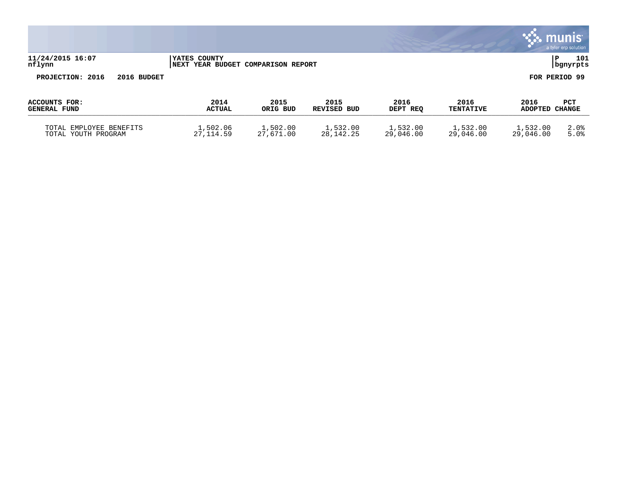|                                                |                                                    |                       |                            |                       |                          |                        | munis<br>a tyler erp solution |
|------------------------------------------------|----------------------------------------------------|-----------------------|----------------------------|-----------------------|--------------------------|------------------------|-------------------------------|
| 11/24/2015 16:07<br>nflynn                     | YATES COUNTY<br>NEXT YEAR BUDGET COMPARISON REPORT |                       |                            |                       |                          |                        | P<br>101<br>bgnyrpts          |
| PROJECTION: 2016<br>2016 BUDGET                |                                                    |                       |                            |                       |                          |                        | FOR PERIOD 99                 |
| <b>ACCOUNTS FOR:</b><br><b>GENERAL FUND</b>    | 2014<br><b>ACTUAL</b>                              | 2015<br>ORIG BUD      | 2015<br><b>REVISED BUD</b> | 2016<br>DEPT REQ      | 2016<br><b>TENTATIVE</b> | 2016<br>ADOPTED CHANGE | <b>PCT</b>                    |
| TOTAL EMPLOYEE BENEFITS<br>TOTAL YOUTH PROGRAM | 1,502.06<br>27, 114.59                             | 1,502.00<br>27,671.00 | 1,532.00<br>28, 142. 25    | 1,532.00<br>29,046.00 | 1,532.00<br>29,046.00    | 1,532.00<br>29,046.00  | 2.0%<br>5.0%                  |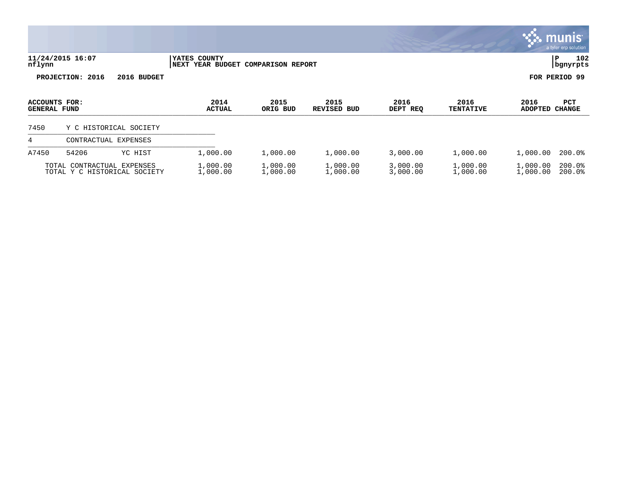|                                             |                            |                              |                             |                               |                            |                      |                          |                        | munis<br>a tyler erp solution |
|---------------------------------------------|----------------------------|------------------------------|-----------------------------|-------------------------------|----------------------------|----------------------|--------------------------|------------------------|-------------------------------|
| nflynn                                      | 11/24/2015 16:07           |                              | YATES COUNTY<br><b>NEXT</b> | YEAR BUDGET COMPARISON REPORT |                            |                      |                          |                        | 102<br>P<br>bgnyrpts          |
|                                             | PROJECTION: 2016           | 2016 BUDGET                  |                             |                               |                            |                      |                          |                        | FOR PERIOD 99                 |
| <b>ACCOUNTS FOR:</b><br><b>GENERAL FUND</b> |                            |                              | 2014<br><b>ACTUAL</b>       | 2015<br>ORIG BUD              | 2015<br><b>REVISED BUD</b> | 2016<br>DEPT REQ     | 2016<br><b>TENTATIVE</b> | 2016<br><b>ADOPTED</b> | PCT<br><b>CHANGE</b>          |
| 7450                                        |                            | Y C HISTORICAL SOCIETY       |                             |                               |                            |                      |                          |                        |                               |
| 4                                           |                            | CONTRACTUAL EXPENSES         |                             |                               |                            |                      |                          |                        |                               |
| A7450                                       | 54206                      | YC HIST                      | 1,000.00                    | 1,000.00                      | 1,000.00                   | 3,000.00             | 1,000.00                 | 1,000.00               | $200.0$ <sup>8</sup>          |
|                                             | TOTAL CONTRACTUAL EXPENSES | TOTAL Y C HISTORICAL SOCIETY | 1,000.00<br>1,000.00        | 1,000.00<br>1,000.00          | 1,000.00<br>1,000.00       | 3,000.00<br>3,000.00 | 1,000.00<br>1,000.00     | 1,000.00<br>1,000.00   | 200.0%<br>200.0%              |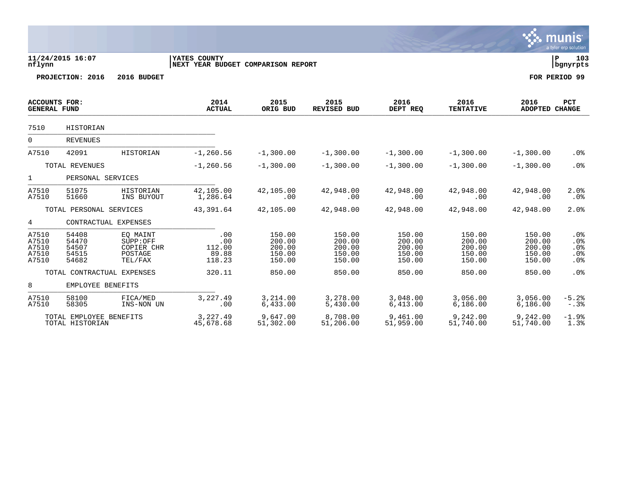|                                             |                                            |                                                          |                                                           |                                                |                                                |                                                |                                                |                                                | munis <sup>®</sup><br>a tyler erp solution |
|---------------------------------------------|--------------------------------------------|----------------------------------------------------------|-----------------------------------------------------------|------------------------------------------------|------------------------------------------------|------------------------------------------------|------------------------------------------------|------------------------------------------------|--------------------------------------------|
| nflynn                                      | 11/24/2015 16:07                           |                                                          | <b>YATES COUNTY</b><br>NEXT YEAR BUDGET COMPARISON REPORT |                                                |                                                |                                                |                                                |                                                | l P<br>103<br>  bgnyrpts                   |
|                                             | PROJECTION: 2016                           | 2016 BUDGET                                              |                                                           |                                                |                                                |                                                |                                                |                                                | FOR PERIOD 99                              |
| <b>ACCOUNTS FOR:</b><br><b>GENERAL FUND</b> |                                            |                                                          | 2014<br><b>ACTUAL</b>                                     | 2015<br>ORIG BUD                               | 2015<br><b>REVISED BUD</b>                     | 2016<br>DEPT REQ                               | 2016<br><b>TENTATIVE</b>                       | 2016<br><b>ADOPTED CHANGE</b>                  | PCT                                        |
| 7510                                        | HISTORIAN                                  |                                                          |                                                           |                                                |                                                |                                                |                                                |                                                |                                            |
| $\overline{0}$                              | <b>REVENUES</b>                            |                                                          |                                                           |                                                |                                                |                                                |                                                |                                                |                                            |
| A7510                                       | 42091                                      | HISTORIAN                                                | $-1, 260.56$                                              | $-1,300.00$                                    | $-1,300.00$                                    | $-1,300.00$                                    | $-1,300.00$                                    | $-1,300.00$                                    | .0%                                        |
| TOTAL REVENUES                              |                                            | $-1, 260.56$                                             | $-1,300.00$                                               | $-1,300.00$                                    | $-1,300.00$                                    | $-1,300.00$                                    | $-1,300.00$                                    | .0%                                            |                                            |
| $\mathbf{1}$                                | PERSONAL SERVICES                          |                                                          |                                                           |                                                |                                                |                                                |                                                |                                                |                                            |
| A7510<br>A7510                              | 51075<br>51660                             | HISTORIAN<br>INS BUYOUT                                  | 42,105.00<br>1,286.64                                     | 42,105.00<br>.00                               | 42,948.00<br>.00                               | 42,948.00<br>.00                               | 42,948.00<br>.00                               | 42,948.00<br>.00                               | 2.0%<br>.0%                                |
|                                             | TOTAL PERSONAL SERVICES                    |                                                          | 43,391.64                                                 | 42,105.00                                      | 42,948.00                                      | 42,948.00                                      | 42,948.00                                      | 42,948.00                                      | 2.0%                                       |
| $4\overline{ }$                             |                                            | CONTRACTUAL EXPENSES                                     |                                                           |                                                |                                                |                                                |                                                |                                                |                                            |
| A7510<br>A7510<br>A7510<br>A7510<br>A7510   | 54408<br>54470<br>54507<br>54515<br>54682  | EO MAINT<br>SUPP:OFF<br>COPIER CHR<br>POSTAGE<br>TEL/FAX | .00<br>.00<br>112.00<br>89.88<br>118.23                   | 150.00<br>200.00<br>200.00<br>150.00<br>150.00 | 150.00<br>200.00<br>200.00<br>150.00<br>150.00 | 150.00<br>200.00<br>200.00<br>150.00<br>150.00 | 150.00<br>200.00<br>200.00<br>150.00<br>150.00 | 150.00<br>200.00<br>200.00<br>150.00<br>150.00 | .0%<br>.0%<br>.0%<br>.0%<br>.0%            |
|                                             |                                            | TOTAL CONTRACTUAL EXPENSES                               | 320.11                                                    | 850.00                                         | 850.00                                         | 850.00                                         | 850.00                                         | 850.00                                         | .0%                                        |
| 8                                           | EMPLOYEE BENEFITS                          |                                                          |                                                           |                                                |                                                |                                                |                                                |                                                |                                            |
| A7510<br>A7510                              | 58100<br>58305                             | FICA/MED<br>INS-NON UN                                   | 3,227.49<br>.00                                           | 3,214.00<br>6,433.00                           | 3,278.00<br>5,430.00                           | 3,048.00<br>6,413.00                           | 3,056.00<br>6,186.00                           | 3,056.00<br>6,186.00                           | $-5.2%$<br>$-.3%$                          |
|                                             | TOTAL EMPLOYEE BENEFITS<br>TOTAL HISTORIAN |                                                          | 3, 227.49<br>45,678.68                                    | 9,647.00<br>51,302.00                          | 8,708.00<br>51,206.00                          | 9,461.00<br>51,959.00                          | 9,242.00<br>51,740.00                          | 9,242.00<br>51,740.00                          | $-1.9%$<br>1.3%                            |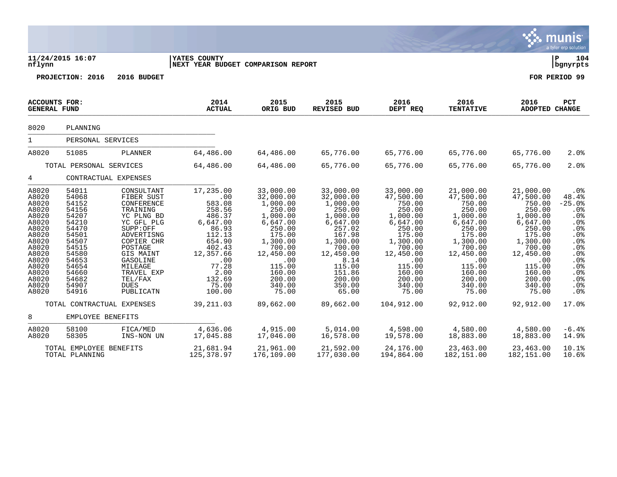|                                                                                                                                                       |                                                                                                                                                       |                                                                                                                                                                                                                            |                                                                                                                                                                     |                                                                                                                                                                                     |                                                                                                                                                                                      |                                                                                                                                                                                   |                                                                                                                                                                                   |                                                                                                                                                                                   | munis <sup>.</sup><br>a tyler erp solution                                                                                          |
|-------------------------------------------------------------------------------------------------------------------------------------------------------|-------------------------------------------------------------------------------------------------------------------------------------------------------|----------------------------------------------------------------------------------------------------------------------------------------------------------------------------------------------------------------------------|---------------------------------------------------------------------------------------------------------------------------------------------------------------------|-------------------------------------------------------------------------------------------------------------------------------------------------------------------------------------|--------------------------------------------------------------------------------------------------------------------------------------------------------------------------------------|-----------------------------------------------------------------------------------------------------------------------------------------------------------------------------------|-----------------------------------------------------------------------------------------------------------------------------------------------------------------------------------|-----------------------------------------------------------------------------------------------------------------------------------------------------------------------------------|-------------------------------------------------------------------------------------------------------------------------------------|
| nflynn                                                                                                                                                | 11/24/2015 16:07                                                                                                                                      |                                                                                                                                                                                                                            | <b>YATES COUNTY</b><br>NEXT YEAR BUDGET COMPARISON REPORT                                                                                                           |                                                                                                                                                                                     |                                                                                                                                                                                      |                                                                                                                                                                                   |                                                                                                                                                                                   |                                                                                                                                                                                   | ΙP<br>104<br>  bgnyrpts                                                                                                             |
|                                                                                                                                                       | PROJECTION: 2016                                                                                                                                      | 2016 BUDGET                                                                                                                                                                                                                |                                                                                                                                                                     |                                                                                                                                                                                     |                                                                                                                                                                                      |                                                                                                                                                                                   |                                                                                                                                                                                   |                                                                                                                                                                                   | FOR PERIOD 99                                                                                                                       |
| <b>ACCOUNTS FOR:</b><br><b>GENERAL FUND</b>                                                                                                           |                                                                                                                                                       |                                                                                                                                                                                                                            | 2014<br><b>ACTUAL</b>                                                                                                                                               | 2015<br>ORIG BUD                                                                                                                                                                    | 2015<br>REVISED BUD                                                                                                                                                                  | 2016<br>DEPT REQ                                                                                                                                                                  | 2016<br><b>TENTATIVE</b>                                                                                                                                                          | 2016<br>ADOPTED CHANGE                                                                                                                                                            | PCT                                                                                                                                 |
| 8020                                                                                                                                                  | PLANNING                                                                                                                                              |                                                                                                                                                                                                                            |                                                                                                                                                                     |                                                                                                                                                                                     |                                                                                                                                                                                      |                                                                                                                                                                                   |                                                                                                                                                                                   |                                                                                                                                                                                   |                                                                                                                                     |
| $\mathbf{1}$                                                                                                                                          | PERSONAL SERVICES                                                                                                                                     |                                                                                                                                                                                                                            |                                                                                                                                                                     |                                                                                                                                                                                     |                                                                                                                                                                                      |                                                                                                                                                                                   |                                                                                                                                                                                   |                                                                                                                                                                                   |                                                                                                                                     |
| A8020                                                                                                                                                 | 51085                                                                                                                                                 | PLANNER                                                                                                                                                                                                                    | 64,486.00                                                                                                                                                           | 64,486.00                                                                                                                                                                           | 65,776.00                                                                                                                                                                            | 65,776.00                                                                                                                                                                         | 65,776.00                                                                                                                                                                         | 65,776.00                                                                                                                                                                         | 2.0%                                                                                                                                |
|                                                                                                                                                       | TOTAL PERSONAL SERVICES                                                                                                                               |                                                                                                                                                                                                                            | 64,486.00                                                                                                                                                           | 64,486.00                                                                                                                                                                           | 65,776.00                                                                                                                                                                            | 65,776.00                                                                                                                                                                         | 65,776.00                                                                                                                                                                         | 65,776.00                                                                                                                                                                         | 2.0%                                                                                                                                |
| 4                                                                                                                                                     |                                                                                                                                                       | CONTRACTUAL EXPENSES                                                                                                                                                                                                       |                                                                                                                                                                     |                                                                                                                                                                                     |                                                                                                                                                                                      |                                                                                                                                                                                   |                                                                                                                                                                                   |                                                                                                                                                                                   |                                                                                                                                     |
| A8020<br>A8020<br>A8020<br>A8020<br>A8020<br>A8020<br>A8020<br>A8020<br>A8020<br>A8020<br>A8020<br>A8020<br>A8020<br>A8020<br>A8020<br>A8020<br>A8020 | 54011<br>54068<br>54152<br>54156<br>54207<br>54210<br>54470<br>54501<br>54507<br>54515<br>54580<br>54653<br>54654<br>54660<br>54682<br>54907<br>54916 | CONSULTANT<br>FIBER SUST<br>CONFERENCE<br>TRAINING<br>YC PLNG BD<br>YC GFL PLG<br>SUPP:OFF<br>ADVERTISNG<br>COPIER CHR<br>POSTAGE<br>GIS MAINT<br>GASOLINE<br>MILEAGE<br>TRAVEL EXP<br>TEL/FAX<br><b>DUES</b><br>PUBLICATN | 17,235.00<br>.00<br>583.08<br>258.56<br>486.37<br>6,647.00<br>86.93<br>112.13<br>654.90<br>402.43<br>12,357.66<br>.00<br>77.28<br>2.00<br>132.69<br>75.00<br>100.00 | 33,000.00<br>32,000.00<br>1,000.00<br>250.00<br>1,000.00<br>6,647.00<br>250.00<br>175.00<br>1,300.00<br>700.00<br>12,450.00<br>.00<br>115.00<br>160.00<br>200.00<br>340.00<br>75.00 | 33,000.00<br>32,000.00<br>1,000.00<br>250.00<br>1,000.00<br>6,647.00<br>257.02<br>167.98<br>1,300.00<br>700.00<br>12,450.00<br>8.14<br>115.00<br>151.86<br>200.00<br>350.00<br>65.00 | 33,000.00<br>47,500.00<br>750.00<br>250.00<br>1,000.00<br>6,647.00<br>250.00<br>175.00<br>1,300.00<br>700.00<br>12,450.00<br>.00<br>115.00<br>160.00<br>200.00<br>340.00<br>75.00 | 21,000.00<br>47,500.00<br>750.00<br>250.00<br>1,000.00<br>6,647.00<br>250.00<br>175.00<br>1,300.00<br>700.00<br>12,450.00<br>.00<br>115.00<br>160.00<br>200.00<br>340.00<br>75.00 | 21,000.00<br>47,500.00<br>750.00<br>250.00<br>1,000.00<br>6,647.00<br>250.00<br>175.00<br>1,300.00<br>700.00<br>12,450.00<br>.00<br>115.00<br>160.00<br>200.00<br>340.00<br>75.00 | $.0\%$<br>48.4%<br>$-25.0%$<br>$.0\%$<br>.0%<br>.0%<br>.0%<br>.0%<br>.0%<br>.0%<br>.0%<br>.0%<br>.0%<br>.0%<br>$.0\%$<br>.0%<br>.0% |
|                                                                                                                                                       |                                                                                                                                                       | TOTAL CONTRACTUAL EXPENSES                                                                                                                                                                                                 | 39, 211.03                                                                                                                                                          | 89,662.00                                                                                                                                                                           | 89,662.00                                                                                                                                                                            | 104,912.00                                                                                                                                                                        | 92,912.00                                                                                                                                                                         | 92,912.00                                                                                                                                                                         | 17.0%                                                                                                                               |
| 8                                                                                                                                                     | EMPLOYEE BENEFITS                                                                                                                                     |                                                                                                                                                                                                                            |                                                                                                                                                                     |                                                                                                                                                                                     |                                                                                                                                                                                      |                                                                                                                                                                                   |                                                                                                                                                                                   |                                                                                                                                                                                   |                                                                                                                                     |
| A8020<br>A8020                                                                                                                                        | 58100<br>58305                                                                                                                                        | FICA/MED<br>INS-NON UN                                                                                                                                                                                                     | 4,636.06<br>17,045.88                                                                                                                                               | 4,915.00<br>17,046.00                                                                                                                                                               | 5,014.00<br>16,578.00                                                                                                                                                                | 4,598.00<br>19,578.00                                                                                                                                                             | 4,580.00<br>18,883.00                                                                                                                                                             | 4,580.00<br>18,883.00                                                                                                                                                             | $-6.4%$<br>14.9%                                                                                                                    |
|                                                                                                                                                       | TOTAL EMPLOYEE BENEFITS<br>TOTAL PLANNING                                                                                                             |                                                                                                                                                                                                                            | 21,681.94<br>125,378.97                                                                                                                                             | 21,961.00<br>176,109.00                                                                                                                                                             | 21,592.00<br>177,030.00                                                                                                                                                              | 24,176.00<br>194,864.00                                                                                                                                                           | 23,463.00<br>182,151.00                                                                                                                                                           | 23,463.00<br>182,151.00                                                                                                                                                           | 10.1%<br>10.6%                                                                                                                      |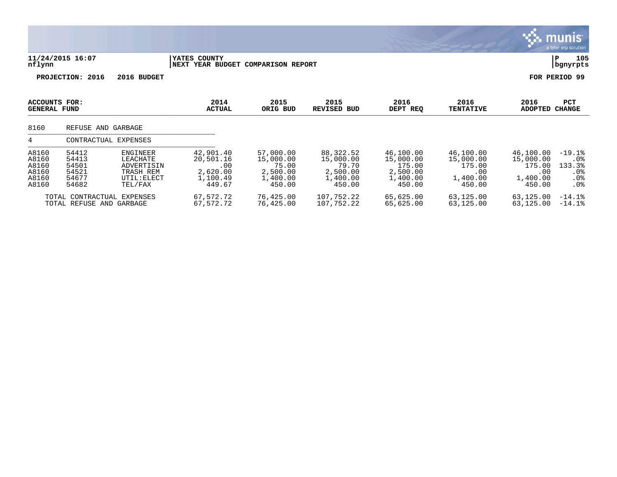|                                                    |                                                        |                                                                                  |                                                                 |                                                                   |                                                                   |                                                                    |                                                               | munis<br>a tyler erp solution                                                                                                                          |
|----------------------------------------------------|--------------------------------------------------------|----------------------------------------------------------------------------------|-----------------------------------------------------------------|-------------------------------------------------------------------|-------------------------------------------------------------------|--------------------------------------------------------------------|---------------------------------------------------------------|--------------------------------------------------------------------------------------------------------------------------------------------------------|
| nflynn                                             | 11/24/2015 16:07                                       |                                                                                  | YATES COUNTY<br><b>NEXT YEAR BUDGET</b>                         | <b>COMPARISON REPORT</b>                                          |                                                                   |                                                                    |                                                               | 105<br>P<br>bgnyrpts                                                                                                                                   |
|                                                    | PROJECTION: 2016                                       | 2016 BUDGET                                                                      |                                                                 |                                                                   |                                                                   |                                                                    |                                                               | FOR PERIOD 99                                                                                                                                          |
| ACCOUNTS FOR:<br><b>GENERAL FUND</b>               |                                                        |                                                                                  | 2014<br><b>ACTUAL</b>                                           | 2015<br>ORIG BUD                                                  | 2015<br><b>REVISED BUD</b>                                        | 2016<br>DEPT REQ                                                   | 2016<br><b>TENTATIVE</b>                                      | 2016<br>PCT<br><b>ADOPTED</b><br><b>CHANGE</b>                                                                                                         |
| 8160                                               | REFUSE AND GARBAGE                                     |                                                                                  |                                                                 |                                                                   |                                                                   |                                                                    |                                                               |                                                                                                                                                        |
| 4                                                  |                                                        | CONTRACTUAL EXPENSES                                                             |                                                                 |                                                                   |                                                                   |                                                                    |                                                               |                                                                                                                                                        |
| A8160<br>A8160<br>A8160<br>A8160<br>A8160<br>A8160 | 54412<br>54413<br>54501<br>54521<br>54677<br>54682     | <b>ENGINEER</b><br>LEACHATE<br>ADVERTISIN<br>TRASH REM<br>UTIL: ELECT<br>TEL/FAX | 42,901.40<br>20,501.16<br>.00<br>2,620.00<br>1,100.49<br>449.67 | 57,000.00<br>15,000.00<br>75.00<br>2,500.00<br>1,400.00<br>450.00 | 88,322.52<br>15,000.00<br>79.70<br>2,500.00<br>1,400.00<br>450.00 | 46,100.00<br>15,000.00<br>175.00<br>2,500.00<br>1,400.00<br>450.00 | 46,100.00<br>15,000.00<br>175.00<br>.00<br>1,400.00<br>450.00 | 46,100.00<br>$-19.1$ $8$<br>15,000.00<br>.0 <sub>8</sub><br>133.3%<br>175.00<br>.00<br>.0%<br>1,400.00<br>.0 <sub>8</sub><br>450.00<br>.0 <sub>8</sub> |
|                                                    | TOTAL CONTRACTUAL EXPENSES<br>TOTAL REFUSE AND GARBAGE |                                                                                  | 67,572.72<br>67,572.72                                          | 76,425.00<br>76,425.00                                            | 107,752.22<br>107,752.22                                          | 65,625.00<br>65,625.00                                             | 63,125.00<br>63,125.00                                        | 63,125.00<br>$-14.1%$<br>63,125.00<br>$-14.1%$                                                                                                         |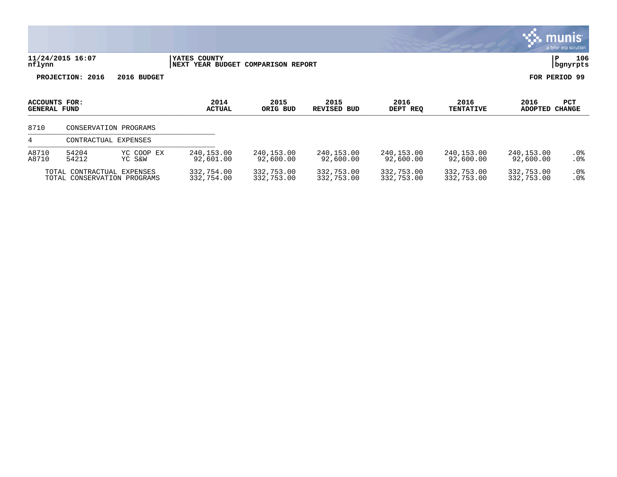|                                             |                                                           |                       |                                                    |                          |                            |                          |                          |                          | a tyler erp solution        |
|---------------------------------------------|-----------------------------------------------------------|-----------------------|----------------------------------------------------|--------------------------|----------------------------|--------------------------|--------------------------|--------------------------|-----------------------------|
| nflynn                                      | 11/24/2015 16:07                                          |                       | YATES COUNTY<br>NEXT YEAR BUDGET COMPARISON REPORT |                          |                            |                          |                          | P                        | 106<br>bgnyrpts             |
|                                             | PROJECTION: 2016                                          | 2016 BUDGET           |                                                    |                          |                            |                          |                          | FOR PERIOD 99            |                             |
| <b>ACCOUNTS FOR:</b><br><b>GENERAL FUND</b> |                                                           |                       | 2014<br><b>ACTUAL</b>                              | 2015<br>ORIG BUD         | 2015<br><b>REVISED BUD</b> | 2016<br>DEPT REQ         | 2016<br><b>TENTATIVE</b> | 2016<br><b>ADOPTED</b>   | <b>PCT</b><br><b>CHANGE</b> |
| 8710                                        |                                                           | CONSERVATION PROGRAMS |                                                    |                          |                            |                          |                          |                          |                             |
| 4                                           | CONTRACTUAL EXPENSES                                      |                       |                                                    |                          |                            |                          |                          |                          |                             |
| A8710<br>A8710                              | 54204<br>54212                                            | YC COOP EX<br>YC S&W  | 240, 153.00<br>92,601.00                           | 240,153.00<br>92,600.00  | 240,153.00<br>92,600.00    | 240,153.00<br>92,600.00  | 240,153.00<br>92,600.00  | 240,153.00<br>92,600.00  | .0%<br>.0 <sub>8</sub>      |
|                                             | TOTAL CONTRACTUAL EXPENSES<br>TOTAL CONSERVATION PROGRAMS |                       | 332,754.00<br>332,754.00                           | 332,753.00<br>332,753.00 | 332,753.00<br>332,753.00   | 332,753.00<br>332,753.00 | 332,753.00<br>332,753.00 | 332,753.00<br>332,753.00 | $.0\%$<br>.0%               |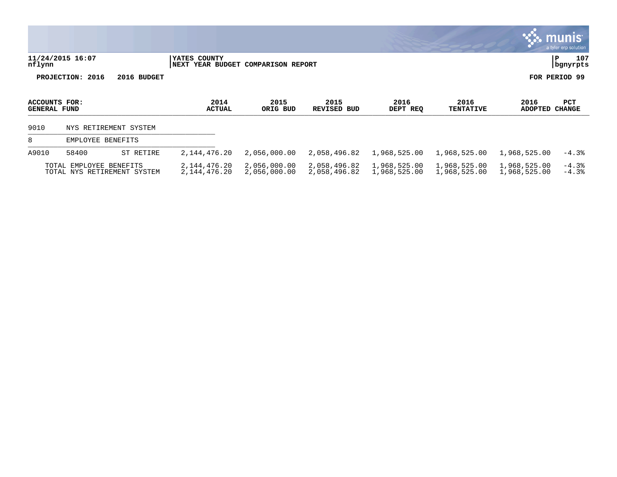|                                      |                                                        |                       |                                 |                               |                              |                              |                              |                              | <b>W. HUIL</b> IIS<br>a tyler erp solution |
|--------------------------------------|--------------------------------------------------------|-----------------------|---------------------------------|-------------------------------|------------------------------|------------------------------|------------------------------|------------------------------|--------------------------------------------|
| nflynn                               | 11/24/2015 16:07                                       |                       | YATES COUNTY<br><b>NEXT</b>     | YEAR BUDGET COMPARISON REPORT |                              |                              |                              |                              | 107<br>Р<br>bgnyrpts                       |
|                                      | PROJECTION: 2016                                       | 2016 BUDGET           |                                 |                               |                              |                              |                              |                              | FOR PERIOD 99                              |
| ACCOUNTS FOR:<br><b>GENERAL FUND</b> |                                                        |                       | 2014<br><b>ACTUAL</b>           | 2015<br>ORIG BUD              | 2015<br>REVISED<br>BUD       | 2016<br>DEPT REQ             | 2016<br><b>TENTATIVE</b>     | 2016<br>ADOPTED              | PCT<br>CHANGE                              |
| 9010                                 |                                                        | NYS RETIREMENT SYSTEM |                                 |                               |                              |                              |                              |                              |                                            |
| 8                                    | EMPLOYEE BENEFITS                                      |                       |                                 |                               |                              |                              |                              |                              |                                            |
| A9010                                | 58400                                                  | ST RETIRE             | 2,144,476.20                    | 2,056,000.00                  | 2,058,496.82                 | 1,968,525.00                 | 1,968,525.00                 | 1,968,525.00                 | $-4.3%$                                    |
|                                      | TOTAL EMPLOYEE BENEFITS<br>TOTAL NYS RETIREMENT SYSTEM |                       | 2,144,476.20<br>2, 144, 476. 20 | 2,056,000.00<br>2,056,000.00  | 2,058,496.82<br>2,058,496.82 | 1,968,525.00<br>1,968,525.00 | 1,968,525.00<br>1,968,525.00 | 1,968,525.00<br>1,968,525.00 | $-4.3%$<br>$-4.3%$                         |

 $\frac{1}{2}$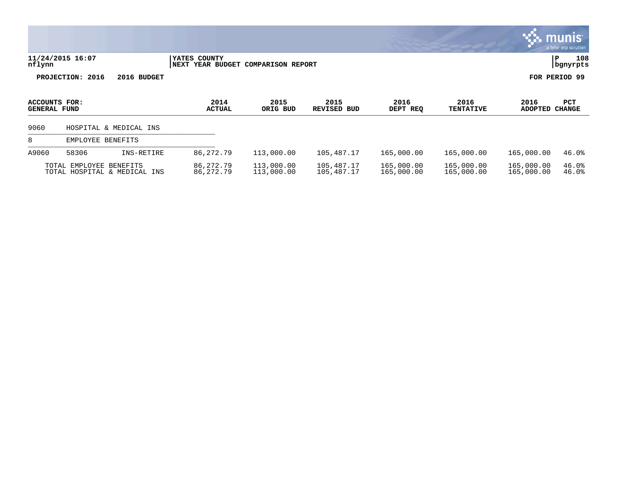|                                      |                         |                              |                            |                               |                            |                          |                          |                          | munis<br>a tyler erp solution |
|--------------------------------------|-------------------------|------------------------------|----------------------------|-------------------------------|----------------------------|--------------------------|--------------------------|--------------------------|-------------------------------|
| nflynn                               | 11/24/2015 16:07        |                              | YATES COUNTY<br>  NEXT     | YEAR BUDGET COMPARISON REPORT |                            |                          |                          |                          | 108<br>P<br>bgnyrpts          |
|                                      | PROJECTION: 2016        | 2016 BUDGET                  |                            |                               |                            |                          |                          |                          | FOR PERIOD 99                 |
| ACCOUNTS FOR:<br><b>GENERAL FUND</b> |                         |                              | 2014<br><b>ACTUAL</b>      | 2015<br>ORIG BUD              | 2015<br><b>REVISED BUD</b> | 2016<br>DEPT REQ         | 2016<br><b>TENTATIVE</b> | 2016<br><b>ADOPTED</b>   | PCT<br><b>CHANGE</b>          |
| 9060                                 |                         | HOSPITAL & MEDICAL INS       |                            |                               |                            |                          |                          |                          |                               |
| 8                                    | EMPLOYEE BENEFITS       |                              |                            |                               |                            |                          |                          |                          |                               |
| A9060                                | 58306                   | INS-RETIRE                   | 86, 272. 79                | 113,000.00                    | 105,487.17                 | 165,000.00               | 165,000.00               | 165,000.00               | 46.0%                         |
|                                      | TOTAL EMPLOYEE BENEFITS | TOTAL HOSPITAL & MEDICAL INS | 86, 272. 79<br>86, 272. 79 | 113,000.00<br>113,000.00      | 105,487.17<br>105,487.17   | 165,000.00<br>165,000.00 | 165,000.00<br>165,000.00 | 165,000.00<br>165,000.00 | 46.0%<br>46.0%                |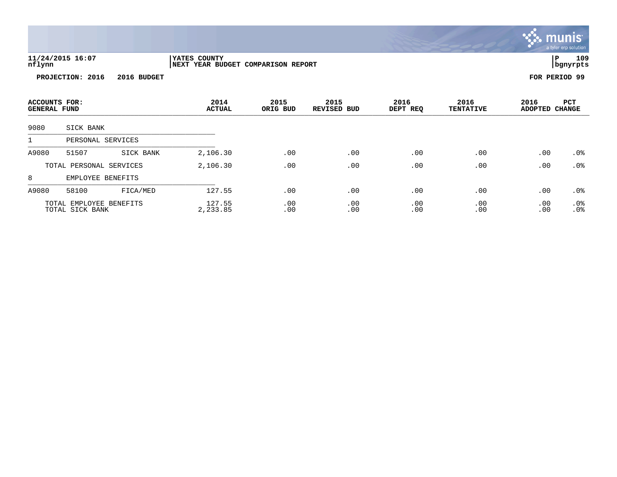|                                      |                                            |             |                                                    |                  |                               |                  |                          |                        | <u>munis l</u><br>a tyler erp solution |
|--------------------------------------|--------------------------------------------|-------------|----------------------------------------------------|------------------|-------------------------------|------------------|--------------------------|------------------------|----------------------------------------|
| nflynn                               | 11/24/2015 16:07                           |             | YATES COUNTY<br>NEXT YEAR BUDGET COMPARISON REPORT |                  |                               |                  |                          |                        | 109<br>ΙP<br>  bgnyrpts                |
|                                      | PROJECTION: 2016                           | 2016 BUDGET |                                                    |                  |                               |                  |                          |                        | FOR PERIOD 99                          |
| ACCOUNTS FOR:<br><b>GENERAL FUND</b> |                                            |             | 2014<br><b>ACTUAL</b>                              | 2015<br>ORIG BUD | 2015<br><b>REVISED</b><br>BUD | 2016<br>DEPT REQ | 2016<br><b>TENTATIVE</b> | 2016<br>ADOPTED CHANGE | PCT                                    |
| 9080                                 | SICK BANK                                  |             |                                                    |                  |                               |                  |                          |                        |                                        |
| 1                                    | PERSONAL SERVICES                          |             |                                                    |                  |                               |                  |                          |                        |                                        |
| A9080                                | 51507                                      | SICK BANK   | 2,106.30                                           | .00              | .00                           | .00              | .00                      | .00                    | .0%                                    |
|                                      | TOTAL PERSONAL SERVICES                    |             | 2,106.30                                           | .00              | .00                           | .00              | .00                      | .00                    | .0%                                    |
| 8                                    | EMPLOYEE BENEFITS                          |             |                                                    |                  |                               |                  |                          |                        |                                        |
| A9080                                | 58100                                      | FICA/MED    | 127.55                                             | .00              | .00                           | .00              | .00                      | .00                    | $.0\%$                                 |
|                                      | TOTAL EMPLOYEE BENEFITS<br>TOTAL SICK BANK |             | 127.55<br>2,233.85                                 | .00<br>.00       | .00<br>.00                    | .00<br>.00       | .00<br>.00               | .00<br>.00             | $.0\%$<br>.0%                          |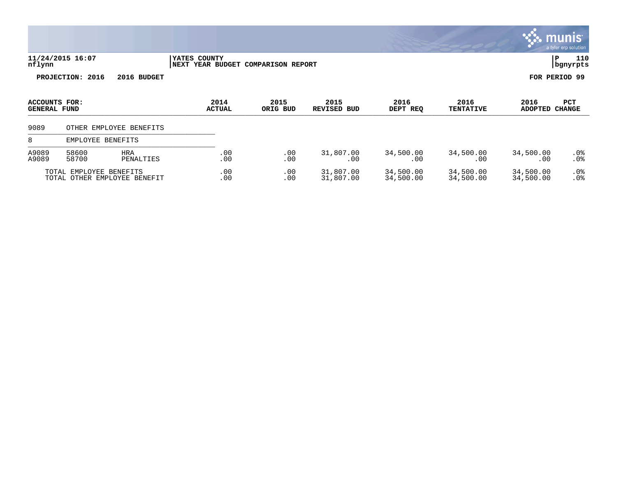|                                      |                         |                              |                                                    |                  |                            |                        |                          |                        | <u>munis'</u><br>a tyler erp solution |
|--------------------------------------|-------------------------|------------------------------|----------------------------------------------------|------------------|----------------------------|------------------------|--------------------------|------------------------|---------------------------------------|
| nflynn                               | 11/24/2015 16:07        |                              | YATES COUNTY<br>NEXT YEAR BUDGET COMPARISON REPORT |                  |                            |                        |                          | P                      | 110<br>  bgnyrpts                     |
|                                      | PROJECTION: 2016        | 2016 BUDGET                  |                                                    |                  |                            |                        |                          | FOR PERIOD 99          |                                       |
| ACCOUNTS FOR:<br><b>GENERAL FUND</b> |                         |                              | 2014<br><b>ACTUAL</b>                              | 2015<br>ORIG BUD | 2015<br><b>REVISED BUD</b> | 2016<br>DEPT REQ       | 2016<br><b>TENTATIVE</b> | 2016<br>ADOPTED CHANGE | PCT                                   |
| 9089                                 |                         | OTHER EMPLOYEE BENEFITS      |                                                    |                  |                            |                        |                          |                        |                                       |
| 8                                    | EMPLOYEE BENEFITS       |                              |                                                    |                  |                            |                        |                          |                        |                                       |
| A9089<br>A9089                       | 58600<br>58700          | <b>HRA</b><br>PENALTIES      | .00<br>.00                                         | .00<br>.00       | 31,807.00<br>.00           | 34,500.00<br>.00       | 34,500.00<br>.00         | 34,500.00<br>.00       | $.0\%$<br>.0 <sub>8</sub>             |
|                                      | TOTAL EMPLOYEE BENEFITS | TOTAL OTHER EMPLOYEE BENEFIT | .00<br>.00                                         | .00<br>.00       | 31,807.00<br>31,807.00     | 34,500.00<br>34,500.00 | 34,500.00<br>34,500.00   | 34,500.00<br>34,500.00 | .0 <sub>8</sub><br>.0 <sub>8</sub>    |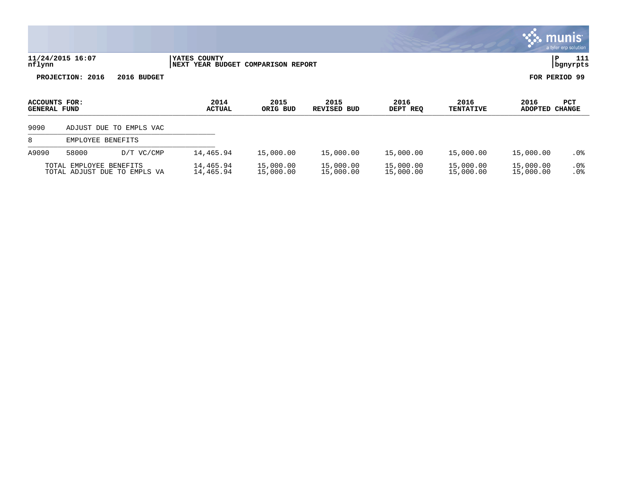|                                      |                         |                              |                                                    |                        |                        |                        |                          |                        | <b>munis</b><br>a tyler erp solution |
|--------------------------------------|-------------------------|------------------------------|----------------------------------------------------|------------------------|------------------------|------------------------|--------------------------|------------------------|--------------------------------------|
| nflynn                               | 11/24/2015 16:07        |                              | YATES COUNTY<br>NEXT YEAR BUDGET COMPARISON REPORT |                        |                        |                        |                          | ΙP                     | 111<br>  bgnyrpts                    |
|                                      | PROJECTION: 2016        | 2016 BUDGET                  |                                                    |                        |                        |                        |                          | FOR PERIOD 99          |                                      |
| ACCOUNTS FOR:<br><b>GENERAL FUND</b> |                         |                              | 2014<br><b>ACTUAL</b>                              | 2015<br>ORIG BUD       | 2015<br>REVISED BUD    | 2016<br>DEPT REQ       | 2016<br><b>TENTATIVE</b> | 2016<br>ADOPTED CHANGE | <b>PCT</b>                           |
| 9090                                 |                         | ADJUST DUE TO EMPLS VAC      |                                                    |                        |                        |                        |                          |                        |                                      |
| 8                                    | EMPLOYEE BENEFITS       |                              |                                                    |                        |                        |                        |                          |                        |                                      |
| A9090                                | 58000                   | D/T VC/CMP                   | 14,465.94                                          | 15,000.00              | 15,000.00              | 15,000.00              | 15,000.00                | 15,000.00              | $.0\%$                               |
|                                      | TOTAL EMPLOYEE BENEFITS | TOTAL ADJUST DUE TO EMPLS VA | 14,465.94<br>14,465.94                             | 15,000.00<br>15,000.00 | 15,000.00<br>15,000.00 | 15,000.00<br>15,000.00 | 15,000.00<br>15,000.00   | 15,000.00<br>15,000.00 | $.0\%$<br>.0 <sub>8</sub>            |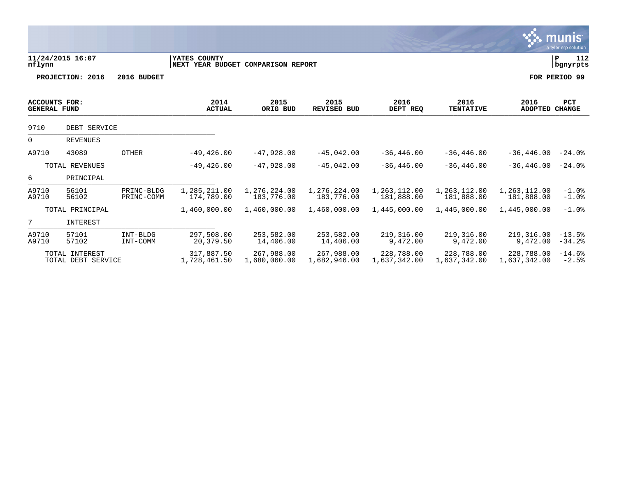|                                             |                                      |                          |                                                    |                            |                            |                            |                            |                            | munis <sup>®</sup><br>a tyler erp solution |
|---------------------------------------------|--------------------------------------|--------------------------|----------------------------------------------------|----------------------------|----------------------------|----------------------------|----------------------------|----------------------------|--------------------------------------------|
| nflynn                                      | 11/24/2015 16:07                     |                          | YATES COUNTY<br>NEXT YEAR BUDGET COMPARISON REPORT |                            |                            |                            |                            |                            | 112<br> P<br>  bgnyrpts                    |
|                                             | PROJECTION: 2016                     | 2016 BUDGET              |                                                    |                            |                            |                            |                            |                            | FOR PERIOD 99                              |
| <b>ACCOUNTS FOR:</b><br><b>GENERAL FUND</b> |                                      |                          | 2014<br><b>ACTUAL</b>                              | 2015<br>ORIG BUD           | 2015<br><b>REVISED BUD</b> | 2016<br>DEPT REQ           | 2016<br><b>TENTATIVE</b>   | 2016<br><b>ADOPTED</b>     | <b>PCT</b><br><b>CHANGE</b>                |
| 9710                                        | DEBT SERVICE                         |                          |                                                    |                            |                            |                            |                            |                            |                                            |
| 0                                           | <b>REVENUES</b>                      |                          |                                                    |                            |                            |                            |                            |                            |                                            |
| A9710                                       | 43089                                | <b>OTHER</b>             | $-49, 426.00$                                      | $-47,928.00$               | $-45.042.00$               | $-36, 446.00$              | $-36, 446.00$              | $-36, 446, 00$             | $-24.0%$                                   |
|                                             | TOTAL REVENUES                       |                          | $-49, 426.00$                                      | $-47,928.00$               | $-45,042.00$               | $-36, 446.00$              | $-36, 446.00$              | $-36, 446.00$              | $-24.0%$                                   |
| 6                                           | PRINCIPAL                            |                          |                                                    |                            |                            |                            |                            |                            |                                            |
| A9710<br>A9710                              | 56101<br>56102                       | PRINC-BLDG<br>PRINC-COMM | 1,285,211.00<br>174,789.00                         | 1,276,224.00<br>183,776.00 | 1,276,224.00<br>183,776.00 | 1,263,112.00<br>181,888.00 | 1,263,112.00<br>181,888.00 | 1,263,112.00<br>181,888.00 | $-1.0$ %<br>$-1.0$ %                       |
|                                             | TOTAL PRINCIPAL                      |                          | 1,460,000.00                                       | 1,460,000.00               | 1,460,000.00               | 1,445,000.00               | 1,445,000.00               | 1,445,000.00               | $-1.0$ $8$                                 |
| 7                                           | INTEREST                             |                          |                                                    |                            |                            |                            |                            |                            |                                            |
| A9710<br>A9710                              | 57101<br>57102                       | INT-BLDG<br>INT-COMM     | 297,508.00<br>20,379.50                            | 253,582.00<br>14,406.00    | 253,582.00<br>14,406.00    | 219,316.00<br>9,472.00     | 219,316.00<br>9,472.00     | 219,316.00<br>9,472.00     | $-13.5%$<br>$-34.2%$                       |
|                                             | TOTAL INTEREST<br>TOTAL DEBT SERVICE |                          | 317,887.50<br>1,728,461.50                         | 267,988.00<br>1,680,060.00 | 267,988.00<br>1,682,946.00 | 228,788.00<br>1,637,342.00 | 228,788.00<br>1,637,342.00 | 228,788.00<br>1,637,342.00 | $-14.6%$<br>$-2.5%$                        |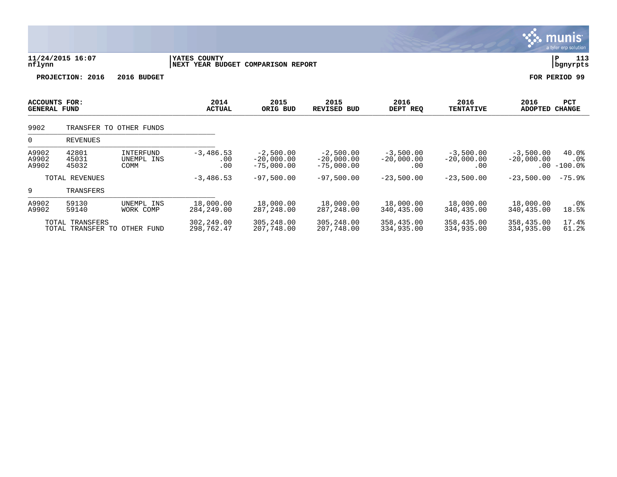|                                             |                                                 |                                 |                                                    |                                             |                                             |                                    |                                    |                             | munis<br>a tyler erp solution   |
|---------------------------------------------|-------------------------------------------------|---------------------------------|----------------------------------------------------|---------------------------------------------|---------------------------------------------|------------------------------------|------------------------------------|-----------------------------|---------------------------------|
| nflynn                                      | 11/24/2015 16:07                                |                                 | YATES COUNTY<br>NEXT YEAR BUDGET COMPARISON REPORT |                                             |                                             |                                    |                                    |                             | 113<br>$\, {\bf P}$<br>bgnyrpts |
|                                             | PROJECTION: 2016                                | 2016 BUDGET                     |                                                    |                                             |                                             |                                    |                                    |                             | FOR PERIOD 99                   |
| <b>ACCOUNTS FOR:</b><br><b>GENERAL FUND</b> |                                                 |                                 | 2014<br><b>ACTUAL</b>                              | 2015<br>ORIG BUD                            | 2015<br><b>REVISED BUD</b>                  | 2016<br>DEPT REQ                   | 2016<br><b>TENTATIVE</b>           | 2016<br><b>ADOPTED</b>      | <b>PCT</b><br><b>CHANGE</b>     |
| 9902                                        |                                                 | TRANSFER TO OTHER FUNDS         |                                                    |                                             |                                             |                                    |                                    |                             |                                 |
| 0                                           | REVENUES                                        |                                 |                                                    |                                             |                                             |                                    |                                    |                             |                                 |
| A9902<br>A9902<br>A9902                     | 42801<br>45031<br>45032                         | INTERFUND<br>UNEMPL INS<br>COMM | $-3,486.53$<br>.00<br>.00                          | $-2,500.00$<br>$-20,000.00$<br>$-75,000.00$ | $-2,500.00$<br>$-20,000.00$<br>$-75,000.00$ | $-3,500.00$<br>$-20,000.00$<br>.00 | $-3,500.00$<br>$-20,000.00$<br>.00 | $-3,500.00$<br>$-20,000.00$ | 40.0%<br>.0%<br>$.00 - 100.0$   |
|                                             | TOTAL REVENUES                                  |                                 | $-3,486.53$                                        | $-97,500.00$                                | $-97,500.00$                                | $-23,500.00$                       | $-23,500.00$                       | $-23,500.00$                | $-75.9%$                        |
| 9                                           | TRANSFERS                                       |                                 |                                                    |                                             |                                             |                                    |                                    |                             |                                 |
| A9902<br>A9902                              | 59130<br>59140                                  | UNEMPL INS<br>WORK COMP         | 18,000.00<br>284, 249.00                           | 18,000.00<br>287, 248.00                    | 18,000.00<br>287,248.00                     | 18,000.00<br>340,435.00            | 18,000.00<br>340,435.00            | 18,000.00<br>340,435.00     | .0%<br>18.5%                    |
|                                             | TOTAL TRANSFERS<br>TOTAL TRANSFER TO OTHER FUND |                                 | 302,249.00<br>298,762.47                           | 305,248.00<br>207,748.00                    | 305,248.00<br>207,748.00                    | 358,435.00<br>334,935.00           | 358,435.00<br>334,935.00           | 358,435.00<br>334,935.00    | 17.4%<br>61.2%                  |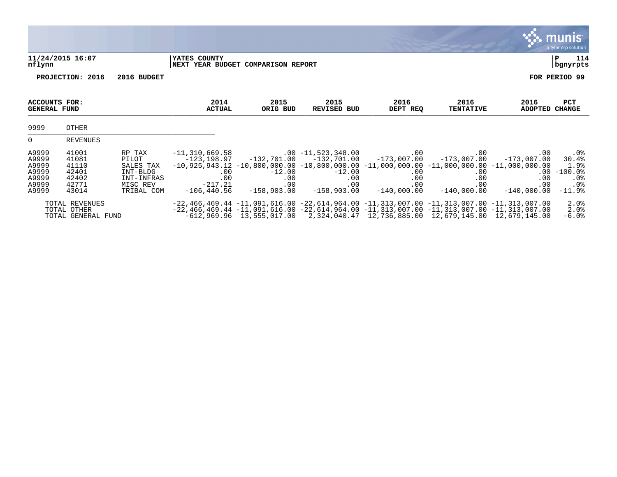|                                                             |                                                             |                                                                                  |                                                                                |                                         |                                                                                                                                                                                                                                                                                                      |                                                                 |                                                                           |                                                     | <b>munis</b><br>a tyler erp solution                                           |
|-------------------------------------------------------------|-------------------------------------------------------------|----------------------------------------------------------------------------------|--------------------------------------------------------------------------------|-----------------------------------------|------------------------------------------------------------------------------------------------------------------------------------------------------------------------------------------------------------------------------------------------------------------------------------------------------|-----------------------------------------------------------------|---------------------------------------------------------------------------|-----------------------------------------------------|--------------------------------------------------------------------------------|
| nflynn                                                      | 11/24/2015 16:07                                            |                                                                                  | YATES COUNTY                                                                   | NEXT YEAR BUDGET COMPARISON REPORT      |                                                                                                                                                                                                                                                                                                      |                                                                 |                                                                           |                                                     | 114<br>P<br>bgnyrpts                                                           |
|                                                             | PROJECTION: 2016                                            | 2016 BUDGET                                                                      |                                                                                |                                         |                                                                                                                                                                                                                                                                                                      |                                                                 |                                                                           |                                                     | FOR PERIOD 99                                                                  |
| <b>ACCOUNTS FOR:</b><br><b>GENERAL FUND</b>                 |                                                             |                                                                                  | 2014<br><b>ACTUAL</b>                                                          | 2015<br>ORIG BUD                        | 2015<br><b>REVISED BUD</b>                                                                                                                                                                                                                                                                           | 2016<br>DEPT REQ                                                | 2016<br><b>TENTATIVE</b>                                                  | 2016<br>ADOPTED CHANGE                              | <b>PCT</b>                                                                     |
| 9999                                                        | OTHER                                                       |                                                                                  |                                                                                |                                         |                                                                                                                                                                                                                                                                                                      |                                                                 |                                                                           |                                                     |                                                                                |
| $\Omega$                                                    | <b>REVENUES</b>                                             |                                                                                  |                                                                                |                                         |                                                                                                                                                                                                                                                                                                      |                                                                 |                                                                           |                                                     |                                                                                |
| A9999<br>A9999<br>A9999<br>A9999<br>A9999<br>A9999<br>A9999 | 41001<br>41081<br>41110<br>42401<br>42402<br>42771<br>43014 | RP TAX<br>PILOT<br>SALES TAX<br>INT-BLDG<br>INT-INFRAS<br>MISC REV<br>TRIBAL COM | $-11, 310, 669.58$<br>-123,198.97<br>.00<br>.00<br>$-217.21$<br>$-106, 440.56$ | $-12.00$<br>.00<br>.00<br>$-158,903.00$ | $.00 - 11,523,348.00$<br>$-132,701.00$ $-132,701.00$<br>$-10,925,943.12$ $-10,800,000.00$ $-10,800,000.00$ $-11,000,000.00$ $-11,000,000.00$ $-11,000,000.00$<br>$-12.00$<br>.00<br>.00<br>$-158,903.00$                                                                                             | $.00 \,$<br>$-173,007.00$<br>.00<br>.00<br>.00<br>$-140,000.00$ | $.00 \,$<br>$-173,007.00$<br>$.00 \,$<br>.00<br>$.00 \,$<br>$-140,000.00$ | .00<br>$-173,007.00$<br>.00<br>.00<br>$-140,000.00$ | .0%<br>30.4%<br>1.9%<br>$.00 - 100.0$<br>$.0\%$<br>.0 <sub>8</sub><br>$-11.9%$ |
|                                                             | TOTAL REVENUES<br>TOTAL OTHER<br>TOTAL GENERAL FUND         |                                                                                  |                                                                                |                                         | $-22,466,469.44$ $-11,091,616.00$ $-22,614,964.00$ $-11,313,007.00$ $-11,313,007.00$ $-11,313,007.00$<br>$-22,466,469.44$ $-11,091,616.00$ $-22,614,964.00$ $-11,313,007.00$ $-11,313,007.00$ $-11,313,007.00$<br>$-612,969.96$ 13,555,017.00 2,324,040.47 12,736,885.00 12,679,145.00 12,679,145.00 |                                                                 |                                                                           |                                                     | 2.0%<br>2.0%<br>$-6.0%$                                                        |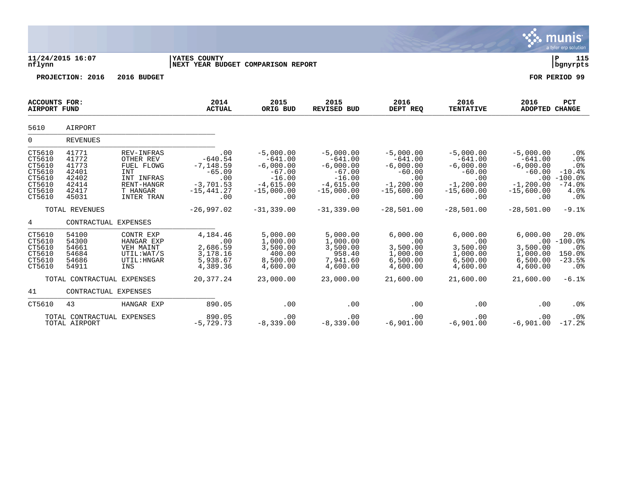|                                                                              |                                                                      |                                                                                                    |                                                                                           |                                                                                                       |                                                                                                       |                                                                                                   |                                                                                                   |                                                                                            | munis<br>a tyler erp solution                                              |
|------------------------------------------------------------------------------|----------------------------------------------------------------------|----------------------------------------------------------------------------------------------------|-------------------------------------------------------------------------------------------|-------------------------------------------------------------------------------------------------------|-------------------------------------------------------------------------------------------------------|---------------------------------------------------------------------------------------------------|---------------------------------------------------------------------------------------------------|--------------------------------------------------------------------------------------------|----------------------------------------------------------------------------|
| nflynn                                                                       | 11/24/2015 16:07                                                     |                                                                                                    | <b>YATES COUNTY</b><br>NEXT YEAR BUDGET COMPARISON REPORT                                 |                                                                                                       |                                                                                                       |                                                                                                   |                                                                                                   |                                                                                            | l P<br>115<br>  bgnyrpts                                                   |
|                                                                              | PROJECTION: 2016                                                     | 2016 BUDGET                                                                                        |                                                                                           |                                                                                                       |                                                                                                       |                                                                                                   |                                                                                                   |                                                                                            | FOR PERIOD 99                                                              |
| <b>ACCOUNTS FOR:</b><br><b>AIRPORT FUND</b>                                  |                                                                      |                                                                                                    | 2014<br><b>ACTUAL</b>                                                                     | 2015<br>ORIG BUD                                                                                      | 2015<br><b>REVISED BUD</b>                                                                            | 2016<br>DEPT REQ                                                                                  | 2016<br><b>TENTATIVE</b>                                                                          | 2016<br>ADOPTED CHANGE                                                                     | <b>PCT</b>                                                                 |
| 5610                                                                         | AIRPORT                                                              |                                                                                                    |                                                                                           |                                                                                                       |                                                                                                       |                                                                                                   |                                                                                                   |                                                                                            |                                                                            |
| $\overline{0}$                                                               | <b>REVENUES</b>                                                      |                                                                                                    |                                                                                           |                                                                                                       |                                                                                                       |                                                                                                   |                                                                                                   |                                                                                            |                                                                            |
| CT5610<br>CT5610<br>CT5610<br>CT5610<br>CT5610<br>CT5610<br>CT5610<br>CT5610 | 41771<br>41772<br>41773<br>42401<br>42402<br>42414<br>42417<br>45031 | REV-INFRAS<br>OTHER REV<br>FUEL FLOWG<br>INT<br>INT INFRAS<br>RENT-HANGR<br>T HANGAR<br>INTER TRAN | .00<br>$-640.54$<br>$-7, 148.59$<br>$-65.09$<br>.00<br>$-3,701.53$<br>$-15,441.27$<br>.00 | $-5,000.00$<br>$-641.00$<br>$-6,000.00$<br>$-67.00$<br>$-16.00$<br>$-4,615.00$<br>$-15,000.00$<br>.00 | $-5,000.00$<br>$-641.00$<br>$-6,000.00$<br>$-67.00$<br>$-16.00$<br>$-4,615.00$<br>$-15,000.00$<br>.00 | $-5,000.00$<br>$-641.00$<br>$-6,000.00$<br>$-60.00$<br>.00<br>$-1, 200.00$<br>$-15,600.00$<br>.00 | $-5,000.00$<br>$-641.00$<br>$-6,000.00$<br>$-60.00$<br>.00<br>$-1, 200.00$<br>$-15,600.00$<br>.00 | $-5,000.00$<br>$-641.00$<br>$-6,000.00$<br>$-60.00$<br>$-1, 200.00$<br>$-15,600.00$<br>.00 | .0%<br>.0%<br>.0%<br>$-10.4%$<br>$.00 - 100.0%$<br>$-74.0%$<br>4.0%<br>.0% |
|                                                                              | TOTAL REVENUES                                                       |                                                                                                    | $-26,997.02$                                                                              | $-31, 339.00$                                                                                         | $-31, 339.00$                                                                                         | $-28,501.00$                                                                                      | $-28,501.00$                                                                                      | $-28,501,00$                                                                               | $-9.1%$                                                                    |
| $4\overline{ }$                                                              |                                                                      | CONTRACTUAL EXPENSES                                                                               |                                                                                           |                                                                                                       |                                                                                                       |                                                                                                   |                                                                                                   |                                                                                            |                                                                            |
| CT5610<br>CT5610<br>CT5610<br>CT5610<br>CT5610<br>CT5610                     | 54100<br>54300<br>54661<br>54684<br>54686<br>54911                   | CONTR EXP<br>HANGAR EXP<br>VEH MAINT<br>UTIL: WAT/S<br>UTIL: HNGAR<br>INS                          | 4,184.46<br>$\sim$ 00<br>2,686.59<br>3,178.16<br>5,938.67<br>4,389.36                     | 5,000.00<br>1,000.00<br>3,500.00<br>400.00<br>8,500.00<br>4,600.00                                    | 5,000.00<br>1,000.00<br>3,500.00<br>958.40<br>7,941.60<br>4,600.00                                    | 6,000.00<br>.00<br>3,500.00<br>1,000.00<br>6,500.00<br>4,600.00                                   | 6,000.00<br>.00<br>3,500.00<br>1,000.00<br>6,500.00<br>4,600.00                                   | 6,000.00<br>3,500.00<br>1,000.00<br>6,500.00<br>4,600.00                                   | 20.0%<br>$.00 - 100.0$<br>$.0\%$<br>150.0%<br>$-23.5%$<br>$.0\%$           |
|                                                                              | TOTAL CONTRACTUAL EXPENSES                                           |                                                                                                    | 20,377.24                                                                                 | 23,000.00                                                                                             | 23,000.00                                                                                             | 21,600.00                                                                                         | 21,600.00                                                                                         | 21,600.00                                                                                  | $-6.1%$                                                                    |
| 41                                                                           |                                                                      | CONTRACTUAL EXPENSES                                                                               |                                                                                           |                                                                                                       |                                                                                                       |                                                                                                   |                                                                                                   |                                                                                            |                                                                            |
| CT5610                                                                       | 43                                                                   | HANGAR EXP                                                                                         | 890.05                                                                                    | .00                                                                                                   | .00                                                                                                   | .00                                                                                               | .00                                                                                               | .00                                                                                        | .0%                                                                        |
|                                                                              | TOTAL CONTRACTUAL EXPENSES<br>TOTAL AIRPORT                          |                                                                                                    | 890.05<br>$-5,729.73$                                                                     | .00<br>$-8,339.00$                                                                                    | .00<br>$-8,339.00$                                                                                    | .00<br>$-6,901.00$                                                                                | .00<br>$-6,901.00$                                                                                | .00<br>$-6,901.00 -17.2$                                                                   | $.0\%$                                                                     |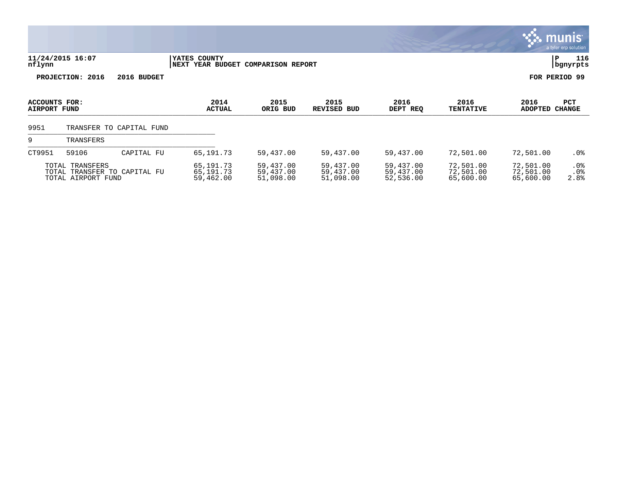|                                      |                                       |                              |                                                    |                                     |                                     |                                     |                                     |                                     | a tyler erp solution           |
|--------------------------------------|---------------------------------------|------------------------------|----------------------------------------------------|-------------------------------------|-------------------------------------|-------------------------------------|-------------------------------------|-------------------------------------|--------------------------------|
| nflynn                               | 11/24/2015 16:07                      |                              | YATES COUNTY<br>NEXT YEAR BUDGET COMPARISON REPORT |                                     |                                     |                                     |                                     |                                     | 116<br>P<br>bgnyrpts           |
|                                      | PROJECTION: 2016                      | 2016 BUDGET                  |                                                    |                                     |                                     |                                     |                                     |                                     | FOR PERIOD 99                  |
| ACCOUNTS FOR:<br><b>AIRPORT FUND</b> |                                       |                              | 2014<br><b>ACTUAL</b>                              | 2015<br>ORIG BUD                    | 2015<br><b>REVISED</b><br>BUD       | 2016<br>DEPT REQ                    | 2016<br><b>TENTATIVE</b>            | 2016<br><b>ADOPTED</b>              | PCT<br><b>CHANGE</b>           |
| 9951                                 |                                       | TRANSFER TO CAPITAL FUND     |                                                    |                                     |                                     |                                     |                                     |                                     |                                |
| 9                                    | TRANSFERS                             |                              |                                                    |                                     |                                     |                                     |                                     |                                     |                                |
| CT9951                               | 59106                                 | CAPITAL FU                   | 65, 191. 73                                        | 59,437.00                           | 59,437.00                           | 59,437.00                           | 72,501.00                           | 72,501.00                           | . 0 %                          |
|                                      | TOTAL TRANSFERS<br>TOTAL AIRPORT FUND | TOTAL TRANSFER TO CAPITAL FU | 65,191.73<br>65,191.73<br>59,462.00                | 59,437.00<br>59,437.00<br>51,098.00 | 59,437.00<br>59,437.00<br>51,098.00 | 59,437.00<br>59,437.00<br>52,536.00 | 72,501.00<br>72,501.00<br>65,600.00 | 72,501.00<br>72,501.00<br>65,600.00 | .0%<br>.0 <sub>8</sub><br>2.8% |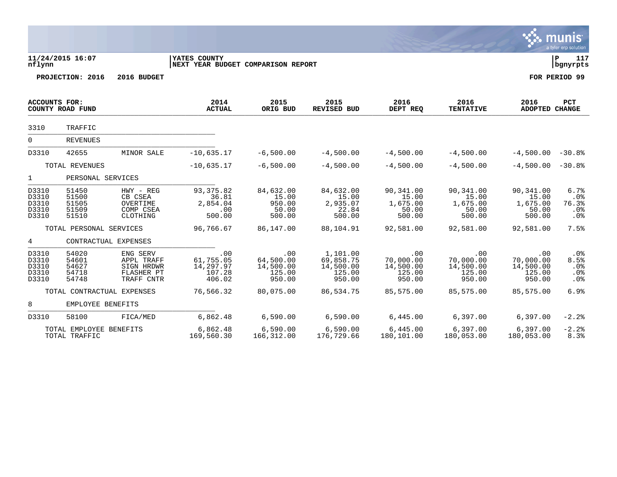|                                           |                                           |                                                                  |                                                           |                                                   |                                                        |                                                   |                                                   |                                                   | munis<br>a tyler erp solution          |
|-------------------------------------------|-------------------------------------------|------------------------------------------------------------------|-----------------------------------------------------------|---------------------------------------------------|--------------------------------------------------------|---------------------------------------------------|---------------------------------------------------|---------------------------------------------------|----------------------------------------|
| nflynn                                    | 11/24/2015 16:07                          |                                                                  | <b>YATES COUNTY</b><br>NEXT YEAR BUDGET COMPARISON REPORT |                                                   |                                                        |                                                   |                                                   |                                                   | l P<br>117<br>  bgnyrpts               |
|                                           | PROJECTION: 2016                          | 2016 BUDGET                                                      |                                                           |                                                   |                                                        |                                                   |                                                   |                                                   | FOR PERIOD 99                          |
| <b>ACCOUNTS FOR:</b>                      | COUNTY ROAD FUND                          |                                                                  | 2014<br><b>ACTUAL</b>                                     | 2015<br>ORIG BUD                                  | 2015<br>REVISED BUD                                    | 2016<br>DEPT REQ                                  | 2016<br><b>TENTATIVE</b>                          | 2016<br><b>ADOPTED CHANGE</b>                     | PCT                                    |
| 3310                                      | TRAFFIC                                   |                                                                  |                                                           |                                                   |                                                        |                                                   |                                                   |                                                   |                                        |
| $\overline{0}$                            | <b>REVENUES</b>                           |                                                                  |                                                           |                                                   |                                                        |                                                   |                                                   |                                                   |                                        |
| D3310                                     | 42655                                     | MINOR SALE                                                       | $-10,635.17$                                              | $-6,500.00$                                       | $-4,500.00$                                            | $-4,500.00$                                       | $-4,500.00$                                       | $-4,500.00 - 30.88$                               |                                        |
|                                           | TOTAL REVENUES                            |                                                                  | $-10,635.17$                                              | $-6,500.00$                                       | $-4,500.00$                                            | $-4,500.00$                                       | $-4,500.00$                                       | $-4,500.00 - 30.8$                                |                                        |
| $\mathbf{1}$                              | PERSONAL SERVICES                         |                                                                  |                                                           |                                                   |                                                        |                                                   |                                                   |                                                   |                                        |
| D3310<br>D3310<br>D3310<br>D3310<br>D3310 | 51450<br>51500<br>51505<br>51509<br>51510 | HWY - REG<br>CB CSEA<br>OVERTIME<br>COMP CSEA<br>CLOTHING        | 93, 375.82<br>36.81<br>2,854.04<br>.00<br>500.00          | 84,632.00<br>15.00<br>950.00<br>50.00<br>500.00   | 84,632.00<br>15.00<br>2,935.07<br>22.84<br>500.00      | 90,341.00<br>15.00<br>1,675.00<br>50.00<br>500.00 | 90,341.00<br>15.00<br>1,675.00<br>50.00<br>500.00 | 90,341.00<br>15.00<br>1,675.00<br>50.00<br>500.00 | 6.7%<br>.0%<br>76.3%<br>.0%<br>.0%     |
|                                           | TOTAL PERSONAL SERVICES                   |                                                                  | 96,766.67                                                 | 86,147.00                                         | 88,104.91                                              | 92,581.00                                         | 92,581.00                                         | 92,581.00                                         | 7.5%                                   |
| 4                                         | CONTRACTUAL EXPENSES                      |                                                                  |                                                           |                                                   |                                                        |                                                   |                                                   |                                                   |                                        |
| D3310<br>D3310<br>D3310<br>D3310<br>D3310 | 54020<br>54601<br>54627<br>54718<br>54748 | ENG SERV<br>APPL TRAFF<br>SIGN HRDWR<br>FLASHER PT<br>TRAFF CNTR | .00<br>61,755.05<br>14,297.97<br>107.28<br>406.02         | .00<br>64,500.00<br>14,500.00<br>125.00<br>950.00 | 1,101.00<br>69,858.75<br>14,500.00<br>125.00<br>950.00 | .00<br>70,000.00<br>14,500.00<br>125.00<br>950.00 | .00<br>70,000.00<br>14,500.00<br>125.00<br>950.00 | .00<br>70,000.00<br>14,500.00<br>125.00<br>950.00 | $.0\%$<br>8.5%<br>.0%<br>$.0\%$<br>.0% |
|                                           | TOTAL CONTRACTUAL EXPENSES                |                                                                  | 76,566.32                                                 | 80,075.00                                         | 86,534.75                                              | 85,575.00                                         | 85,575.00                                         | 85,575.00                                         | 6.9%                                   |
| 8                                         | EMPLOYEE BENEFITS                         |                                                                  |                                                           |                                                   |                                                        |                                                   |                                                   |                                                   |                                        |
| D3310                                     | 58100                                     | FICA/MED                                                         | 6,862.48                                                  | 6,590.00                                          | 6,590.00                                               | 6,445.00                                          | 6,397.00                                          | 6,397.00                                          | $-2.2%$                                |
|                                           | TOTAL EMPLOYEE BENEFITS<br>TOTAL TRAFFIC  |                                                                  | 6,862.48<br>169,560.30                                    | 6,590.00<br>166,312.00                            | 6,590.00<br>176,729.66                                 | 6,445.00<br>180,101.00                            | 6, 397.00<br>180,053.00                           | 6,397.00<br>180,053.00                            | $-2.2%$<br>8.3%                        |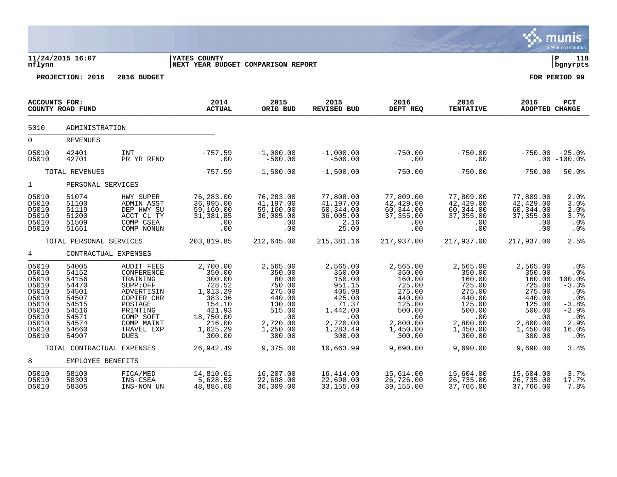|                                                                                                          |                                                                                                          |                                                                                                                                                                    |                                                                                                                               |                                                                                                                        |                                                                                                                          |                                                                                                                         |                                                                                                                         |                                                                                                                         | munis<br>a tyler erp solution                                                                                  |
|----------------------------------------------------------------------------------------------------------|----------------------------------------------------------------------------------------------------------|--------------------------------------------------------------------------------------------------------------------------------------------------------------------|-------------------------------------------------------------------------------------------------------------------------------|------------------------------------------------------------------------------------------------------------------------|--------------------------------------------------------------------------------------------------------------------------|-------------------------------------------------------------------------------------------------------------------------|-------------------------------------------------------------------------------------------------------------------------|-------------------------------------------------------------------------------------------------------------------------|----------------------------------------------------------------------------------------------------------------|
| nflynn                                                                                                   | 11/24/2015 16:07                                                                                         |                                                                                                                                                                    | <b>YATES COUNTY</b><br>NEXT YEAR BUDGET COMPARISON REPORT                                                                     |                                                                                                                        |                                                                                                                          |                                                                                                                         |                                                                                                                         |                                                                                                                         | ΙP<br>118<br>bgnyrpts                                                                                          |
|                                                                                                          | PROJECTION: 2016                                                                                         | 2016 BUDGET                                                                                                                                                        |                                                                                                                               |                                                                                                                        |                                                                                                                          |                                                                                                                         |                                                                                                                         |                                                                                                                         | FOR PERIOD 99                                                                                                  |
| ACCOUNTS FOR:                                                                                            | COUNTY ROAD FUND                                                                                         |                                                                                                                                                                    | 2014<br><b>ACTUAL</b>                                                                                                         | 2015<br>ORIG BUD                                                                                                       | 2015<br><b>REVISED BUD</b>                                                                                               | 2016<br>DEPT REQ                                                                                                        | 2016<br><b>TENTATIVE</b>                                                                                                | 2016<br>ADOPTED CHANGE                                                                                                  | PCT                                                                                                            |
| 5010                                                                                                     | ADMINISTRATION                                                                                           |                                                                                                                                                                    |                                                                                                                               |                                                                                                                        |                                                                                                                          |                                                                                                                         |                                                                                                                         |                                                                                                                         |                                                                                                                |
| $\Omega$                                                                                                 | <b>REVENUES</b>                                                                                          |                                                                                                                                                                    |                                                                                                                               |                                                                                                                        |                                                                                                                          |                                                                                                                         |                                                                                                                         |                                                                                                                         |                                                                                                                |
| D5010<br>D5010                                                                                           | 42401<br>42701                                                                                           | <b>INT</b><br>PR YR RFND                                                                                                                                           | $-757.59$<br>.00                                                                                                              | $-1,000.00$<br>$-500.00$                                                                                               | $-1,000.00$<br>$-500.00$                                                                                                 | $-750.00$<br>.00                                                                                                        | $-750.00$<br>.00                                                                                                        | $-750.00$                                                                                                               | $-25.0\%$<br>$.00 - 100.0$                                                                                     |
|                                                                                                          | TOTAL REVENUES                                                                                           |                                                                                                                                                                    | $-757.59$                                                                                                                     | $-1,500.00$                                                                                                            | $-1,500.00$                                                                                                              | $-750.00$                                                                                                               | $-750.00$                                                                                                               | $-750.00$                                                                                                               | $-50.0%$                                                                                                       |
| $\mathbf{1}$                                                                                             | PERSONAL SERVICES                                                                                        |                                                                                                                                                                    |                                                                                                                               |                                                                                                                        |                                                                                                                          |                                                                                                                         |                                                                                                                         |                                                                                                                         |                                                                                                                |
| D5010<br>D5010<br>D5010<br>D5010<br>D5010<br>D5010                                                       | 51074<br>51100<br>51119<br>51200<br>51509<br>51661                                                       | HWY SUPER<br>ADMIN ASST<br>DEP HWY SU<br>ACCT CL TY<br>COMP CSEA<br>COMP NONUN                                                                                     | 76,283.00<br>36,995.00<br>59,160.00<br>31,381.85<br>.00<br>.00                                                                | 76,283.00<br>41,197.00<br>59,160.00<br>36,005.00<br>.00<br>.00                                                         | 77,808.00<br>41,197.00<br>60,344.00<br>36,005.00<br>2.16<br>25.00                                                        | 77,809.00<br>42,429.00<br>60, 344.00<br>37, 355.00<br>.00<br>.00                                                        | 77,809.00<br>42,429.00<br>60, 344.00<br>37,355.00<br>.00<br>.00                                                         | 77,809.00<br>42,429.00<br>60, 344.00<br>37,355.00<br>.00<br>.00                                                         | 2.0%<br>3.0%<br>2.0%<br>3.7%<br>.0%<br>.0%                                                                     |
|                                                                                                          | TOTAL PERSONAL SERVICES                                                                                  |                                                                                                                                                                    | 203,819.85                                                                                                                    | 212,645.00                                                                                                             | 215, 381. 16                                                                                                             | 217,937.00                                                                                                              | 217,937.00                                                                                                              | 217,937.00                                                                                                              | 2.5%                                                                                                           |
| $4\overline{ }$                                                                                          | CONTRACTUAL EXPENSES                                                                                     |                                                                                                                                                                    |                                                                                                                               |                                                                                                                        |                                                                                                                          |                                                                                                                         |                                                                                                                         |                                                                                                                         |                                                                                                                |
| D5010<br>D5010<br>D5010<br>D5010<br>D5010<br>D5010<br>D5010<br>D5010<br>D5010<br>D5010<br>D5010<br>D5010 | 54005<br>54152<br>54156<br>54470<br>54501<br>54507<br>54515<br>54516<br>54571<br>54574<br>54660<br>54907 | <b>AUDIT FEES</b><br>CONFERENCE<br>TRAINING<br>SUPP:OFF<br>ADVERTISIN<br>COPIER CHR<br>POSTAGE<br>PRINTING<br>COMP SOFT<br>COMP MAINT<br>TRAVEL EXP<br><b>DUES</b> | 2,700.00<br>350.00<br>300.00<br>728.52<br>1,013.29<br>383.36<br>154.10<br>421.93<br>18,750.00<br>216.00<br>1,625.29<br>300.00 | 2,565.00<br>350.00<br>80.00<br>750.00<br>275.00<br>440.00<br>130.00<br>515.00<br>.00<br>2,720.00<br>1,250.00<br>300.00 | 2,565.00<br>350.00<br>150.00<br>951.15<br>405.98<br>425.00<br>71.37<br>1,442.00<br>.00<br>2,720.00<br>1,283.49<br>300.00 | 2,565.00<br>350.00<br>160.00<br>725.00<br>275.00<br>440.00<br>125.00<br>500.00<br>.00<br>2,800.00<br>1,450.00<br>300.00 | 2,565.00<br>350.00<br>160.00<br>725.00<br>275.00<br>440.00<br>125.00<br>500.00<br>.00<br>2,800.00<br>1,450.00<br>300.00 | 2,565.00<br>350.00<br>160.00<br>725.00<br>275.00<br>440.00<br>125.00<br>500.00<br>.00<br>2,800.00<br>1,450.00<br>300.00 | .0%<br>.0%<br>100.0%<br>$-3.3%$<br>.0%<br>.0%<br>$-3.8%$<br>$-2.9%$<br>.0 <sub>8</sub><br>2.9%<br>16.0%<br>.0% |
|                                                                                                          | TOTAL CONTRACTUAL EXPENSES                                                                               |                                                                                                                                                                    | 26,942.49                                                                                                                     | 9,375.00                                                                                                               | 10,663.99                                                                                                                | 9,690.00                                                                                                                | 9,690.00                                                                                                                | 9,690.00                                                                                                                | 3.4%                                                                                                           |
| 8                                                                                                        | EMPLOYEE BENEFITS                                                                                        |                                                                                                                                                                    |                                                                                                                               |                                                                                                                        |                                                                                                                          |                                                                                                                         |                                                                                                                         |                                                                                                                         |                                                                                                                |
| D5010<br>D5010<br>D5010                                                                                  | 58100<br>58303<br>58305                                                                                  | FICA/MED<br>INS-CSEA<br>INS-NON UN                                                                                                                                 | 14,810.61<br>5,628.52<br>48,886.68                                                                                            | 16,207.00<br>22,698.00<br>36,309.00                                                                                    | 16,414.00<br>22,698.00<br>33, 155.00                                                                                     | 15,614.00<br>26,726.00<br>39,155.00                                                                                     | 15,604.00<br>26,735.00<br>37,766.00                                                                                     | 15,604.00<br>26,735.00<br>37,766.00                                                                                     | $-3.7%$<br>17.7%<br>7.8%                                                                                       |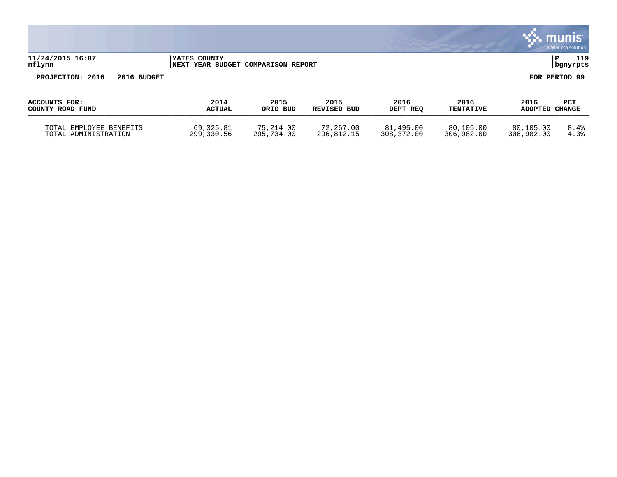|                                   |             |                                                    |                  |                            |                  |                          |                        | <b>Munis</b><br>a tyler erp solution |
|-----------------------------------|-------------|----------------------------------------------------|------------------|----------------------------|------------------|--------------------------|------------------------|--------------------------------------|
| 11/24/2015 16:07<br>nflynn        |             | YATES COUNTY<br>NEXT YEAR BUDGET COMPARISON REPORT |                  |                            |                  |                          |                        | 119<br>P<br>bgnyrpts                 |
| PROJECTION: 2016                  | 2016 BUDGET |                                                    |                  |                            |                  |                          |                        | FOR PERIOD 99                        |
| ACCOUNTS FOR:<br>COUNTY ROAD FUND |             | 2014<br><b>ACTUAL</b>                              | 2015<br>ORIG BUD | 2015<br><b>REVISED BUD</b> | 2016<br>DEPT REQ | 2016<br><b>TENTATIVE</b> | 2016<br>ADOPTED CHANGE | PCT                                  |
| TOTAL EMPLOYEE BENEFITS           |             | 69,325.81                                          | 75,214.00        | 72,267.00                  | 81,495.00        | 80,105.00                | 80,105.00              | 8.4%                                 |

TOTAL ADMINISTRATION 299,330.56 295,734.00 296,812.15 308,372.00 306,982.00 306,982.00 4.3%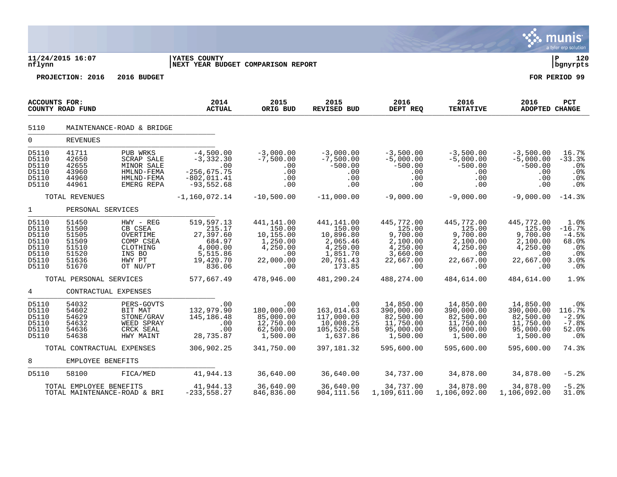|                                                                      |                                                                      |                                                                                           |                                                                                            |                                                                                      |                                                                                              |                                                                                          |                                                                                     |                                                                                     | munis<br>a tyler erp solution                                     |
|----------------------------------------------------------------------|----------------------------------------------------------------------|-------------------------------------------------------------------------------------------|--------------------------------------------------------------------------------------------|--------------------------------------------------------------------------------------|----------------------------------------------------------------------------------------------|------------------------------------------------------------------------------------------|-------------------------------------------------------------------------------------|-------------------------------------------------------------------------------------|-------------------------------------------------------------------|
| nflynn                                                               | 11/24/2015 16:07                                                     |                                                                                           | <b>YATES COUNTY</b><br>NEXT YEAR BUDGET COMPARISON REPORT                                  |                                                                                      |                                                                                              |                                                                                          |                                                                                     |                                                                                     | ΙP<br>120<br>bgnyrpts                                             |
|                                                                      | PROJECTION: 2016                                                     | 2016 BUDGET                                                                               |                                                                                            |                                                                                      |                                                                                              |                                                                                          |                                                                                     |                                                                                     | FOR PERIOD 99                                                     |
| <b>ACCOUNTS FOR:</b>                                                 | COUNTY ROAD FUND                                                     |                                                                                           | 2014<br><b>ACTUAL</b>                                                                      | 2015<br>ORIG BUD                                                                     | 2015<br>REVISED BUD                                                                          | 2016<br>DEPT REQ                                                                         | 2016<br><b>TENTATIVE</b>                                                            | 2016<br><b>ADOPTED CHANGE</b>                                                       | PCT                                                               |
| 5110                                                                 |                                                                      | MAINTENANCE-ROAD & BRIDGE                                                                 |                                                                                            |                                                                                      |                                                                                              |                                                                                          |                                                                                     |                                                                                     |                                                                   |
| $\overline{0}$                                                       | REVENUES                                                             |                                                                                           |                                                                                            |                                                                                      |                                                                                              |                                                                                          |                                                                                     |                                                                                     |                                                                   |
| D5110<br>D5110<br>D5110<br>D5110<br>D5110<br>D5110                   | 41711<br>42650<br>42655<br>43960<br>44960<br>44961                   | PUB WRKS<br>SCRAP SALE<br>MINOR SALE<br>HMLND-FEMA<br>HMLND-FEMA<br>EMERG REPA            | $-4,500.00$<br>$-3, 332.30$<br>.00<br>$-256, 675.75$<br>$-802, 011.41$<br>$-93,552.68$     | $-3,000.00$<br>$-7,500.00$<br>.00<br>.00<br>.00<br>.00                               | $-3,000.00$<br>$-7,500.00$<br>$-500.00$<br>.00<br>.00<br>.00                                 | $-3,500.00$<br>$-5,000.00$<br>$-500.00$<br>.00<br>.00<br>.00                             | $-3,500.00$<br>$-5,000.00$<br>$-500.00$<br>.00<br>.00<br>.00                        | $-3,500.00$<br>$-5,000.00$<br>$-500.00$<br>.00<br>.00<br>.00                        | 16.7%<br>$-33.3$<br>.0 <sub>8</sub><br>.0%<br>.0%<br>.0%          |
|                                                                      | TOTAL REVENUES                                                       |                                                                                           | $-1, 160, 072.14$                                                                          | $-10,500.00$                                                                         | $-11,000.00$                                                                                 | $-9,000.00$                                                                              | $-9,000.00$                                                                         | $-9,000.00$                                                                         | $-14.3%$                                                          |
| $\mathbf{1}$                                                         | PERSONAL SERVICES                                                    |                                                                                           |                                                                                            |                                                                                      |                                                                                              |                                                                                          |                                                                                     |                                                                                     |                                                                   |
| D5110<br>D5110<br>D5110<br>D5110<br>D5110<br>D5110<br>D5110<br>D5110 | 51450<br>51500<br>51505<br>51509<br>51510<br>51520<br>51636<br>51670 | HWY - REG<br>CB CSEA<br>OVERTIME<br>COMP CSEA<br>CLOTHING<br>INS BO<br>HWY PT<br>OT NU/PT | 519,597.13<br>215.17<br>27,397.60<br>684.97<br>4,000.00<br>5,515.86<br>19,420.70<br>836.06 | 441,141.00<br>150.00<br>10,155.00<br>1,250.00<br>4,250.00<br>.00<br>22,000.00<br>.00 | 441,141.00<br>150.00<br>10,896.80<br>2,065.46<br>4,250.00<br>1,851.70<br>20,761.43<br>173.85 | 445,772.00<br>125.00<br>9,700.00<br>2,100.00<br>4,250.00<br>3,660.00<br>22,667.00<br>.00 | 445,772.00<br>125.00<br>9,700.00<br>2,100.00<br>4,250.00<br>.00<br>22,667.00<br>.00 | 445,772.00<br>125.00<br>9,700.00<br>2,100.00<br>4,250.00<br>.00<br>22,667.00<br>.00 | 1.0%<br>$-16.7%$<br>$-4.5%$<br>68.0%<br>.0%<br>.0%<br>3.0%<br>.0% |
|                                                                      | TOTAL PERSONAL SERVICES                                              |                                                                                           | 577,667.49                                                                                 | 478,946.00                                                                           | 481,290.24                                                                                   | 488,274.00                                                                               | 484,614.00                                                                          | 484,614.00                                                                          | 1.9%                                                              |
| 4                                                                    | CONTRACTUAL EXPENSES                                                 |                                                                                           |                                                                                            |                                                                                      |                                                                                              |                                                                                          |                                                                                     |                                                                                     |                                                                   |
| D5110<br>D5110<br>D5110<br>D5110<br>D5110<br>D5110                   | 54032<br>54602<br>54629<br>54632<br>54636<br>54638                   | PERS-GOVTS<br>BIT MAT<br>STONE/GRAV<br>WEED SPRAY<br>CRCK SEAL<br>HWY MAINT               | .00<br>132,979.90<br>145, 186. 48<br>.00<br>.00<br>28,735.87                               | .00<br>180,000.00<br>85,000.00<br>12,750.00<br>62,500.00<br>1,500.00                 | .00<br>163,014.63<br>117,000.00<br>10,008.25<br>105,520.58<br>1,637.86                       | 14,850.00<br>390,000.00<br>82,500.00<br>11,750.00<br>95,000.00<br>1,500.00               | 14,850.00<br>390,000.00<br>82,500.00<br>11,750.00<br>95,000.00<br>1,500.00          | 14,850.00<br>390,000.00<br>82,500.00<br>11,750.00<br>95,000.00<br>1,500.00          | .0%<br>116.7%<br>$-2.9%$<br>$-7.8%$<br>52.0%<br>$.0\%$            |
|                                                                      | TOTAL CONTRACTUAL EXPENSES                                           |                                                                                           | 306,902.25                                                                                 | 341,750.00                                                                           | 397, 181.32                                                                                  | 595,600.00                                                                               | 595,600.00                                                                          | 595,600.00                                                                          | 74.3%                                                             |
| 8                                                                    | EMPLOYEE BENEFITS                                                    |                                                                                           |                                                                                            |                                                                                      |                                                                                              |                                                                                          |                                                                                     |                                                                                     |                                                                   |
| D5110                                                                | 58100                                                                | FICA/MED                                                                                  | 41,944.13                                                                                  | 36,640.00                                                                            | 36,640.00                                                                                    | 34,737.00                                                                                | 34,878.00                                                                           | 34,878.00                                                                           | $-5.2%$                                                           |
|                                                                      | TOTAL EMPLOYEE BENEFITS<br>TOTAL MAINTENANCE-ROAD & BRI              |                                                                                           | 41,944.13<br>$-233, 558.27$                                                                | 36,640.00<br>846,836.00                                                              | 36,640.00<br>904, 111.56                                                                     | 34,737.00<br>1,109,611.00                                                                | 34,878.00<br>1,106,092.00                                                           | 34,878.00<br>1,106,092.00                                                           | $-5.2%$<br>31.0%                                                  |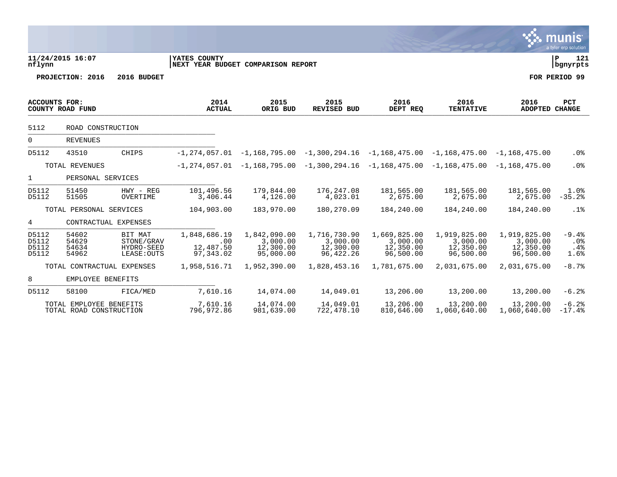|                                  |                                                    |                                                    |                                                    |                                                    |                                                                         |                                                    |                                                    |                                                    | a tyler erp solution          |
|----------------------------------|----------------------------------------------------|----------------------------------------------------|----------------------------------------------------|----------------------------------------------------|-------------------------------------------------------------------------|----------------------------------------------------|----------------------------------------------------|----------------------------------------------------|-------------------------------|
| nflynn                           | 11/24/2015 16:07                                   |                                                    | YATES COUNTY<br>NEXT YEAR BUDGET COMPARISON REPORT |                                                    |                                                                         |                                                    |                                                    |                                                    | P<br>121<br>  bgnyrpts        |
|                                  | PROJECTION: 2016                                   | 2016 BUDGET                                        |                                                    |                                                    |                                                                         |                                                    |                                                    |                                                    | FOR PERIOD 99                 |
| <b>ACCOUNTS FOR:</b>             | COUNTY ROAD FUND                                   |                                                    | 2014<br><b>ACTUAL</b>                              | 2015<br>ORIG BUD                                   | 2015<br><b>REVISED BUD</b>                                              | 2016<br>DEPT REQ                                   | 2016<br><b>TENTATIVE</b>                           | 2016<br><b>ADOPTED CHANGE</b>                      | PCT                           |
| 5112                             | ROAD CONSTRUCTION                                  |                                                    |                                                    |                                                    |                                                                         |                                                    |                                                    |                                                    |                               |
| $\overline{0}$                   | <b>REVENUES</b>                                    |                                                    |                                                    |                                                    |                                                                         |                                                    |                                                    |                                                    |                               |
| D5112                            | 43510                                              | CHIPS                                              | $-1.274.057.01$                                    |                                                    | $-1,168,795.00 -1,300,294.16 -1,168,475.00$                             |                                                    |                                                    | $-1, 168, 475.00 -1, 168, 475.00$                  | $.0\%$                        |
|                                  | TOTAL REVENUES                                     |                                                    |                                                    |                                                    | $-1, 274, 057.01$ $-1, 168, 795.00$ $-1, 300, 294.16$ $-1, 168, 475.00$ |                                                    |                                                    | $-1, 168, 475.00 -1, 168, 475.00$                  | .0%                           |
| $\mathbf{1}$                     | PERSONAL SERVICES                                  |                                                    |                                                    |                                                    |                                                                         |                                                    |                                                    |                                                    |                               |
| D5112<br>D5112                   | 51450<br>51505                                     | $HWY - REG$<br>OVERTIME                            | 101,496.56<br>3,406.44                             | 179,844.00<br>4,126.00                             | 176,247.08<br>4,023.01                                                  | 181,565.00<br>2,675.00                             | 181,565.00<br>2,675.00                             | 181,565.00<br>2,675.00                             | 1.0%<br>$-35.2%$              |
|                                  | TOTAL PERSONAL SERVICES                            |                                                    | 104,903.00                                         | 183,970.00                                         | 180,270.09                                                              | 184,240.00                                         | 184,240.00                                         | 184,240.00                                         | .1%                           |
| 4                                | CONTRACTUAL EXPENSES                               |                                                    |                                                    |                                                    |                                                                         |                                                    |                                                    |                                                    |                               |
| D5112<br>D5112<br>D5112<br>D5112 | 54602<br>54629<br>54634<br>54962                   | BIT MAT<br>STONE/GRAV<br>HYDRO-SEED<br>LEASE: OUTS | 1,848,686.19<br>.00<br>12,487.50<br>97,343.02      | 1,842,090.00<br>3,000.00<br>12,300.00<br>95,000.00 | 1,716,730.90<br>3,000.00<br>12,300.00<br>96, 422.26                     | 1,669,825.00<br>3,000.00<br>12,350.00<br>96,500.00 | 1,919,825.00<br>3,000.00<br>12,350.00<br>96,500.00 | 1,919,825.00<br>3,000.00<br>12,350.00<br>96,500.00 | $-9.4%$<br>.0%<br>.4%<br>1.6% |
|                                  | TOTAL CONTRACTUAL EXPENSES                         |                                                    | 1,958,516.71                                       | 1,952,390.00                                       | 1,828,453.16                                                            | 1,781,675.00                                       | 2,031,675.00                                       | 2,031,675.00                                       | $-8.7%$                       |
| 8                                | EMPLOYEE BENEFITS                                  |                                                    |                                                    |                                                    |                                                                         |                                                    |                                                    |                                                    |                               |
| D5112                            | 58100                                              | FICA/MED                                           | 7,610.16                                           | 14,074.00                                          | 14,049.01                                                               | 13,206.00                                          | 13,200.00                                          | 13,200.00                                          | $-6.2%$                       |
|                                  | TOTAL EMPLOYEE BENEFITS<br>TOTAL ROAD CONSTRUCTION |                                                    | 7,610.16<br>796,972.86                             | 14,074.00<br>981,639.00                            | 14,049.01<br>722,478.10                                                 | 13,206.00<br>810,646.00                            | 13,200.00<br>1,060,640.00                          | 13,200.00<br>1,060,640.00                          | $-6.2%$<br>$-17.4%$           |

**V** munis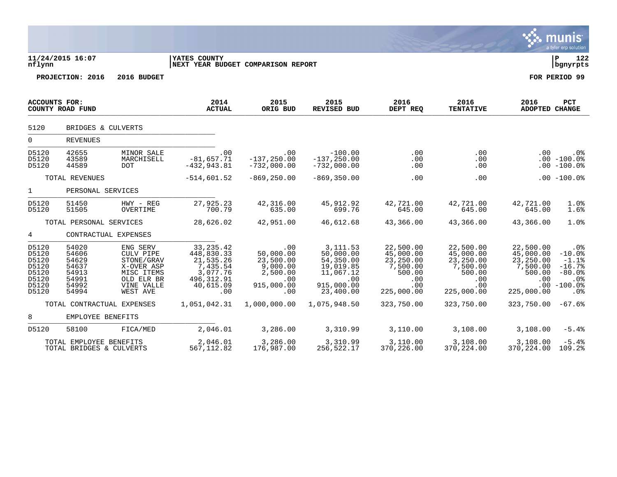|                                                                      |                                                                      |                                                                                                         |                                                                                                   |                                                                                   |                                                                                                 |                                                                                       |                                                                                                 |                                                                                | a tyrch cip solution.                                                                   |
|----------------------------------------------------------------------|----------------------------------------------------------------------|---------------------------------------------------------------------------------------------------------|---------------------------------------------------------------------------------------------------|-----------------------------------------------------------------------------------|-------------------------------------------------------------------------------------------------|---------------------------------------------------------------------------------------|-------------------------------------------------------------------------------------------------|--------------------------------------------------------------------------------|-----------------------------------------------------------------------------------------|
| nflynn                                                               | 11/24/2015 16:07                                                     |                                                                                                         | YATES COUNTY<br>NEXT YEAR BUDGET COMPARISON REPORT                                                |                                                                                   |                                                                                                 |                                                                                       |                                                                                                 |                                                                                | l P<br>122<br>  bgnyrpts                                                                |
|                                                                      | PROJECTION: 2016                                                     | 2016 BUDGET                                                                                             |                                                                                                   |                                                                                   |                                                                                                 |                                                                                       |                                                                                                 |                                                                                | FOR PERIOD 99                                                                           |
| <b>ACCOUNTS FOR:</b>                                                 | COUNTY ROAD FUND                                                     |                                                                                                         | 2014<br><b>ACTUAL</b>                                                                             | 2015<br>ORIG BUD                                                                  | 2015<br><b>REVISED BUD</b>                                                                      | 2016<br>DEPT REQ                                                                      | 2016<br><b>TENTATIVE</b>                                                                        | 2016<br>ADOPTED CHANGE                                                         | PCT                                                                                     |
| 5120                                                                 | BRIDGES & CULVERTS                                                   |                                                                                                         |                                                                                                   |                                                                                   |                                                                                                 |                                                                                       |                                                                                                 |                                                                                |                                                                                         |
| $\mathbf 0$                                                          | <b>REVENUES</b>                                                      |                                                                                                         |                                                                                                   |                                                                                   |                                                                                                 |                                                                                       |                                                                                                 |                                                                                |                                                                                         |
| D5120<br>D5120<br>D5120                                              | 42655<br>43589<br>44589                                              | MINOR SALE<br>MARCHISELL<br>DOT.                                                                        | .00<br>$-81,657.71$<br>$-432, 943.81$                                                             | .00<br>$-137, 250.00$<br>$-732,000.00$                                            | $-100.00$<br>$-137, 250.00$<br>$-732,000.00$                                                    | .00<br>.00<br>.00                                                                     | .00<br>.00<br>$.00 \,$                                                                          | .00                                                                            | $.0\%$<br>$.00 - 100.0%$<br>$.00 - 100.0%$                                              |
|                                                                      | TOTAL REVENUES                                                       |                                                                                                         | $-514,601.52$                                                                                     | $-869, 250.00$                                                                    | $-869, 350.00$                                                                                  | .00                                                                                   | .00                                                                                             |                                                                                | $.00 - 100.0%$                                                                          |
| $\mathbf{1}$                                                         | PERSONAL SERVICES                                                    |                                                                                                         |                                                                                                   |                                                                                   |                                                                                                 |                                                                                       |                                                                                                 |                                                                                |                                                                                         |
| D5120<br>D5120                                                       | 51450<br>51505                                                       | $HWY - REG$<br>OVERTIME                                                                                 | 27,925.23<br>700.79                                                                               | 42,316.00<br>635.00                                                               | 45,912.92<br>699.76                                                                             | 42,721.00<br>645.00                                                                   | 42,721.00<br>645.00                                                                             | 42,721.00<br>645.00                                                            | 1.0%<br>1.6%                                                                            |
|                                                                      | TOTAL PERSONAL SERVICES                                              |                                                                                                         | 28,626.02                                                                                         | 42,951.00                                                                         | 46,612.68                                                                                       | 43,366.00                                                                             | 43,366.00                                                                                       | 43,366.00                                                                      | 1.0%                                                                                    |
| 4                                                                    | CONTRACTUAL EXPENSES                                                 |                                                                                                         |                                                                                                   |                                                                                   |                                                                                                 |                                                                                       |                                                                                                 |                                                                                |                                                                                         |
| D5120<br>D5120<br>D5120<br>D5120<br>D5120<br>D5120<br>D5120<br>D5120 | 54020<br>54606<br>54629<br>54637<br>54913<br>54991<br>54992<br>54994 | ENG SERV<br>CULV PIPE<br>STONE/GRAV<br>X-OVER ASP<br>MISC ITEMS<br>OLD ELR BR<br>VINE VALLE<br>WEST AVE | 33, 235. 42<br>448,830.33<br>21,535.26<br>7,435.54<br>3,077.76<br>496, 312.91<br>40,615.09<br>.00 | .00<br>50,000.00<br>23,500.00<br>9,000.00<br>2,500.00<br>.00<br>915,000.00<br>.00 | 3, 111.53<br>50,000.00<br>54,350.00<br>19,019.85<br>11,067.12<br>.00<br>915,000.00<br>23,400.00 | 22,500.00<br>45,000.00<br>23,250.00<br>7,500.00<br>500.00<br>.00<br>.00<br>225,000.00 | 22,500.00<br>45,000.00<br>23,250.00<br>7,500.00<br>500.00<br>$.00 \,$<br>$.00 \,$<br>225,000.00 | 22,500.00<br>45,000.00<br>23,250.00<br>7,500.00<br>500.00<br>.00<br>225,000.00 | $.0\%$<br>$-10.0%$<br>$-1.1$ $8$<br>$-16.7%$<br>$-80.0%$<br>.0%<br>$.00 - 100.0$<br>.0% |
|                                                                      | TOTAL CONTRACTUAL EXPENSES                                           |                                                                                                         | 1,051,042.31                                                                                      | 1,000,000.00                                                                      | 1,075,948.50                                                                                    | 323,750.00                                                                            | 323,750.00                                                                                      | 323,750.00                                                                     | $-67.6%$                                                                                |
| 8                                                                    | EMPLOYEE BENEFITS                                                    |                                                                                                         |                                                                                                   |                                                                                   |                                                                                                 |                                                                                       |                                                                                                 |                                                                                |                                                                                         |
| D5120                                                                | 58100                                                                | FICA/MED                                                                                                | 2,046.01                                                                                          | 3,286.00                                                                          | 3,310.99                                                                                        | 3,110.00                                                                              | 3,108.00                                                                                        | 3,108.00                                                                       | $-5.4%$                                                                                 |
|                                                                      | TOTAL EMPLOYEE BENEFITS<br>TOTAL BRIDGES & CULVERTS                  |                                                                                                         | 2,046.01<br>567, 112.82                                                                           | 3,286.00<br>176,987.00                                                            | 3,310.99<br>256,522.17                                                                          | 3,110.00<br>370,226.00                                                                | 3,108.00<br>370, 224.00                                                                         | 3,108.00<br>370,224.00                                                         | $-5.4%$<br>109.2%                                                                       |

 $\ddot{\mathbf{w}}$  munis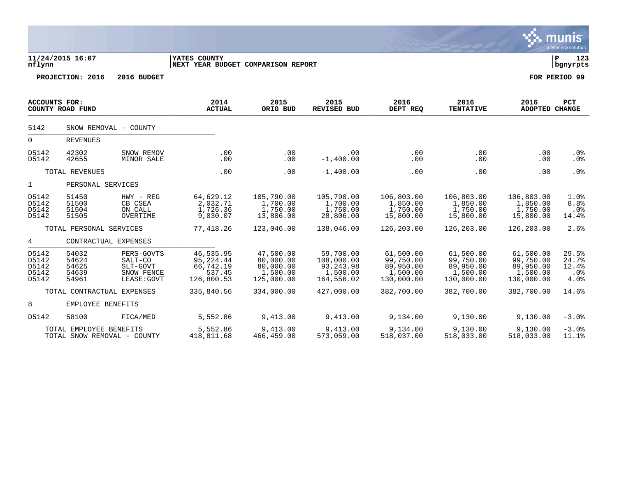|                                           |                                                        |                                                                |                                                             |                                                               |                                                                  |                                                               |                                                               |                                                               | a tyler erp solution                      |
|-------------------------------------------|--------------------------------------------------------|----------------------------------------------------------------|-------------------------------------------------------------|---------------------------------------------------------------|------------------------------------------------------------------|---------------------------------------------------------------|---------------------------------------------------------------|---------------------------------------------------------------|-------------------------------------------|
| nflynn                                    | 11/24/2015 16:07                                       |                                                                | YATES COUNTY<br>NEXT YEAR BUDGET COMPARISON REPORT          |                                                               |                                                                  |                                                               |                                                               |                                                               | İР<br>123<br>  bgnyrpts                   |
|                                           | PROJECTION: 2016                                       | 2016 BUDGET                                                    |                                                             |                                                               |                                                                  |                                                               |                                                               |                                                               | FOR PERIOD 99                             |
| <b>ACCOUNTS FOR:</b>                      | COUNTY ROAD FUND                                       |                                                                | 2014<br><b>ACTUAL</b>                                       | 2015<br>ORIG BUD                                              | 2015<br><b>REVISED BUD</b>                                       | 2016<br>DEPT REQ                                              | 2016<br><b>TENTATIVE</b>                                      | 2016<br>ADOPTED CHANGE                                        | <b>PCT</b>                                |
| 5142                                      |                                                        | SNOW REMOVAL - COUNTY                                          |                                                             |                                                               |                                                                  |                                                               |                                                               |                                                               |                                           |
| $\overline{0}$                            | <b>REVENUES</b>                                        |                                                                |                                                             |                                                               |                                                                  |                                                               |                                                               |                                                               |                                           |
| D5142<br>D5142                            | 42302<br>42655                                         | SNOW REMOV<br>MINOR SALE                                       | .00<br>.00                                                  | .00<br>.00                                                    | .00<br>$-1,400.00$                                               | .00<br>.00                                                    | .00<br>.00                                                    | .00<br>.00                                                    | .0%<br>.0%                                |
|                                           | TOTAL REVENUES                                         |                                                                | .00                                                         | .00                                                           | $-1,400.00$                                                      | .00                                                           | .00                                                           | .00                                                           | .0 <sub>8</sub>                           |
| $\mathbf{1}$                              | PERSONAL SERVICES                                      |                                                                |                                                             |                                                               |                                                                  |                                                               |                                                               |                                                               |                                           |
| D5142<br>D5142<br>D5142<br>D5142          | 51450<br>51500<br>51504<br>51505                       | $HWY - REG$<br>CB CSEA<br>ON CALL<br>OVERTIME                  | 64,629.12<br>2,032.71<br>1,726.36<br>9,030.07               | 105,790.00<br>1,700.00<br>1,750.00<br>13,806.00               | 105,790.00<br>1,700.00<br>1,750.00<br>28,806.00                  | 106,803.00<br>1,850.00<br>1,750.00<br>15,800.00               | 106,803.00<br>1,850.00<br>1,750.00<br>15,800.00               | 106,803.00<br>1,850.00<br>1,750.00<br>15,800.00               | 1.0%<br>8.8%<br>$.0\%$<br>14.4%           |
|                                           | TOTAL PERSONAL SERVICES                                |                                                                | 77,418.26                                                   | 123,046.00                                                    | 138,046.00                                                       | 126,203.00                                                    | 126,203.00                                                    | 126,203.00                                                    | 2.6%                                      |
| 4                                         | CONTRACTUAL EXPENSES                                   |                                                                |                                                             |                                                               |                                                                  |                                                               |                                                               |                                                               |                                           |
| D5142<br>D5142<br>D5142<br>D5142<br>D5142 | 54032<br>54624<br>54625<br>54639<br>54961              | PERS-GOVTS<br>SALT-CO<br>SLT-GOVT<br>SNOW FENCE<br>LEASE: GOVT | 46,535.95<br>95,224.44<br>66,742.19<br>537.45<br>126,800.53 | 47,500.00<br>80,000.00<br>80,000.00<br>1,500.00<br>125,000.00 | 59,700.00<br>108,000.00<br>93, 243. 98<br>1,500.00<br>164,556.02 | 61,500.00<br>99,750.00<br>89,950.00<br>1,500.00<br>130,000.00 | 61,500.00<br>99,750.00<br>89,950.00<br>1,500.00<br>130,000.00 | 61,500.00<br>99,750.00<br>89,950.00<br>1,500.00<br>130,000.00 | 29.5%<br>24.7%<br>12.4%<br>$.0\%$<br>4.0% |
|                                           | TOTAL CONTRACTUAL EXPENSES                             |                                                                | 335,840.56                                                  | 334,000.00                                                    | 427,000.00                                                       | 382,700.00                                                    | 382,700.00                                                    | 382,700.00                                                    | 14.6%                                     |
| 8                                         | EMPLOYEE BENEFITS                                      |                                                                |                                                             |                                                               |                                                                  |                                                               |                                                               |                                                               |                                           |
| D5142                                     | 58100                                                  | FICA/MED                                                       | 5,552.86                                                    | 9,413.00                                                      | 9,413.00                                                         | 9,134.00                                                      | 9,130.00                                                      | 9,130.00                                                      | $-3.0%$                                   |
|                                           | TOTAL EMPLOYEE BENEFITS<br>TOTAL SNOW REMOVAL - COUNTY |                                                                | 5,552.86<br>418,811.68                                      | 9,413.00<br>466,459.00                                        | 9,413.00<br>573,059.00                                           | 9,134.00<br>518,037.00                                        | 9,130.00<br>518,033.00                                        | 9,130.00<br>518,033.00                                        | $-3.0%$<br>11.1%                          |

 $\ddot{\ddot{\mathbf{u}}}$  munis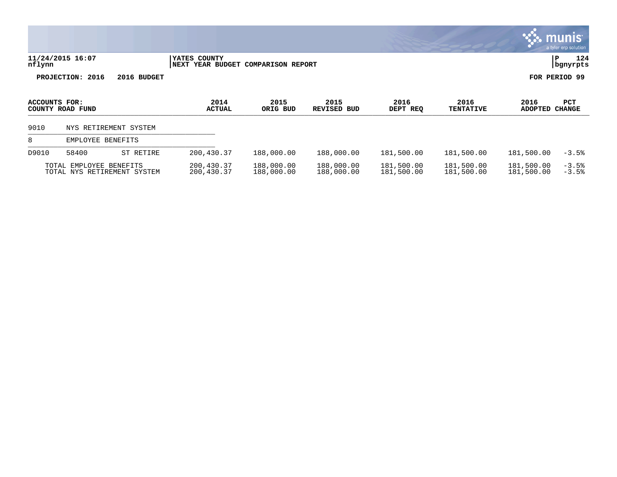|               |                                                        |             |                                                    |                          |                            |                          |                          |                          | munis <sup>®</sup><br>a tyler erp solution |
|---------------|--------------------------------------------------------|-------------|----------------------------------------------------|--------------------------|----------------------------|--------------------------|--------------------------|--------------------------|--------------------------------------------|
| nflynn        | 11/24/2015 16:07                                       |             | YATES COUNTY<br>NEXT YEAR BUDGET COMPARISON REPORT |                          |                            |                          |                          |                          | 124<br>P<br>bgnyrpts                       |
|               | PROJECTION: 2016                                       | 2016 BUDGET |                                                    |                          |                            |                          |                          |                          | FOR PERIOD 99                              |
| ACCOUNTS FOR: | COUNTY ROAD FUND                                       |             | 2014<br><b>ACTUAL</b>                              | 2015<br>ORIG BUD         | 2015<br><b>REVISED BUD</b> | 2016<br>DEPT REQ         | 2016<br><b>TENTATIVE</b> | 2016<br><b>ADOPTED</b>   | PCT<br><b>CHANGE</b>                       |
| 9010          | NYS RETIREMENT SYSTEM                                  |             |                                                    |                          |                            |                          |                          |                          |                                            |
| 8             | EMPLOYEE BENEFITS                                      |             |                                                    |                          |                            |                          |                          |                          |                                            |
| D9010         | 58400                                                  | ST RETIRE   | 200,430.37                                         | 188,000.00               | 188,000.00                 | 181,500.00               | 181,500.00               | 181,500.00               | $-3.5%$                                    |
|               | TOTAL EMPLOYEE BENEFITS<br>TOTAL NYS RETIREMENT SYSTEM |             | 200,430.37<br>200,430.37                           | 188,000.00<br>188,000.00 | 188,000.00<br>188,000.00   | 181,500.00<br>181,500.00 | 181,500.00<br>181,500.00 | 181,500.00<br>181,500.00 | $-3.5%$<br>$-3.5%$                         |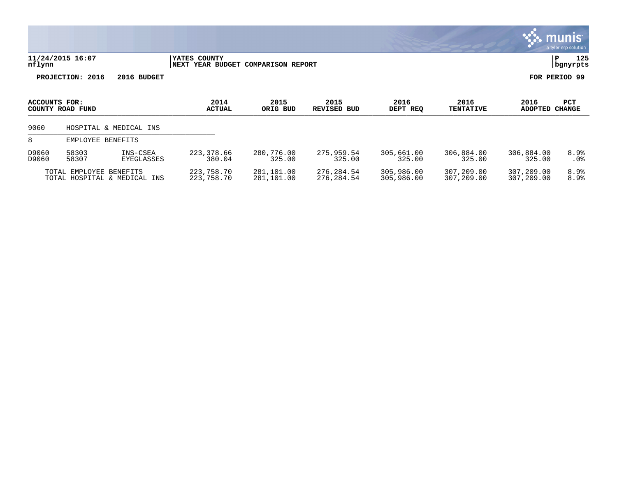|                |                         |                               |                                                    |                          |                           |                          |                          |                          | munis <sup>.</sup><br>a tyler erp solution |
|----------------|-------------------------|-------------------------------|----------------------------------------------------|--------------------------|---------------------------|--------------------------|--------------------------|--------------------------|--------------------------------------------|
| nflynn         | 11/24/2015 16:07        |                               | YATES COUNTY<br>NEXT YEAR BUDGET COMPARISON REPORT |                          |                           |                          |                          |                          | 125<br>P<br>bgnyrpts                       |
|                | PROJECTION: 2016        | 2016 BUDGET                   |                                                    |                          |                           |                          |                          |                          | FOR PERIOD 99                              |
| ACCOUNTS FOR:  | COUNTY ROAD FUND        |                               | 2014<br><b>ACTUAL</b>                              | 2015<br>ORIG BUD         | 2015<br>REVISED BUD       | 2016<br>DEPT REQ         | 2016<br><b>TENTATIVE</b> | 2016<br><b>ADOPTED</b>   | PCT<br><b>CHANGE</b>                       |
| 9060           |                         | HOSPITAL & MEDICAL INS        |                                                    |                          |                           |                          |                          |                          |                                            |
| 8              | EMPLOYEE BENEFITS       |                               |                                                    |                          |                           |                          |                          |                          |                                            |
| D9060<br>D9060 | 58303<br>58307          | INS-CSEA<br><b>EYEGLASSES</b> | 223, 378.66<br>380.04                              | 280,776.00<br>325.00     | 275,959.54<br>325.00      | 305,661.00<br>325.00     | 306,884.00<br>325.00     | 306,884.00<br>325.00     | 8.9%<br>.0 <sub>8</sub>                    |
|                | TOTAL EMPLOYEE BENEFITS | TOTAL HOSPITAL & MEDICAL INS  | 223,758.70<br>223,758.70                           | 281,101.00<br>281,101.00 | 276, 284.54<br>276,284.54 | 305,986.00<br>305,986.00 | 307,209.00<br>307,209.00 | 307,209.00<br>307,209.00 | 8.9%<br>8.9%                               |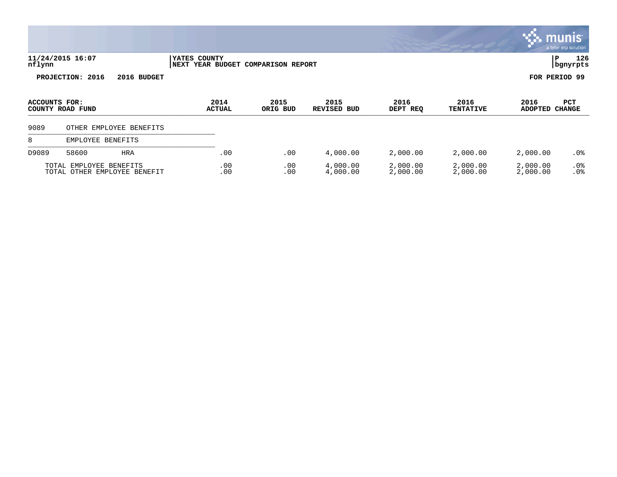|               |                                                         |                       |                               |                            |                      |                          |                        | <u>munis </u><br>a tyler erp solution |
|---------------|---------------------------------------------------------|-----------------------|-------------------------------|----------------------------|----------------------|--------------------------|------------------------|---------------------------------------|
| nflynn        | 11/24/2015 16:07                                        | YATES COUNTY<br>NEXT  | YEAR BUDGET COMPARISON REPORT |                            |                      |                          | P                      | 126<br>  bgnyrpts                     |
|               | PROJECTION: 2016<br>2016 BUDGET                         |                       |                               |                            |                      |                          | FOR PERIOD 99          |                                       |
| ACCOUNTS FOR: | COUNTY ROAD FUND                                        | 2014<br><b>ACTUAL</b> | 2015<br>ORIG BUD              | 2015<br><b>REVISED BUD</b> | 2016<br>DEPT REQ     | 2016<br><b>TENTATIVE</b> | 2016<br><b>ADOPTED</b> | PCT<br><b>CHANGE</b>                  |
| 9089          | OTHER EMPLOYEE BENEFITS                                 |                       |                               |                            |                      |                          |                        |                                       |
| 8             | EMPLOYEE BENEFITS                                       |                       |                               |                            |                      |                          |                        |                                       |
| D9089         | 58600<br><b>HRA</b>                                     | .00                   | .00                           | 4,000.00                   | 2,000.00             | 2,000.00                 | 2,000.00               | .0 <sub>8</sub>                       |
|               | TOTAL EMPLOYEE BENEFITS<br>TOTAL OTHER EMPLOYEE BENEFIT | .00<br>.00            | .00<br>.00                    | 4,000.00<br>4,000.00       | 2,000.00<br>2,000.00 | 2,000.00<br>2,000.00     | 2,000.00<br>2,000.00   | .0%<br>.0%                            |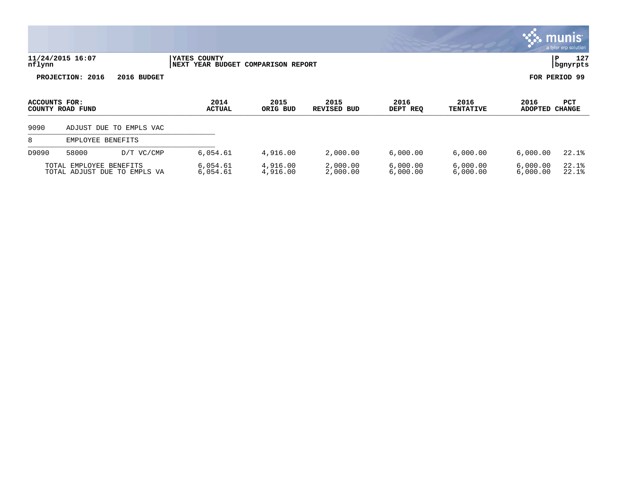|               |                         |                              |                                                              |                      |                               |                      |                          |                        | munis<br>a tyler erp solution |
|---------------|-------------------------|------------------------------|--------------------------------------------------------------|----------------------|-------------------------------|----------------------|--------------------------|------------------------|-------------------------------|
| nflynn        | 11/24/2015 16:07        |                              | YATES COUNTY<br>YEAR BUDGET COMPARISON REPORT<br><b>NEXT</b> |                      |                               |                      |                          |                        | 127<br>ΙP<br>  bgnyrpts       |
|               | PROJECTION: 2016        | 2016 BUDGET                  |                                                              |                      |                               |                      |                          |                        | FOR PERIOD 99                 |
| ACCOUNTS FOR: | COUNTY ROAD FUND        |                              | 2014<br><b>ACTUAL</b>                                        | 2015<br>ORIG BUD     | 2015<br><b>REVISED</b><br>BUD | 2016<br>DEPT REQ     | 2016<br><b>TENTATIVE</b> | 2016<br><b>ADOPTED</b> | PCT<br><b>CHANGE</b>          |
| 9090          |                         | ADJUST DUE TO EMPLS VAC      |                                                              |                      |                               |                      |                          |                        |                               |
| 8             | EMPLOYEE BENEFITS       |                              |                                                              |                      |                               |                      |                          |                        |                               |
| D9090         | 58000                   | D/T VC/CMP                   | 6,054.61                                                     | 4,916.00             | 2,000.00                      | 6,000.00             | 6,000.00                 | 6,000.00               | 22.1%                         |
|               | TOTAL EMPLOYEE BENEFITS | TOTAL ADJUST DUE TO EMPLS VA | 6,054.61<br>6,054.61                                         | 4,916.00<br>4,916.00 | 2,000.00<br>2,000.00          | 6,000.00<br>6,000.00 | 6,000.00<br>6,000.00     | 6,000.00<br>6,000.00   | 22.1%<br>22.1%                |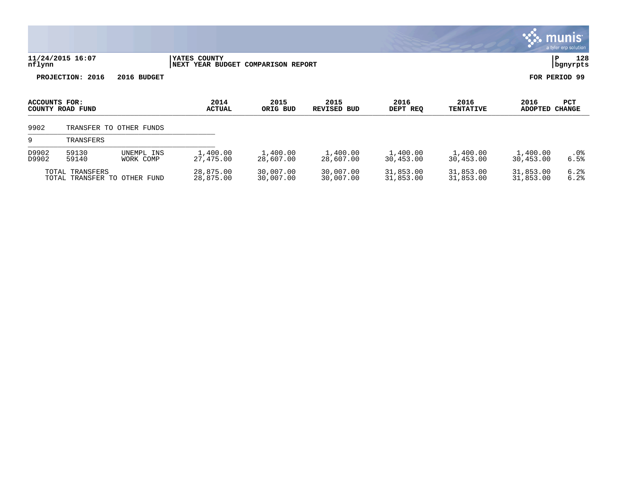|                |                                |                         |                                         |                          |                            |                        |                          |                        | a tyler erp solution    |
|----------------|--------------------------------|-------------------------|-----------------------------------------|--------------------------|----------------------------|------------------------|--------------------------|------------------------|-------------------------|
| nflynn         | 11/24/2015 16:07               |                         | YATES COUNTY<br><b>NEXT YEAR BUDGET</b> | <b>COMPARISON REPORT</b> |                            |                        |                          |                        | 128<br>P<br>bgnyrpts    |
|                | PROJECTION: 2016               | 2016 BUDGET             |                                         |                          |                            |                        |                          |                        | FOR PERIOD 99           |
| ACCOUNTS FOR:  | COUNTY ROAD FUND               |                         | 2014<br><b>ACTUAL</b>                   | 2015<br>ORIG BUD         | 2015<br><b>REVISED BUD</b> | 2016<br>DEPT REQ       | 2016<br><b>TENTATIVE</b> | 2016<br><b>ADOPTED</b> | PCT<br><b>CHANGE</b>    |
| 9902           |                                | TRANSFER TO OTHER FUNDS |                                         |                          |                            |                        |                          |                        |                         |
| 9              | TRANSFERS                      |                         |                                         |                          |                            |                        |                          |                        |                         |
| D9902<br>D9902 | 59130<br>59140                 | UNEMPL INS<br>WORK COMP | 1,400.00<br>27,475.00                   | 1,400.00<br>28,607.00    | 1,400.00<br>28,607.00      | 1,400.00<br>30,453.00  | 1,400.00<br>30,453.00    | 1,400.00<br>30,453.00  | .0 <sub>8</sub><br>6.5% |
| TOTAL          | TOTAL TRANSFERS<br>TRANSFER TO | OTHER FUND              | 28,875.00<br>28,875.00                  | 30,007.00<br>30,007.00   | 30,007.00<br>30,007.00     | 31,853.00<br>31,853.00 | 31,853.00<br>31,853.00   | 31,853.00<br>31,853.00 | 6.2%<br>6.2%            |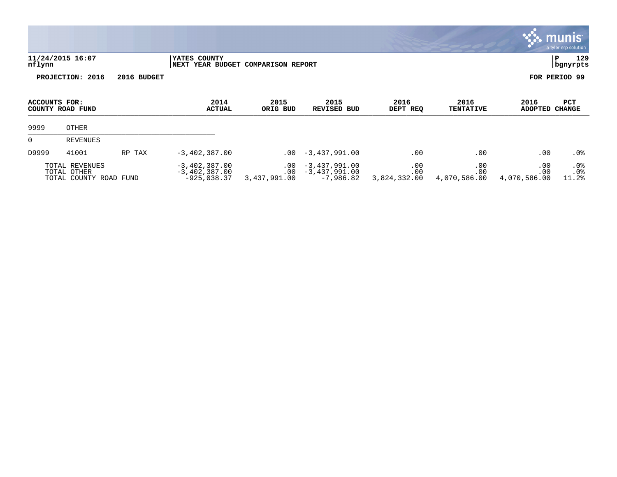|                |                                                         |             |                                                            |                            |                                                   |                            |                            |                            | <b>munis</b><br>a tyler erp solution |
|----------------|---------------------------------------------------------|-------------|------------------------------------------------------------|----------------------------|---------------------------------------------------|----------------------------|----------------------------|----------------------------|--------------------------------------|
| nflynn         | 11/24/2015 16:07                                        |             | <b>IYATES COUNTY</b><br>NEXT YEAR BUDGET COMPARISON REPORT |                            |                                                   |                            |                            |                            | 129<br> P<br>  bgnyrpts              |
|                | PROJECTION: 2016                                        | 2016 BUDGET |                                                            |                            |                                                   |                            |                            |                            | FOR PERIOD 99                        |
| ACCOUNTS FOR:  | COUNTY ROAD FUND                                        |             | 2014<br><b>ACTUAL</b>                                      | 2015<br>ORIG BUD           | 2015<br><b>REVISED BUD</b>                        | 2016<br>DEPT REQ           | 2016<br><b>TENTATIVE</b>   | 2016<br><b>ADOPTED</b>     | PCT<br><b>CHANGE</b>                 |
| 9999           | OTHER                                                   |             |                                                            |                            |                                                   |                            |                            |                            |                                      |
| $\overline{0}$ | <b>REVENUES</b>                                         |             |                                                            |                            |                                                   |                            |                            |                            |                                      |
| D9999          | 41001                                                   | RP TAX      | $-3,402,387.00$                                            | $.00 \,$                   | $-3,437,991.00$                                   | .00                        | .00                        | .00                        | $.0\%$                               |
|                | TOTAL REVENUES<br>TOTAL OTHER<br>TOTAL COUNTY ROAD FUND |             | $-3,402,387.00$<br>$-3,402,387.00$<br>$-925,038.37$        | .00<br>.00<br>3,437,991.00 | $-3,437,991.00$<br>$-3,437,991.00$<br>$-7,986.82$ | .00<br>.00<br>3,824,332.00 | .00<br>.00<br>4,070,586.00 | .00<br>.00<br>4,070,586.00 | $.0\%$<br>.0 <sub>8</sub><br>11.2%   |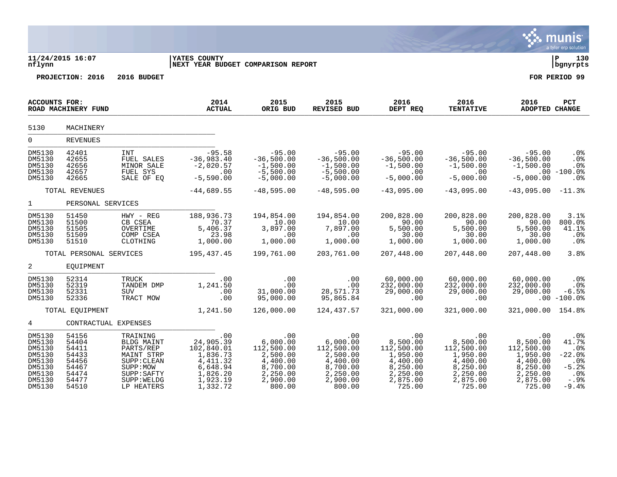|                                                                                        |                                                                               |                                                                                                                          |                                                                                                                     |                                                                                                     |                                                                                                     |                                                                                                     |                                                                                                     |                                                                                                     | munis<br>a tyler erp solution                                                       |
|----------------------------------------------------------------------------------------|-------------------------------------------------------------------------------|--------------------------------------------------------------------------------------------------------------------------|---------------------------------------------------------------------------------------------------------------------|-----------------------------------------------------------------------------------------------------|-----------------------------------------------------------------------------------------------------|-----------------------------------------------------------------------------------------------------|-----------------------------------------------------------------------------------------------------|-----------------------------------------------------------------------------------------------------|-------------------------------------------------------------------------------------|
| nflynn                                                                                 | 11/24/2015 16:07                                                              |                                                                                                                          | YATES COUNTY<br>NEXT YEAR BUDGET COMPARISON REPORT                                                                  |                                                                                                     | ∣ P<br>130<br>  bgnyrpts                                                                            |                                                                                                     |                                                                                                     |                                                                                                     |                                                                                     |
|                                                                                        | PROJECTION: 2016                                                              | 2016 BUDGET                                                                                                              |                                                                                                                     |                                                                                                     |                                                                                                     |                                                                                                     |                                                                                                     |                                                                                                     | FOR PERIOD 99                                                                       |
| <b>ACCOUNTS FOR:</b>                                                                   | ROAD MACHINERY FUND                                                           |                                                                                                                          | 2014<br><b>ACTUAL</b>                                                                                               | 2015<br>ORIG BUD                                                                                    | 2015<br><b>REVISED BUD</b>                                                                          | 2016<br>DEPT REQ                                                                                    | 2016<br><b>TENTATIVE</b>                                                                            | 2016<br>ADOPTED CHANGE                                                                              | <b>PCT</b>                                                                          |
| 5130                                                                                   | MACHINERY                                                                     |                                                                                                                          |                                                                                                                     |                                                                                                     |                                                                                                     |                                                                                                     |                                                                                                     |                                                                                                     |                                                                                     |
| 0                                                                                      | <b>REVENUES</b>                                                               |                                                                                                                          |                                                                                                                     |                                                                                                     |                                                                                                     |                                                                                                     |                                                                                                     |                                                                                                     |                                                                                     |
| DM5130<br>DM5130<br>DM5130<br>DM5130<br>DM5130                                         | 42401<br>42655<br>42656<br>42657<br>42665                                     | <b>INT</b><br>FUEL SALES<br>MINOR SALE<br>FUEL SYS<br>SALE OF EQ                                                         | $-95.58$<br>$-36,983.40$<br>$-2,020.57$<br>.00<br>$-5,590.00$                                                       | $-95.00$<br>$-36,500.00$<br>$-1,500.00$<br>$-5,500.00$<br>$-5,000.00$                               | $-95.00$<br>$-36,500.00$<br>$-1,500.00$<br>$-5,500.00$<br>$-5,000.00$                               | $-95.00$<br>$-36,500.00$<br>$-1,500.00$<br>.00<br>$-5,000.00$                                       | $-95.00$<br>$-36,500.00$<br>$-1,500.00$<br>$.00 \,$<br>$-5,000.00$                                  | $-95.00$<br>$-36,500.00$<br>$-1,500.00$<br>$-5,000.00$                                              | .0%<br>.0%<br>.0%<br>$.00 - 100.0$<br>.0 <sub>8</sub>                               |
|                                                                                        | TOTAL REVENUES                                                                |                                                                                                                          | $-44,689.55$                                                                                                        | $-48,595.00$                                                                                        | $-48,595.00$                                                                                        | $-43,095.00$                                                                                        | $-43,095.00$                                                                                        | $-43,095.00$                                                                                        | $-11.3%$                                                                            |
| $\mathbf{1}$                                                                           | PERSONAL SERVICES                                                             |                                                                                                                          |                                                                                                                     |                                                                                                     |                                                                                                     |                                                                                                     |                                                                                                     |                                                                                                     |                                                                                     |
| DM5130<br>DM5130<br>DM5130<br>DM5130<br>DM5130                                         | 51450<br>51500<br>51505<br>51509<br>51510                                     | HWY - REG<br>CB CSEA<br>OVERTIME<br>COMP CSEA<br>CLOTHING                                                                | 188,936.73<br>70.37<br>5,406.37<br>23.98<br>1,000.00                                                                | 194,854.00<br>10.00<br>3,897.00<br>.00<br>1,000.00                                                  | 194,854.00<br>10.00<br>7,897.00<br>.00<br>1,000.00                                                  | 200,828.00<br>90.00<br>5,500.00<br>30.00<br>1,000.00                                                | 200,828.00<br>90.00<br>5,500.00<br>30.00<br>1,000.00                                                | 200,828.00<br>90.00<br>5,500.00<br>30.00<br>1,000.00                                                | 3.1%<br>800.0%<br>41.1%<br>.0%<br>.0%                                               |
|                                                                                        | TOTAL PERSONAL SERVICES                                                       |                                                                                                                          | 195,437.45                                                                                                          | 199,761.00                                                                                          | 203,761.00                                                                                          | 207,448.00                                                                                          | 207,448.00                                                                                          | 207,448.00                                                                                          | 3.8%                                                                                |
| 2                                                                                      | EQUIPMENT                                                                     |                                                                                                                          |                                                                                                                     |                                                                                                     |                                                                                                     |                                                                                                     |                                                                                                     |                                                                                                     |                                                                                     |
| DM5130<br>DM5130<br>DM5130<br>DM5130                                                   | 52314<br>52319<br>52331<br>52336                                              | TRUCK<br>TANDEM DMP<br>SUV<br>TRACT MOW                                                                                  | .00<br>1,241.50<br>.00<br>.00                                                                                       | .00<br>.00<br>31,000.00<br>95,000.00                                                                | .00<br>.00<br>28,571.73<br>95,865.84                                                                | 60,000.00<br>232,000.00<br>29,000.00<br>.00                                                         | 60,000.00<br>232,000.00<br>29,000.00<br>$.00 \,$                                                    | 60,000.00<br>232,000.00<br>29,000.00                                                                | .0%<br>$.0\%$<br>$-6.5%$<br>$.00 - 100.0$                                           |
|                                                                                        | TOTAL EOUIPMENT                                                               |                                                                                                                          | 1,241.50                                                                                                            | 126,000.00                                                                                          | 124,437.57                                                                                          | 321,000.00                                                                                          | 321,000.00                                                                                          | 321,000.00                                                                                          | 154.8%                                                                              |
| 4                                                                                      | CONTRACTUAL EXPENSES                                                          |                                                                                                                          |                                                                                                                     |                                                                                                     |                                                                                                     |                                                                                                     |                                                                                                     |                                                                                                     |                                                                                     |
| DM5130<br>DM5130<br>DM5130<br>DM5130<br>DM5130<br>DM5130<br>DM5130<br>DM5130<br>DM5130 | 54156<br>54404<br>54411<br>54433<br>54456<br>54467<br>54474<br>54477<br>54510 | TRAINING<br>BLDG MAINT<br>PARTS/REP<br>MAINT STRP<br>SUPP: CLEAN<br>SUPP:MOW<br>SUPP: SAFTY<br>SUPP: WELDG<br>LP HEATERS | $\overline{00}$<br>24,905.39<br>102,840.01<br>1,836.73<br>4, 411.32<br>6,648.94<br>1,826.20<br>1,923.19<br>1,332.72 | .00<br>6,000.00<br>112,500.00<br>2,500.00<br>4,400.00<br>8,700.00<br>2,250.00<br>2,900.00<br>800.00 | .00<br>6,000.00<br>112,500.00<br>2,500.00<br>4,400.00<br>8,700.00<br>2,250.00<br>2,900.00<br>800.00 | .00<br>8,500.00<br>112,500.00<br>1,950.00<br>4,400.00<br>8,250.00<br>2,250.00<br>2,875.00<br>725.00 | .00<br>8,500.00<br>112,500.00<br>1,950.00<br>4,400.00<br>8,250.00<br>2,250.00<br>2,875.00<br>725.00 | .00<br>8,500.00<br>112,500.00<br>1,950.00<br>4,400.00<br>8,250.00<br>2,250.00<br>2,875.00<br>725.00 | .0%<br>41.7%<br>.0%<br>$-22.0$ $8$<br>.0%<br>$-5.2%$<br>$.0\%$<br>$-.9%$<br>$-9.4%$ |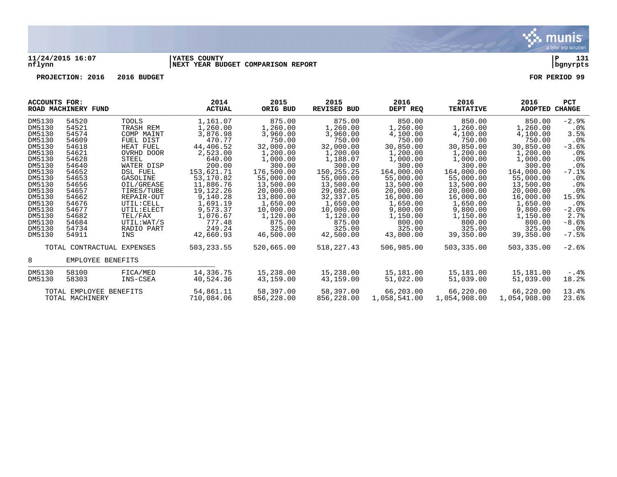

## **11/24/2015 16:07 |YATES COUNTY |P 131 nflynn |NEXT YEAR BUDGET COMPARISON REPORT |bgnyrpts**

**PROJECTION: 2016 2016 BUDGET FOR PERIOD 99**

| ACCOUNTS FOR:           | ROAD MACHINERY FUND        |                 | 2014<br><b>ACTUAL</b> | 2015<br>ORIG BUD | 2015<br><b>REVISED BUD</b> | 2016<br>DEPT REO | 2016<br><b>TENTATIVE</b> | 2016<br><b>ADOPTED</b> | <b>PCT</b><br>CHANGE |
|-------------------------|----------------------------|-----------------|-----------------------|------------------|----------------------------|------------------|--------------------------|------------------------|----------------------|
| DM5130                  | 54520                      | <b>TOOLS</b>    | 1,161.07              | 875.00           | 875.00                     | 850.00           | 850.00                   | 850.00                 | $-2.9%$              |
| DM5130                  | 54521                      | TRASH REM       | 1,260.00              | 1,260.00         | 1,260.00                   | 1,260.00         | 1,260.00                 | 1,260.00               | $.0\%$               |
| DM5130                  | 54574                      | COMP MAINT      | 3,876.98              | 3,960.00         | 3,960.00                   | 4,100.00         | 4,100.00                 | 4,100.00               | 3.5%                 |
| DM5130                  | 54609                      | FUEL DIST       | 470.77                | 750.00           | 750.00                     | 750.00           | 750.00                   | 750.00                 | $.0\%$               |
| DM5130                  | 54618                      | HEAT FUEL       | 44,406.52             | 32,000.00        | 32,000.00                  | 30,850.00        | 30,850.00                | 30,850.00              | $-3.6%$              |
| DM5130                  | 54621                      | OVRHD DOOR      | 2,523.00              | 1,200.00         | 1,200.00                   | 1,200.00         | 1,200.00                 | 1,200.00               | $.0\%$               |
| DM5130                  | 54628                      | <b>STEEL</b>    | 640.00                | 1,000.00         | 1,188.07                   | 1,000.00         | 1,000.00                 | 1,000.00               | $.0\%$               |
| DM5130                  | 54640                      | WATER DISP      | 200.00                | 300.00           | 300.00                     | 300.00           | 300.00                   | 300.00                 | $.0\%$               |
| DM5130                  | 54652                      | <b>DSL FUEL</b> | 153,621.71            | 176,500.00       | 150, 255. 25               | 164,000.00       | 164,000.00               | 164,000.00             | $-7.1$ %             |
| DM5130                  | 54653                      | GASOLINE        | 53,170.82             | 55,000.00        | 55,000.00                  | 55,000.00        | 55,000.00                | 55,000.00              | .0%                  |
| DM5130                  | 54656                      | OIL/GREASE      | 11,886.76             | 13,500.00        | 13,500.00                  | 13,500.00        | 13,500.00                | 13,500.00              | $.0\%$               |
| DM5130                  | 54657                      | TIRES/TUBE      | 19, 122. 26           | 20,000.00        | 29,082.06                  | 20,000.00        | 20,000.00                | 20,000.00              | $.0\%$               |
| DM5130                  | 54662                      | REPAIR-OUT      | 9,140.28              | 13,800.00        | 32,337.05                  | 16,000.00        | 16,000.00                | 16,000.00              | 15.9%                |
| DM5130                  | 54676                      | UTIL: CELL      | 1,691.19              | 1,650.00         | 1,650.00                   | 1,650.00         | 1,650.00                 | 1,650.00               | $.0\%$               |
| DM5130                  | 54677                      | UTIL: ELECT     | 9,573.37              | 10,000.00        | 10,000.00                  | 9,800.00         | 9,800.00                 | 9,800.00               | $-2.0%$              |
| DM5130                  | 54682                      | TEL/FAX         | 1,076.67              | 1,120.00         | 1,120.00                   | 1,150.00         | 1,150.00                 | 1,150.00               | 2.7%                 |
| DM5130                  | 54684                      | UTIL:WAT/S      | 777.48                | 875.00           | 875.00                     | 800.00           | 800.00                   | 800.00                 | $-8.6%$              |
| DM5130                  | 54734                      | RADIO PART      | 249.24                | 325.00           | 325.00                     | 325.00           | 325.00                   | 325.00                 | $.0\%$               |
| DM5130                  | 54911                      | INS             | 42,660.93             | 46,500.00        | 42,500.00                  | 43,000.00        | 39,350.00                | 39,350.00              | $-7.5%$              |
|                         | TOTAL CONTRACTUAL EXPENSES |                 | 503, 233.55           | 520,665.00       | 518, 227.43                | 506,985.00       | 503,335.00               | 503,335.00             | $-2.6%$              |
| 8                       | EMPLOYEE BENEFITS          |                 |                       |                  |                            |                  |                          |                        |                      |
| DM5130                  | 58100                      | FICA/MED        | 14,336.75             | 15,238.00        | 15,238.00                  | 15,181.00        | 15,181.00                | 15,181.00              | $-.4%$               |
| DM5130                  | 58303                      | INS-CSEA        | 40,524.36             | 43,159.00        | 43,159.00                  | 51,022.00        | 51,039.00                | 51,039.00              | 18.2%                |
| TOTAL EMPLOYEE BENEFITS |                            | 54,861.11       | 58,397.00             | 58,397.00        | 66,203.00                  | 66,220.00        | 66,220.00                | 13.4%                  |                      |
| TOTAL MACHINERY         |                            | 710,084.06      | 856,228.00            | 856,228.00       | 1,058,541.00               | 1,054,908.00     | 1,054,908.00             | 23.6%                  |                      |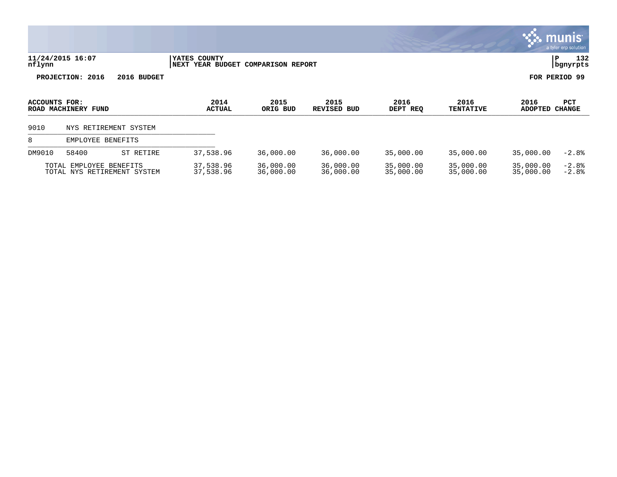|                                                        |                       |             |                                                    |                        |                            |                        |                          |                               | munis'<br>a tyler erp solution |
|--------------------------------------------------------|-----------------------|-------------|----------------------------------------------------|------------------------|----------------------------|------------------------|--------------------------|-------------------------------|--------------------------------|
| nflynn                                                 | 11/24/2015 16:07      |             | YATES COUNTY<br>NEXT YEAR BUDGET COMPARISON REPORT |                        |                            |                        |                          |                               | 132<br>P<br>  bgnyrpts         |
|                                                        | PROJECTION: 2016      | 2016 BUDGET |                                                    |                        |                            |                        |                          |                               | FOR PERIOD 99                  |
| ACCOUNTS FOR:<br>ROAD MACHINERY FUND                   |                       |             | 2014<br><b>ACTUAL</b>                              | 2015<br>ORIG BUD       | 2015<br><b>REVISED BUD</b> | 2016<br>DEPT REQ       | 2016<br><b>TENTATIVE</b> | 2016<br><b>ADOPTED CHANGE</b> | <b>PCT</b>                     |
| 9010                                                   | NYS RETIREMENT SYSTEM |             |                                                    |                        |                            |                        |                          |                               |                                |
| 8                                                      | EMPLOYEE BENEFITS     |             |                                                    |                        |                            |                        |                          |                               |                                |
| DM9010                                                 | 58400                 | ST RETIRE   | 37,538.96                                          | 36,000.00              | 36,000.00                  | 35,000.00              | 35,000.00                | 35,000.00                     | $-2.8%$                        |
| TOTAL EMPLOYEE BENEFITS<br>TOTAL NYS RETIREMENT SYSTEM |                       |             | 37,538.96<br>37,538.96                             | 36,000.00<br>36,000.00 | 36,000.00<br>36,000.00     | 35,000.00<br>35,000.00 | 35,000.00<br>35,000.00   | 35,000.00<br>35,000.00        | $-2.8%$<br>$-2.8%$             |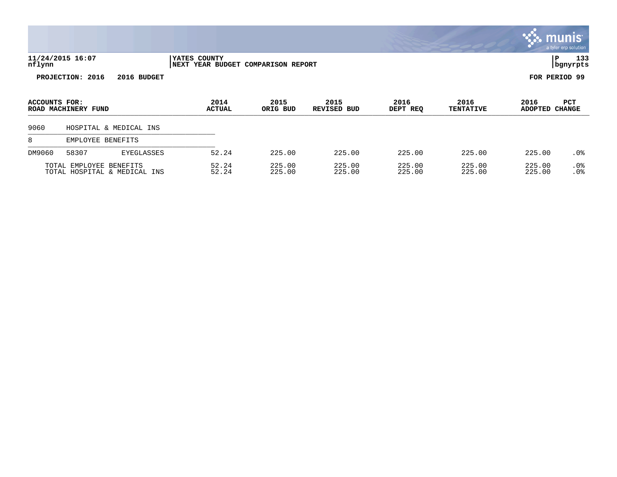|               |                         |                              |                                                    |                  |                            |                  |                          |                        | munis <sup>.</sup><br>a tyler erp solution |
|---------------|-------------------------|------------------------------|----------------------------------------------------|------------------|----------------------------|------------------|--------------------------|------------------------|--------------------------------------------|
| nflynn        | 11/24/2015 16:07        |                              | YATES COUNTY<br>NEXT YEAR BUDGET COMPARISON REPORT |                  |                            |                  |                          |                        | 133<br>P<br>  bgnyrpts                     |
|               | PROJECTION: 2016        | 2016 BUDGET                  |                                                    |                  |                            |                  |                          |                        | FOR PERIOD 99                              |
| ACCOUNTS FOR: | ROAD MACHINERY FUND     |                              | 2014<br><b>ACTUAL</b>                              | 2015<br>ORIG BUD | 2015<br><b>REVISED BUD</b> | 2016<br>DEPT REQ | 2016<br><b>TENTATIVE</b> | 2016<br><b>ADOPTED</b> | PCT<br><b>CHANGE</b>                       |
| 9060          |                         | HOSPITAL & MEDICAL INS       |                                                    |                  |                            |                  |                          |                        |                                            |
| 8             | EMPLOYEE BENEFITS       |                              |                                                    |                  |                            |                  |                          |                        |                                            |
| DM9060        | 58307                   | <b>EYEGLASSES</b>            | 52.24                                              | 225.00           | 225.00                     | 225.00           | 225.00                   | 225.00                 | .0 <sub>8</sub>                            |
|               | TOTAL EMPLOYEE BENEFITS | TOTAL HOSPITAL & MEDICAL INS | 52.24<br>52.24                                     | 225.00<br>225.00 | 225.00<br>225.00           | 225.00<br>225.00 | 225.00<br>225.00         | 225.00<br>225.00       | .0%<br>.0%                                 |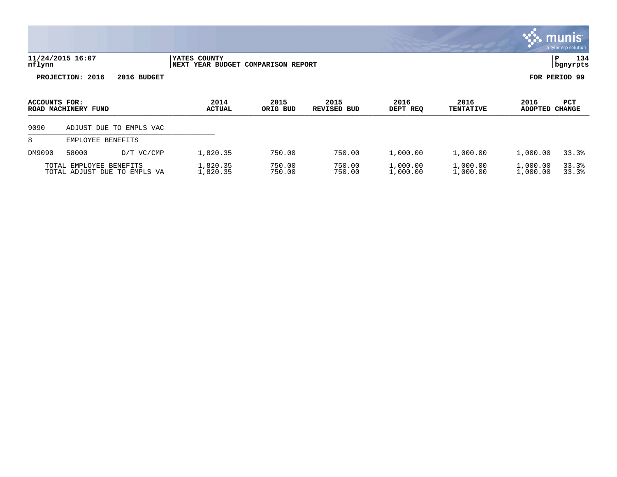|                                                         |                   |                         |                                                    |                        |                  |                          |                        |                      | <u>munis'</u><br>a tyler erp solution |
|---------------------------------------------------------|-------------------|-------------------------|----------------------------------------------------|------------------------|------------------|--------------------------|------------------------|----------------------|---------------------------------------|
| 11/24/2015 16:07<br>nflynn                              |                   |                         | YATES COUNTY<br>NEXT YEAR BUDGET COMPARISON REPORT |                        |                  |                          |                        |                      | 134<br>Р<br>bgnyrpts                  |
|                                                         | PROJECTION: 2016  | 2016 BUDGET             |                                                    |                        |                  |                          |                        |                      | FOR PERIOD 99                         |
| ACCOUNTS FOR:<br>ROAD MACHINERY FUND                    |                   | 2014<br><b>ACTUAL</b>   | 2015<br>ORIG BUD                                   | 2015<br>REVISED<br>BUD | 2016<br>DEPT REQ | 2016<br><b>TENTATIVE</b> | 2016<br><b>ADOPTED</b> | PCT<br><b>CHANGE</b> |                                       |
| 9090                                                    |                   | ADJUST DUE TO EMPLS VAC |                                                    |                        |                  |                          |                        |                      |                                       |
| 8                                                       | EMPLOYEE BENEFITS |                         |                                                    |                        |                  |                          |                        |                      |                                       |
| DM9090                                                  | 58000             | $D/T$ VC/CMP            | 1,820.35                                           | 750.00                 | 750.00           | 1,000.00                 | 1,000.00               | 1,000.00             | 33.3%                                 |
| TOTAL EMPLOYEE BENEFITS<br>TOTAL ADJUST DUE TO EMPLS VA |                   |                         | 1,820.35<br>1,820.35                               | 750.00<br>750.00       | 750.00<br>750.00 | 1,000.00<br>1,000.00     | 1,000.00<br>1,000.00   | 1,000.00<br>1,000.00 | 33.3%<br>33.3%                        |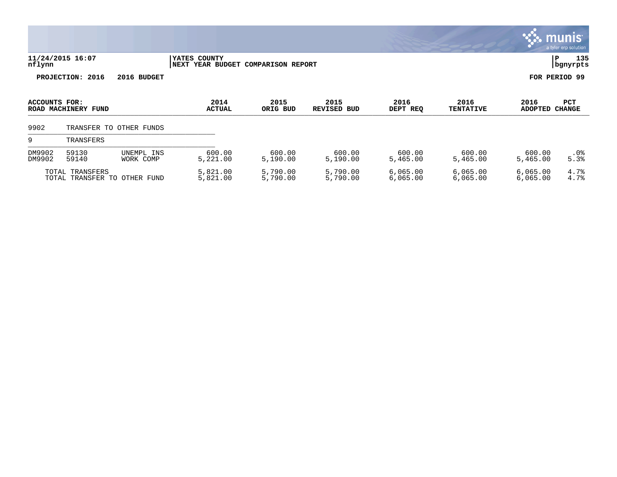|                      |                                                 |                         |                                                    |                      |                            |                      |                          | mu                     | a tyler erp solution |
|----------------------|-------------------------------------------------|-------------------------|----------------------------------------------------|----------------------|----------------------------|----------------------|--------------------------|------------------------|----------------------|
| nflynn               | 11/24/2015 16:07                                |                         | YATES COUNTY<br>NEXT YEAR BUDGET COMPARISON REPORT |                      |                            |                      |                          |                        | 135<br>P<br>bgnyrpts |
|                      | PROJECTION: 2016                                | 2016 BUDGET             |                                                    |                      |                            |                      |                          |                        | FOR PERIOD 99        |
| <b>ACCOUNTS FOR:</b> | ROAD MACHINERY FUND                             |                         | 2014<br><b>ACTUAL</b>                              | 2015<br>ORIG BUD     | 2015<br><b>REVISED BUD</b> | 2016<br>DEPT REQ     | 2016<br><b>TENTATIVE</b> | 2016<br><b>ADOPTED</b> | PCT<br><b>CHANGE</b> |
| 9902                 | TRANSFER TO                                     | OTHER FUNDS             |                                                    |                      |                            |                      |                          |                        |                      |
| 9                    | TRANSFERS                                       |                         |                                                    |                      |                            |                      |                          |                        |                      |
| DM9902<br>DM9902     | 59130<br>59140                                  | UNEMPL INS<br>WORK COMP | 600.00<br>5,221.00                                 | 600.00<br>5,190.00   | 600.00<br>5,190.00         | 600.00<br>5,465.00   | 600.00<br>5,465.00       | 600.00<br>5,465.00     | .0%<br>5.3%          |
|                      | TOTAL TRANSFERS<br>TOTAL TRANSFER TO OTHER FUND |                         | 5,821.00<br>5,821.00                               | 5,790.00<br>5,790.00 | 5,790.00<br>5,790.00       | 6,065.00<br>6,065.00 | 6,065.00<br>6,065.00     | 6,065.00<br>6,065.00   | 4.7%<br>4.7%         |